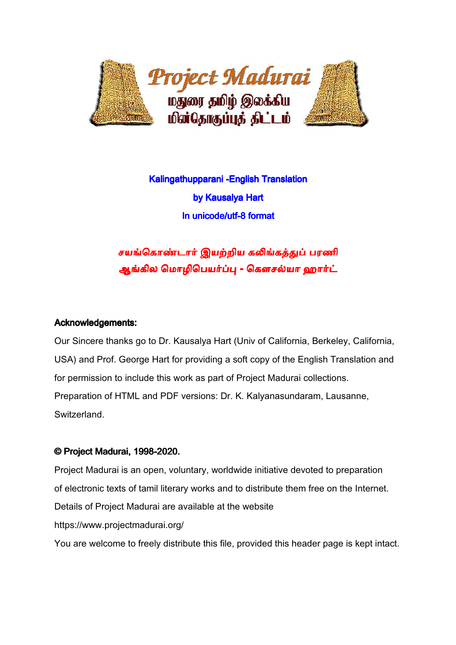

# Kalingathupparani -English Translation by Kausalya Hart In unicode/utf-8 format

சயங்கொண்டார் இயற்றிய கலிங்கத்துப் பரணி ஆங்கில மொழிபெயர்ப்பு - கௌசல்யா ஹார்ட்

## Acknowledgements:

Our Sincere thanks go to Dr. Kausalya Hart (Univ of California, Berkeley, California, USA) and Prof. George Hart for providing a soft copy of the English Translation and for permission to include this work as part of Project Madurai collections. Preparation of HTML and PDF versions: Dr. K. Kalyanasundaram, Lausanne, Switzerland.

## © Project Madurai, 1998-2020.

Project Madurai is an open, voluntary, worldwide initiative devoted to preparation of electronic texts of tamil literary works and to distribute them free on the Internet. Details of Project Madurai are available at the website https://www.projectmadurai.org/ You are welcome to freely distribute this file, provided this header page is kept intact.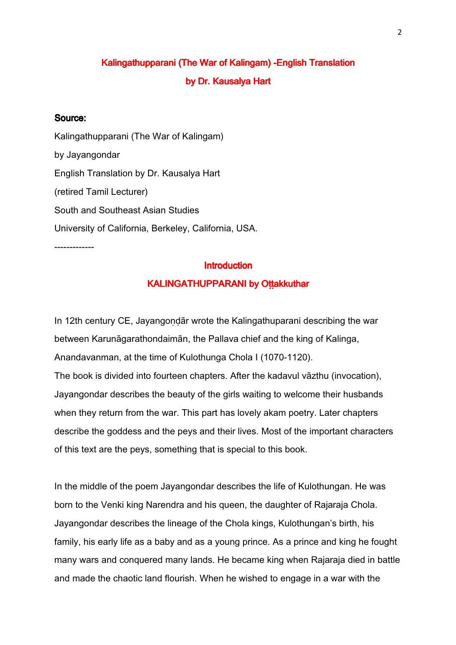## Kalingathupparani (The War of Kalingam) -English Translation by Dr. Kausalya Hart

#### Source:

Kalingathupparani (The War of Kalingam) by Jayangondar English Translation by Dr. Kausalya Hart (retired Tamil Lecturer) South and Southeast Asian Studies University of California, Berkeley, California, USA. -------------

#### **Introduction**

#### KALINGATHUPPARANI by Ottakkuthar

In 12th century CE, Jayangondār wrote the Kalingathuparani describing the war between Karunāgarathondaimān, the Pallava chief and the king of Kalinga, Anandavanman, at the time of Kulothunga Chola I (1070-1120). The book is divided into fourteen chapters. After the kadavul vāzthu (invocation), Jayangondar describes the beauty of the girls waiting to welcome their husbands when they return from the war. This part has lovely akam poetry. Later chapters describe the goddess and the peys and their lives. Most of the important characters of this text are the peys, something that is special to this book.

In the middle of the poem Jayangondar describes the life of Kulothungan. He was born to the Venki king Narendra and his queen, the daughter of Rajaraja Chola. Jayangondar describes the lineage of the Chola kings, Kulothungan's birth, his family, his early life as a baby and as a young prince. As a prince and king he fought many wars and conquered many lands. He became king when Rajaraja died in battle and made the chaotic land flourish. When he wished to engage in a war with the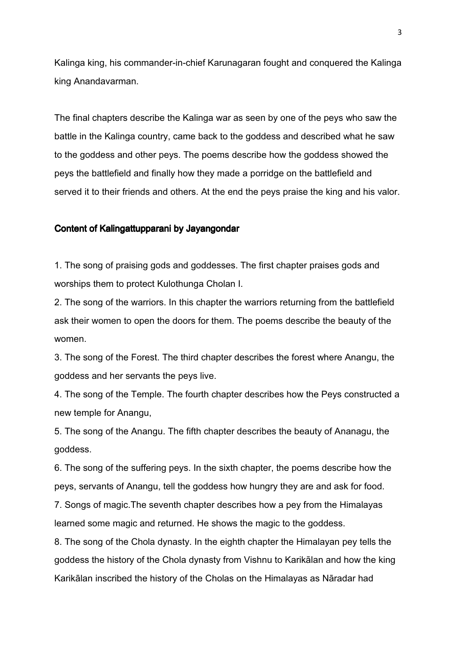Kalinga king, his commander-in-chief Karunagaran fought and conquered the Kalinga king Anandavarman.

The final chapters describe the Kalinga war as seen by one of the peys who saw the battle in the Kalinga country, came back to the goddess and described what he saw to the goddess and other peys. The poems describe how the goddess showed the peys the battlefield and finally how they made a porridge on the battlefield and served it to their friends and others. At the end the peys praise the king and his valor.

#### Content of Kalingattupparani by Jayangondar

1. The song of praising gods and goddesses. The first chapter praises gods and worships them to protect Kulothunga Cholan I.

2. The song of the warriors. In this chapter the warriors returning from the battlefield ask their women to open the doors for them. The poems describe the beauty of the women.

3. The song of the Forest. The third chapter describes the forest where Anangu, the goddess and her servants the peys live.

4. The song of the Temple. The fourth chapter describes how the Peys constructed a new temple for Anangu,

5. The song of the Anangu. The fifth chapter describes the beauty of Ananagu, the goddess.

6. The song of the suffering peys. In the sixth chapter, the poems describe how the peys, servants of Anangu, tell the goddess how hungry they are and ask for food.

7. Songs of magic.The seventh chapter describes how a pey from the Himalayas learned some magic and returned. He shows the magic to the goddess.

8. The song of the Chola dynasty. In the eighth chapter the Himalayan pey tells the goddess the history of the Chola dynasty from Vishnu to Karikālan and how the king Karikālan inscribed the history of the Cholas on the Himalayas as Nāradar had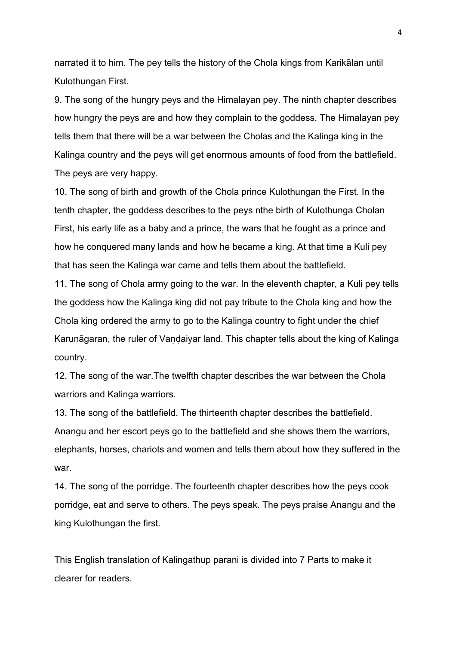narrated it to him. The pey tells the history of the Chola kings from Karikālan until Kulothungan First.

9. The song of the hungry peys and the Himalayan pey. The ninth chapter describes how hungry the peys are and how they complain to the goddess. The Himalayan pey tells them that there will be a war between the Cholas and the Kalinga king in the Kalinga country and the peys will get enormous amounts of food from the battlefield. The peys are very happy.

10. The song of birth and growth of the Chola prince Kulothungan the First. In the tenth chapter, the goddess describes to the peys nthe birth of Kulothunga Cholan First, his early life as a baby and a prince, the wars that he fought as a prince and how he conquered many lands and how he became a king. At that time a Kuli pey that has seen the Kalinga war came and tells them about the battlefield.

11. The song of Chola army going to the war. In the eleventh chapter, a Kuli pey tells the goddess how the Kalinga king did not pay tribute to the Chola king and how the Chola king ordered the army to go to the Kalinga country to fight under the chief Karunāgaran, the ruler of Vandaiyar land. This chapter tells about the king of Kalinga country.

12. The song of the war.The twelfth chapter describes the war between the Chola warriors and Kalinga warriors.

13. The song of the battlefield. The thirteenth chapter describes the battlefield. Anangu and her escort peys go to the battlefield and she shows them the warriors, elephants, horses, chariots and women and tells them about how they suffered in the war.

14. The song of the porridge. The fourteenth chapter describes how the peys cook porridge, eat and serve to others. The peys speak. The peys praise Anangu and the king Kulothungan the first.

This English translation of Kalingathup parani is divided into 7 Parts to make it clearer for readers.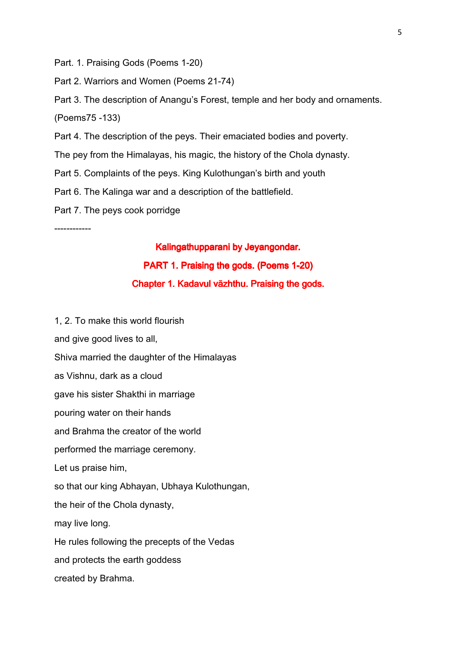Part. 1. Praising Gods (Poems 1-20)

Part 2. Warriors and Women (Poems 21-74)

Part 3. The description of Anangu's Forest, temple and her body and ornaments. (Poems75 -133)

Part 4. The description of the peys. Their emaciated bodies and poverty.

The pey from the Himalayas, his magic, the history of the Chola dynasty.

Part 5. Complaints of the peys. King Kulothungan's birth and youth

Part 6. The Kalinga war and a description of the battlefield.

Part 7. The peys cook porridge

------------

#### Kalingathupparani by Jeyangondar.

## PART 1. Praising the gods. (Poems 1-20)

#### Chapter 1. Kadavul vāzhthu. Praising the gods.

1, 2. To make this world flourish and give good lives to all, Shiva married the daughter of the Himalayas as Vishnu, dark as a cloud gave his sister Shakthi in marriage pouring water on their hands and Brahma the creator of the world performed the marriage ceremony. Let us praise him, so that our king Abhayan, Ubhaya Kulothungan, the heir of the Chola dynasty, may live long. He rules following the precepts of the Vedas and protects the earth goddess created by Brahma.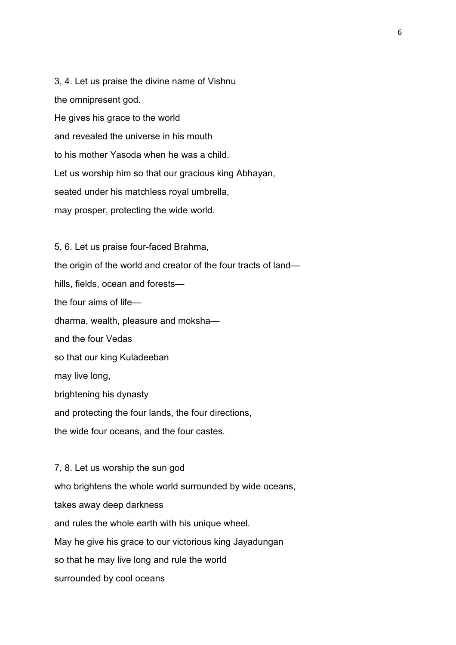3, 4. Let us praise the divine name of Vishnu the omnipresent god. He gives his grace to the world and revealed the universe in his mouth to his mother Yasoda when he was a child. Let us worship him so that our gracious king Abhayan, seated under his matchless royal umbrella, may prosper, protecting the wide world.

5, 6. Let us praise four-faced Brahma, the origin of the world and creator of the four tracts of land hills, fields, ocean and forests the four aims of life dharma, wealth, pleasure and moksha and the four Vedas so that our king Kuladeeban may live long, brightening his dynasty and protecting the four lands, the four directions, the wide four oceans, and the four castes.

7, 8. Let us worship the sun god who brightens the whole world surrounded by wide oceans, takes away deep darkness and rules the whole earth with his unique wheel. May he give his grace to our victorious king Jayadungan so that he may live long and rule the world surrounded by cool oceans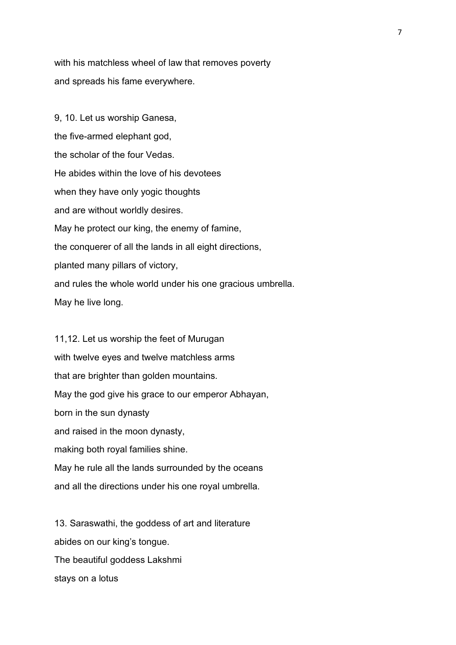with his matchless wheel of law that removes poverty and spreads his fame everywhere.

9, 10. Let us worship Ganesa, the five-armed elephant god, the scholar of the four Vedas. He abides within the love of his devotees when they have only yogic thoughts and are without worldly desires. May he protect our king, the enemy of famine, the conquerer of all the lands in all eight directions, planted many pillars of victory, and rules the whole world under his one gracious umbrella. May he live long.

11,12. Let us worship the feet of Murugan with twelve eyes and twelve matchless arms that are brighter than golden mountains. May the god give his grace to our emperor Abhayan, born in the sun dynasty and raised in the moon dynasty, making both royal families shine. May he rule all the lands surrounded by the oceans and all the directions under his one royal umbrella.

13. Saraswathi, the goddess of art and literature abides on our king's tongue. The beautiful goddess Lakshmi stays on a lotus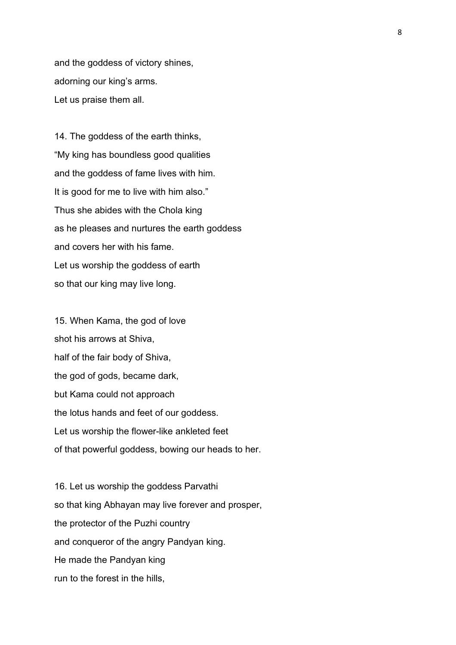and the goddess of victory shines, adorning our king's arms. Let us praise them all.

14. The goddess of the earth thinks, "My king has boundless good qualities and the goddess of fame lives with him. It is good for me to live with him also." Thus she abides with the Chola king as he pleases and nurtures the earth goddess and covers her with his fame. Let us worship the goddess of earth so that our king may live long.

15. When Kama, the god of love shot his arrows at Shiva, half of the fair body of Shiva, the god of gods, became dark, but Kama could not approach the lotus hands and feet of our goddess. Let us worship the flower-like ankleted feet of that powerful goddess, bowing our heads to her.

16. Let us worship the goddess Parvathi so that king Abhayan may live forever and prosper, the protector of the Puzhi country and conqueror of the angry Pandyan king. He made the Pandyan king run to the forest in the hills,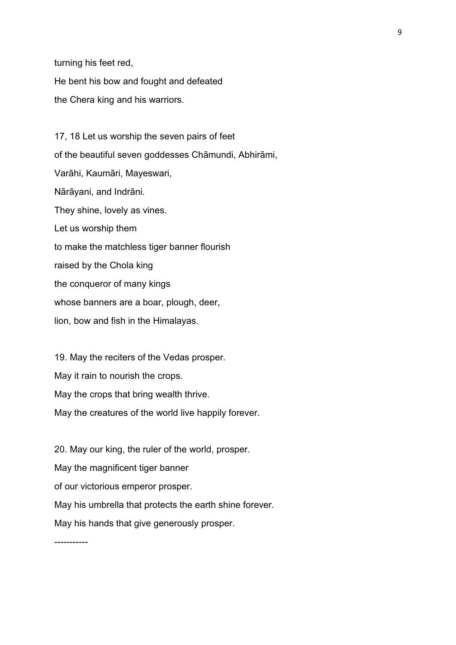turning his feet red, He bent his bow and fought and defeated the Chera king and his warriors.

17, 18 Let us worship the seven pairs of feet of the beautiful seven goddesses Chāmundi, Abhirāmi, Varāhi, Kaumāri, Mayeswari, Nārāyani, and Indrāni. They shine, lovely as vines. Let us worship them to make the matchless tiger banner flourish raised by the Chola king the conqueror of many kings whose banners are a boar, plough, deer, lion, bow and fish in the Himalayas.

19. May the reciters of the Vedas prosper. May it rain to nourish the crops. May the crops that bring wealth thrive. May the creatures of the world live happily forever.

20. May our king, the ruler of the world, prosper. May the magnificent tiger banner of our victorious emperor prosper. May his umbrella that protects the earth shine forever. May his hands that give generously prosper.

-----------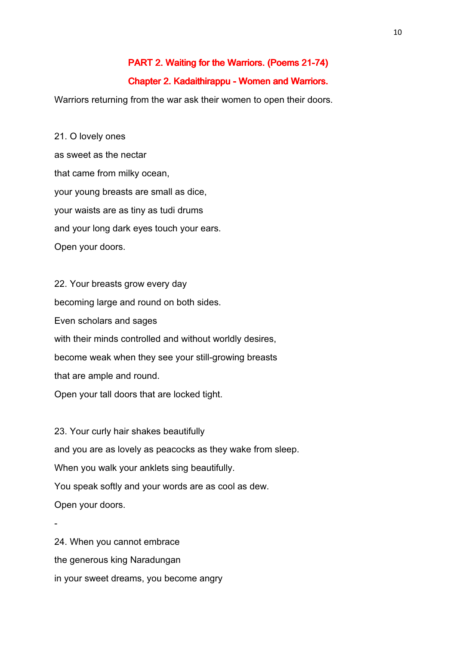#### PART 2. Waiting for the Warriors. (Poems 21-74)

#### Chapter 2. Kadaithirappu - Women and Warriors.

Warriors returning from the war ask their women to open their doors.

21. O lovely ones as sweet as the nectar that came from milky ocean, your young breasts are small as dice, your waists are as tiny as tudi drums and your long dark eyes touch your ears. Open your doors.

22. Your breasts grow every day becoming large and round on both sides. Even scholars and sages with their minds controlled and without worldly desires, become weak when they see your still-growing breasts that are ample and round. Open your tall doors that are locked tight.

23. Your curly hair shakes beautifully and you are as lovely as peacocks as they wake from sleep. When you walk your anklets sing beautifully. You speak softly and your words are as cool as dew. Open your doors.

- 24. When you cannot embrace the generous king Naradungan in your sweet dreams, you become angry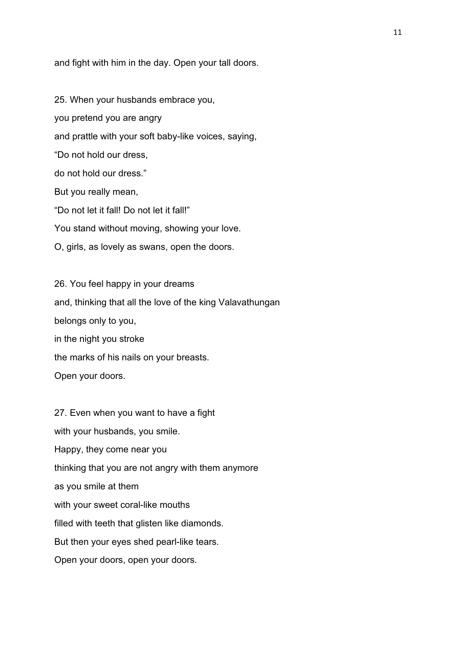and fight with him in the day. Open your tall doors.

25. When your husbands embrace you, you pretend you are angry and prattle with your soft baby-like voices, saying, "Do not hold our dress, do not hold our dress." But you really mean, "Do not let it fall! Do not let it fall!" You stand without moving, showing your love. O, girls, as lovely as swans, open the doors.

26. You feel happy in your dreams and, thinking that all the love of the king Valavathungan belongs only to you, in the night you stroke the marks of his nails on your breasts. Open your doors.

27. Even when you want to have a fight with your husbands, you smile. Happy, they come near you thinking that you are not angry with them anymore as you smile at them with your sweet coral-like mouths filled with teeth that glisten like diamonds. But then your eyes shed pearl-like tears. Open your doors, open your doors.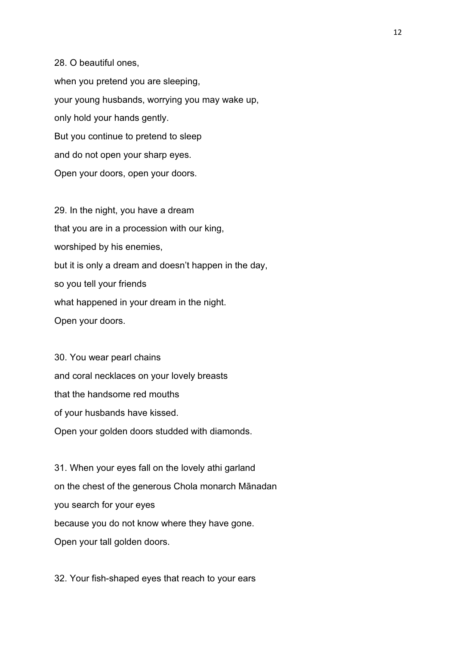28. O beautiful ones, when you pretend you are sleeping, your young husbands, worrying you may wake up, only hold your hands gently.

But you continue to pretend to sleep

and do not open your sharp eyes.

Open your doors, open your doors.

29. In the night, you have a dream that you are in a procession with our king, worshiped by his enemies, but it is only a dream and doesn't happen in the day, so you tell your friends what happened in your dream in the night. Open your doors.

30. You wear pearl chains and coral necklaces on your lovely breasts that the handsome red mouths of your husbands have kissed. Open your golden doors studded with diamonds.

31. When your eyes fall on the lovely athi garland on the chest of the generous Chola monarch Mānadan you search for your eyes because you do not know where they have gone. Open your tall golden doors.

32. Your fish-shaped eyes that reach to your ears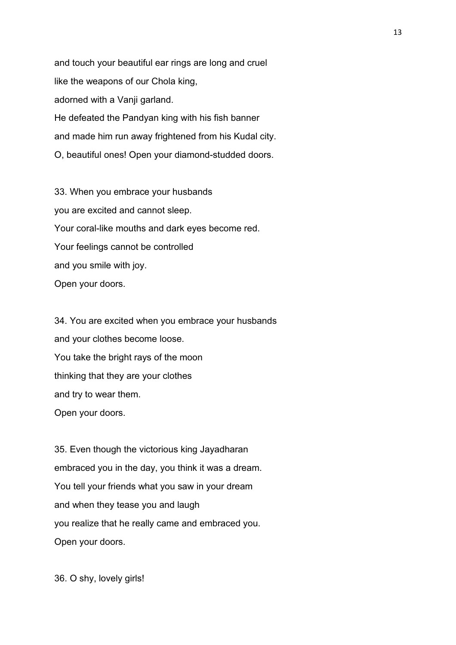and touch your beautiful ear rings are long and cruel like the weapons of our Chola king, adorned with a Vanji garland. He defeated the Pandyan king with his fish banner and made him run away frightened from his Kudal city. O, beautiful ones! Open your diamond-studded doors.

33. When you embrace your husbands you are excited and cannot sleep. Your coral-like mouths and dark eyes become red. Your feelings cannot be controlled and you smile with joy. Open your doors.

34. You are excited when you embrace your husbands and your clothes become loose. You take the bright rays of the moon thinking that they are your clothes and try to wear them. Open your doors.

35. Even though the victorious king Jayadharan embraced you in the day, you think it was a dream. You tell your friends what you saw in your dream and when they tease you and laugh you realize that he really came and embraced you. Open your doors.

36. O shy, lovely girls!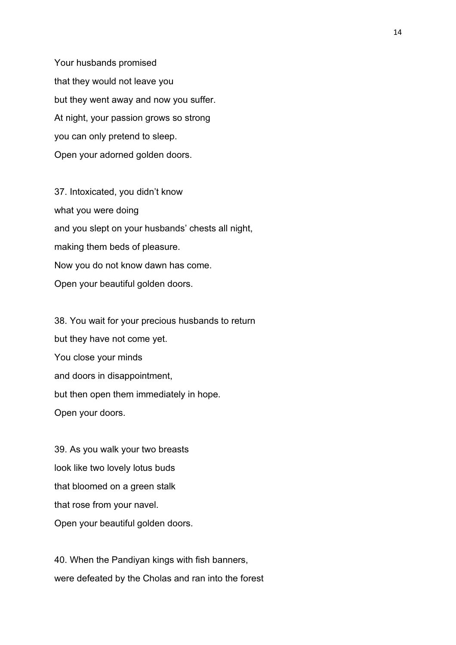Your husbands promised that they would not leave you but they went away and now you suffer. At night, your passion grows so strong you can only pretend to sleep. Open your adorned golden doors.

37. Intoxicated, you didn't know what you were doing and you slept on your husbands' chests all night, making them beds of pleasure. Now you do not know dawn has come. Open your beautiful golden doors.

38. You wait for your precious husbands to return but they have not come yet. You close your minds and doors in disappointment, but then open them immediately in hope. Open your doors.

39. As you walk your two breasts look like two lovely lotus buds that bloomed on a green stalk that rose from your navel. Open your beautiful golden doors.

40. When the Pandiyan kings with fish banners, were defeated by the Cholas and ran into the forest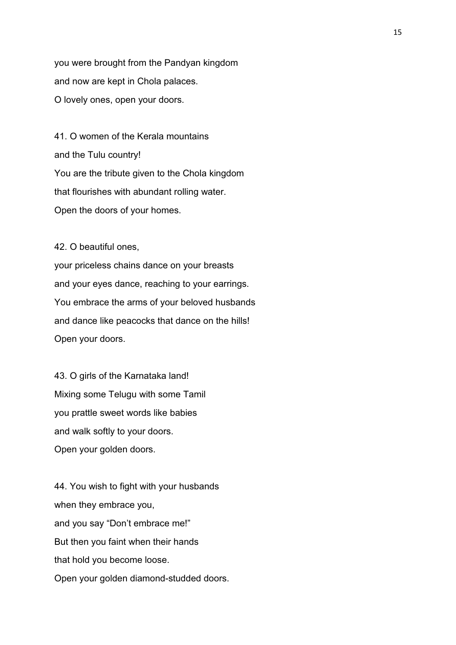you were brought from the Pandyan kingdom and now are kept in Chola palaces. O lovely ones, open your doors.

41. O women of the Kerala mountains and the Tulu country! You are the tribute given to the Chola kingdom that flourishes with abundant rolling water. Open the doors of your homes.

42. O beautiful ones,

your priceless chains dance on your breasts and your eyes dance, reaching to your earrings. You embrace the arms of your beloved husbands and dance like peacocks that dance on the hills! Open your doors.

43. O girls of the Karnataka land! Mixing some Telugu with some Tamil you prattle sweet words like babies and walk softly to your doors. Open your golden doors.

44. You wish to fight with your husbands when they embrace you, and you say "Don't embrace me!" But then you faint when their hands that hold you become loose. Open your golden diamond-studded doors.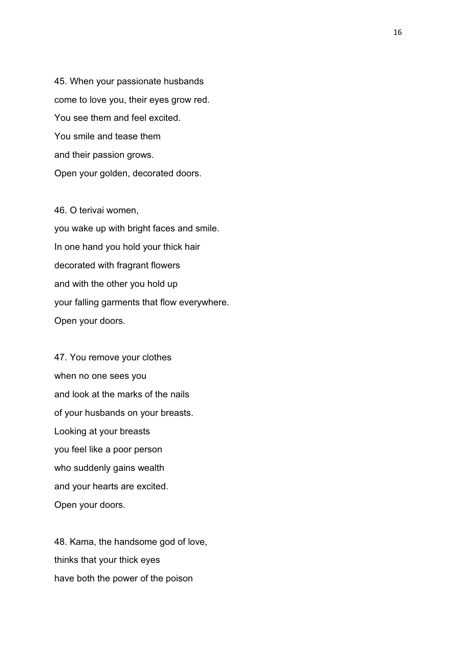45. When your passionate husbands come to love you, their eyes grow red. You see them and feel excited. You smile and tease them and their passion grows. Open your golden, decorated doors.

46. O terivai women, you wake up with bright faces and smile. In one hand you hold your thick hair decorated with fragrant flowers and with the other you hold up your falling garments that flow everywhere. Open your doors.

47. You remove your clothes when no one sees you and look at the marks of the nails of your husbands on your breasts. Looking at your breasts you feel like a poor person who suddenly gains wealth and your hearts are excited. Open your doors.

48. Kama, the handsome god of love, thinks that your thick eyes have both the power of the poison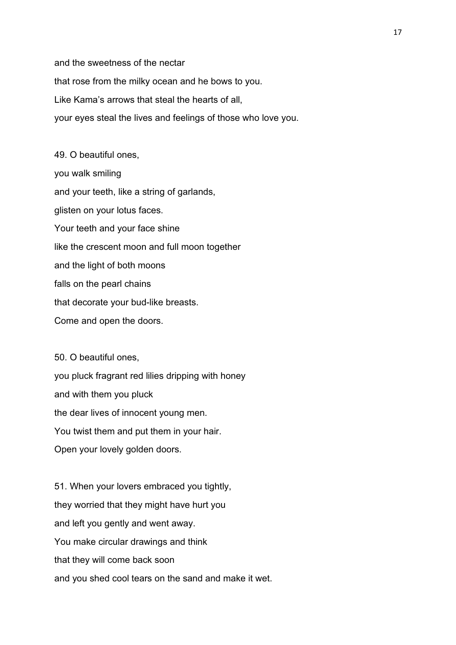and the sweetness of the nectar that rose from the milky ocean and he bows to you. Like Kama's arrows that steal the hearts of all, your eyes steal the lives and feelings of those who love you.

49. O beautiful ones, you walk smiling and your teeth, like a string of garlands, glisten on your lotus faces. Your teeth and your face shine like the crescent moon and full moon together and the light of both moons falls on the pearl chains that decorate your bud-like breasts. Come and open the doors.

50. O beautiful ones, you pluck fragrant red lilies dripping with honey and with them you pluck the dear lives of innocent young men. You twist them and put them in your hair. Open your lovely golden doors.

51. When your lovers embraced you tightly, they worried that they might have hurt you and left you gently and went away. You make circular drawings and think that they will come back soon and you shed cool tears on the sand and make it wet.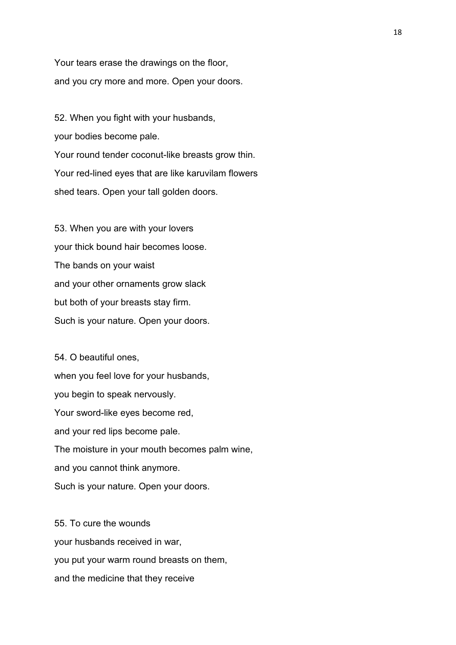Your tears erase the drawings on the floor, and you cry more and more. Open your doors.

52. When you fight with your husbands, your bodies become pale. Your round tender coconut-like breasts grow thin. Your red-lined eyes that are like karuvilam flowers shed tears. Open your tall golden doors.

53. When you are with your lovers your thick bound hair becomes loose. The bands on your waist and your other ornaments grow slack but both of your breasts stay firm. Such is your nature. Open your doors.

54. O beautiful ones, when you feel love for your husbands, you begin to speak nervously. Your sword-like eyes become red, and your red lips become pale. The moisture in your mouth becomes palm wine, and you cannot think anymore. Such is your nature. Open your doors.

55. To cure the wounds your husbands received in war, you put your warm round breasts on them, and the medicine that they receive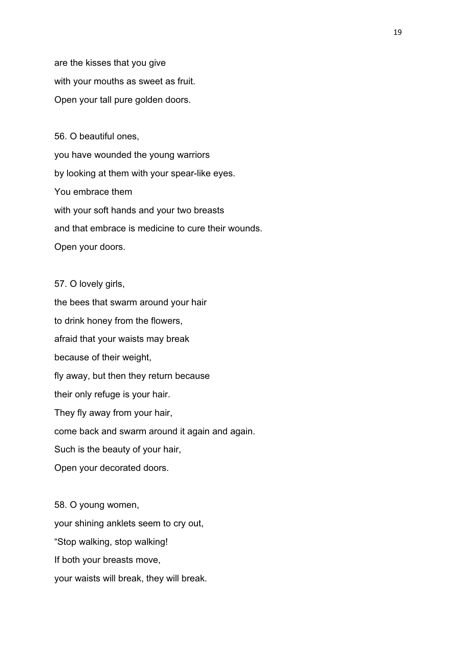are the kisses that you give with your mouths as sweet as fruit. Open your tall pure golden doors.

56. O beautiful ones, you have wounded the young warriors by looking at them with your spear-like eyes. You embrace them with your soft hands and your two breasts and that embrace is medicine to cure their wounds. Open your doors.

57. O lovely girls,

the bees that swarm around your hair to drink honey from the flowers, afraid that your waists may break because of their weight, fly away, but then they return because their only refuge is your hair. They fly away from your hair, come back and swarm around it again and again. Such is the beauty of your hair, Open your decorated doors.

58. O young women, your shining anklets seem to cry out, "Stop walking, stop walking! If both your breasts move, your waists will break, they will break.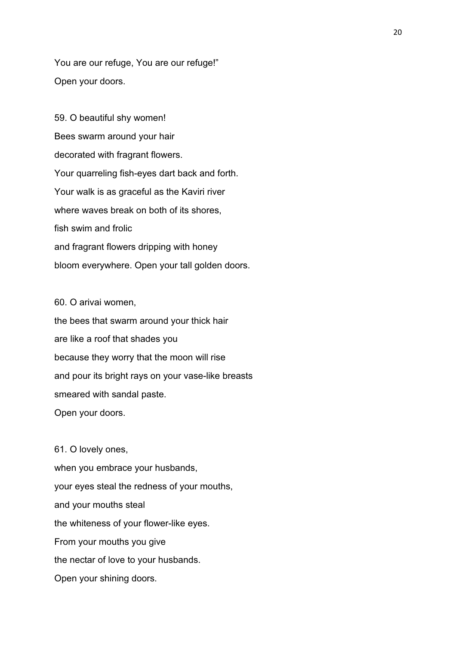You are our refuge, You are our refuge!" Open your doors.

59. O beautiful shy women! Bees swarm around your hair decorated with fragrant flowers. Your quarreling fish-eyes dart back and forth. Your walk is as graceful as the Kaviri river where waves break on both of its shores. fish swim and frolic and fragrant flowers dripping with honey bloom everywhere. Open your tall golden doors.

60. O arivai women,

the bees that swarm around your thick hair are like a roof that shades you because they worry that the moon will rise and pour its bright rays on your vase-like breasts smeared with sandal paste. Open your doors.

61. O lovely ones, when you embrace your husbands, your eyes steal the redness of your mouths, and your mouths steal the whiteness of your flower-like eyes. From your mouths you give the nectar of love to your husbands. Open your shining doors.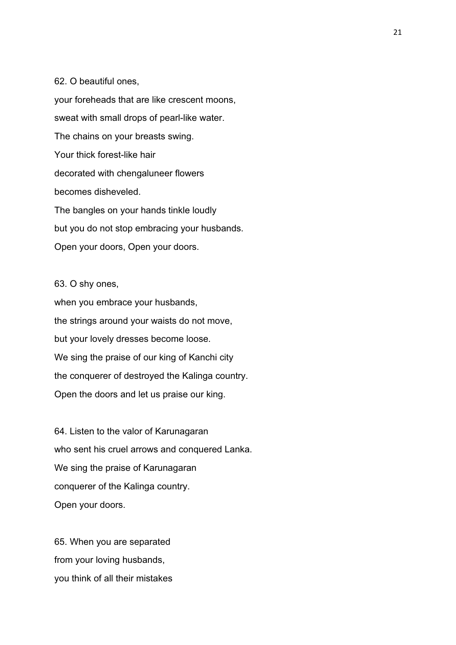#### 62. O beautiful ones,

your foreheads that are like crescent moons, sweat with small drops of pearl-like water. The chains on your breasts swing. Your thick forest-like hair decorated with chengaluneer flowers becomes disheveled. The bangles on your hands tinkle loudly but you do not stop embracing your husbands. Open your doors, Open your doors.

#### 63. O shy ones,

when you embrace your husbands, the strings around your waists do not move, but your lovely dresses become loose. We sing the praise of our king of Kanchi city the conquerer of destroyed the Kalinga country. Open the doors and let us praise our king.

64. Listen to the valor of Karunagaran who sent his cruel arrows and conquered Lanka. We sing the praise of Karunagaran conquerer of the Kalinga country. Open your doors.

65. When you are separated from your loving husbands, you think of all their mistakes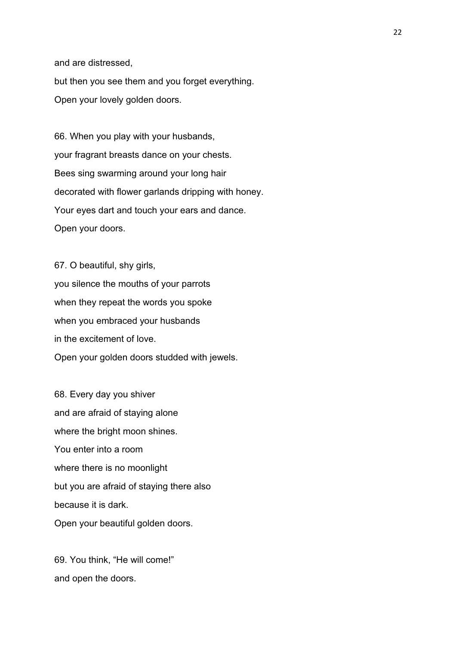and are distressed, but then you see them and you forget everything. Open your lovely golden doors.

66. When you play with your husbands, your fragrant breasts dance on your chests. Bees sing swarming around your long hair decorated with flower garlands dripping with honey. Your eyes dart and touch your ears and dance. Open your doors.

67. O beautiful, shy girls, you silence the mouths of your parrots when they repeat the words you spoke when you embraced your husbands in the excitement of love. Open your golden doors studded with jewels.

68. Every day you shiver and are afraid of staying alone where the bright moon shines. You enter into a room where there is no moonlight but you are afraid of staying there also because it is dark. Open your beautiful golden doors.

69. You think, "He will come!" and open the doors.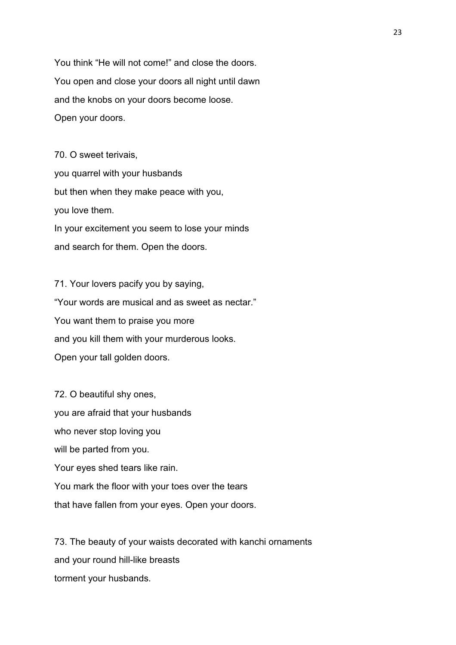You think "He will not come!" and close the doors. You open and close your doors all night until dawn and the knobs on your doors become loose. Open your doors.

70. O sweet terivais, you quarrel with your husbands but then when they make peace with you, you love them. In your excitement you seem to lose your minds and search for them. Open the doors.

71. Your lovers pacify you by saying, "Your words are musical and as sweet as nectar." You want them to praise you more and you kill them with your murderous looks. Open your tall golden doors.

72. O beautiful shy ones, you are afraid that your husbands who never stop loving you will be parted from you. Your eyes shed tears like rain. You mark the floor with your toes over the tears that have fallen from your eyes. Open your doors.

73. The beauty of your waists decorated with kanchi ornaments and your round hill-like breasts torment your husbands.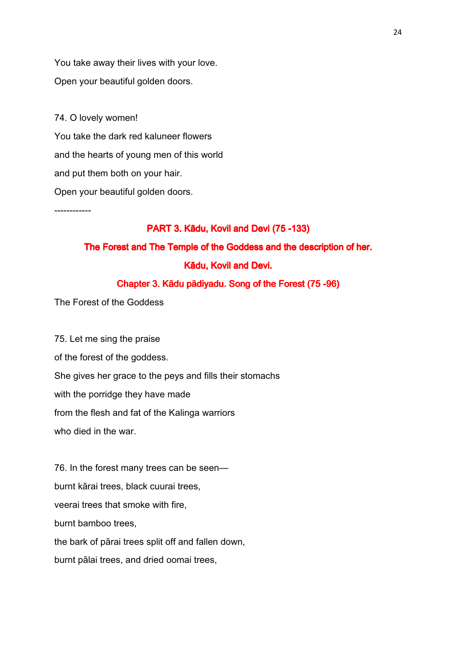You take away their lives with your love. Open your beautiful golden doors.

74. O lovely women! You take the dark red kaluneer flowers and the hearts of young men of this world and put them both on your hair. Open your beautiful golden doors.

------------

#### PART 3. Kādu, Kovil and Devi (75 -133)

### The Forest and The Temple of the Goddess and the description of her.

#### Kādu, Kovil and Devi.

#### Chapter 3. Kādu pādiyadu. Song of the Forest (75 -96)

The Forest of the Goddess

75. Let me sing the praise of the forest of the goddess. She gives her grace to the peys and fills their stomachs with the porridge they have made from the flesh and fat of the Kalinga warriors who died in the war.

76. In the forest many trees can be seen burnt kārai trees, black cuurai trees, veerai trees that smoke with fire, burnt bamboo trees, the bark of pārai trees split off and fallen down, burnt pālai trees, and dried oomai trees,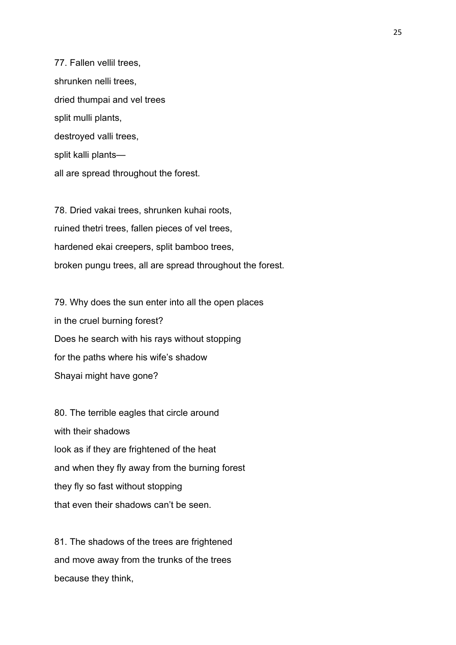77. Fallen vellil trees, shrunken nelli trees, dried thumpai and vel trees split mulli plants, destroyed valli trees, split kalli plants all are spread throughout the forest.

78. Dried vakai trees, shrunken kuhai roots, ruined thetri trees, fallen pieces of vel trees, hardened ekai creepers, split bamboo trees, broken pungu trees, all are spread throughout the forest.

79. Why does the sun enter into all the open places in the cruel burning forest? Does he search with his rays without stopping for the paths where his wife's shadow Shayai might have gone?

80. The terrible eagles that circle around with their shadows look as if they are frightened of the heat and when they fly away from the burning forest they fly so fast without stopping that even their shadows can't be seen.

81. The shadows of the trees are frightened and move away from the trunks of the trees because they think,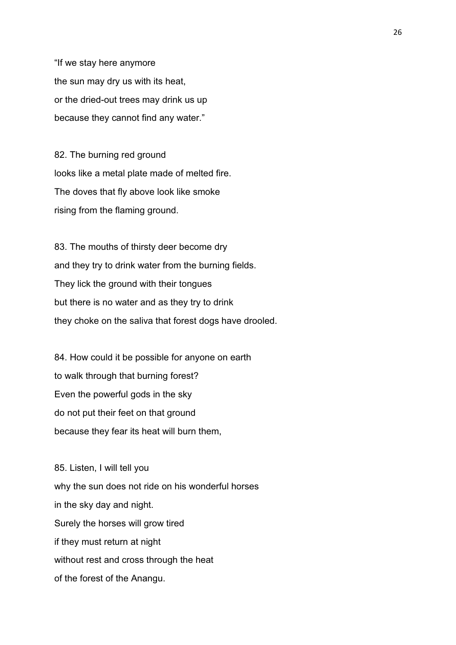"If we stay here anymore the sun may dry us with its heat, or the dried-out trees may drink us up because they cannot find any water."

82. The burning red ground looks like a metal plate made of melted fire. The doves that fly above look like smoke rising from the flaming ground.

83. The mouths of thirsty deer become dry and they try to drink water from the burning fields. They lick the ground with their tongues but there is no water and as they try to drink they choke on the saliva that forest dogs have drooled.

84. How could it be possible for anyone on earth to walk through that burning forest? Even the powerful gods in the sky do not put their feet on that ground because they fear its heat will burn them,

85. Listen, I will tell you why the sun does not ride on his wonderful horses in the sky day and night. Surely the horses will grow tired if they must return at night without rest and cross through the heat of the forest of the Anangu.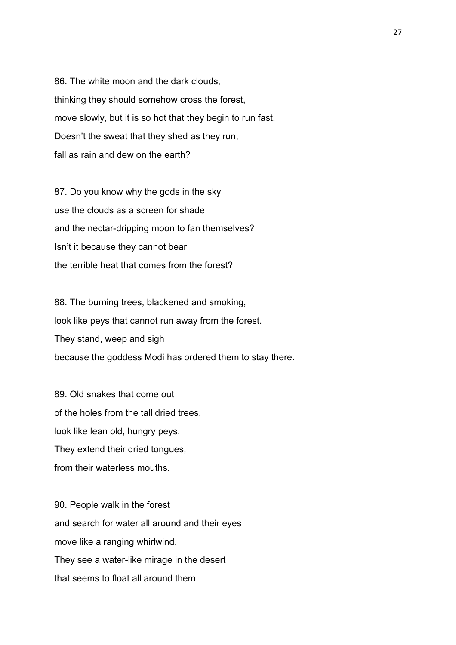86. The white moon and the dark clouds, thinking they should somehow cross the forest, move slowly, but it is so hot that they begin to run fast. Doesn't the sweat that they shed as they run, fall as rain and dew on the earth?

87. Do you know why the gods in the sky use the clouds as a screen for shade and the nectar-dripping moon to fan themselves? Isn't it because they cannot bear the terrible heat that comes from the forest?

88. The burning trees, blackened and smoking, look like peys that cannot run away from the forest. They stand, weep and sigh because the goddess Modi has ordered them to stay there.

89. Old snakes that come out of the holes from the tall dried trees, look like lean old, hungry peys. They extend their dried tongues, from their waterless mouths.

90. People walk in the forest and search for water all around and their eyes move like a ranging whirlwind. They see a water-like mirage in the desert that seems to float all around them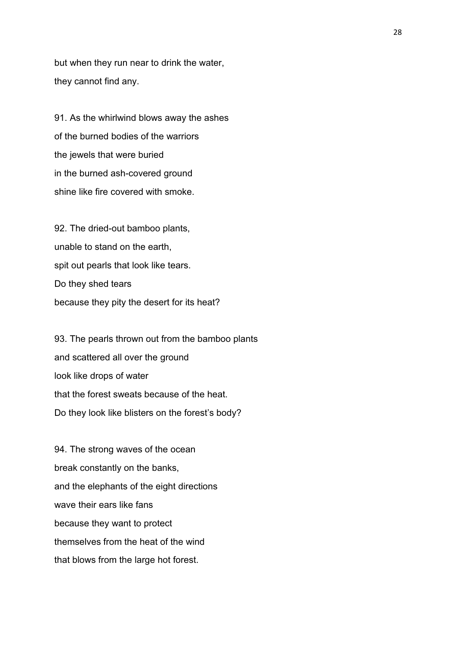but when they run near to drink the water, they cannot find any.

91. As the whirlwind blows away the ashes of the burned bodies of the warriors the jewels that were buried in the burned ash-covered ground shine like fire covered with smoke.

92. The dried-out bamboo plants, unable to stand on the earth, spit out pearls that look like tears. Do they shed tears because they pity the desert for its heat?

93. The pearls thrown out from the bamboo plants and scattered all over the ground look like drops of water that the forest sweats because of the heat. Do they look like blisters on the forest's body?

94. The strong waves of the ocean break constantly on the banks, and the elephants of the eight directions wave their ears like fans because they want to protect themselves from the heat of the wind that blows from the large hot forest.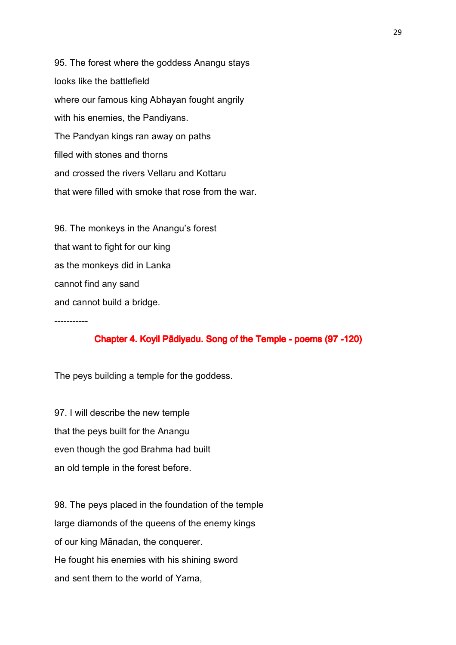95. The forest where the goddess Anangu stays looks like the battlefield where our famous king Abhayan fought angrily with his enemies, the Pandiyans. The Pandyan kings ran away on paths filled with stones and thorns and crossed the rivers Vellaru and Kottaru that were filled with smoke that rose from the war.

96. The monkeys in the Anangu's forest that want to fight for our king as the monkeys did in Lanka cannot find any sand and cannot build a bridge.

-----------

#### Chapter 4. Koyil Pādiyadu. Song of the Temple - poems (97 -120)

The peys building a temple for the goddess.

97. I will describe the new temple that the peys built for the Anangu even though the god Brahma had built an old temple in the forest before.

98. The peys placed in the foundation of the temple large diamonds of the queens of the enemy kings of our king Mānadan, the conquerer. He fought his enemies with his shining sword and sent them to the world of Yama,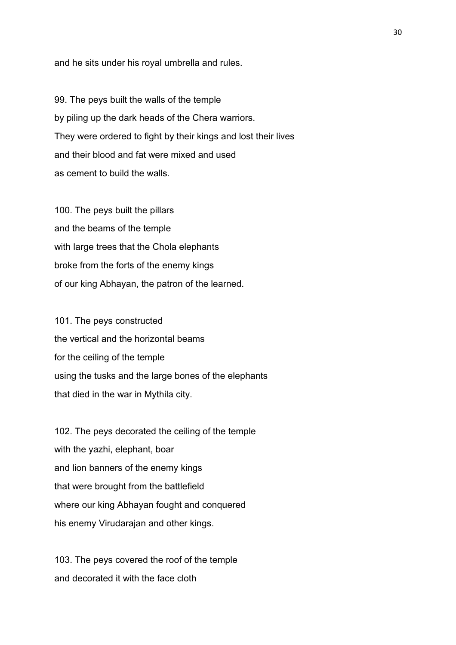and he sits under his royal umbrella and rules.

99. The peys built the walls of the temple by piling up the dark heads of the Chera warriors. They were ordered to fight by their kings and lost their lives and their blood and fat were mixed and used as cement to build the walls.

100. The peys built the pillars and the beams of the temple with large trees that the Chola elephants broke from the forts of the enemy kings of our king Abhayan, the patron of the learned.

101. The peys constructed the vertical and the horizontal beams for the ceiling of the temple using the tusks and the large bones of the elephants that died in the war in Mythila city.

102. The peys decorated the ceiling of the temple with the yazhi, elephant, boar and lion banners of the enemy kings that were brought from the battlefield where our king Abhayan fought and conquered his enemy Virudarajan and other kings.

103. The peys covered the roof of the temple and decorated it with the face cloth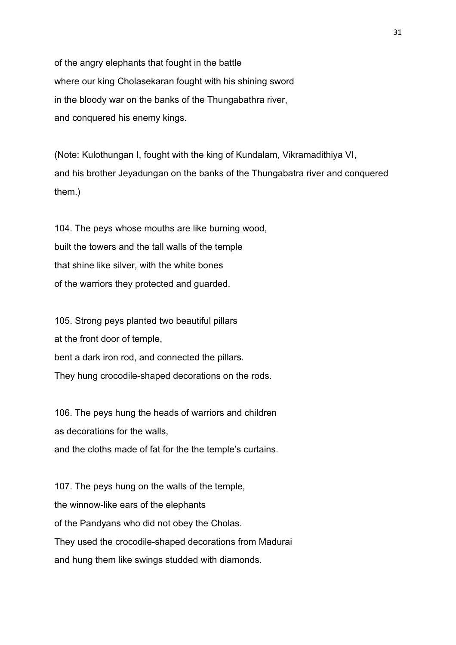of the angry elephants that fought in the battle where our king Cholasekaran fought with his shining sword in the bloody war on the banks of the Thungabathra river, and conquered his enemy kings.

(Note: Kulothungan I, fought with the king of Kundalam, Vikramadithiya VI, and his brother Jeyadungan on the banks of the Thungabatra river and conquered them.)

104. The peys whose mouths are like burning wood, built the towers and the tall walls of the temple that shine like silver, with the white bones of the warriors they protected and guarded.

105. Strong peys planted two beautiful pillars at the front door of temple, bent a dark iron rod, and connected the pillars. They hung crocodile-shaped decorations on the rods.

106. The peys hung the heads of warriors and children as decorations for the walls, and the cloths made of fat for the the temple's curtains.

107. The peys hung on the walls of the temple, the winnow-like ears of the elephants of the Pandyans who did not obey the Cholas. They used the crocodile-shaped decorations from Madurai and hung them like swings studded with diamonds.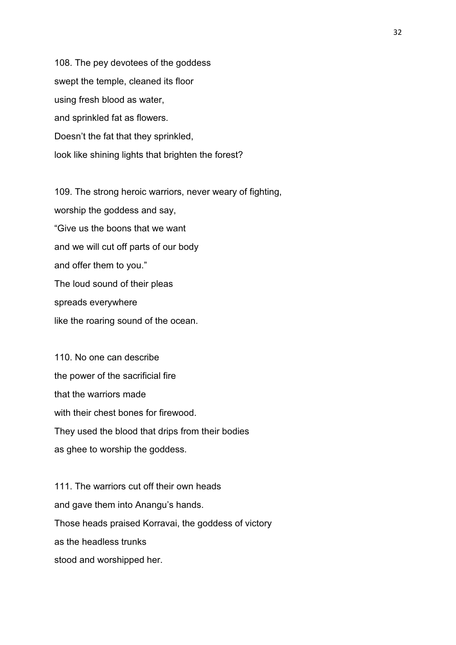108. The pey devotees of the goddess swept the temple, cleaned its floor using fresh blood as water, and sprinkled fat as flowers. Doesn't the fat that they sprinkled, look like shining lights that brighten the forest?

109. The strong heroic warriors, never weary of fighting, worship the goddess and say, "Give us the boons that we want and we will cut off parts of our body and offer them to you." The loud sound of their pleas spreads everywhere like the roaring sound of the ocean.

110. No one can describe the power of the sacrificial fire that the warriors made with their chest bones for firewood. They used the blood that drips from their bodies as ghee to worship the goddess.

111. The warriors cut off their own heads and gave them into Anangu's hands. Those heads praised Korravai, the goddess of victory as the headless trunks stood and worshipped her.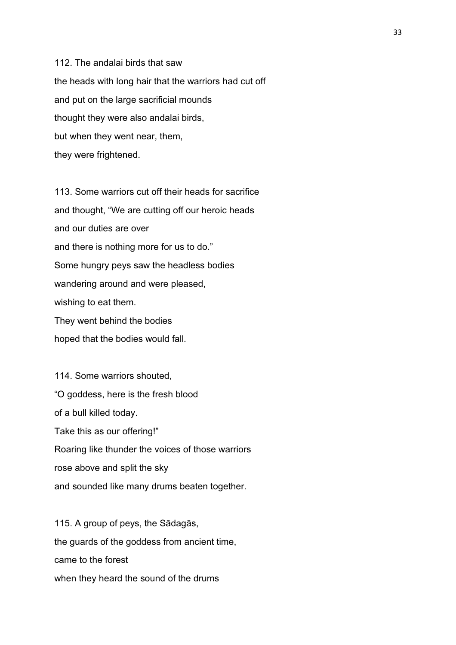112. The andalai birds that saw the heads with long hair that the warriors had cut off and put on the large sacrificial mounds thought they were also andalai birds, but when they went near, them, they were frightened.

113. Some warriors cut off their heads for sacrifice and thought, "We are cutting off our heroic heads and our duties are over and there is nothing more for us to do." Some hungry peys saw the headless bodies wandering around and were pleased, wishing to eat them. They went behind the bodies hoped that the bodies would fall.

114. Some warriors shouted, "O goddess, here is the fresh blood of a bull killed today. Take this as our offering!" Roaring like thunder the voices of those warriors rose above and split the sky and sounded like many drums beaten together.

115. A group of peys, the Sādagās, the guards of the goddess from ancient time, came to the forest when they heard the sound of the drums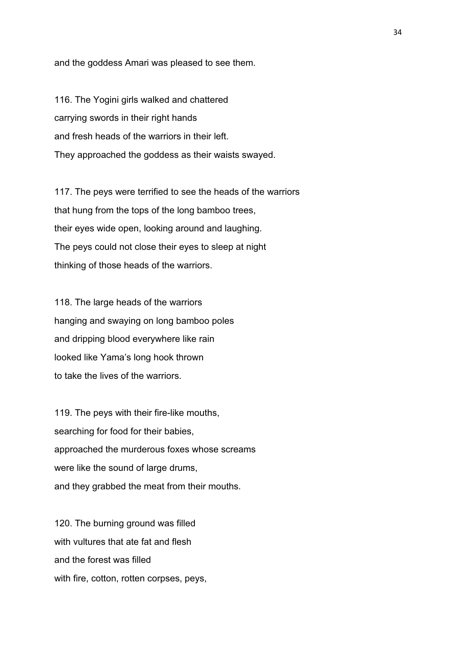and the goddess Amari was pleased to see them.

116. The Yogini girls walked and chattered carrying swords in their right hands and fresh heads of the warriors in their left. They approached the goddess as their waists swayed.

117. The peys were terrified to see the heads of the warriors that hung from the tops of the long bamboo trees, their eyes wide open, looking around and laughing. The peys could not close their eyes to sleep at night thinking of those heads of the warriors.

118. The large heads of the warriors hanging and swaying on long bamboo poles and dripping blood everywhere like rain looked like Yama's long hook thrown to take the lives of the warriors.

119. The peys with their fire-like mouths, searching for food for their babies, approached the murderous foxes whose screams were like the sound of large drums, and they grabbed the meat from their mouths.

120. The burning ground was filled with vultures that ate fat and flesh and the forest was filled with fire, cotton, rotten corpses, peys,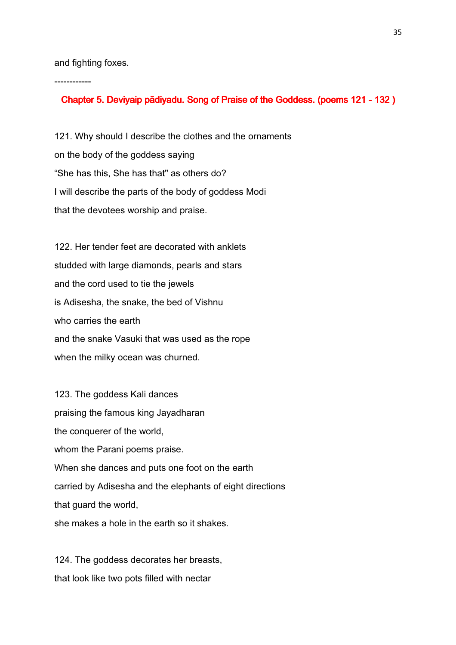and fighting foxes.

------------

#### Chapter 5. Deviyaip pādiyadu. Song of Praise of the Goddess. (poems 121 - 132)

121. Why should I describe the clothes and the ornaments on the body of the goddess saying "She has this, She has that" as others do? I will describe the parts of the body of goddess Modi that the devotees worship and praise.

122. Her tender feet are decorated with anklets studded with large diamonds, pearls and stars and the cord used to tie the jewels is Adisesha, the snake, the bed of Vishnu who carries the earth and the snake Vasuki that was used as the rope when the milky ocean was churned.

123. The goddess Kali dances praising the famous king Jayadharan the conquerer of the world, whom the Parani poems praise. When she dances and puts one foot on the earth carried by Adisesha and the elephants of eight directions that guard the world, she makes a hole in the earth so it shakes.

124. The goddess decorates her breasts, that look like two pots filled with nectar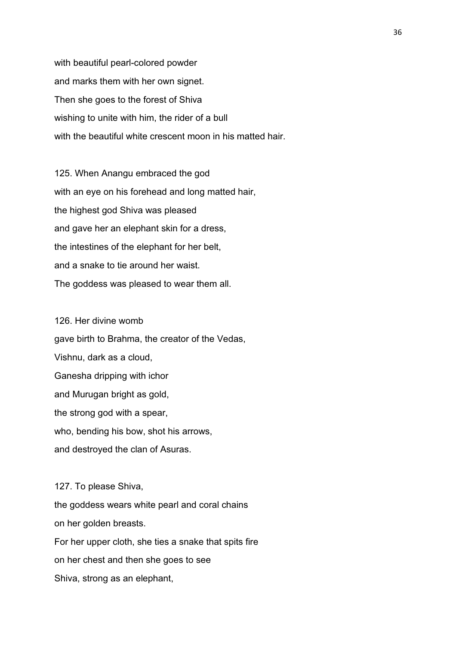with beautiful pearl-colored powder and marks them with her own signet. Then she goes to the forest of Shiva wishing to unite with him, the rider of a bull with the beautiful white crescent moon in his matted hair.

125. When Anangu embraced the god with an eye on his forehead and long matted hair, the highest god Shiva was pleased and gave her an elephant skin for a dress, the intestines of the elephant for her belt, and a snake to tie around her waist. The goddess was pleased to wear them all.

126. Her divine womb gave birth to Brahma, the creator of the Vedas, Vishnu, dark as a cloud, Ganesha dripping with ichor and Murugan bright as gold, the strong god with a spear, who, bending his bow, shot his arrows, and destroyed the clan of Asuras.

127. To please Shiva, the goddess wears white pearl and coral chains on her golden breasts. For her upper cloth, she ties a snake that spits fire on her chest and then she goes to see Shiva, strong as an elephant,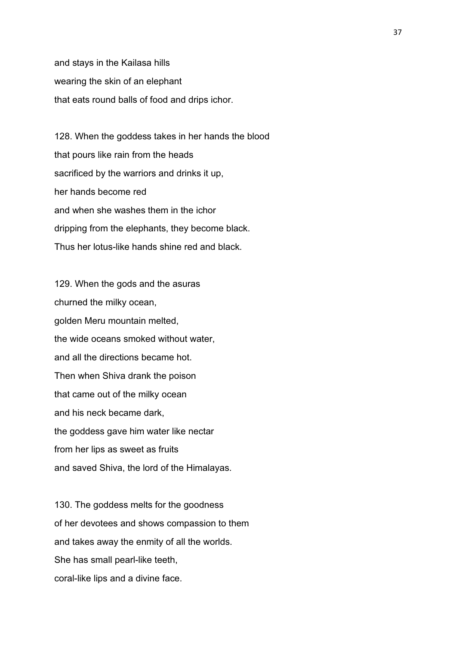and stays in the Kailasa hills wearing the skin of an elephant that eats round balls of food and drips ichor.

128. When the goddess takes in her hands the blood that pours like rain from the heads sacrificed by the warriors and drinks it up, her hands become red and when she washes them in the ichor dripping from the elephants, they become black. Thus her lotus-like hands shine red and black.

129. When the gods and the asuras churned the milky ocean, golden Meru mountain melted, the wide oceans smoked without water, and all the directions became hot. Then when Shiva drank the poison that came out of the milky ocean and his neck became dark, the goddess gave him water like nectar from her lips as sweet as fruits and saved Shiva, the lord of the Himalayas.

130. The goddess melts for the goodness of her devotees and shows compassion to them and takes away the enmity of all the worlds. She has small pearl-like teeth, coral-like lips and a divine face.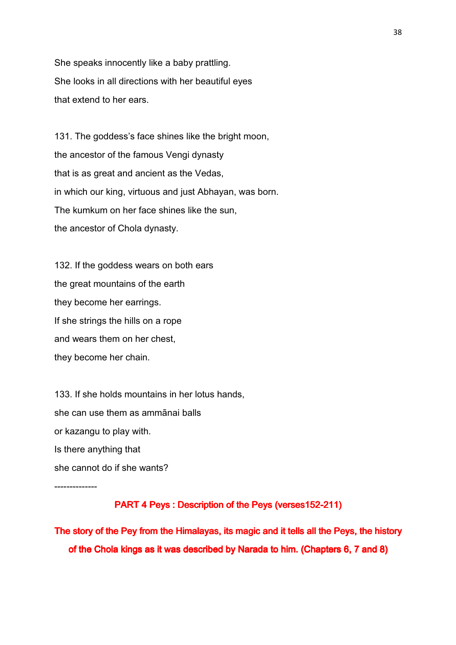She speaks innocently like a baby prattling. She looks in all directions with her beautiful eyes that extend to her ears.

131. The goddess's face shines like the bright moon, the ancestor of the famous Vengi dynasty that is as great and ancient as the Vedas, in which our king, virtuous and just Abhayan, was born. The kumkum on her face shines like the sun, the ancestor of Chola dynasty.

132. If the goddess wears on both ears the great mountains of the earth they become her earrings. If she strings the hills on a rope and wears them on her chest, they become her chain.

133. If she holds mountains in her lotus hands, she can use them as ammānai balls or kazangu to play with. Is there anything that she cannot do if she wants?

--------------

### PART 4 Peys: Description of the Peys (verses152-211)

The story of the Pey from the Himalayas, its magic and it tells all the Peys, the history of the Chola kings as it was described by Narada to him. (Chapters 6, 7 and 8)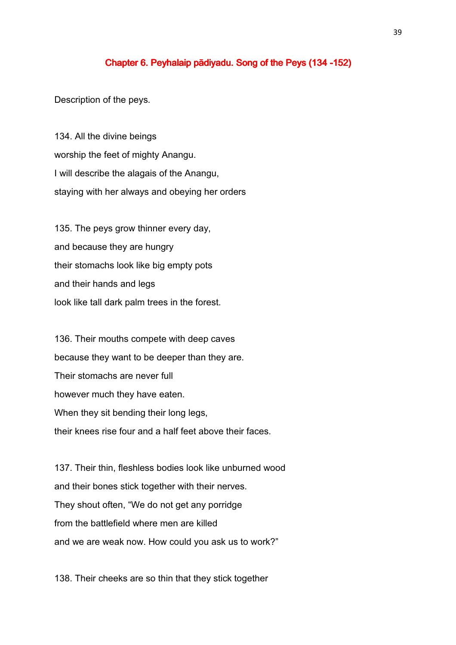### Chapter 6. Peyhalaip pādiyadu. Song of the Peys (134 -152)

Description of the peys.

134. All the divine beings worship the feet of mighty Anangu. I will describe the alagais of the Anangu, staying with her always and obeying her orders

135. The peys grow thinner every day, and because they are hungry their stomachs look like big empty pots and their hands and legs look like tall dark palm trees in the forest.

136. Their mouths compete with deep caves because they want to be deeper than they are. Their stomachs are never full however much they have eaten. When they sit bending their long legs, their knees rise four and a half feet above their faces.

137. Their thin, fleshless bodies look like unburned wood and their bones stick together with their nerves. They shout often, "We do not get any porridge from the battlefield where men are killed and we are weak now. How could you ask us to work?"

138. Their cheeks are so thin that they stick together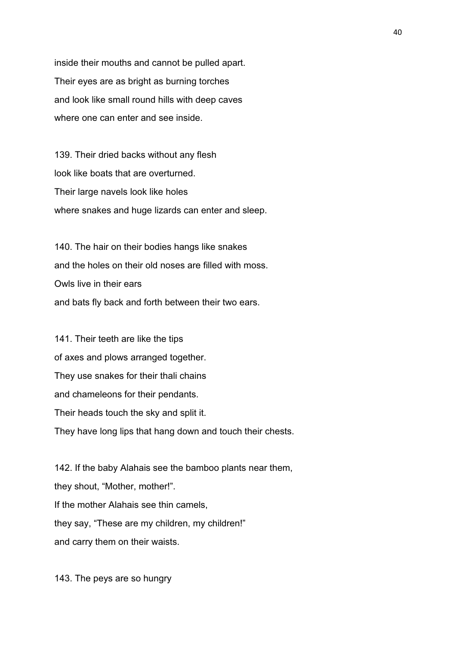inside their mouths and cannot be pulled apart. Their eyes are as bright as burning torches and look like small round hills with deep caves where one can enter and see inside.

139. Their dried backs without any flesh look like boats that are overturned. Their large navels look like holes where snakes and huge lizards can enter and sleep.

140. The hair on their bodies hangs like snakes and the holes on their old noses are filled with moss. Owls live in their ears and bats fly back and forth between their two ears.

141. Their teeth are like the tips of axes and plows arranged together. They use snakes for their thali chains and chameleons for their pendants. Their heads touch the sky and split it. They have long lips that hang down and touch their chests.

142. If the baby Alahais see the bamboo plants near them, they shout, "Mother, mother!". If the mother Alahais see thin camels, they say, "These are my children, my children!" and carry them on their waists.

143. The peys are so hungry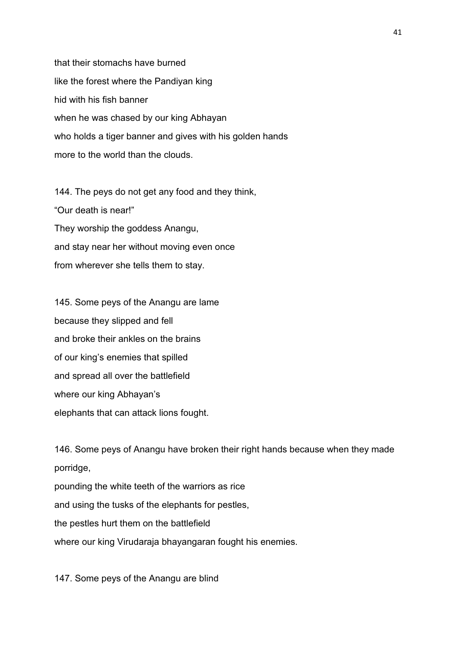that their stomachs have burned like the forest where the Pandiyan king hid with his fish banner when he was chased by our king Abhayan who holds a tiger banner and gives with his golden hands more to the world than the clouds.

144. The peys do not get any food and they think, "Our death is near!" They worship the goddess Anangu, and stay near her without moving even once from wherever she tells them to stay.

145. Some peys of the Anangu are lame because they slipped and fell and broke their ankles on the brains of our king's enemies that spilled and spread all over the battlefield where our king Abhayan's elephants that can attack lions fought.

146. Some peys of Anangu have broken their right hands because when they made porridge,

pounding the white teeth of the warriors as rice and using the tusks of the elephants for pestles, the pestles hurt them on the battlefield where our king Virudaraja bhayangaran fought his enemies.

147. Some peys of the Anangu are blind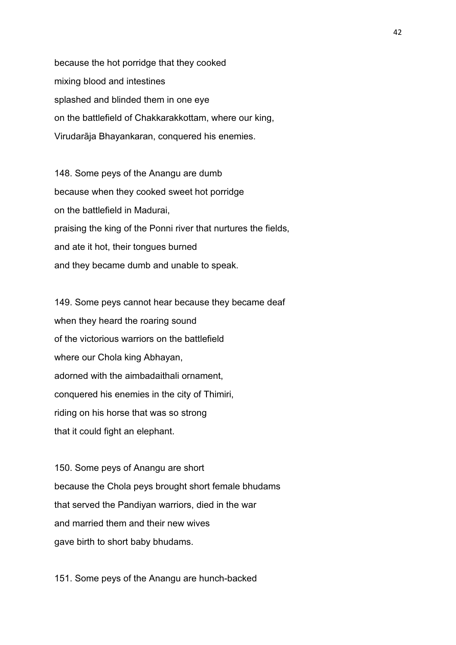because the hot porridge that they cooked mixing blood and intestines splashed and blinded them in one eye on the battlefield of Chakkarakkottam, where our king, Virudarāja Bhayankaran, conquered his enemies.

148. Some peys of the Anangu are dumb because when they cooked sweet hot porridge on the battlefield in Madurai, praising the king of the Ponni river that nurtures the fields, and ate it hot, their tongues burned and they became dumb and unable to speak.

149. Some peys cannot hear because they became deaf when they heard the roaring sound of the victorious warriors on the battlefield where our Chola king Abhayan, adorned with the aimbadaithali ornament, conquered his enemies in the city of Thimiri, riding on his horse that was so strong that it could fight an elephant.

150. Some peys of Anangu are short because the Chola peys brought short female bhudams that served the Pandiyan warriors, died in the war and married them and their new wives gave birth to short baby bhudams.

151. Some peys of the Anangu are hunch-backed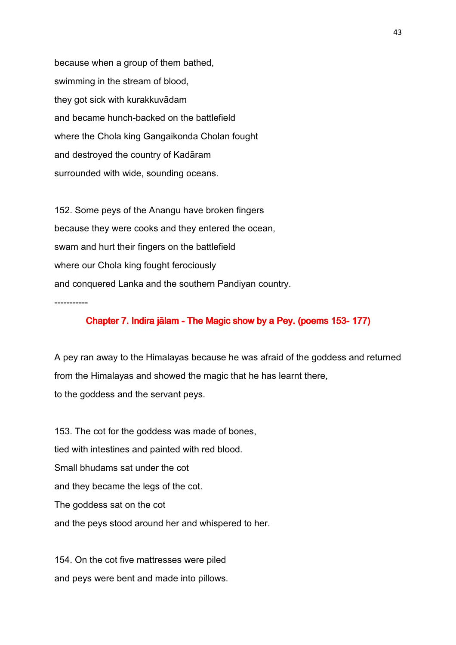because when a group of them bathed, swimming in the stream of blood, they got sick with kurakkuvādam and became hunch-backed on the battlefield where the Chola king Gangaikonda Cholan fought and destroyed the country of Kadāram surrounded with wide, sounding oceans.

152. Some peys of the Anangu have broken fingers because they were cooks and they entered the ocean, swam and hurt their fingers on the battlefield where our Chola king fought ferociously and conquered Lanka and the southern Pandiyan country. -----------

Chapter 7. Indira jālam - The Magic show by a Pey. (poems 153-177)

A pey ran away to the Himalayas because he was afraid of the goddess and returned from the Himalayas and showed the magic that he has learnt there, to the goddess and the servant peys.

153. The cot for the goddess was made of bones, tied with intestines and painted with red blood. Small bhudams sat under the cot and they became the legs of the cot. The goddess sat on the cot and the peys stood around her and whispered to her.

154. On the cot five mattresses were piled and peys were bent and made into pillows.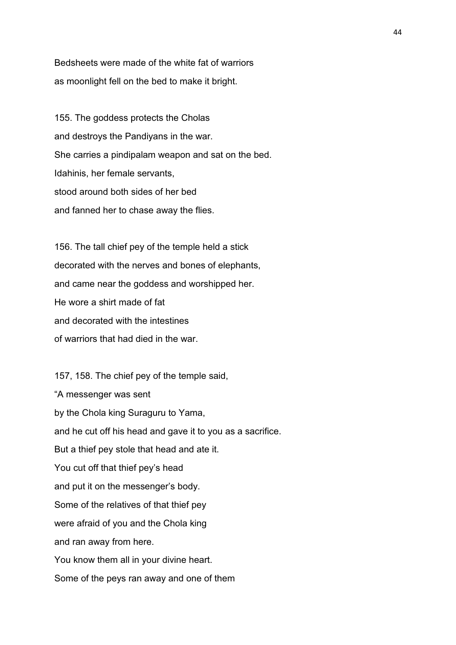Bedsheets were made of the white fat of warriors as moonlight fell on the bed to make it bright.

155. The goddess protects the Cholas and destroys the Pandiyans in the war. She carries a pindipalam weapon and sat on the bed. Idahinis, her female servants, stood around both sides of her bed and fanned her to chase away the flies.

156. The tall chief pey of the temple held a stick decorated with the nerves and bones of elephants, and came near the goddess and worshipped her. He wore a shirt made of fat and decorated with the intestines of warriors that had died in the war.

157, 158. The chief pey of the temple said, "A messenger was sent by the Chola king Suraguru to Yama, and he cut off his head and gave it to you as a sacrifice. But a thief pey stole that head and ate it. You cut off that thief pey's head and put it on the messenger's body. Some of the relatives of that thief pey were afraid of you and the Chola king and ran away from here. You know them all in your divine heart. Some of the peys ran away and one of them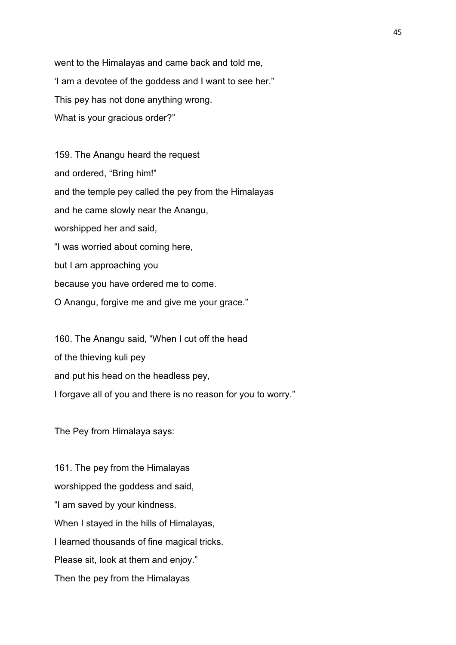went to the Himalayas and came back and told me, 'I am a devotee of the goddess and I want to see her." This pey has not done anything wrong. What is your gracious order?"

159. The Anangu heard the request and ordered, "Bring him!" and the temple pey called the pey from the Himalayas and he came slowly near the Anangu, worshipped her and said, "I was worried about coming here, but I am approaching you because you have ordered me to come. O Anangu, forgive me and give me your grace."

160. The Anangu said, "When I cut off the head of the thieving kuli pey and put his head on the headless pey, I forgave all of you and there is no reason for you to worry."

The Pey from Himalaya says:

161. The pey from the Himalayas worshipped the goddess and said, "I am saved by your kindness. When I stayed in the hills of Himalayas, I learned thousands of fine magical tricks. Please sit, look at them and enjoy." Then the pey from the Himalayas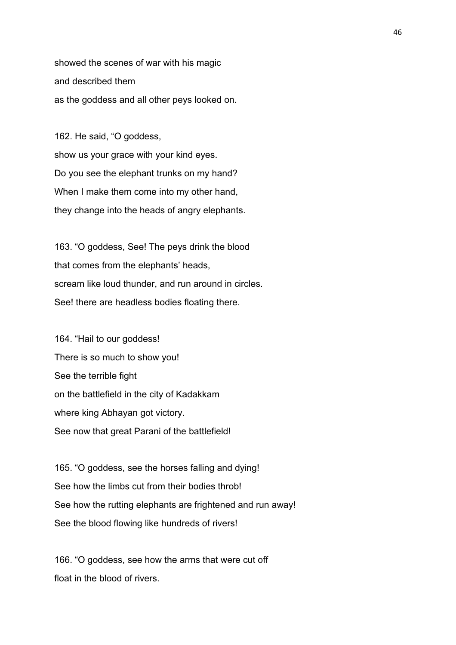showed the scenes of war with his magic and described them as the goddess and all other peys looked on.

162. He said, "O goddess, show us your grace with your kind eyes. Do you see the elephant trunks on my hand? When I make them come into my other hand, they change into the heads of angry elephants.

163. "O goddess, See! The peys drink the blood that comes from the elephants' heads, scream like loud thunder, and run around in circles. See! there are headless bodies floating there.

164. "Hail to our goddess! There is so much to show you! See the terrible fight on the battlefield in the city of Kadakkam where king Abhayan got victory. See now that great Parani of the battlefield!

165. "O goddess, see the horses falling and dying! See how the limbs cut from their bodies throb! See how the rutting elephants are frightened and run away! See the blood flowing like hundreds of rivers!

166. "O goddess, see how the arms that were cut off float in the blood of rivers.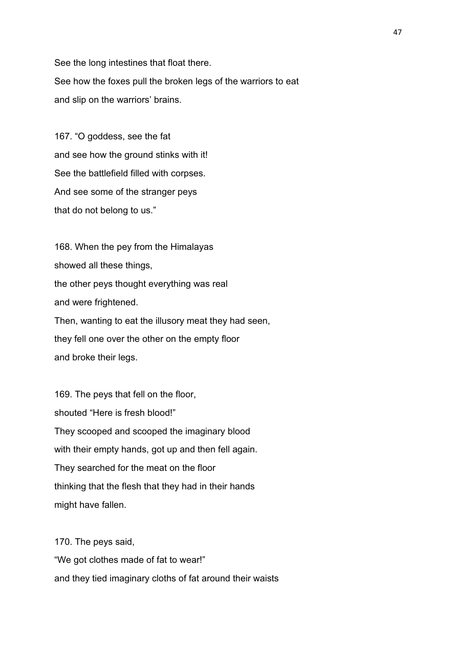See the long intestines that float there. See how the foxes pull the broken legs of the warriors to eat and slip on the warriors' brains.

167. "O goddess, see the fat and see how the ground stinks with it! See the battlefield filled with corpses. And see some of the stranger peys that do not belong to us."

168. When the pey from the Himalayas showed all these things, the other peys thought everything was real and were frightened. Then, wanting to eat the illusory meat they had seen, they fell one over the other on the empty floor and broke their legs.

169. The peys that fell on the floor, shouted "Here is fresh blood!" They scooped and scooped the imaginary blood with their empty hands, got up and then fell again. They searched for the meat on the floor thinking that the flesh that they had in their hands might have fallen.

170. The peys said, "We got clothes made of fat to wear!" and they tied imaginary cloths of fat around their waists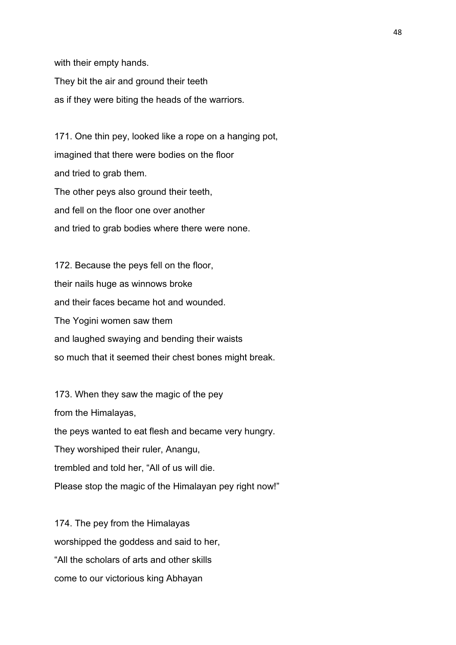with their empty hands.

They bit the air and ground their teeth as if they were biting the heads of the warriors.

171. One thin pey, looked like a rope on a hanging pot, imagined that there were bodies on the floor and tried to grab them. The other peys also ground their teeth, and fell on the floor one over another and tried to grab bodies where there were none.

172. Because the peys fell on the floor, their nails huge as winnows broke and their faces became hot and wounded. The Yogini women saw them and laughed swaying and bending their waists so much that it seemed their chest bones might break.

173. When they saw the magic of the pey from the Himalayas, the peys wanted to eat flesh and became very hungry. They worshiped their ruler, Anangu, trembled and told her, "All of us will die. Please stop the magic of the Himalayan pey right now!"

174. The pey from the Himalayas worshipped the goddess and said to her, "All the scholars of arts and other skills come to our victorious king Abhayan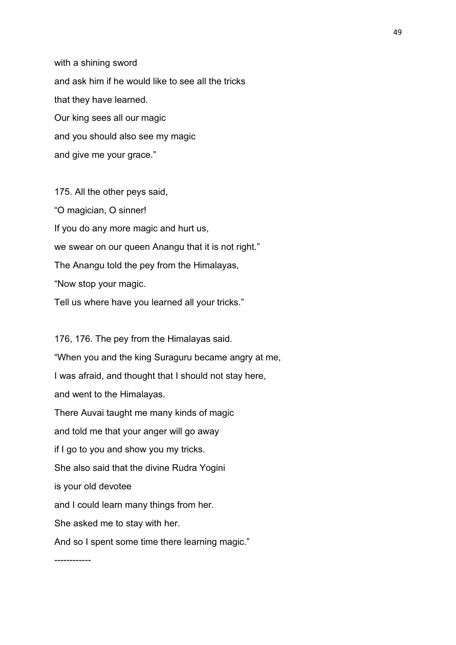with a shining sword and ask him if he would like to see all the tricks that they have learned. Our king sees all our magic and you should also see my magic and give me your grace."

175. All the other peys said, "O magician, O sinner! If you do any more magic and hurt us, we swear on our queen Anangu that it is not right." The Anangu told the pey from the Himalayas, "Now stop your magic. Tell us where have you learned all your tricks."

176, 176. The pey from the Himalayas said. "When you and the king Suraguru became angry at me, I was afraid, and thought that I should not stay here, and went to the Himalayas. There Auvai taught me many kinds of magic and told me that your anger will go away if I go to you and show you my tricks. She also said that the divine Rudra Yogini is your old devotee and I could learn many things from her. She asked me to stay with her. And so I spent some time there learning magic."

------------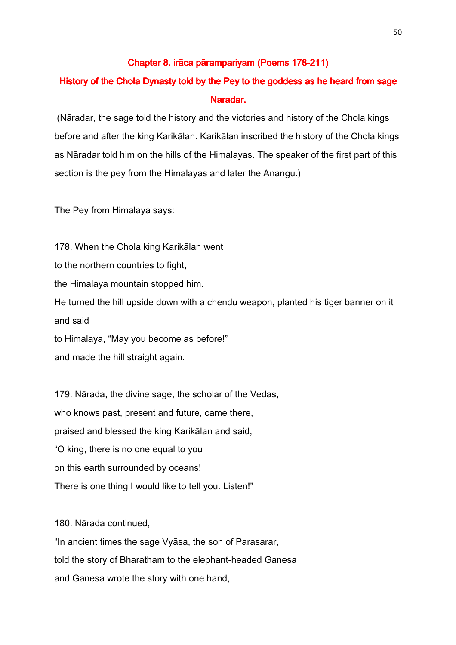## Chapter 8. irāca pārampariyam (Poems 178-211)

# History of the Chola Dynasty told by the Pey to the goddess as he heard from sage Naradar.

 (Nāradar, the sage told the history and the victories and history of the Chola kings before and after the king Karikālan. Karikālan inscribed the history of the Chola kings as Nāradar told him on the hills of the Himalayas. The speaker of the first part of this section is the pey from the Himalayas and later the Anangu.)

The Pey from Himalaya says:

178. When the Chola king Karikālan went to the northern countries to fight, the Himalaya mountain stopped him. He turned the hill upside down with a chendu weapon, planted his tiger banner on it and said to Himalaya, "May you become as before!"

and made the hill straight again.

179. Nārada, the divine sage, the scholar of the Vedas, who knows past, present and future, came there, praised and blessed the king Karikālan and said, "O king, there is no one equal to you on this earth surrounded by oceans! There is one thing I would like to tell you. Listen!"

180. Nārada continued,

"In ancient times the sage Vyāsa, the son of Parasarar, told the story of Bharatham to the elephant-headed Ganesa and Ganesa wrote the story with one hand,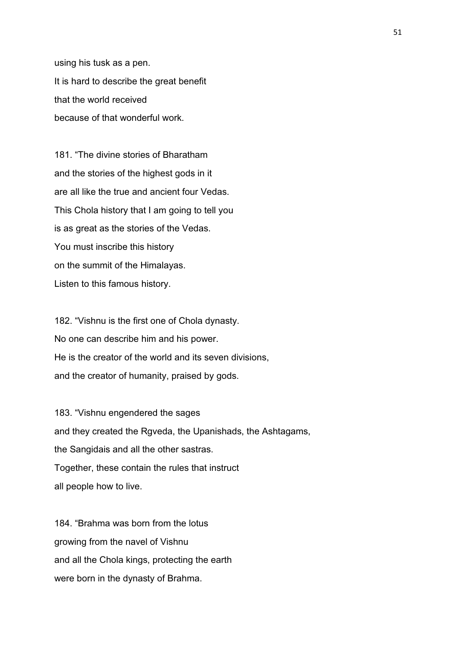using his tusk as a pen. It is hard to describe the great benefit that the world received because of that wonderful work.

181. "The divine stories of Bharatham and the stories of the highest gods in it are all like the true and ancient four Vedas. This Chola history that I am going to tell you is as great as the stories of the Vedas. You must inscribe this history on the summit of the Himalayas. Listen to this famous history.

182. "Vishnu is the first one of Chola dynasty. No one can describe him and his power. He is the creator of the world and its seven divisions, and the creator of humanity, praised by gods.

183. "Vishnu engendered the sages and they created the Rgveda, the Upanishads, the Ashtagams, the Sangidais and all the other sastras. Together, these contain the rules that instruct all people how to live.

184. "Brahma was born from the lotus growing from the navel of Vishnu and all the Chola kings, protecting the earth were born in the dynasty of Brahma.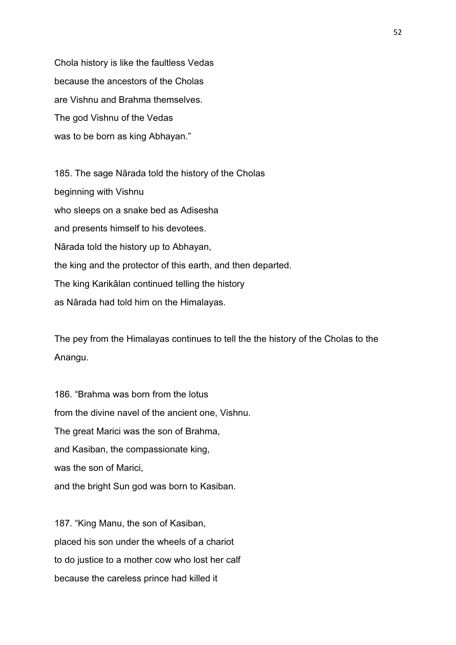Chola history is like the faultless Vedas because the ancestors of the Cholas are Vishnu and Brahma themselves. The god Vishnu of the Vedas was to be born as king Abhayan."

185. The sage Nārada told the history of the Cholas beginning with Vishnu who sleeps on a snake bed as Adisesha and presents himself to his devotees. Nārada told the history up to Abhayan, the king and the protector of this earth, and then departed. The king Karikālan continued telling the history as Nārada had told him on the Himalayas.

The pey from the Himalayas continues to tell the the history of the Cholas to the Anangu.

186. "Brahma was born from the lotus from the divine navel of the ancient one, Vishnu. The great Marici was the son of Brahma, and Kasiban, the compassionate king, was the son of Marici, and the bright Sun god was born to Kasiban.

187. "King Manu, the son of Kasiban, placed his son under the wheels of a chariot to do justice to a mother cow who lost her calf because the careless prince had killed it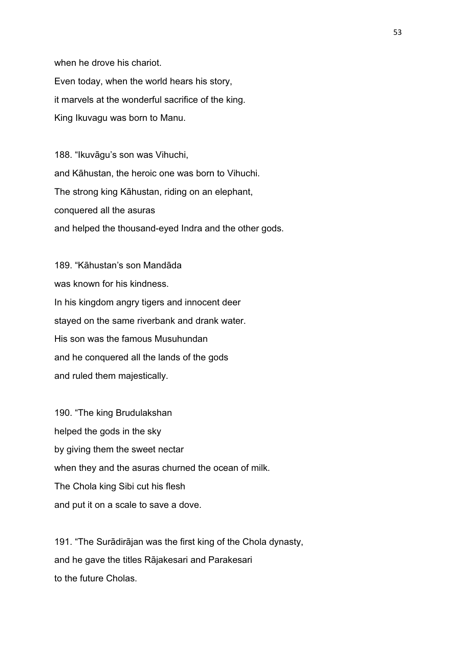when he drove his chariot. Even today, when the world hears his story, it marvels at the wonderful sacrifice of the king. King Ikuvagu was born to Manu.

188. "Ikuvāgu's son was Vihuchi, and Kāhustan, the heroic one was born to Vihuchi. The strong king Kāhustan, riding on an elephant, conquered all the asuras and helped the thousand-eyed Indra and the other gods.

189. "Kāhustan's son Mandāda was known for his kindness. In his kingdom angry tigers and innocent deer stayed on the same riverbank and drank water. His son was the famous Musuhundan and he conquered all the lands of the gods and ruled them majestically.

190. "The king Brudulakshan helped the gods in the sky by giving them the sweet nectar when they and the asuras churned the ocean of milk. The Chola king Sibi cut his flesh and put it on a scale to save a dove.

191. "The Surādirājan was the first king of the Chola dynasty, and he gave the titles Rājakesari and Parakesari to the future Cholas.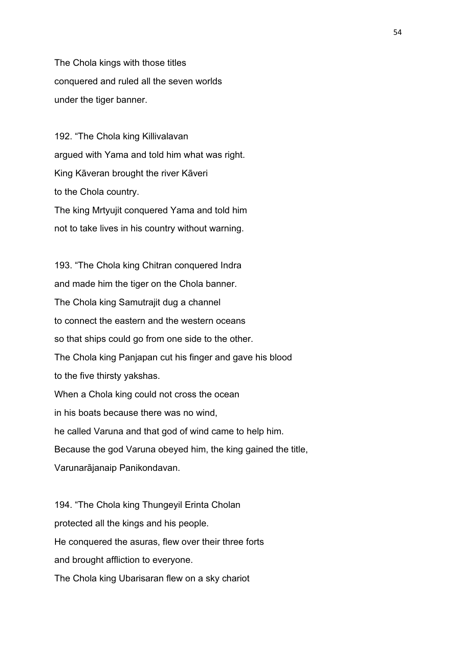The Chola kings with those titles conquered and ruled all the seven worlds under the tiger banner.

192. "The Chola king Killivalavan argued with Yama and told him what was right. King Kāveran brought the river Kāveri to the Chola country. The king Mrtyujit conquered Yama and told him not to take lives in his country without warning.

193. "The Chola king Chitran conquered Indra and made him the tiger on the Chola banner. The Chola king Samutrajit dug a channel to connect the eastern and the western oceans so that ships could go from one side to the other. The Chola king Panjapan cut his finger and gave his blood to the five thirsty yakshas. When a Chola king could not cross the ocean in his boats because there was no wind, he called Varuna and that god of wind came to help him. Because the god Varuna obeyed him, the king gained the title, Varunarājanaip Panikondavan.

194. "The Chola king Thungeyil Erinta Cholan protected all the kings and his people. He conquered the asuras, flew over their three forts and brought affliction to everyone. The Chola king Ubarisaran flew on a sky chariot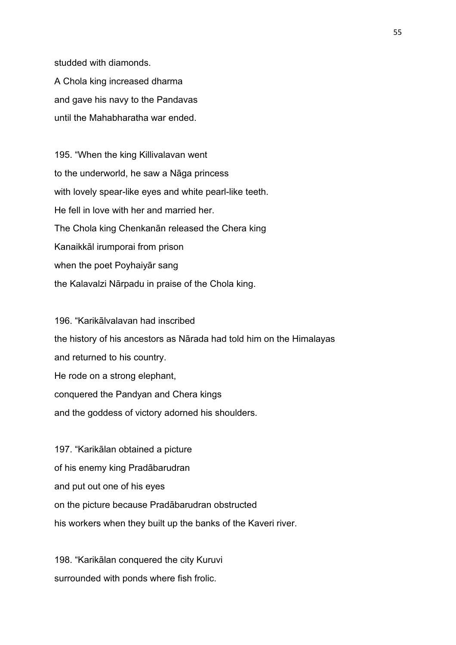studded with diamonds.

A Chola king increased dharma and gave his navy to the Pandavas until the Mahabharatha war ended.

195. "When the king Killivalavan went to the underworld, he saw a Nāga princess with lovely spear-like eyes and white pearl-like teeth. He fell in love with her and married her. The Chola king Chenkanān released the Chera king Kanaikkāl irumporai from prison when the poet Poyhaiyār sang the Kalavalzi Nārpadu in praise of the Chola king.

196. "Karikālvalavan had inscribed the history of his ancestors as Nārada had told him on the Himalayas and returned to his country. He rode on a strong elephant, conquered the Pandyan and Chera kings and the goddess of victory adorned his shoulders.

197. "Karikālan obtained a picture of his enemy king Pradābarudran and put out one of his eyes on the picture because Pradābarudran obstructed his workers when they built up the banks of the Kaveri river.

198. "Karikālan conquered the city Kuruvi surrounded with ponds where fish frolic.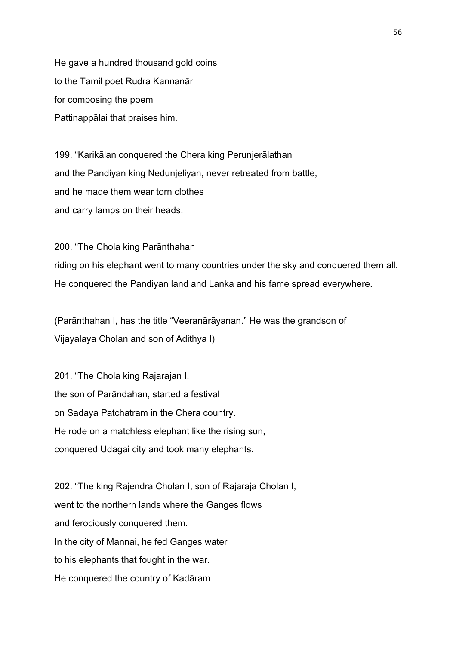He gave a hundred thousand gold coins to the Tamil poet Rudra Kannanār for composing the poem Pattinappālai that praises him.

199. "Karikālan conquered the Chera king Perunjerālathan and the Pandiyan king Nedunjeliyan, never retreated from battle, and he made them wear torn clothes and carry lamps on their heads.

200. "The Chola king Parānthahan riding on his elephant went to many countries under the sky and conquered them all. He conquered the Pandiyan land and Lanka and his fame spread everywhere.

(Parānthahan I, has the title "Veeranārāyanan." He was the grandson of Vijayalaya Cholan and son of Adithya I)

201. "The Chola king Rajarajan I, the son of Parāndahan, started a festival on Sadaya Patchatram in the Chera country. He rode on a matchless elephant like the rising sun, conquered Udagai city and took many elephants.

202. "The king Rajendra Cholan I, son of Rajaraja Cholan I, went to the northern lands where the Ganges flows and ferociously conquered them. In the city of Mannai, he fed Ganges water to his elephants that fought in the war. He conquered the country of Kadāram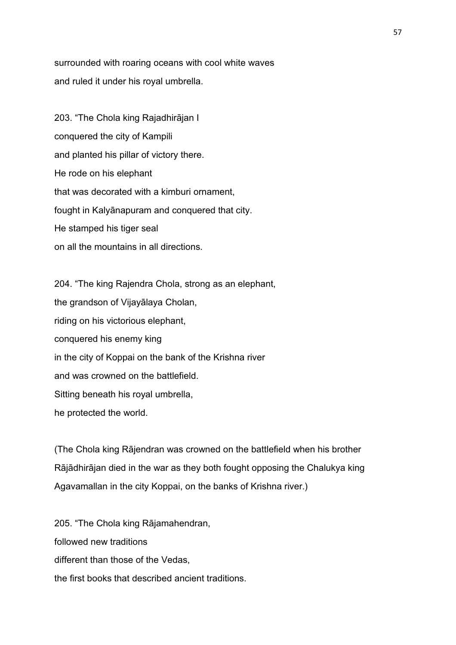surrounded with roaring oceans with cool white waves and ruled it under his royal umbrella.

203. "The Chola king Rajadhirājan I conquered the city of Kampili and planted his pillar of victory there. He rode on his elephant that was decorated with a kimburi ornament, fought in Kalyānapuram and conquered that city. He stamped his tiger seal on all the mountains in all directions.

204. "The king Rajendra Chola, strong as an elephant, the grandson of Vijayālaya Cholan, riding on his victorious elephant, conquered his enemy king in the city of Koppai on the bank of the Krishna river and was crowned on the battlefield. Sitting beneath his royal umbrella, he protected the world.

(The Chola king Rājendran was crowned on the battlefield when his brother Rājādhirājan died in the war as they both fought opposing the Chalukya king Agavamallan in the city Koppai, on the banks of Krishna river.)

205. "The Chola king Rājamahendran, followed new traditions different than those of the Vedas, the first books that described ancient traditions.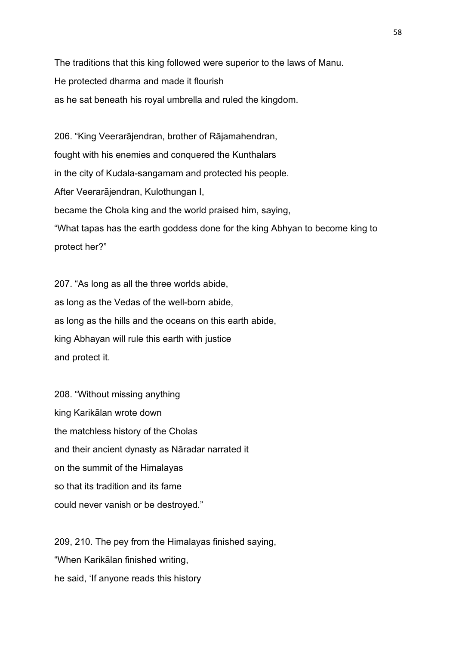The traditions that this king followed were superior to the laws of Manu. He protected dharma and made it flourish as he sat beneath his royal umbrella and ruled the kingdom.

206. "King Veerarājendran, brother of Rājamahendran, fought with his enemies and conquered the Kunthalars in the city of Kudala-sangamam and protected his people. After Veerarājendran, Kulothungan I, became the Chola king and the world praised him, saying, "What tapas has the earth goddess done for the king Abhyan to become king to protect her?"

207. "As long as all the three worlds abide, as long as the Vedas of the well-born abide, as long as the hills and the oceans on this earth abide, king Abhayan will rule this earth with justice and protect it.

208. "Without missing anything king Karikālan wrote down the matchless history of the Cholas and their ancient dynasty as Nāradar narrated it on the summit of the Himalayas so that its tradition and its fame could never vanish or be destroyed."

209, 210. The pey from the Himalayas finished saying, "When Karikālan finished writing, he said, 'If anyone reads this history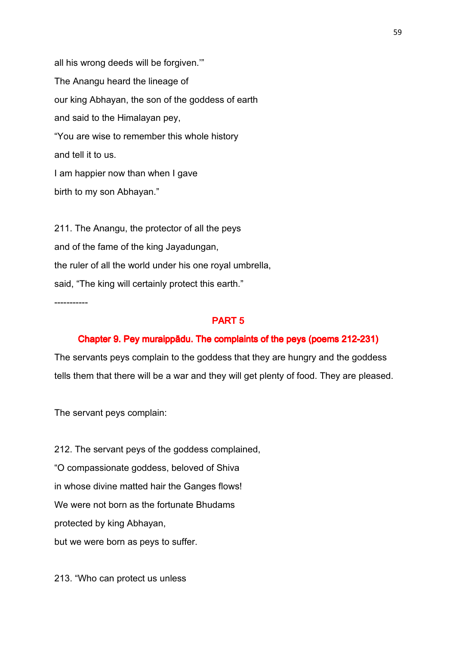all his wrong deeds will be forgiven.'" The Anangu heard the lineage of our king Abhayan, the son of the goddess of earth and said to the Himalayan pey, "You are wise to remember this whole history and tell it to us. I am happier now than when I gave birth to my son Abhayan."

211. The Anangu, the protector of all the peys and of the fame of the king Jayadungan, the ruler of all the world under his one royal umbrella, said, "The king will certainly protect this earth."

-----------

#### PART 5

### Chapter 9. Pey muraippādu. The complaints of the peys (poems 212-231)

The servants peys complain to the goddess that they are hungry and the goddess tells them that there will be a war and they will get plenty of food. They are pleased.

The servant peys complain:

212. The servant peys of the goddess complained, "O compassionate goddess, beloved of Shiva in whose divine matted hair the Ganges flows! We were not born as the fortunate Bhudams protected by king Abhayan, but we were born as peys to suffer.

213. "Who can protect us unless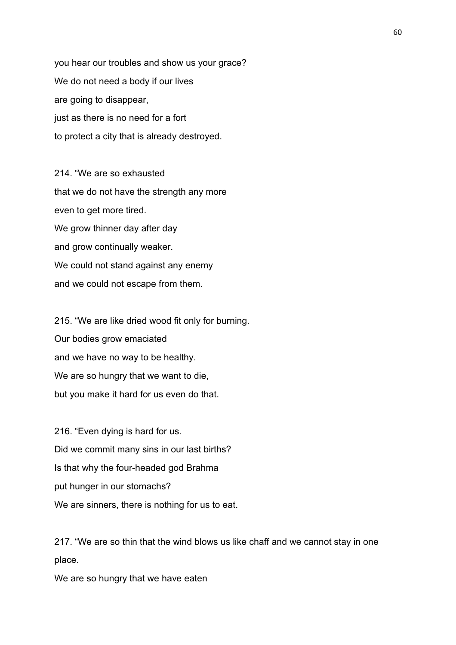you hear our troubles and show us your grace? We do not need a body if our lives are going to disappear, just as there is no need for a fort to protect a city that is already destroyed.

214 "We are so exhausted that we do not have the strength any more even to get more tired. We grow thinner day after day and grow continually weaker. We could not stand against any enemy and we could not escape from them.

215. "We are like dried wood fit only for burning. Our bodies grow emaciated and we have no way to be healthy. We are so hungry that we want to die, but you make it hard for us even do that.

216. "Even dying is hard for us. Did we commit many sins in our last births? Is that why the four-headed god Brahma put hunger in our stomachs? We are sinners, there is nothing for us to eat.

217. "We are so thin that the wind blows us like chaff and we cannot stay in one place.

We are so hungry that we have eaten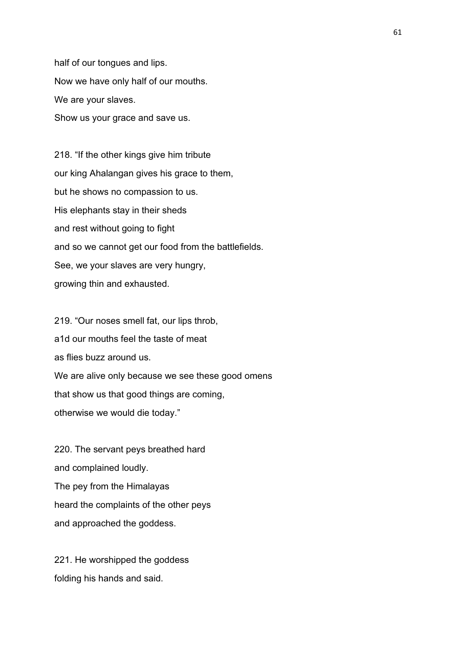half of our tongues and lips. Now we have only half of our mouths. We are your slaves. Show us your grace and save us.

218. "If the other kings give him tribute our king Ahalangan gives his grace to them, but he shows no compassion to us. His elephants stay in their sheds and rest without going to fight and so we cannot get our food from the battlefields. See, we your slaves are very hungry, growing thin and exhausted.

219. "Our noses smell fat, our lips throb, a1d our mouths feel the taste of meat as flies buzz around us. We are alive only because we see these good omens that show us that good things are coming, otherwise we would die today."

220. The servant peys breathed hard and complained loudly. The pey from the Himalayas heard the complaints of the other peys and approached the goddess.

221. He worshipped the goddess folding his hands and said.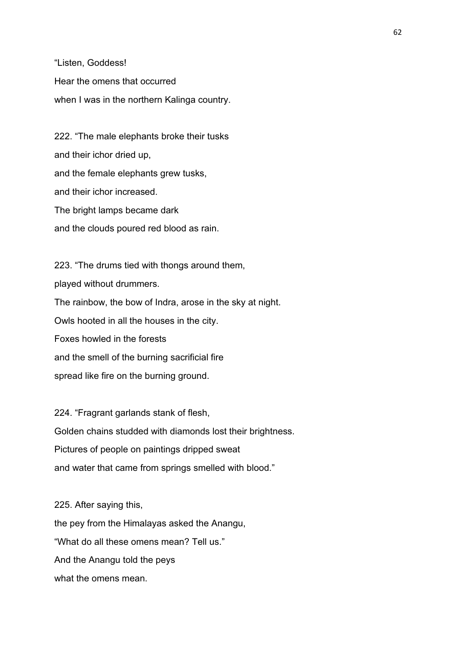"Listen, Goddess! Hear the omens that occurred when I was in the northern Kalinga country.

222. "The male elephants broke their tusks and their ichor dried up, and the female elephants grew tusks, and their ichor increased. The bright lamps became dark and the clouds poured red blood as rain.

223. "The drums tied with thongs around them, played without drummers. The rainbow, the bow of Indra, arose in the sky at night. Owls hooted in all the houses in the city. Foxes howled in the forests and the smell of the burning sacrificial fire spread like fire on the burning ground.

224. "Fragrant garlands stank of flesh, Golden chains studded with diamonds lost their brightness. Pictures of people on paintings dripped sweat and water that came from springs smelled with blood."

225. After saying this, the pey from the Himalayas asked the Anangu, "What do all these omens mean? Tell us." And the Anangu told the peys what the omens mean.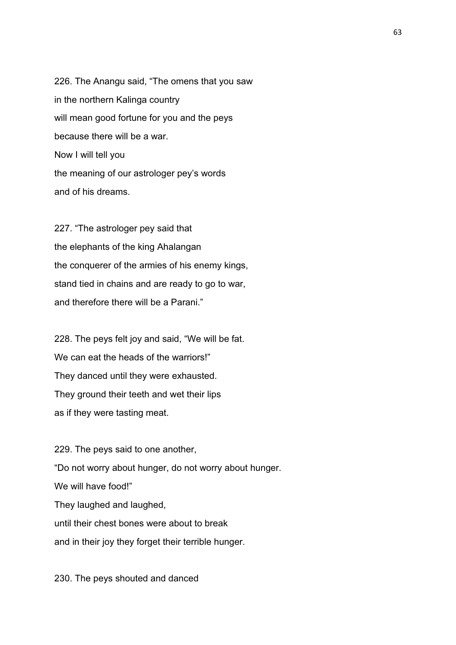226. The Anangu said, "The omens that you saw in the northern Kalinga country will mean good fortune for you and the peys because there will be a war. Now I will tell you the meaning of our astrologer pey's words and of his dreams.

227. "The astrologer pey said that the elephants of the king Ahalangan the conquerer of the armies of his enemy kings, stand tied in chains and are ready to go to war, and therefore there will be a Parani."

228. The peys felt joy and said, "We will be fat. We can eat the heads of the warriors!" They danced until they were exhausted. They ground their teeth and wet their lips as if they were tasting meat.

229. The peys said to one another, "Do not worry about hunger, do not worry about hunger. We will have food!" They laughed and laughed, until their chest bones were about to break and in their joy they forget their terrible hunger.

230. The peys shouted and danced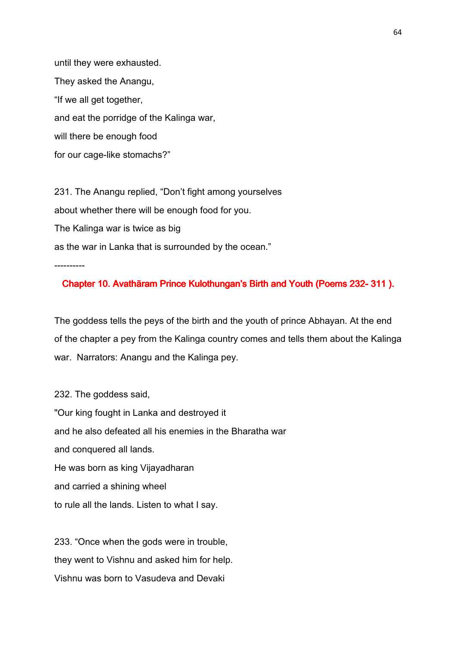until they were exhausted. They asked the Anangu, "If we all get together, and eat the porridge of the Kalinga war, will there be enough food for our cage-like stomachs?"

231. The Anangu replied, "Don't fight among yourselves about whether there will be enough food for you. The Kalinga war is twice as big as the war in Lanka that is surrounded by the ocean."

----------

## Chapter 10. Avathāram Prince Kulothungan's Birth and Youth (Poems 232-311).

The goddess tells the peys of the birth and the youth of prince Abhayan. At the end of the chapter a pey from the Kalinga country comes and tells them about the Kalinga war. Narrators: Anangu and the Kalinga pey.

232. The goddess said, "Our king fought in Lanka and destroyed it and he also defeated all his enemies in the Bharatha war and conquered all lands. He was born as king Vijayadharan and carried a shining wheel to rule all the lands. Listen to what I say.

233. "Once when the gods were in trouble, they went to Vishnu and asked him for help. Vishnu was born to Vasudeva and Devaki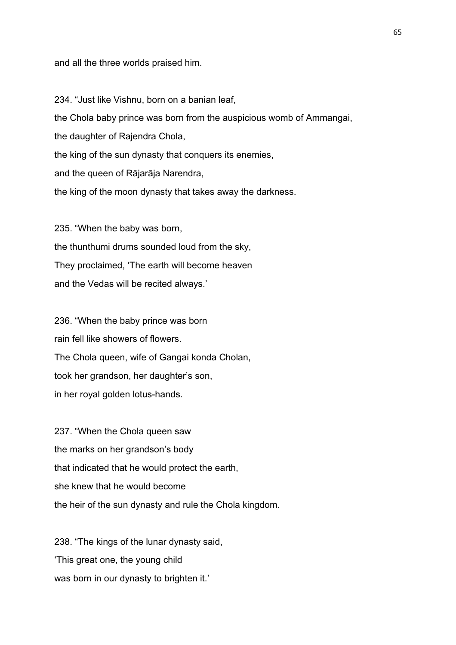and all the three worlds praised him.

234. "Just like Vishnu, born on a banian leaf, the Chola baby prince was born from the auspicious womb of Ammangai, the daughter of Rajendra Chola, the king of the sun dynasty that conquers its enemies, and the queen of Rājarāja Narendra, the king of the moon dynasty that takes away the darkness.

235. "When the baby was born, the thunthumi drums sounded loud from the sky, They proclaimed, 'The earth will become heaven and the Vedas will be recited always.'

236. "When the baby prince was born rain fell like showers of flowers. The Chola queen, wife of Gangai konda Cholan, took her grandson, her daughter's son, in her royal golden lotus-hands.

237. "When the Chola queen saw the marks on her grandson's body that indicated that he would protect the earth, she knew that he would become the heir of the sun dynasty and rule the Chola kingdom.

238. "The kings of the lunar dynasty said, 'This great one, the young child was born in our dynasty to brighten it.'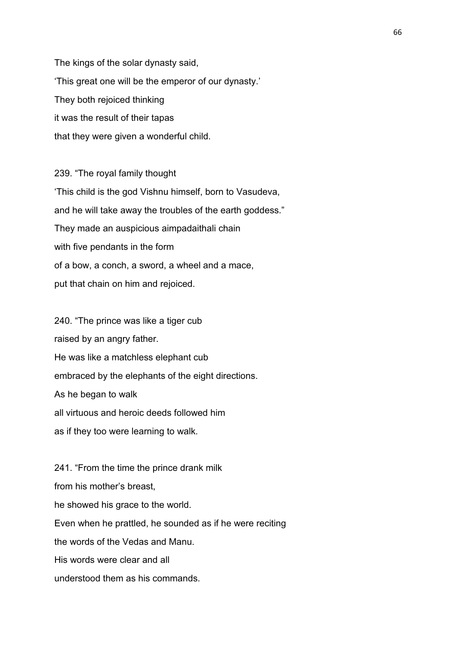The kings of the solar dynasty said, 'This great one will be the emperor of our dynasty.' They both rejoiced thinking it was the result of their tapas that they were given a wonderful child.

239. "The royal family thought 'This child is the god Vishnu himself, born to Vasudeva, and he will take away the troubles of the earth goddess." They made an auspicious aimpadaithali chain with five pendants in the form of a bow, a conch, a sword, a wheel and a mace, put that chain on him and rejoiced.

240. "The prince was like a tiger cub raised by an angry father. He was like a matchless elephant cub embraced by the elephants of the eight directions. As he began to walk all virtuous and heroic deeds followed him as if they too were learning to walk.

241. "From the time the prince drank milk from his mother's breast, he showed his grace to the world. Even when he prattled, he sounded as if he were reciting the words of the Vedas and Manu. His words were clear and all understood them as his commands.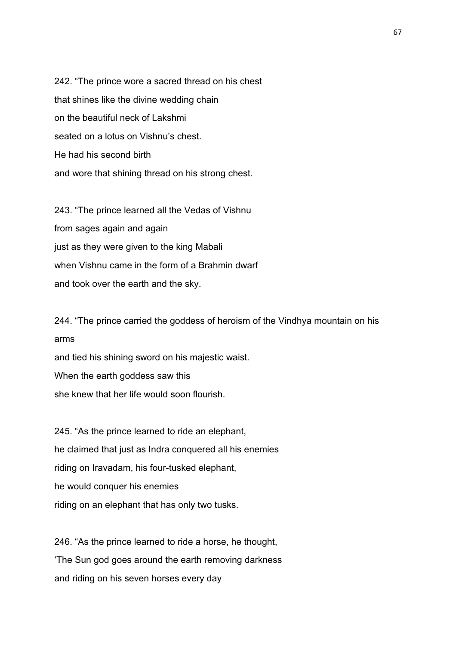242. "The prince wore a sacred thread on his chest that shines like the divine wedding chain on the beautiful neck of Lakshmi seated on a lotus on Vishnu's chest. He had his second birth and wore that shining thread on his strong chest.

243. "The prince learned all the Vedas of Vishnu from sages again and again just as they were given to the king Mabali when Vishnu came in the form of a Brahmin dwarf and took over the earth and the sky.

244. "The prince carried the goddess of heroism of the Vindhya mountain on his arms and tied his shining sword on his majestic waist. When the earth goddess saw this she knew that her life would soon flourish.

245. "As the prince learned to ride an elephant, he claimed that just as Indra conquered all his enemies riding on Iravadam, his four-tusked elephant, he would conquer his enemies riding on an elephant that has only two tusks.

246. "As the prince learned to ride a horse, he thought, 'The Sun god goes around the earth removing darkness and riding on his seven horses every day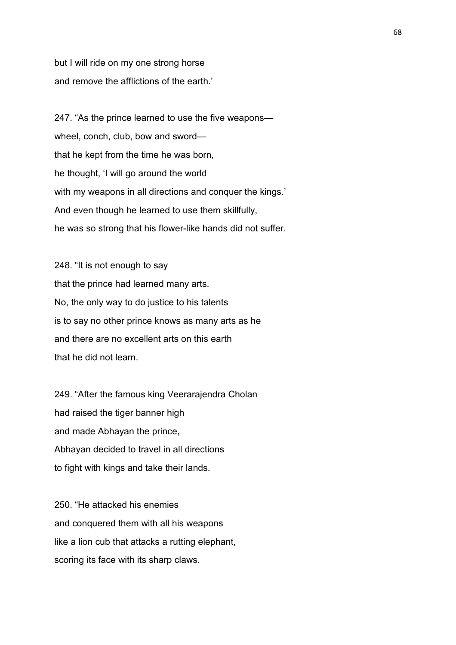but I will ride on my one strong horse and remove the afflictions of the earth.'

247. "As the prince learned to use the five weapons wheel, conch, club, bow and sword that he kept from the time he was born, he thought, 'I will go around the world with my weapons in all directions and conquer the kings.' And even though he learned to use them skillfully, he was so strong that his flower-like hands did not suffer.

248. "It is not enough to say that the prince had learned many arts. No, the only way to do justice to his talents is to say no other prince knows as many arts as he and there are no excellent arts on this earth that he did not learn.

249. "After the famous king Veerarajendra Cholan had raised the tiger banner high and made Abhayan the prince, Abhayan decided to travel in all directions to fight with kings and take their lands.

250. "He attacked his enemies and conquered them with all his weapons like a lion cub that attacks a rutting elephant, scoring its face with its sharp claws.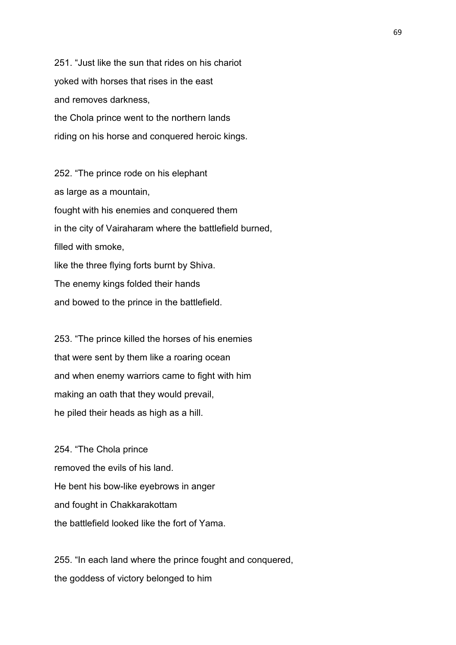251. "Just like the sun that rides on his chariot yoked with horses that rises in the east and removes darkness, the Chola prince went to the northern lands riding on his horse and conquered heroic kings.

252. "The prince rode on his elephant as large as a mountain, fought with his enemies and conquered them in the city of Vairaharam where the battlefield burned, filled with smoke, like the three flying forts burnt by Shiva. The enemy kings folded their hands and bowed to the prince in the battlefield.

253. "The prince killed the horses of his enemies that were sent by them like a roaring ocean and when enemy warriors came to fight with him making an oath that they would prevail, he piled their heads as high as a hill.

254. "The Chola prince removed the evils of his land. He bent his bow-like eyebrows in anger and fought in Chakkarakottam the battlefield looked like the fort of Yama.

255. "In each land where the prince fought and conquered, the goddess of victory belonged to him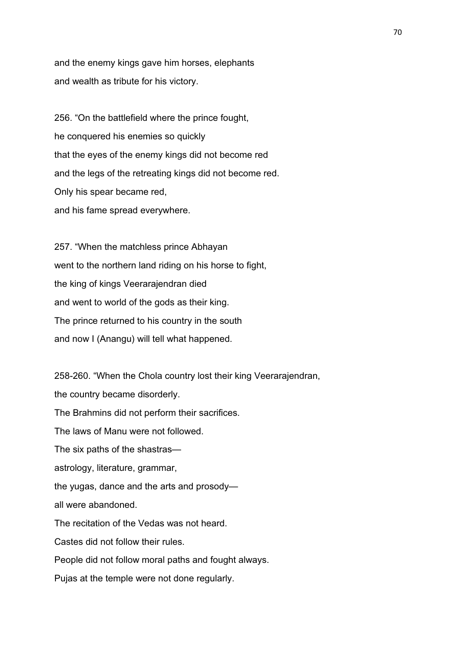and the enemy kings gave him horses, elephants and wealth as tribute for his victory.

256. "On the battlefield where the prince fought, he conquered his enemies so quickly that the eyes of the enemy kings did not become red and the legs of the retreating kings did not become red. Only his spear became red, and his fame spread everywhere.

257. "When the matchless prince Abhayan went to the northern land riding on his horse to fight, the king of kings Veerarajendran died and went to world of the gods as their king. The prince returned to his country in the south and now I (Anangu) will tell what happened.

258-260. "When the Chola country lost their king Veerarajendran, the country became disorderly. The Brahmins did not perform their sacrifices. The laws of Manu were not followed. The six paths of the shastras astrology, literature, grammar, the yugas, dance and the arts and prosody all were abandoned. The recitation of the Vedas was not heard. Castes did not follow their rules. People did not follow moral paths and fought always. Pujas at the temple were not done regularly.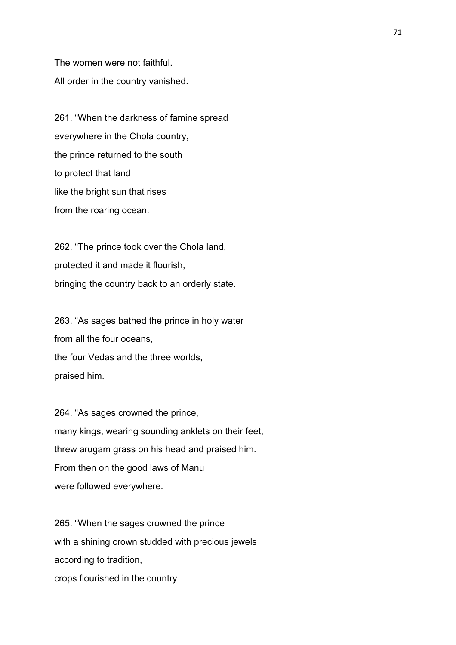The women were not faithful. All order in the country vanished.

261. "When the darkness of famine spread everywhere in the Chola country, the prince returned to the south to protect that land like the bright sun that rises from the roaring ocean.

262. "The prince took over the Chola land, protected it and made it flourish, bringing the country back to an orderly state.

263. "As sages bathed the prince in holy water from all the four oceans, the four Vedas and the three worlds, praised him.

264. "As sages crowned the prince, many kings, wearing sounding anklets on their feet, threw arugam grass on his head and praised him. From then on the good laws of Manu were followed everywhere.

265. "When the sages crowned the prince with a shining crown studded with precious jewels according to tradition, crops flourished in the country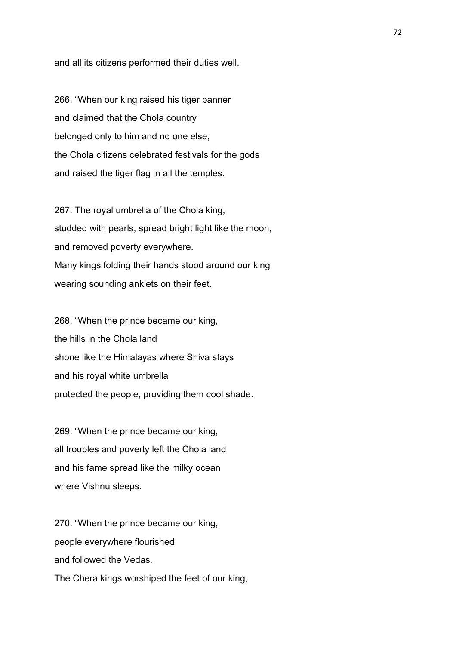and all its citizens performed their duties well.

266. "When our king raised his tiger banner and claimed that the Chola country belonged only to him and no one else, the Chola citizens celebrated festivals for the gods and raised the tiger flag in all the temples.

267. The royal umbrella of the Chola king, studded with pearls, spread bright light like the moon, and removed poverty everywhere. Many kings folding their hands stood around our king wearing sounding anklets on their feet.

268. "When the prince became our king, the hills in the Chola land shone like the Himalayas where Shiva stays and his royal white umbrella protected the people, providing them cool shade.

269. "When the prince became our king, all troubles and poverty left the Chola land and his fame spread like the milky ocean where Vishnu sleeps.

270. "When the prince became our king, people everywhere flourished and followed the Vedas. The Chera kings worshiped the feet of our king,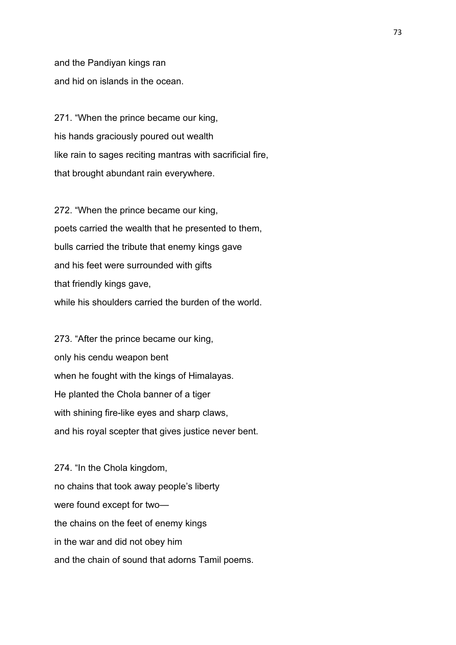and the Pandiyan kings ran and hid on islands in the ocean.

271. "When the prince became our king, his hands graciously poured out wealth like rain to sages reciting mantras with sacrificial fire, that brought abundant rain everywhere.

272. "When the prince became our king, poets carried the wealth that he presented to them, bulls carried the tribute that enemy kings gave and his feet were surrounded with gifts that friendly kings gave, while his shoulders carried the burden of the world.

273. "After the prince became our king, only his cendu weapon bent when he fought with the kings of Himalayas. He planted the Chola banner of a tiger with shining fire-like eyes and sharp claws, and his royal scepter that gives justice never bent.

274. "In the Chola kingdom, no chains that took away people's liberty were found except for two the chains on the feet of enemy kings in the war and did not obey him and the chain of sound that adorns Tamil poems.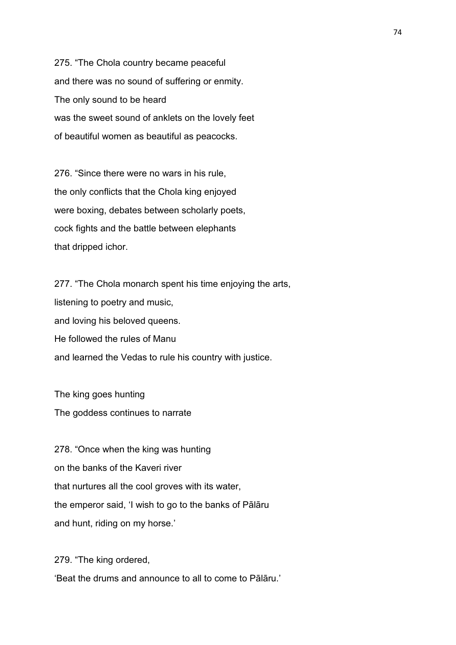275. "The Chola country became peaceful and there was no sound of suffering or enmity. The only sound to be heard was the sweet sound of anklets on the lovely feet of beautiful women as beautiful as peacocks.

276. "Since there were no wars in his rule, the only conflicts that the Chola king enjoyed were boxing, debates between scholarly poets, cock fights and the battle between elephants that dripped ichor.

277. "The Chola monarch spent his time enjoying the arts, listening to poetry and music, and loving his beloved queens. He followed the rules of Manu and learned the Vedas to rule his country with justice.

The king goes hunting The goddess continues to narrate

278. "Once when the king was hunting on the banks of the Kaveri river that nurtures all the cool groves with its water, the emperor said, 'I wish to go to the banks of Pālāru and hunt, riding on my horse.'

279. "The king ordered, 'Beat the drums and announce to all to come to Pālāru.'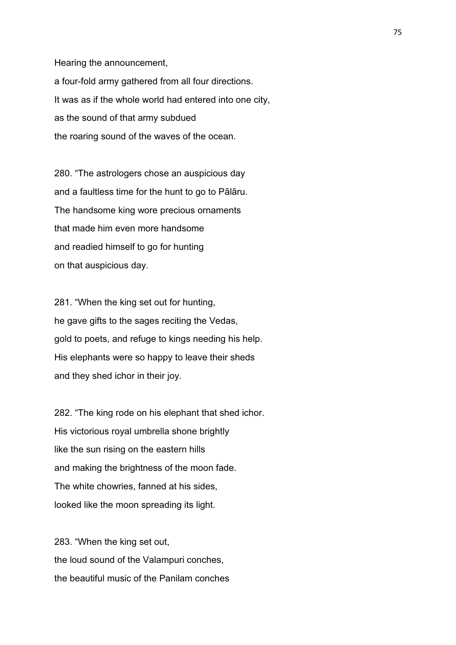Hearing the announcement, a four-fold army gathered from all four directions. It was as if the whole world had entered into one city, as the sound of that army subdued

the roaring sound of the waves of the ocean.

280. "The astrologers chose an auspicious day and a faultless time for the hunt to go to Pālāru. The handsome king wore precious ornaments that made him even more handsome and readied himself to go for hunting on that auspicious day.

281. "When the king set out for hunting, he gave gifts to the sages reciting the Vedas, gold to poets, and refuge to kings needing his help. His elephants were so happy to leave their sheds and they shed ichor in their joy.

282. "The king rode on his elephant that shed ichor. His victorious royal umbrella shone brightly like the sun rising on the eastern hills and making the brightness of the moon fade. The white chowries, fanned at his sides, looked like the moon spreading its light.

283. "When the king set out, the loud sound of the Valampuri conches, the beautiful music of the Panilam conches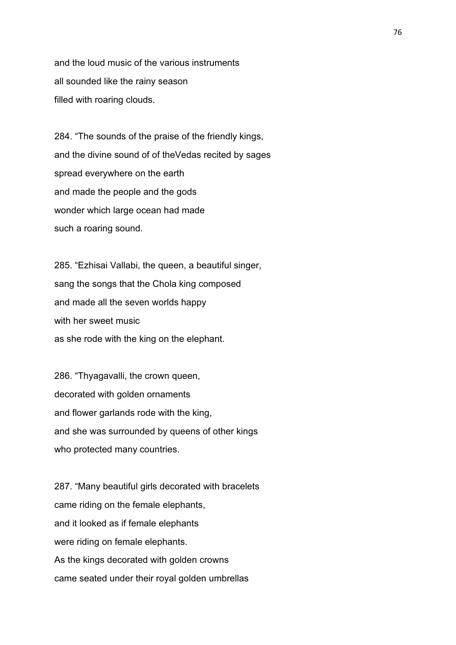and the loud music of the various instruments all sounded like the rainy season filled with roaring clouds.

284. "The sounds of the praise of the friendly kings, and the divine sound of of theVedas recited by sages spread everywhere on the earth and made the people and the gods wonder which large ocean had made such a roaring sound.

285. "Ezhisai Vallabi, the queen, a beautiful singer, sang the songs that the Chola king composed and made all the seven worlds happy with her sweet music as she rode with the king on the elephant.

286. "Thyagavalli, the crown queen, decorated with golden ornaments and flower garlands rode with the king, and she was surrounded by queens of other kings who protected many countries.

287. "Many beautiful girls decorated with bracelets came riding on the female elephants, and it looked as if female elephants were riding on female elephants. As the kings decorated with golden crowns came seated under their royal golden umbrellas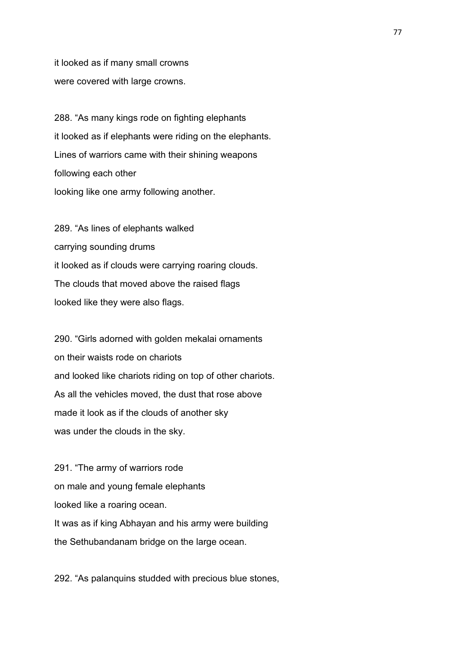it looked as if many small crowns were covered with large crowns.

288. "As many kings rode on fighting elephants it looked as if elephants were riding on the elephants. Lines of warriors came with their shining weapons following each other looking like one army following another.

289. "As lines of elephants walked carrying sounding drums it looked as if clouds were carrying roaring clouds. The clouds that moved above the raised flags looked like they were also flags.

290. "Girls adorned with golden mekalai ornaments on their waists rode on chariots and looked like chariots riding on top of other chariots. As all the vehicles moved, the dust that rose above made it look as if the clouds of another sky was under the clouds in the sky.

291. "The army of warriors rode on male and young female elephants looked like a roaring ocean. It was as if king Abhayan and his army were building the Sethubandanam bridge on the large ocean.

292. "As palanquins studded with precious blue stones,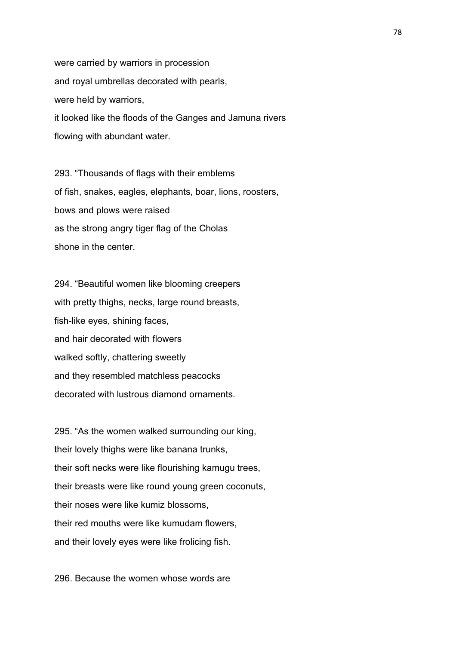were carried by warriors in procession and royal umbrellas decorated with pearls, were held by warriors, it looked like the floods of the Ganges and Jamuna rivers flowing with abundant water.

293. "Thousands of flags with their emblems of fish, snakes, eagles, elephants, boar, lions, roosters, bows and plows were raised as the strong angry tiger flag of the Cholas shone in the center.

294. "Beautiful women like blooming creepers with pretty thighs, necks, large round breasts, fish-like eyes, shining faces, and hair decorated with flowers walked softly, chattering sweetly and they resembled matchless peacocks decorated with lustrous diamond ornaments.

295. "As the women walked surrounding our king, their lovely thighs were like banana trunks, their soft necks were like flourishing kamugu trees, their breasts were like round young green coconuts, their noses were like kumiz blossoms, their red mouths were like kumudam flowers, and their lovely eyes were like frolicing fish.

296. Because the women whose words are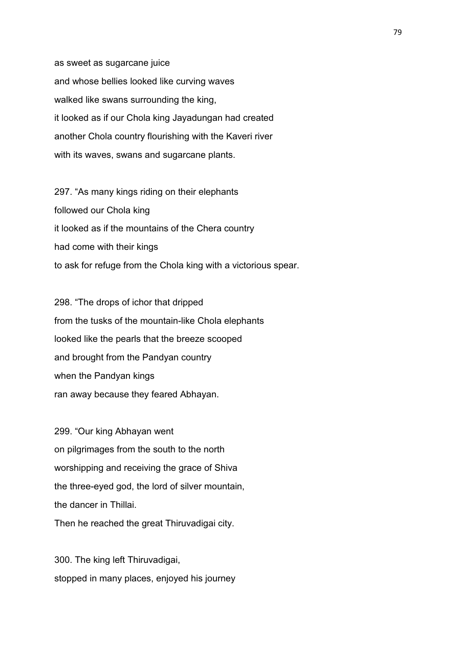as sweet as sugarcane juice and whose bellies looked like curving waves walked like swans surrounding the king, it looked as if our Chola king Jayadungan had created another Chola country flourishing with the Kaveri river with its waves, swans and sugarcane plants.

297. "As many kings riding on their elephants followed our Chola king it looked as if the mountains of the Chera country had come with their kings to ask for refuge from the Chola king with a victorious spear.

298. "The drops of ichor that dripped from the tusks of the mountain-like Chola elephants looked like the pearls that the breeze scooped and brought from the Pandyan country when the Pandyan kings ran away because they feared Abhayan.

299. "Our king Abhayan went on pilgrimages from the south to the north worshipping and receiving the grace of Shiva the three-eyed god, the lord of silver mountain, the dancer in Thillai. Then he reached the great Thiruvadigai city.

300. The king left Thiruvadigai, stopped in many places, enjoyed his journey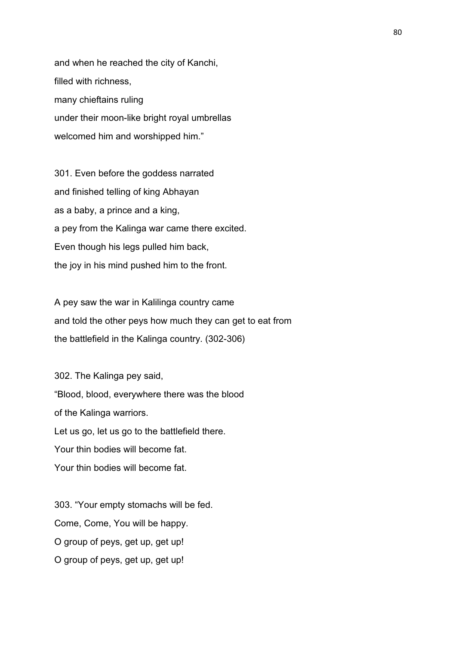and when he reached the city of Kanchi, filled with richness, many chieftains ruling under their moon-like bright royal umbrellas welcomed him and worshipped him."

301. Even before the goddess narrated and finished telling of king Abhayan as a baby, a prince and a king, a pey from the Kalinga war came there excited. Even though his legs pulled him back, the joy in his mind pushed him to the front.

A pey saw the war in Kalilinga country came and told the other peys how much they can get to eat from the battlefield in the Kalinga country. (302-306)

302. The Kalinga pey said, "Blood, blood, everywhere there was the blood of the Kalinga warriors. Let us go, let us go to the battlefield there. Your thin bodies will become fat. Your thin bodies will become fat.

303. "Your empty stomachs will be fed. Come, Come, You will be happy. O group of peys, get up, get up! O group of peys, get up, get up!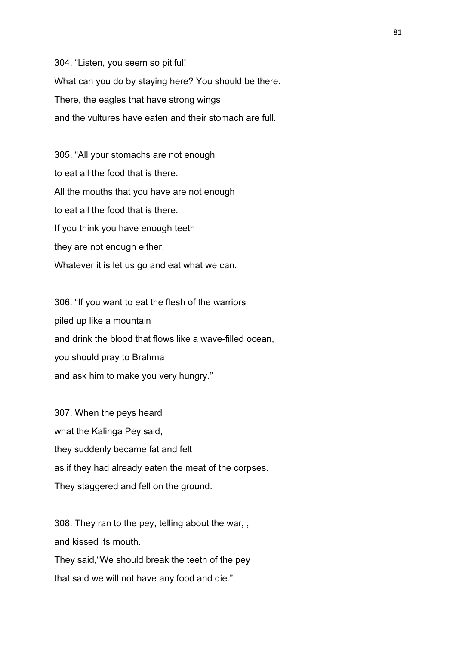304. "Listen, you seem so pitiful! What can you do by staying here? You should be there. There, the eagles that have strong wings and the vultures have eaten and their stomach are full.

305. "All your stomachs are not enough to eat all the food that is there. All the mouths that you have are not enough to eat all the food that is there. If you think you have enough teeth they are not enough either. Whatever it is let us go and eat what we can.

306. "If you want to eat the flesh of the warriors piled up like a mountain and drink the blood that flows like a wave-filled ocean, you should pray to Brahma and ask him to make you very hungry."

307. When the peys heard what the Kalinga Pey said, they suddenly became fat and felt as if they had already eaten the meat of the corpses. They staggered and fell on the ground.

308. They ran to the pey, telling about the war, , and kissed its mouth.

They said,"We should break the teeth of the pey that said we will not have any food and die."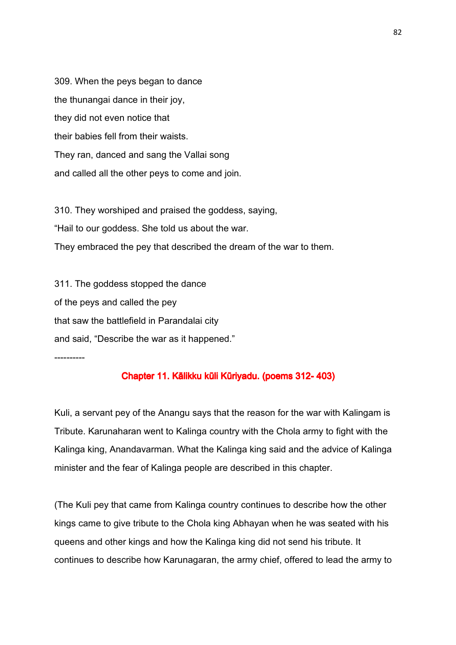309. When the peys began to dance the thunangai dance in their joy, they did not even notice that their babies fell from their waists. They ran, danced and sang the Vallai song and called all the other peys to come and join.

310. They worshiped and praised the goddess, saying, "Hail to our goddess. She told us about the war. They embraced the pey that described the dream of the war to them.

311. The goddess stopped the dance of the peys and called the pey that saw the battlefield in Parandalai city and said, "Describe the war as it happened."

----------

## Chapter 11. Kālikku kūli Kūriyadu. (poems 312- 403)

Kuli, a servant pey of the Anangu says that the reason for the war with Kalingam is Tribute. Karunaharan went to Kalinga country with the Chola army to fight with the Kalinga king, Anandavarman. What the Kalinga king said and the advice of Kalinga minister and the fear of Kalinga people are described in this chapter.

(The Kuli pey that came from Kalinga country continues to describe how the other kings came to give tribute to the Chola king Abhayan when he was seated with his queens and other kings and how the Kalinga king did not send his tribute. It continues to describe how Karunagaran, the army chief, offered to lead the army to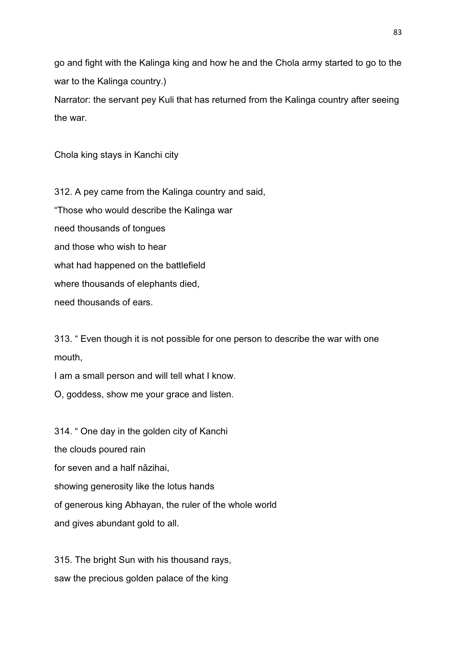go and fight with the Kalinga king and how he and the Chola army started to go to the war to the Kalinga country.)

Narrator: the servant pey Kuli that has returned from the Kalinga country after seeing the war.

Chola king stays in Kanchi city

312. A pey came from the Kalinga country and said, "Those who would describe the Kalinga war need thousands of tongues and those who wish to hear what had happened on the battlefield where thousands of elephants died, need thousands of ears.

313. " Even though it is not possible for one person to describe the war with one mouth,

I am a small person and will tell what I know.

O, goddess, show me your grace and listen.

314. " One day in the golden city of Kanchi the clouds poured rain for seven and a half nāzihai, showing generosity like the lotus hands of generous king Abhayan, the ruler of the whole world and gives abundant gold to all.

315. The bright Sun with his thousand rays, saw the precious golden palace of the king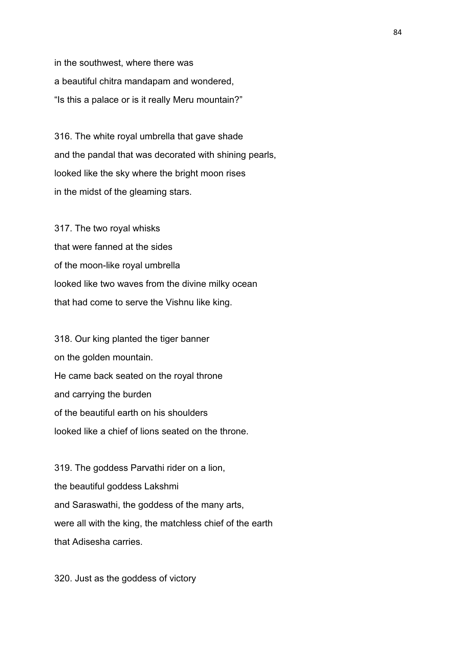in the southwest, where there was a beautiful chitra mandapam and wondered, "Is this a palace or is it really Meru mountain?"

316. The white royal umbrella that gave shade and the pandal that was decorated with shining pearls, looked like the sky where the bright moon rises in the midst of the gleaming stars.

317. The two royal whisks that were fanned at the sides of the moon-like royal umbrella looked like two waves from the divine milky ocean that had come to serve the Vishnu like king.

318. Our king planted the tiger banner on the golden mountain. He came back seated on the royal throne and carrying the burden of the beautiful earth on his shoulders looked like a chief of lions seated on the throne.

319. The goddess Parvathi rider on a lion, the beautiful goddess Lakshmi and Saraswathi, the goddess of the many arts, were all with the king, the matchless chief of the earth that Adisesha carries.

320. Just as the goddess of victory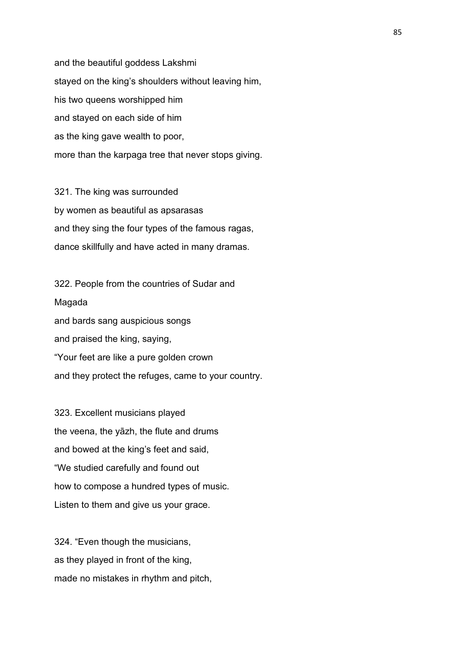and the beautiful goddess Lakshmi stayed on the king's shoulders without leaving him, his two queens worshipped him and stayed on each side of him as the king gave wealth to poor, more than the karpaga tree that never stops giving.

321. The king was surrounded by women as beautiful as apsarasas and they sing the four types of the famous ragas, dance skillfully and have acted in many dramas.

322. People from the countries of Sudar and Magada and bards sang auspicious songs and praised the king, saying, "Your feet are like a pure golden crown and they protect the refuges, came to your country.

323. Excellent musicians played the veena, the yāzh, the flute and drums and bowed at the king's feet and said, "We studied carefully and found out how to compose a hundred types of music. Listen to them and give us your grace.

324. "Even though the musicians, as they played in front of the king, made no mistakes in rhythm and pitch,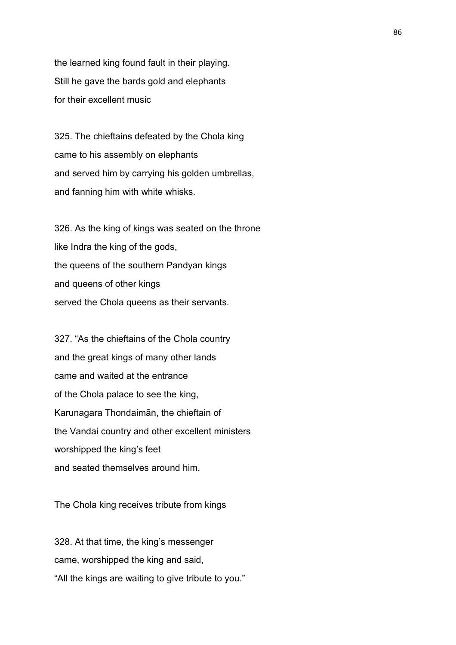the learned king found fault in their playing. Still he gave the bards gold and elephants for their excellent music

325. The chieftains defeated by the Chola king came to his assembly on elephants and served him by carrying his golden umbrellas, and fanning him with white whisks.

326. As the king of kings was seated on the throne like Indra the king of the gods, the queens of the southern Pandyan kings and queens of other kings served the Chola queens as their servants.

327. "As the chieftains of the Chola country and the great kings of many other lands came and waited at the entrance of the Chola palace to see the king, Karunagara Thondaimān, the chieftain of the Vandai country and other excellent ministers worshipped the king's feet and seated themselves around him.

The Chola king receives tribute from kings

328. At that time, the king's messenger came, worshipped the king and said, "All the kings are waiting to give tribute to you."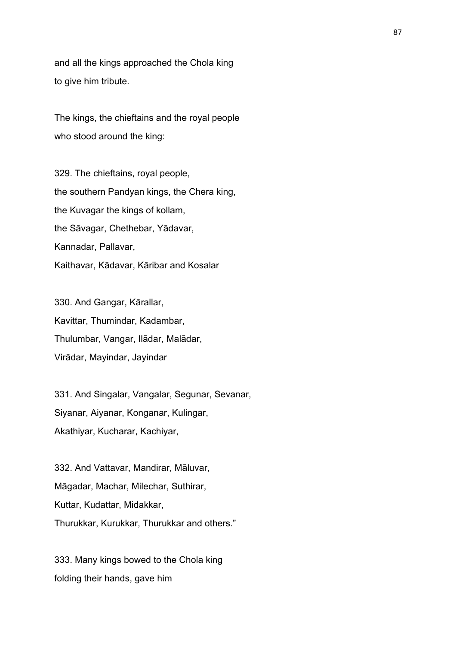and all the kings approached the Chola king to give him tribute.

The kings, the chieftains and the royal people who stood around the king:

329. The chieftains, royal people, the southern Pandyan kings, the Chera king, the Kuvagar the kings of kollam, the Sāvagar, Chethebar, Yādavar, Kannadar, Pallavar, Kaithavar, Kādavar, Kāribar and Kosalar

330. And Gangar, Kārallar, Kavittar, Thumindar, Kadambar, Thulumbar, Vangar, Ilādar, Malādar, Virādar, Mayindar, Jayindar

331. And Singalar, Vangalar, Segunar, Sevanar, Siyanar, Aiyanar, Konganar, Kulingar, Akathiyar, Kucharar, Kachiyar,

332. And Vattavar, Mandirar, Māluvar, Māgadar, Machar, Milechar, Suthirar, Kuttar, Kudattar, Midakkar, Thurukkar, Kurukkar, Thurukkar and others."

333. Many kings bowed to the Chola king folding their hands, gave him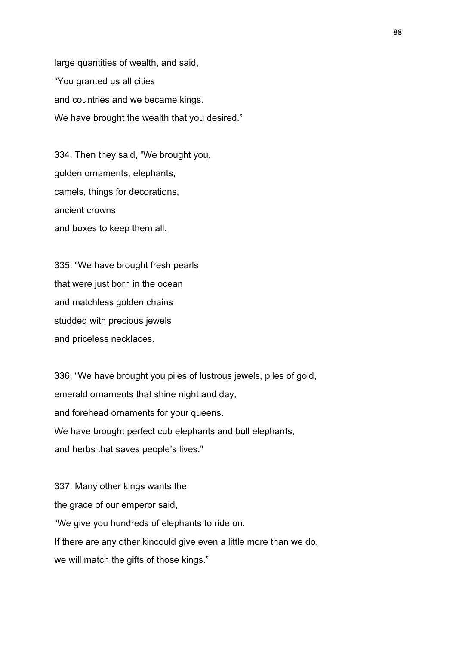large quantities of wealth, and said, "You granted us all cities and countries and we became kings. We have brought the wealth that you desired."

334. Then they said, "We brought you, golden ornaments, elephants, camels, things for decorations, ancient crowns and boxes to keep them all.

335. "We have brought fresh pearls that were just born in the ocean and matchless golden chains studded with precious jewels and priceless necklaces.

336. "We have brought you piles of lustrous jewels, piles of gold, emerald ornaments that shine night and day, and forehead ornaments for your queens. We have brought perfect cub elephants and bull elephants, and herbs that saves people's lives."

337. Many other kings wants the the grace of our emperor said, "We give you hundreds of elephants to ride on. If there are any other kincould give even a little more than we do, we will match the gifts of those kings."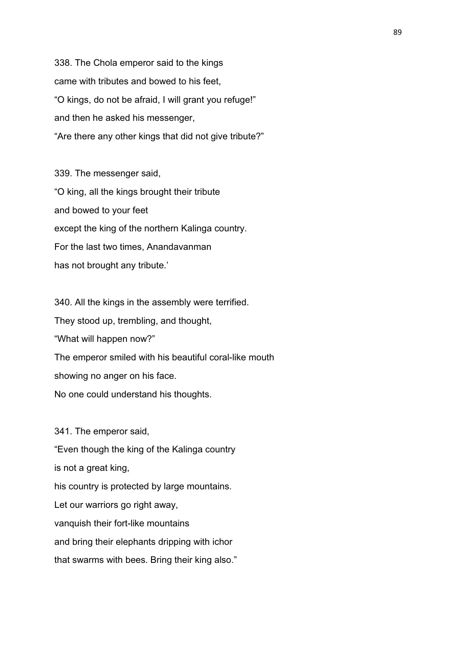338. The Chola emperor said to the kings came with tributes and bowed to his feet, "O kings, do not be afraid, I will grant you refuge!" and then he asked his messenger, "Are there any other kings that did not give tribute?"

339. The messenger said, "O king, all the kings brought their tribute and bowed to your feet except the king of the northern Kalinga country. For the last two times, Anandavanman has not brought any tribute.'

340. All the kings in the assembly were terrified. They stood up, trembling, and thought, "What will happen now?" The emperor smiled with his beautiful coral-like mouth showing no anger on his face. No one could understand his thoughts.

341. The emperor said, "Even though the king of the Kalinga country is not a great king, his country is protected by large mountains. Let our warriors go right away, vanquish their fort-like mountains and bring their elephants dripping with ichor that swarms with bees. Bring their king also."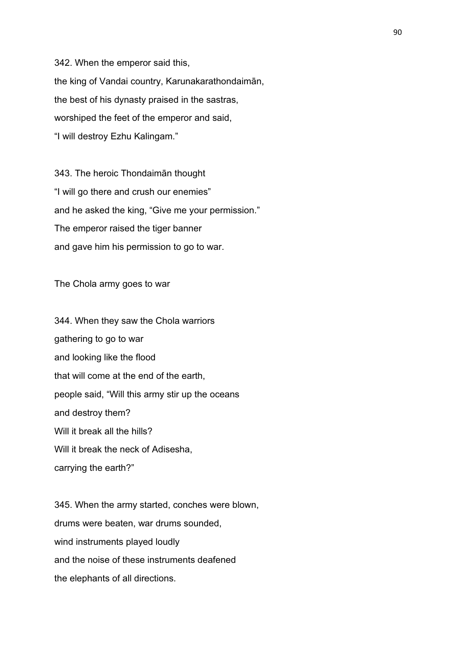342. When the emperor said this, the king of Vandai country, Karunakarathondaimān, the best of his dynasty praised in the sastras, worshiped the feet of the emperor and said, "I will destroy Ezhu Kalingam."

343. The heroic Thondaimān thought "I will go there and crush our enemies" and he asked the king, "Give me your permission." The emperor raised the tiger banner and gave him his permission to go to war.

The Chola army goes to war

344. When they saw the Chola warriors gathering to go to war and looking like the flood that will come at the end of the earth, people said, "Will this army stir up the oceans and destroy them? Will it break all the hills? Will it break the neck of Adisesha. carrying the earth?"

345. When the army started, conches were blown, drums were beaten, war drums sounded, wind instruments played loudly and the noise of these instruments deafened the elephants of all directions.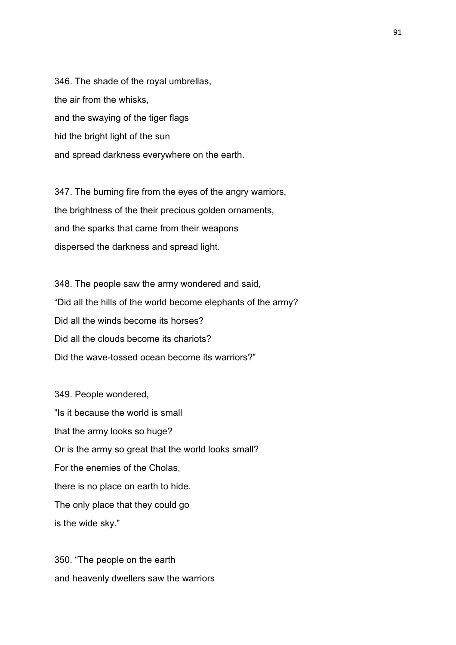346. The shade of the royal umbrellas, the air from the whisks, and the swaying of the tiger flags hid the bright light of the sun and spread darkness everywhere on the earth.

347. The burning fire from the eyes of the angry warriors, the brightness of the their precious golden ornaments, and the sparks that came from their weapons dispersed the darkness and spread light.

348. The people saw the army wondered and said, "Did all the hills of the world become elephants of the army? Did all the winds become its horses? Did all the clouds become its chariots? Did the wave-tossed ocean become its warriors?"

349. People wondered, "Is it because the world is small that the army looks so huge? Or is the army so great that the world looks small? For the enemies of the Cholas, there is no place on earth to hide. The only place that they could go is the wide sky."

350. "The people on the earth and heavenly dwellers saw the warriors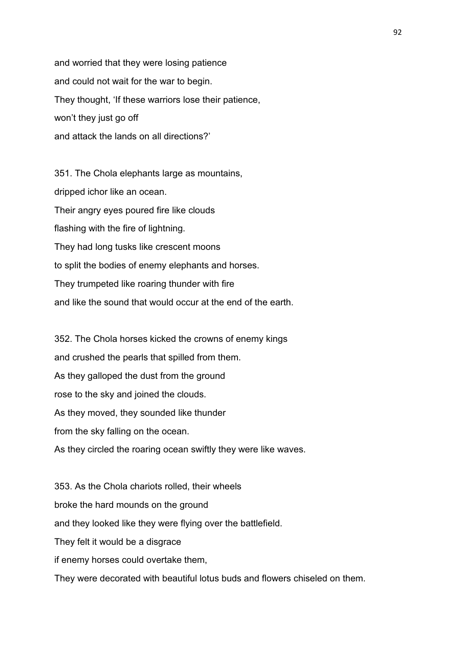and worried that they were losing patience and could not wait for the war to begin. They thought, 'If these warriors lose their patience, won't they just go off and attack the lands on all directions?'

351. The Chola elephants large as mountains, dripped ichor like an ocean. Their angry eyes poured fire like clouds flashing with the fire of lightning. They had long tusks like crescent moons to split the bodies of enemy elephants and horses. They trumpeted like roaring thunder with fire and like the sound that would occur at the end of the earth.

352. The Chola horses kicked the crowns of enemy kings and crushed the pearls that spilled from them. As they galloped the dust from the ground rose to the sky and joined the clouds. As they moved, they sounded like thunder from the sky falling on the ocean. As they circled the roaring ocean swiftly they were like waves.

353. As the Chola chariots rolled, their wheels broke the hard mounds on the ground and they looked like they were flying over the battlefield. They felt it would be a disgrace if enemy horses could overtake them, They were decorated with beautiful lotus buds and flowers chiseled on them.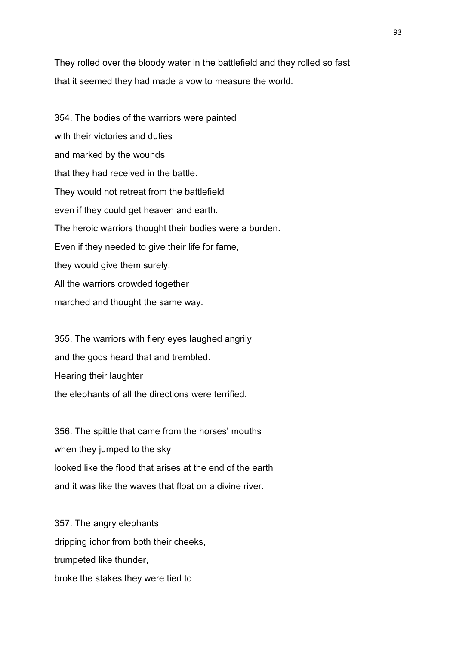They rolled over the bloody water in the battlefield and they rolled so fast that it seemed they had made a vow to measure the world.

354. The bodies of the warriors were painted with their victories and duties and marked by the wounds that they had received in the battle. They would not retreat from the battlefield even if they could get heaven and earth. The heroic warriors thought their bodies were a burden. Even if they needed to give their life for fame, they would give them surely. All the warriors crowded together marched and thought the same way.

355. The warriors with fiery eyes laughed angrily and the gods heard that and trembled. Hearing their laughter the elephants of all the directions were terrified.

356. The spittle that came from the horses' mouths when they jumped to the sky looked like the flood that arises at the end of the earth and it was like the waves that float on a divine river.

357. The angry elephants dripping ichor from both their cheeks, trumpeted like thunder, broke the stakes they were tied to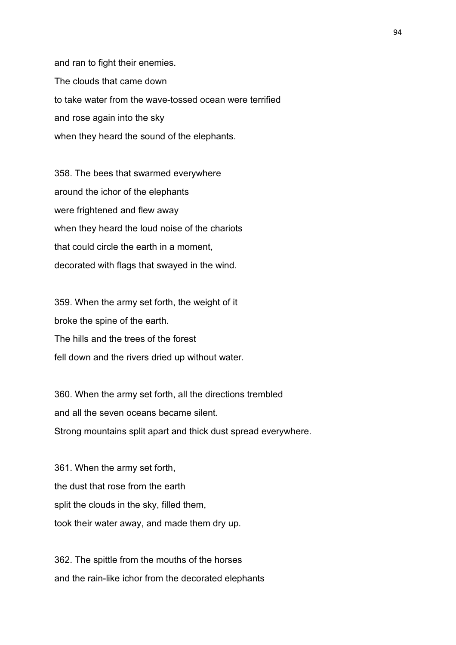and ran to fight their enemies. The clouds that came down to take water from the wave-tossed ocean were terrified and rose again into the sky when they heard the sound of the elephants.

358. The bees that swarmed everywhere around the ichor of the elephants were frightened and flew away when they heard the loud noise of the chariots that could circle the earth in a moment, decorated with flags that swayed in the wind.

359. When the army set forth, the weight of it broke the spine of the earth. The hills and the trees of the forest fell down and the rivers dried up without water.

360. When the army set forth, all the directions trembled and all the seven oceans became silent. Strong mountains split apart and thick dust spread everywhere.

361. When the army set forth, the dust that rose from the earth split the clouds in the sky, filled them, took their water away, and made them dry up.

362. The spittle from the mouths of the horses and the rain-like ichor from the decorated elephants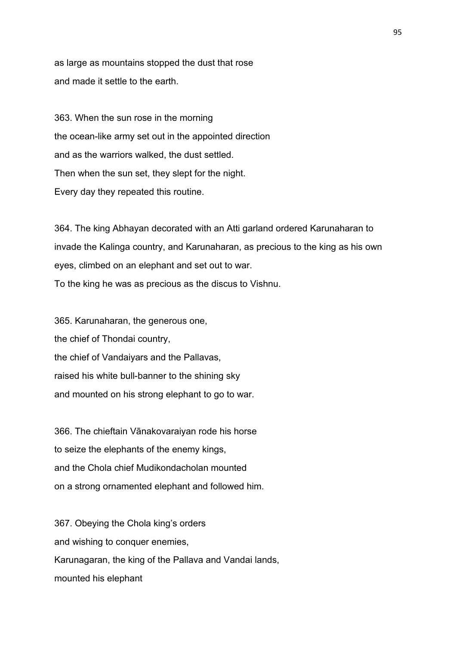as large as mountains stopped the dust that rose and made it settle to the earth.

363. When the sun rose in the morning the ocean-like army set out in the appointed direction and as the warriors walked, the dust settled. Then when the sun set, they slept for the night. Every day they repeated this routine.

364. The king Abhayan decorated with an Atti garland ordered Karunaharan to invade the Kalinga country, and Karunaharan, as precious to the king as his own eyes, climbed on an elephant and set out to war. To the king he was as precious as the discus to Vishnu.

365. Karunaharan, the generous one, the chief of Thondai country, the chief of Vandaiyars and the Pallavas, raised his white bull-banner to the shining sky and mounted on his strong elephant to go to war.

366. The chieftain Vānakovaraiyan rode his horse to seize the elephants of the enemy kings, and the Chola chief Mudikondacholan mounted on a strong ornamented elephant and followed him.

367. Obeying the Chola king's orders and wishing to conquer enemies, Karunagaran, the king of the Pallava and Vandai lands, mounted his elephant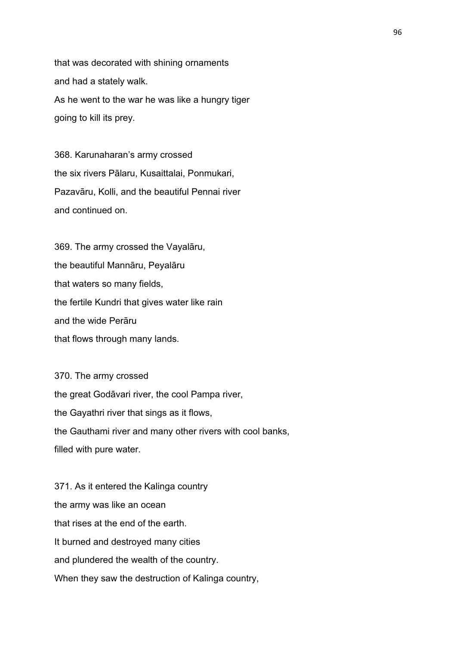that was decorated with shining ornaments and had a stately walk. As he went to the war he was like a hungry tiger going to kill its prey.

368. Karunaharan's army crossed the six rivers Pālaru, Kusaittalai, Ponmukari, Pazavāru, Kolli, and the beautiful Pennai river and continued on.

369. The army crossed the Vayalāru, the beautiful Mannāru, Peyalāru that waters so many fields, the fertile Kundri that gives water like rain and the wide Perāru that flows through many lands.

370. The army crossed the great Godāvari river, the cool Pampa river, the Gayathri river that sings as it flows, the Gauthami river and many other rivers with cool banks, filled with pure water.

371. As it entered the Kalinga country the army was like an ocean that rises at the end of the earth. It burned and destroyed many cities and plundered the wealth of the country. When they saw the destruction of Kalinga country,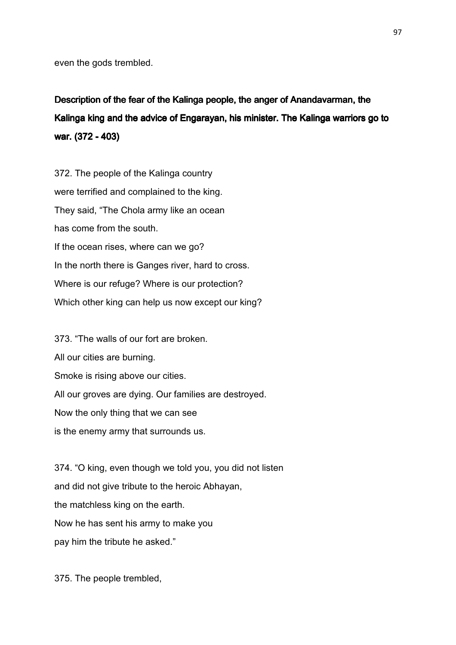even the gods trembled.

Description of the fear of the Kalinga people, the anger of Anandavarman, the Kalinga king and the advice of Engarayan, his minister. The Kalinga warriors go to war. (372 - 403)

372. The people of the Kalinga country were terrified and complained to the king. They said, "The Chola army like an ocean has come from the south. If the ocean rises, where can we go? In the north there is Ganges river, hard to cross. Where is our refuge? Where is our protection? Which other king can help us now except our king?

373. "The walls of our fort are broken. All our cities are burning. Smoke is rising above our cities. All our groves are dying. Our families are destroyed. Now the only thing that we can see is the enemy army that surrounds us.

374. "O king, even though we told you, you did not listen and did not give tribute to the heroic Abhayan, the matchless king on the earth. Now he has sent his army to make you pay him the tribute he asked."

375. The people trembled,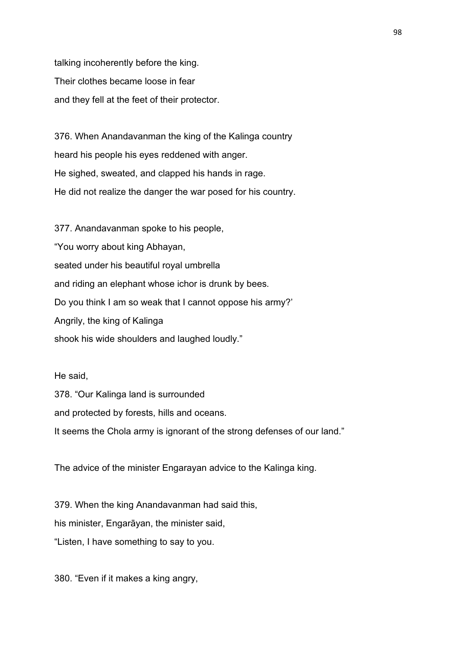talking incoherently before the king. Their clothes became loose in fear and they fell at the feet of their protector.

376. When Anandavanman the king of the Kalinga country heard his people his eyes reddened with anger. He sighed, sweated, and clapped his hands in rage. He did not realize the danger the war posed for his country.

377. Anandavanman spoke to his people, "You worry about king Abhayan, seated under his beautiful royal umbrella and riding an elephant whose ichor is drunk by bees. Do you think I am so weak that I cannot oppose his army?' Angrily, the king of Kalinga shook his wide shoulders and laughed loudly."

He said, 378. "Our Kalinga land is surrounded and protected by forests, hills and oceans. It seems the Chola army is ignorant of the strong defenses of our land."

The advice of the minister Engarayan advice to the Kalinga king.

379. When the king Anandavanman had said this, his minister, Engarāyan, the minister said, "Listen, I have something to say to you.

380. "Even if it makes a king angry,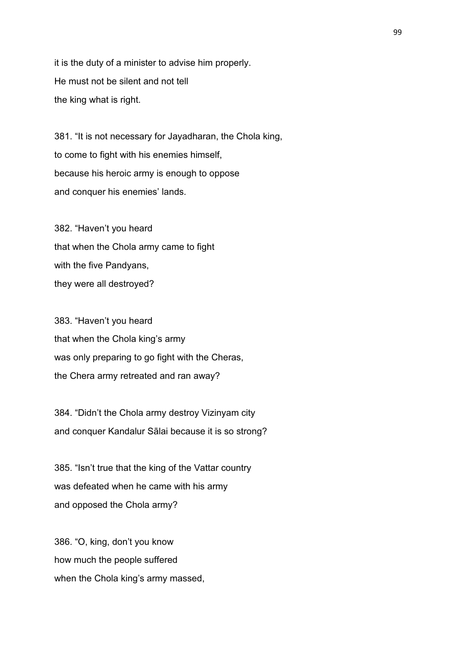it is the duty of a minister to advise him properly. He must not be silent and not tell the king what is right.

381. "It is not necessary for Jayadharan, the Chola king, to come to fight with his enemies himself, because his heroic army is enough to oppose and conquer his enemies' lands.

382. "Haven't you heard that when the Chola army came to fight with the five Pandyans, they were all destroyed?

383. "Haven't you heard that when the Chola king's army was only preparing to go fight with the Cheras, the Chera army retreated and ran away?

384. "Didn't the Chola army destroy Vizinyam city and conquer Kandalur Sālai because it is so strong?

385. "Isn't true that the king of the Vattar country was defeated when he came with his army and opposed the Chola army?

386. "O, king, don't you know how much the people suffered when the Chola king's army massed,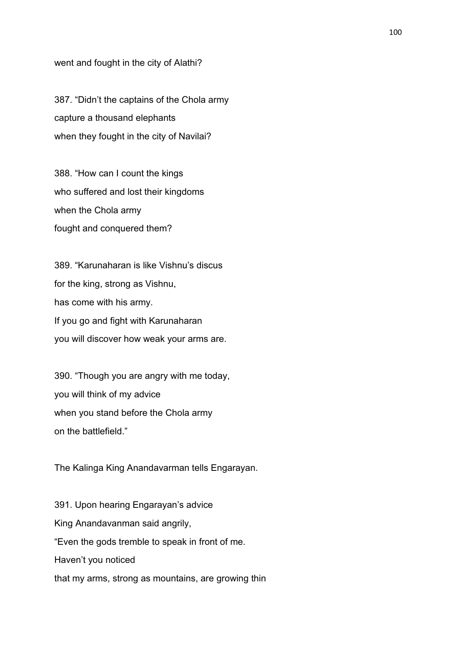went and fought in the city of Alathi?

387. "Didn't the captains of the Chola army capture a thousand elephants when they fought in the city of Navilai?

388. "How can I count the kings who suffered and lost their kingdoms when the Chola army fought and conquered them?

389. "Karunaharan is like Vishnu's discus for the king, strong as Vishnu, has come with his army. If you go and fight with Karunaharan you will discover how weak your arms are.

390. "Though you are angry with me today, you will think of my advice when you stand before the Chola army on the battlefield."

The Kalinga King Anandavarman tells Engarayan.

391. Upon hearing Engarayan's advice King Anandavanman said angrily, "Even the gods tremble to speak in front of me. Haven't you noticed that my arms, strong as mountains, are growing thin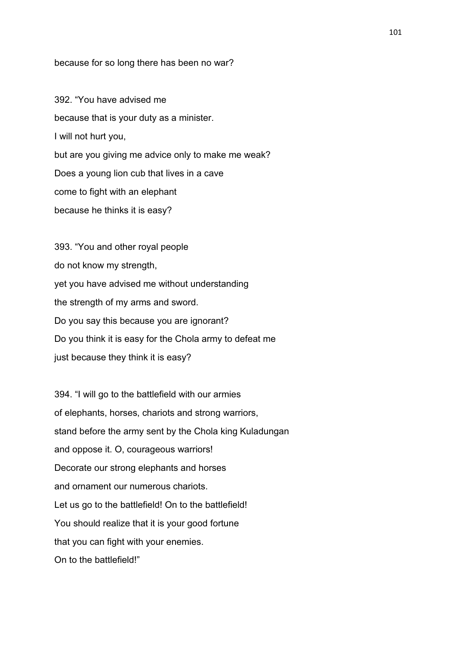## because for so long there has been no war?

392. "You have advised me because that is your duty as a minister. I will not hurt you, but are you giving me advice only to make me weak? Does a young lion cub that lives in a cave come to fight with an elephant because he thinks it is easy?

393. "You and other royal people do not know my strength, yet you have advised me without understanding the strength of my arms and sword. Do you say this because you are ignorant? Do you think it is easy for the Chola army to defeat me just because they think it is easy?

394. "I will go to the battlefield with our armies of elephants, horses, chariots and strong warriors, stand before the army sent by the Chola king Kuladungan and oppose it. O, courageous warriors! Decorate our strong elephants and horses and ornament our numerous chariots. Let us go to the battlefield! On to the battlefield! You should realize that it is your good fortune that you can fight with your enemies. On to the battlefield!"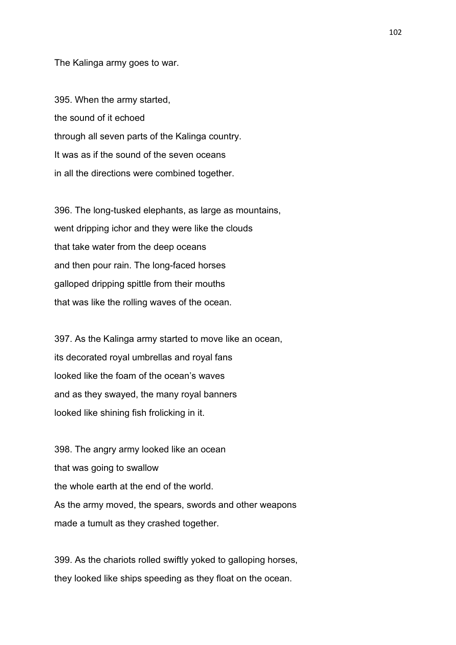The Kalinga army goes to war.

395. When the army started, the sound of it echoed through all seven parts of the Kalinga country. It was as if the sound of the seven oceans in all the directions were combined together.

396. The long-tusked elephants, as large as mountains, went dripping ichor and they were like the clouds that take water from the deep oceans and then pour rain. The long-faced horses galloped dripping spittle from their mouths that was like the rolling waves of the ocean.

397. As the Kalinga army started to move like an ocean, its decorated royal umbrellas and royal fans looked like the foam of the ocean's waves and as they swayed, the many royal banners looked like shining fish frolicking in it.

398. The angry army looked like an ocean that was going to swallow the whole earth at the end of the world. As the army moved, the spears, swords and other weapons made a tumult as they crashed together.

399. As the chariots rolled swiftly yoked to galloping horses, they looked like ships speeding as they float on the ocean.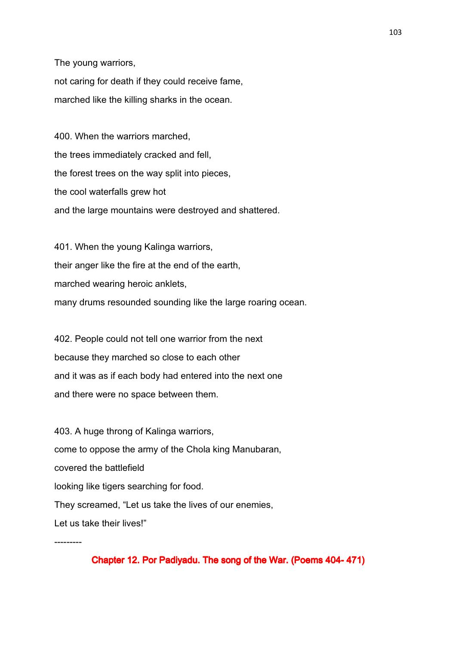The young warriors, not caring for death if they could receive fame, marched like the killing sharks in the ocean.

400. When the warriors marched, the trees immediately cracked and fell, the forest trees on the way split into pieces, the cool waterfalls grew hot and the large mountains were destroyed and shattered.

401. When the young Kalinga warriors, their anger like the fire at the end of the earth, marched wearing heroic anklets, many drums resounded sounding like the large roaring ocean.

402. People could not tell one warrior from the next because they marched so close to each other and it was as if each body had entered into the next one and there were no space between them.

403. A huge throng of Kalinga warriors, come to oppose the army of the Chola king Manubaran, covered the battlefield looking like tigers searching for food. They screamed, "Let us take the lives of our enemies, Let us take their lives!"

---------

Chapter 12. Por Padiyadu. The song of the War. (Poems 404-471)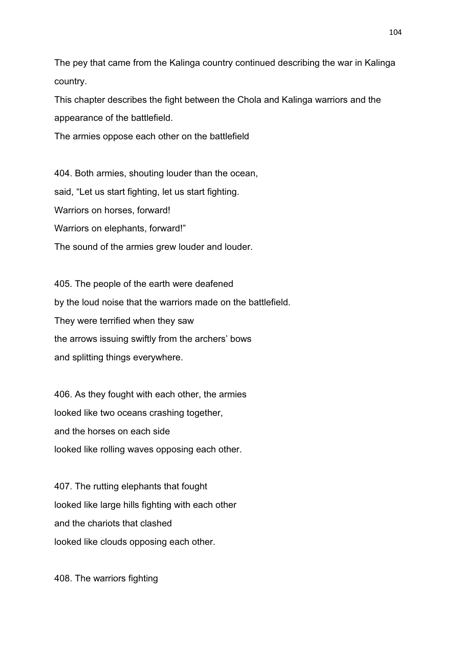The pey that came from the Kalinga country continued describing the war in Kalinga country.

This chapter describes the fight between the Chola and Kalinga warriors and the appearance of the battlefield.

The armies oppose each other on the battlefield

404. Both armies, shouting louder than the ocean, said, "Let us start fighting, let us start fighting. Warriors on horses, forward! Warriors on elephants, forward!" The sound of the armies grew louder and louder.

405. The people of the earth were deafened by the loud noise that the warriors made on the battlefield. They were terrified when they saw the arrows issuing swiftly from the archers' bows and splitting things everywhere.

406. As they fought with each other, the armies looked like two oceans crashing together, and the horses on each side looked like rolling waves opposing each other.

407. The rutting elephants that fought looked like large hills fighting with each other and the chariots that clashed looked like clouds opposing each other.

408. The warriors fighting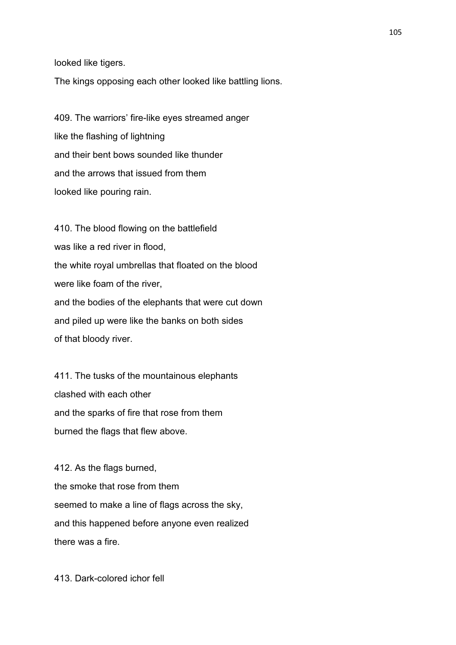looked like tigers.

The kings opposing each other looked like battling lions.

409. The warriors' fire-like eyes streamed anger like the flashing of lightning and their bent bows sounded like thunder and the arrows that issued from them looked like pouring rain.

410. The blood flowing on the battlefield was like a red river in flood, the white royal umbrellas that floated on the blood were like foam of the river, and the bodies of the elephants that were cut down and piled up were like the banks on both sides of that bloody river.

411. The tusks of the mountainous elephants clashed with each other and the sparks of fire that rose from them burned the flags that flew above.

412. As the flags burned, the smoke that rose from them seemed to make a line of flags across the sky, and this happened before anyone even realized there was a fire.

413. Dark-colored ichor fell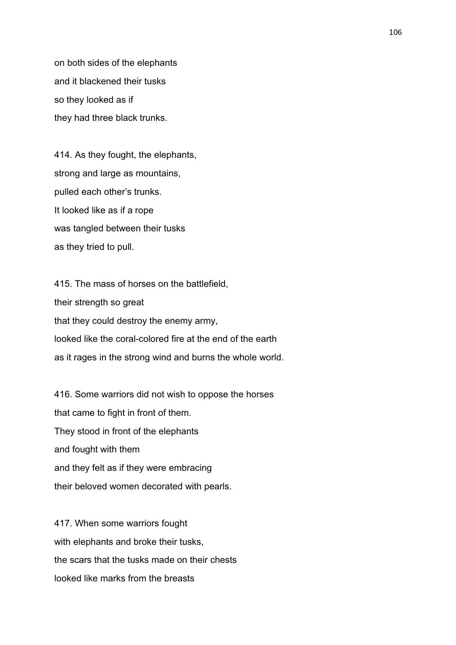on both sides of the elephants and it blackened their tusks so they looked as if they had three black trunks.

414. As they fought, the elephants, strong and large as mountains, pulled each other's trunks. It looked like as if a rope was tangled between their tusks as they tried to pull.

415. The mass of horses on the battlefield, their strength so great that they could destroy the enemy army, looked like the coral-colored fire at the end of the earth as it rages in the strong wind and burns the whole world.

416. Some warriors did not wish to oppose the horses that came to fight in front of them. They stood in front of the elephants and fought with them and they felt as if they were embracing their beloved women decorated with pearls.

417. When some warriors fought with elephants and broke their tusks, the scars that the tusks made on their chests looked like marks from the breasts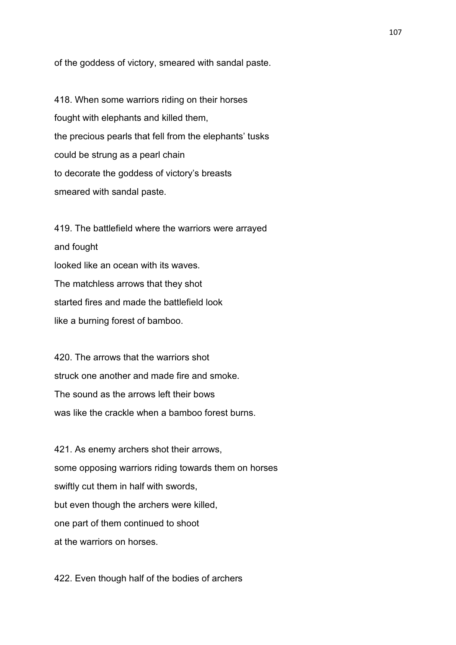of the goddess of victory, smeared with sandal paste.

418. When some warriors riding on their horses fought with elephants and killed them, the precious pearls that fell from the elephants' tusks could be strung as a pearl chain to decorate the goddess of victory's breasts smeared with sandal paste.

419. The battlefield where the warriors were arrayed and fought looked like an ocean with its waves. The matchless arrows that they shot started fires and made the battlefield look like a burning forest of bamboo.

420. The arrows that the warriors shot struck one another and made fire and smoke. The sound as the arrows left their bows was like the crackle when a bamboo forest burns.

421. As enemy archers shot their arrows, some opposing warriors riding towards them on horses swiftly cut them in half with swords, but even though the archers were killed, one part of them continued to shoot at the warriors on horses.

422. Even though half of the bodies of archers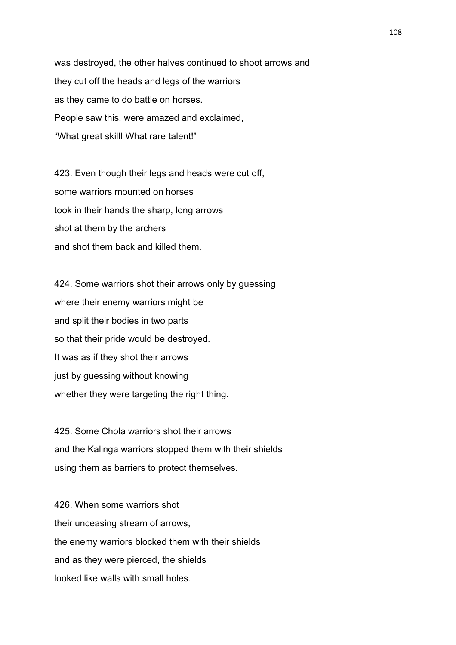was destroyed, the other halves continued to shoot arrows and they cut off the heads and legs of the warriors as they came to do battle on horses. People saw this, were amazed and exclaimed, "What great skill! What rare talent!"

423. Even though their legs and heads were cut off, some warriors mounted on horses took in their hands the sharp, long arrows shot at them by the archers and shot them back and killed them.

424. Some warriors shot their arrows only by guessing where their enemy warriors might be and split their bodies in two parts so that their pride would be destroyed. It was as if they shot their arrows just by guessing without knowing whether they were targeting the right thing.

425. Some Chola warriors shot their arrows and the Kalinga warriors stopped them with their shields using them as barriers to protect themselves.

426. When some warriors shot their unceasing stream of arrows, the enemy warriors blocked them with their shields and as they were pierced, the shields looked like walls with small holes.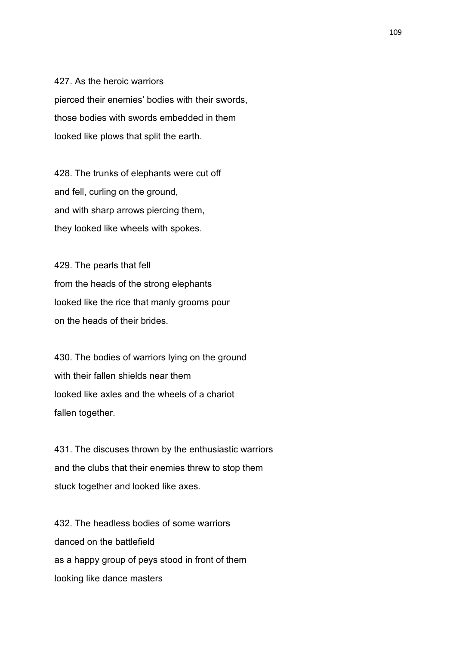427. As the heroic warriors pierced their enemies' bodies with their swords, those bodies with swords embedded in them looked like plows that split the earth.

428. The trunks of elephants were cut off and fell, curling on the ground, and with sharp arrows piercing them, they looked like wheels with spokes.

429. The pearls that fell from the heads of the strong elephants looked like the rice that manly grooms pour on the heads of their brides.

430. The bodies of warriors lying on the ground with their fallen shields near them looked like axles and the wheels of a chariot fallen together.

431. The discuses thrown by the enthusiastic warriors and the clubs that their enemies threw to stop them stuck together and looked like axes.

432. The headless bodies of some warriors danced on the battlefield as a happy group of peys stood in front of them looking like dance masters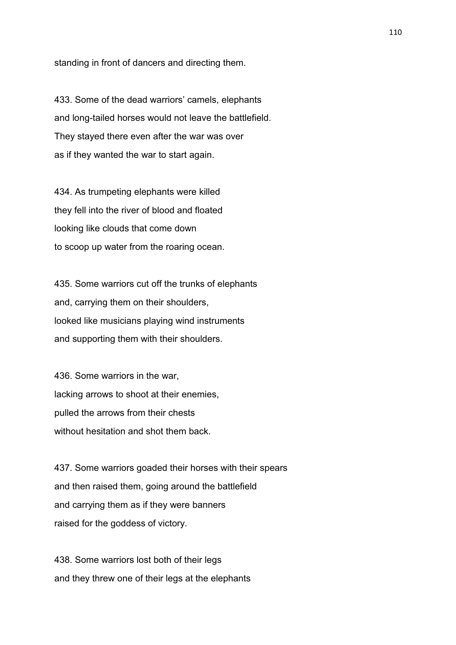standing in front of dancers and directing them.

433. Some of the dead warriors' camels, elephants and long-tailed horses would not leave the battlefield. They stayed there even after the war was over as if they wanted the war to start again.

434. As trumpeting elephants were killed they fell into the river of blood and floated looking like clouds that come down to scoop up water from the roaring ocean.

435. Some warriors cut off the trunks of elephants and, carrying them on their shoulders, looked like musicians playing wind instruments and supporting them with their shoulders.

436. Some warriors in the war, lacking arrows to shoot at their enemies, pulled the arrows from their chests without hesitation and shot them back.

437. Some warriors goaded their horses with their spears and then raised them, going around the battlefield and carrying them as if they were banners raised for the goddess of victory.

438. Some warriors lost both of their legs and they threw one of their legs at the elephants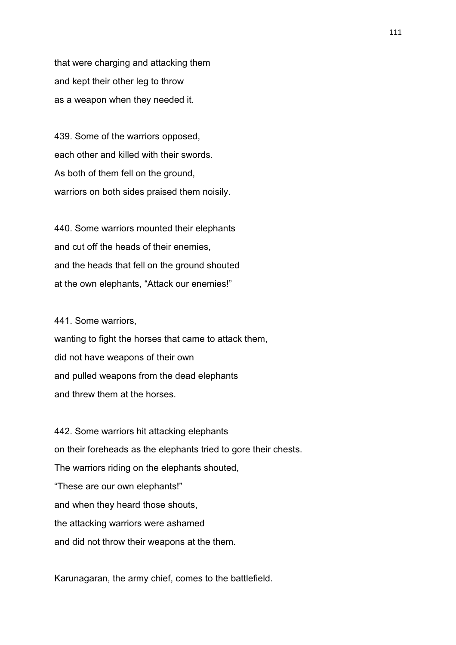that were charging and attacking them and kept their other leg to throw as a weapon when they needed it.

439. Some of the warriors opposed, each other and killed with their swords. As both of them fell on the ground, warriors on both sides praised them noisily.

440. Some warriors mounted their elephants and cut off the heads of their enemies, and the heads that fell on the ground shouted at the own elephants, "Attack our enemies!"

441. Some warriors,

wanting to fight the horses that came to attack them, did not have weapons of their own and pulled weapons from the dead elephants and threw them at the horses.

442. Some warriors hit attacking elephants on their foreheads as the elephants tried to gore their chests. The warriors riding on the elephants shouted, "These are our own elephants!" and when they heard those shouts, the attacking warriors were ashamed and did not throw their weapons at the them.

Karunagaran, the army chief, comes to the battlefield.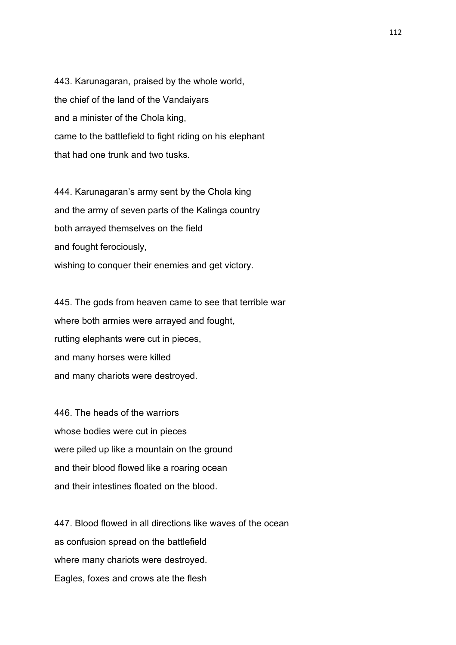443. Karunagaran, praised by the whole world, the chief of the land of the Vandaiyars and a minister of the Chola king, came to the battlefield to fight riding on his elephant that had one trunk and two tusks.

444. Karunagaran's army sent by the Chola king and the army of seven parts of the Kalinga country both arrayed themselves on the field and fought ferociously, wishing to conquer their enemies and get victory.

445. The gods from heaven came to see that terrible war where both armies were arrayed and fought, rutting elephants were cut in pieces, and many horses were killed and many chariots were destroyed.

446. The heads of the warriors whose bodies were cut in pieces were piled up like a mountain on the ground and their blood flowed like a roaring ocean and their intestines floated on the blood.

447. Blood flowed in all directions like waves of the ocean as confusion spread on the battlefield where many chariots were destroyed. Eagles, foxes and crows ate the flesh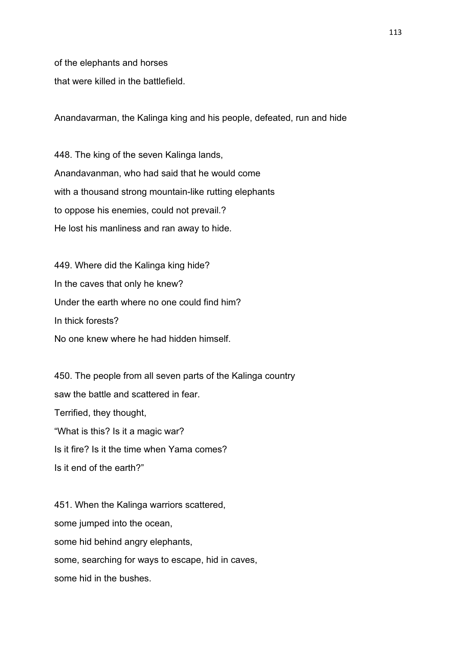of the elephants and horses

that were killed in the battlefield.

Anandavarman, the Kalinga king and his people, defeated, run and hide

448. The king of the seven Kalinga lands, Anandavanman, who had said that he would come with a thousand strong mountain-like rutting elephants to oppose his enemies, could not prevail.? He lost his manliness and ran away to hide.

449. Where did the Kalinga king hide? In the caves that only he knew? Under the earth where no one could find him? In thick forests? No one knew where he had hidden himself.

450. The people from all seven parts of the Kalinga country saw the battle and scattered in fear. Terrified, they thought, "What is this? Is it a magic war? Is it fire? Is it the time when Yama comes? Is it end of the earth?"

451. When the Kalinga warriors scattered, some jumped into the ocean, some hid behind angry elephants, some, searching for ways to escape, hid in caves, some hid in the bushes.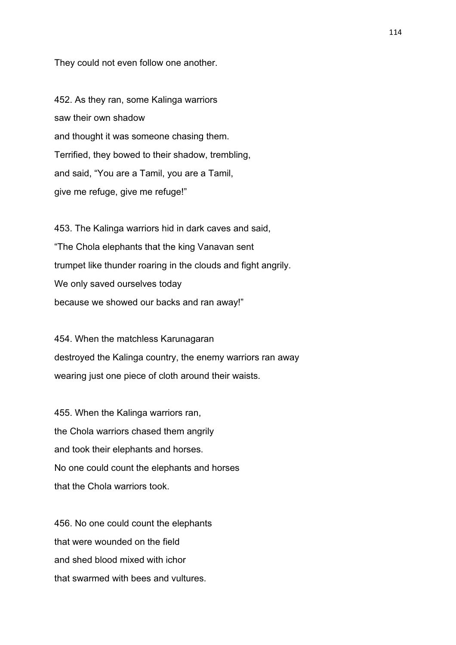They could not even follow one another.

452. As they ran, some Kalinga warriors saw their own shadow and thought it was someone chasing them. Terrified, they bowed to their shadow, trembling, and said, "You are a Tamil, you are a Tamil, give me refuge, give me refuge!"

453. The Kalinga warriors hid in dark caves and said, "The Chola elephants that the king Vanavan sent trumpet like thunder roaring in the clouds and fight angrily. We only saved ourselves today because we showed our backs and ran away!"

454. When the matchless Karunagaran destroyed the Kalinga country, the enemy warriors ran away wearing just one piece of cloth around their waists.

455. When the Kalinga warriors ran, the Chola warriors chased them angrily and took their elephants and horses. No one could count the elephants and horses that the Chola warriors took.

456. No one could count the elephants that were wounded on the field and shed blood mixed with ichor that swarmed with bees and vultures.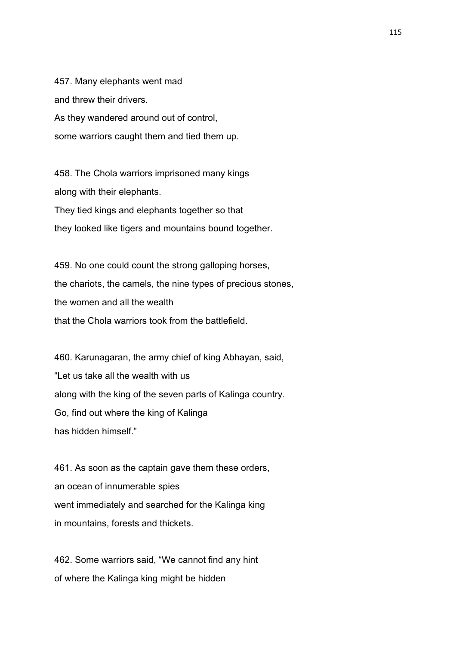457. Many elephants went mad and threw their drivers. As they wandered around out of control, some warriors caught them and tied them up.

458. The Chola warriors imprisoned many kings along with their elephants. They tied kings and elephants together so that they looked like tigers and mountains bound together.

459. No one could count the strong galloping horses, the chariots, the camels, the nine types of precious stones, the women and all the wealth that the Chola warriors took from the battlefield.

460. Karunagaran, the army chief of king Abhayan, said, "Let us take all the wealth with us along with the king of the seven parts of Kalinga country. Go, find out where the king of Kalinga has hidden himself."

461. As soon as the captain gave them these orders, an ocean of innumerable spies went immediately and searched for the Kalinga king in mountains, forests and thickets.

462. Some warriors said, "We cannot find any hint of where the Kalinga king might be hidden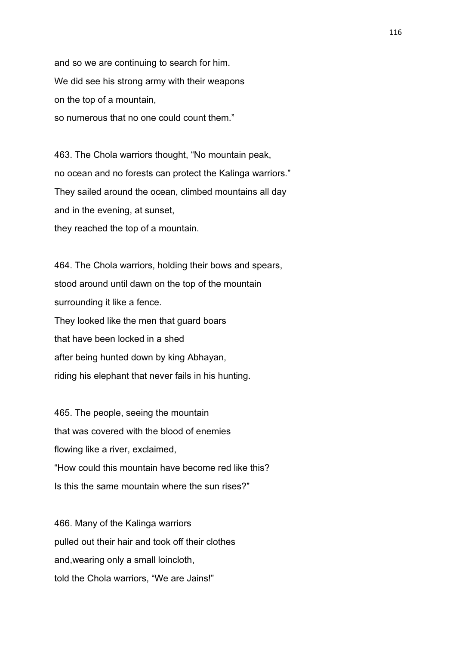and so we are continuing to search for him. We did see his strong army with their weapons on the top of a mountain, so numerous that no one could count them."

463. The Chola warriors thought, "No mountain peak, no ocean and no forests can protect the Kalinga warriors." They sailed around the ocean, climbed mountains all day and in the evening, at sunset, they reached the top of a mountain.

464. The Chola warriors, holding their bows and spears, stood around until dawn on the top of the mountain surrounding it like a fence. They looked like the men that guard boars that have been locked in a shed after being hunted down by king Abhayan, riding his elephant that never fails in his hunting.

465. The people, seeing the mountain that was covered with the blood of enemies flowing like a river, exclaimed, "How could this mountain have become red like this? Is this the same mountain where the sun rises?"

466. Many of the Kalinga warriors pulled out their hair and took off their clothes and,wearing only a small loincloth, told the Chola warriors, "We are Jains!"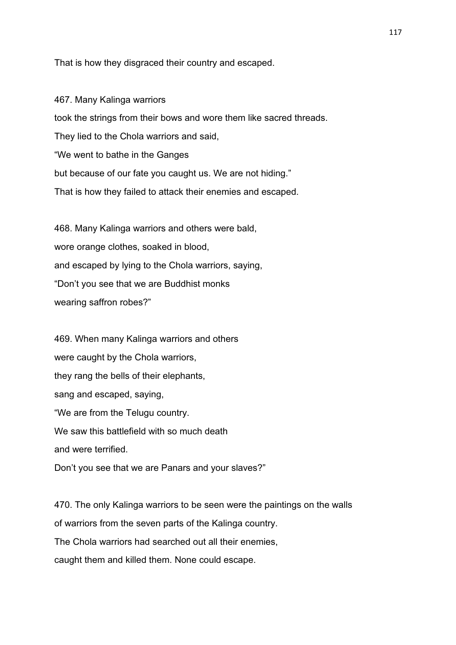That is how they disgraced their country and escaped.

467. Many Kalinga warriors took the strings from their bows and wore them like sacred threads. They lied to the Chola warriors and said, "We went to bathe in the Ganges but because of our fate you caught us. We are not hiding." That is how they failed to attack their enemies and escaped.

468. Many Kalinga warriors and others were bald, wore orange clothes, soaked in blood, and escaped by lying to the Chola warriors, saying, "Don't you see that we are Buddhist monks wearing saffron robes?"

469. When many Kalinga warriors and others were caught by the Chola warriors, they rang the bells of their elephants, sang and escaped, saying, "We are from the Telugu country. We saw this battlefield with so much death and were terrified. Don't you see that we are Panars and your slaves?"

470. The only Kalinga warriors to be seen were the paintings on the walls of warriors from the seven parts of the Kalinga country. The Chola warriors had searched out all their enemies, caught them and killed them. None could escape.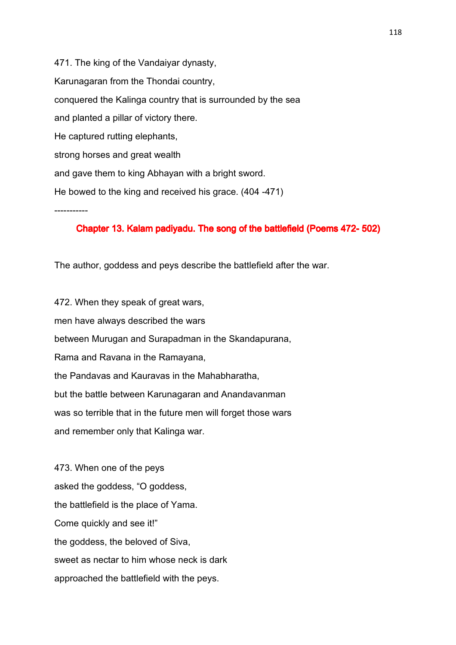471. The king of the Vandaiyar dynasty, Karunagaran from the Thondai country, conquered the Kalinga country that is surrounded by the sea and planted a pillar of victory there. He captured rutting elephants, strong horses and great wealth and gave them to king Abhayan with a bright sword. He bowed to the king and received his grace. (404 -471)

## Chapter 13. Kalam padiyadu. The song of the battlefield (Poems 472- 502)

The author, goddess and peys describe the battlefield after the war.

-----------

472. When they speak of great wars, men have always described the wars between Murugan and Surapadman in the Skandapurana, Rama and Ravana in the Ramayana, the Pandavas and Kauravas in the Mahabharatha, but the battle between Karunagaran and Anandavanman was so terrible that in the future men will forget those wars and remember only that Kalinga war.

473. When one of the peys asked the goddess, "O goddess, the battlefield is the place of Yama. Come quickly and see it!" the goddess, the beloved of Siva, sweet as nectar to him whose neck is dark approached the battlefield with the peys.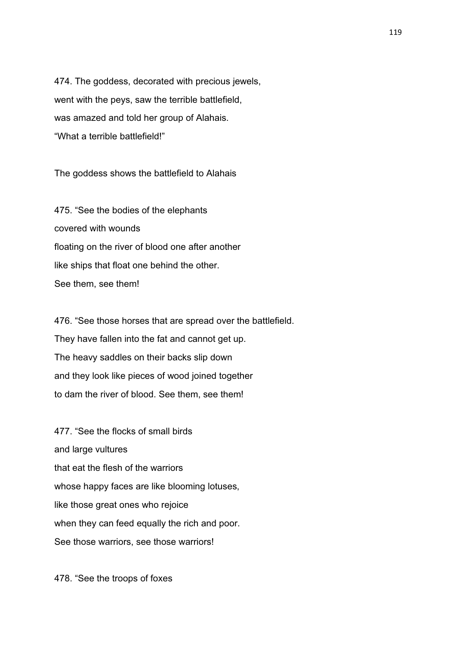474. The goddess, decorated with precious jewels, went with the peys, saw the terrible battlefield, was amazed and told her group of Alahais. "What a terrible battlefield!"

The goddess shows the battlefield to Alahais

475. "See the bodies of the elephants covered with wounds floating on the river of blood one after another like ships that float one behind the other. See them, see them!

476. "See those horses that are spread over the battlefield. They have fallen into the fat and cannot get up. The heavy saddles on their backs slip down and they look like pieces of wood joined together to dam the river of blood. See them, see them!

477. "See the flocks of small birds and large vultures that eat the flesh of the warriors whose happy faces are like blooming lotuses, like those great ones who rejoice when they can feed equally the rich and poor. See those warriors, see those warriors!

478. "See the troops of foxes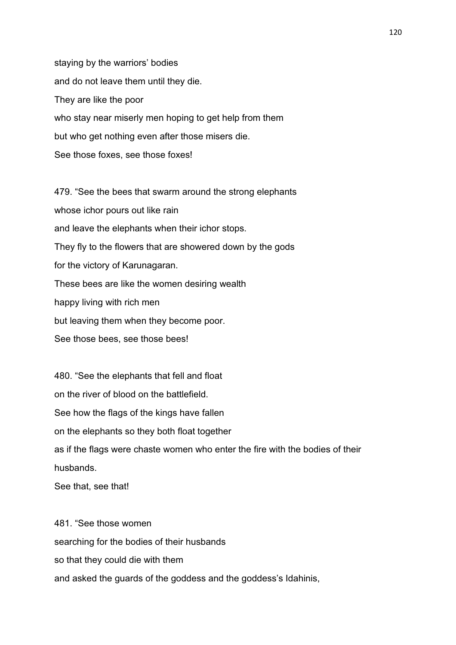staying by the warriors' bodies and do not leave them until they die. They are like the poor who stay near miserly men hoping to get help from them but who get nothing even after those misers die. See those foxes, see those foxes!

479. "See the bees that swarm around the strong elephants whose ichor pours out like rain and leave the elephants when their ichor stops. They fly to the flowers that are showered down by the gods for the victory of Karunagaran. These bees are like the women desiring wealth happy living with rich men but leaving them when they become poor. See those bees, see those bees!

480. "See the elephants that fell and float on the river of blood on the battlefield. See how the flags of the kings have fallen on the elephants so they both float together as if the flags were chaste women who enter the fire with the bodies of their husbands.

See that, see that!

481. "See those women searching for the bodies of their husbands so that they could die with them and asked the guards of the goddess and the goddess's Idahinis,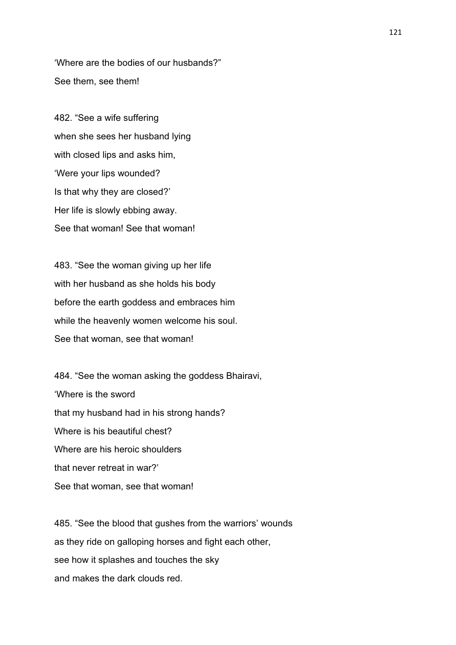'Where are the bodies of our husbands?" See them, see them!

482. "See a wife suffering when she sees her husband lying with closed lips and asks him, 'Were your lips wounded? Is that why they are closed?' Her life is slowly ebbing away. See that woman! See that woman!

483. "See the woman giving up her life with her husband as she holds his body before the earth goddess and embraces him while the heavenly women welcome his soul. See that woman, see that woman!

484. "See the woman asking the goddess Bhairavi, 'Where is the sword that my husband had in his strong hands? Where is his beautiful chest? Where are his heroic shoulders that never retreat in war?' See that woman, see that woman!

485. "See the blood that gushes from the warriors' wounds as they ride on galloping horses and fight each other, see how it splashes and touches the sky and makes the dark clouds red.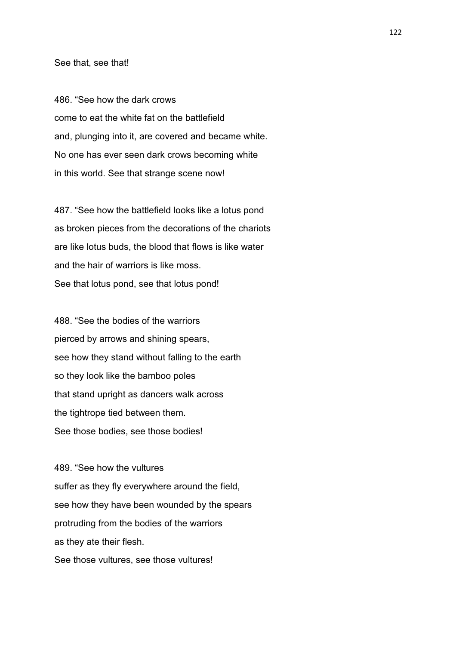## See that, see that!

486. "See how the dark crows come to eat the white fat on the battlefield and, plunging into it, are covered and became white. No one has ever seen dark crows becoming white in this world. See that strange scene now!

487. "See how the battlefield looks like a lotus pond as broken pieces from the decorations of the chariots are like lotus buds, the blood that flows is like water and the hair of warriors is like moss. See that lotus pond, see that lotus pond!

488. "See the bodies of the warriors pierced by arrows and shining spears, see how they stand without falling to the earth so they look like the bamboo poles that stand upright as dancers walk across the tightrope tied between them. See those bodies, see those bodies!

489. "See how the vultures suffer as they fly everywhere around the field, see how they have been wounded by the spears protruding from the bodies of the warriors as they ate their flesh. See those vultures, see those vultures!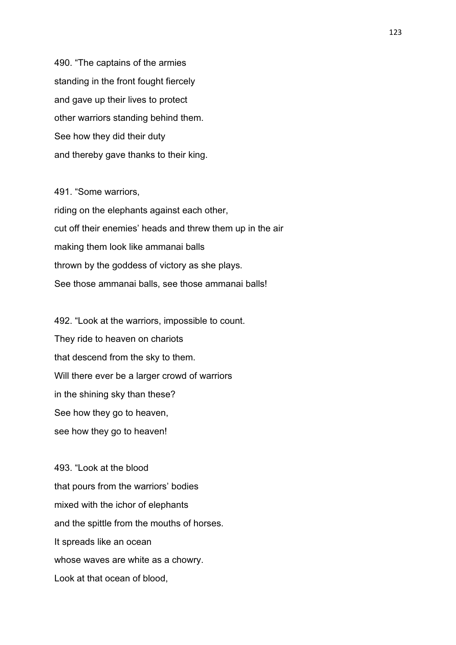490. "The captains of the armies standing in the front fought fiercely and gave up their lives to protect other warriors standing behind them. See how they did their duty and thereby gave thanks to their king.

491. "Some warriors, riding on the elephants against each other, cut off their enemies' heads and threw them up in the air making them look like ammanai balls thrown by the goddess of victory as she plays. See those ammanai balls, see those ammanai balls!

492. "Look at the warriors, impossible to count. They ride to heaven on chariots that descend from the sky to them. Will there ever be a larger crowd of warriors in the shining sky than these? See how they go to heaven, see how they go to heaven!

493. "Look at the blood that pours from the warriors' bodies mixed with the ichor of elephants and the spittle from the mouths of horses. It spreads like an ocean whose waves are white as a chowry. Look at that ocean of blood,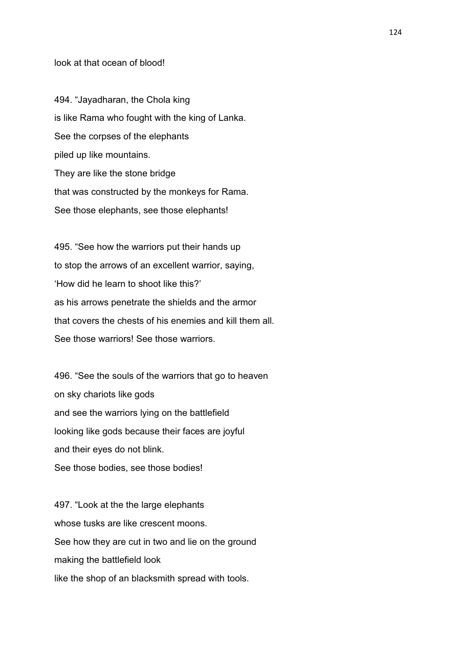look at that ocean of blood!

494. "Jayadharan, the Chola king is like Rama who fought with the king of Lanka. See the corpses of the elephants piled up like mountains. They are like the stone bridge that was constructed by the monkeys for Rama. See those elephants, see those elephants!

495. "See how the warriors put their hands up to stop the arrows of an excellent warrior, saying, 'How did he learn to shoot like this?' as his arrows penetrate the shields and the armor that covers the chests of his enemies and kill them all. See those warriors! See those warriors.

496. "See the souls of the warriors that go to heaven on sky chariots like gods and see the warriors lying on the battlefield looking like gods because their faces are joyful and their eyes do not blink. See those bodies, see those bodies!

497. "Look at the the large elephants whose tusks are like crescent moons. See how they are cut in two and lie on the ground making the battlefield look like the shop of an blacksmith spread with tools.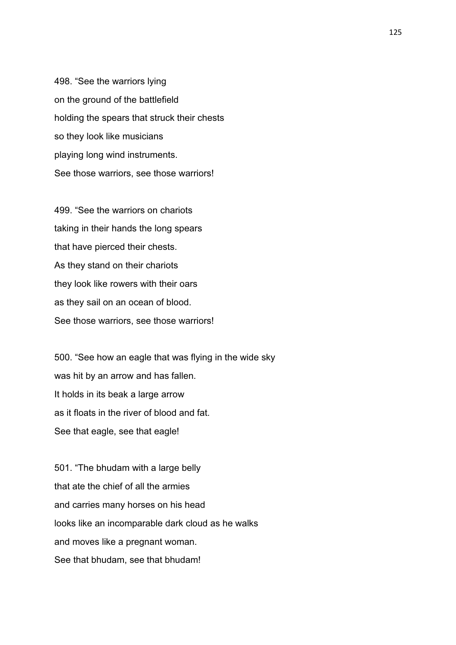498. "See the warriors lying on the ground of the battlefield holding the spears that struck their chests so they look like musicians playing long wind instruments. See those warriors, see those warriors!

499. "See the warriors on chariots taking in their hands the long spears that have pierced their chests. As they stand on their chariots they look like rowers with their oars as they sail on an ocean of blood. See those warriors, see those warriors!

500. "See how an eagle that was flying in the wide sky was hit by an arrow and has fallen. It holds in its beak a large arrow as it floats in the river of blood and fat. See that eagle, see that eagle!

501. "The bhudam with a large belly that ate the chief of all the armies and carries many horses on his head looks like an incomparable dark cloud as he walks and moves like a pregnant woman. See that bhudam, see that bhudam!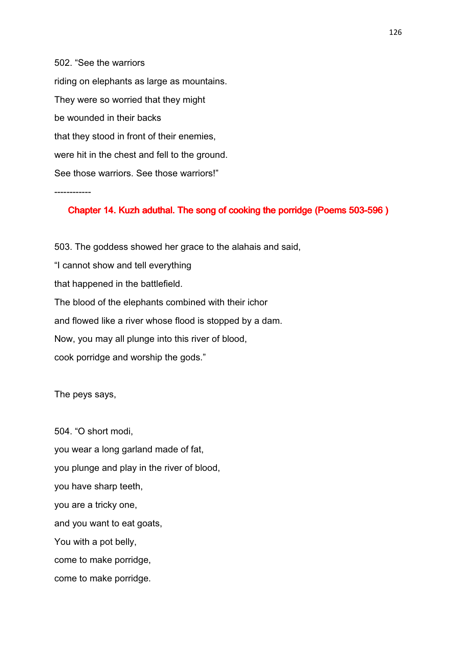502. "See the warriors riding on elephants as large as mountains. They were so worried that they might be wounded in their backs that they stood in front of their enemies, were hit in the chest and fell to the ground. See those warriors. See those warriors!"

------------

## Chapter 14. Kuzh aduthal. The song of cooking the porridge (Poems 503-596)

503. The goddess showed her grace to the alahais and said, "I cannot show and tell everything that happened in the battlefield. The blood of the elephants combined with their ichor and flowed like a river whose flood is stopped by a dam. Now, you may all plunge into this river of blood, cook porridge and worship the gods."

The peys says,

504. "O short modi, you wear a long garland made of fat, you plunge and play in the river of blood, you have sharp teeth, you are a tricky one, and you want to eat goats, You with a pot belly, come to make porridge, come to make porridge.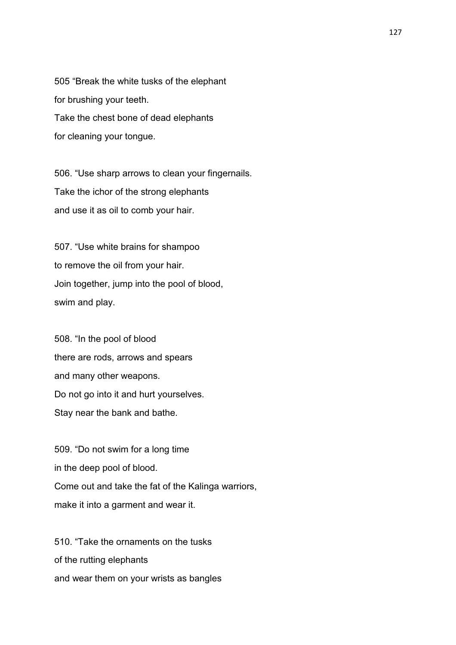505 "Break the white tusks of the elephant for brushing your teeth. Take the chest bone of dead elephants for cleaning your tongue.

506. "Use sharp arrows to clean your fingernails. Take the ichor of the strong elephants and use it as oil to comb your hair.

507. "Use white brains for shampoo to remove the oil from your hair. Join together, jump into the pool of blood, swim and play.

508. "In the pool of blood there are rods, arrows and spears and many other weapons. Do not go into it and hurt yourselves. Stay near the bank and bathe.

509. "Do not swim for a long time in the deep pool of blood. Come out and take the fat of the Kalinga warriors, make it into a garment and wear it.

510. "Take the ornaments on the tusks of the rutting elephants and wear them on your wrists as bangles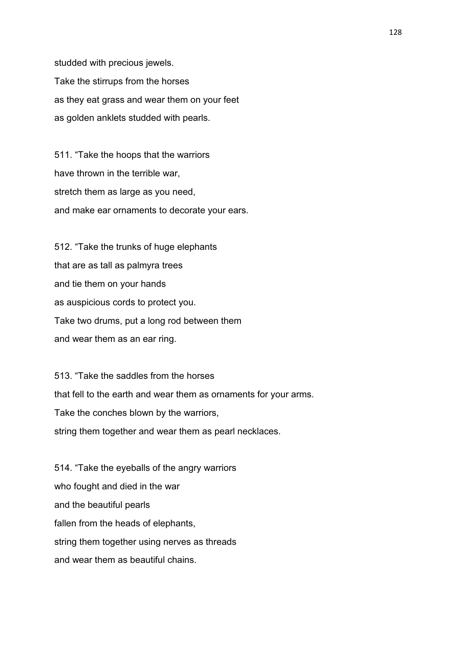studded with precious jewels. Take the stirrups from the horses as they eat grass and wear them on your feet as golden anklets studded with pearls.

511. "Take the hoops that the warriors have thrown in the terrible war, stretch them as large as you need, and make ear ornaments to decorate your ears.

512. "Take the trunks of huge elephants that are as tall as palmyra trees and tie them on your hands as auspicious cords to protect you. Take two drums, put a long rod between them and wear them as an ear ring.

513. "Take the saddles from the horses that fell to the earth and wear them as ornaments for your arms. Take the conches blown by the warriors, string them together and wear them as pearl necklaces.

514. "Take the eyeballs of the angry warriors who fought and died in the war and the beautiful pearls fallen from the heads of elephants, string them together using nerves as threads and wear them as beautiful chains.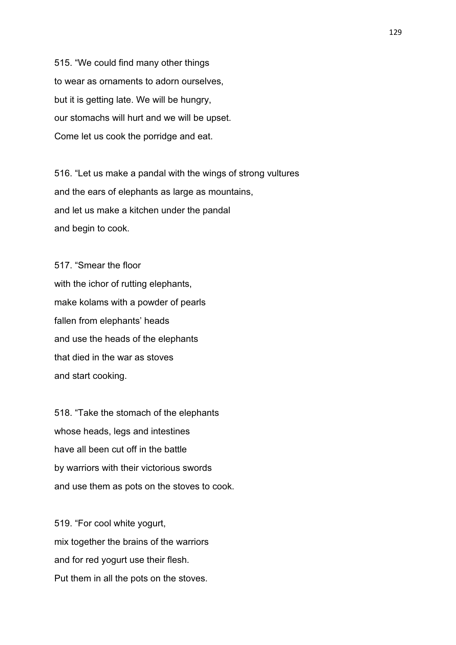515. "We could find many other things to wear as ornaments to adorn ourselves, but it is getting late. We will be hungry, our stomachs will hurt and we will be upset. Come let us cook the porridge and eat.

516. "Let us make a pandal with the wings of strong vultures and the ears of elephants as large as mountains, and let us make a kitchen under the pandal and begin to cook.

517. "Smear the floor with the ichor of rutting elephants, make kolams with a powder of pearls fallen from elephants' heads and use the heads of the elephants that died in the war as stoves and start cooking.

518. "Take the stomach of the elephants whose heads, legs and intestines have all been cut off in the battle by warriors with their victorious swords and use them as pots on the stoves to cook.

519. "For cool white yogurt, mix together the brains of the warriors and for red yogurt use their flesh. Put them in all the pots on the stoves.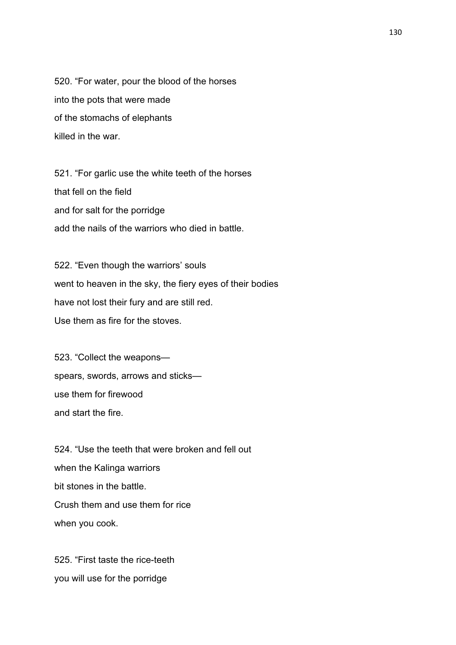520. "For water, pour the blood of the horses into the pots that were made of the stomachs of elephants killed in the war.

521. "For garlic use the white teeth of the horses that fell on the field and for salt for the porridge add the nails of the warriors who died in battle.

522. "Even though the warriors' souls went to heaven in the sky, the fiery eyes of their bodies have not lost their fury and are still red. Use them as fire for the stoves.

523. "Collect the weapons spears, swords, arrows and sticks use them for firewood and start the fire.

524. "Use the teeth that were broken and fell out when the Kalinga warriors bit stones in the battle. Crush them and use them for rice when you cook.

525. "First taste the rice-teeth you will use for the porridge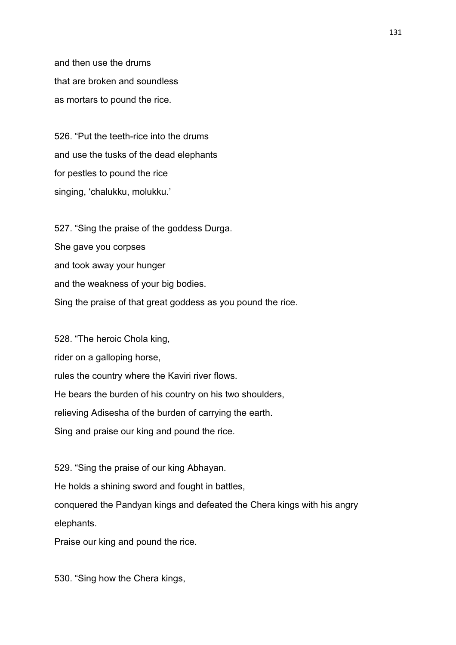and then use the drums that are broken and soundless as mortars to pound the rice.

526. "Put the teeth-rice into the drums and use the tusks of the dead elephants for pestles to pound the rice singing, 'chalukku, molukku.'

527. "Sing the praise of the goddess Durga. She gave you corpses and took away your hunger and the weakness of your big bodies. Sing the praise of that great goddess as you pound the rice.

528. "The heroic Chola king, rider on a galloping horse, rules the country where the Kaviri river flows. He bears the burden of his country on his two shoulders, relieving Adisesha of the burden of carrying the earth. Sing and praise our king and pound the rice.

529. "Sing the praise of our king Abhayan. He holds a shining sword and fought in battles, conquered the Pandyan kings and defeated the Chera kings with his angry elephants.

Praise our king and pound the rice.

530. "Sing how the Chera kings,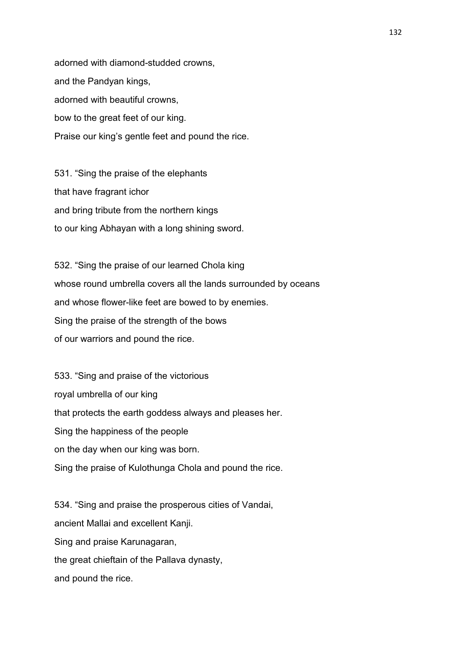adorned with diamond-studded crowns, and the Pandyan kings, adorned with beautiful crowns, bow to the great feet of our king. Praise our king's gentle feet and pound the rice.

531. "Sing the praise of the elephants that have fragrant ichor and bring tribute from the northern kings to our king Abhayan with a long shining sword.

532. "Sing the praise of our learned Chola king whose round umbrella covers all the lands surrounded by oceans and whose flower-like feet are bowed to by enemies. Sing the praise of the strength of the bows of our warriors and pound the rice.

533. "Sing and praise of the victorious royal umbrella of our king that protects the earth goddess always and pleases her. Sing the happiness of the people on the day when our king was born. Sing the praise of Kulothunga Chola and pound the rice.

534. "Sing and praise the prosperous cities of Vandai, ancient Mallai and excellent Kanji. Sing and praise Karunagaran, the great chieftain of the Pallava dynasty, and pound the rice.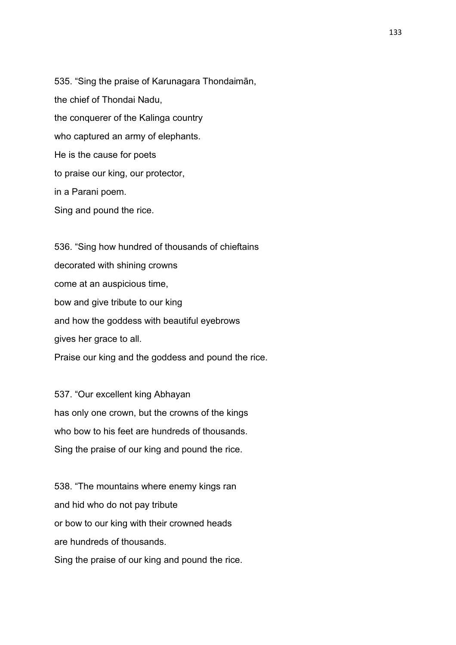535. "Sing the praise of Karunagara Thondaimān, the chief of Thondai Nadu, the conquerer of the Kalinga country who captured an army of elephants. He is the cause for poets to praise our king, our protector, in a Parani poem. Sing and pound the rice.

536. "Sing how hundred of thousands of chieftains decorated with shining crowns come at an auspicious time, bow and give tribute to our king and how the goddess with beautiful eyebrows gives her grace to all. Praise our king and the goddess and pound the rice.

537. "Our excellent king Abhayan has only one crown, but the crowns of the kings who bow to his feet are hundreds of thousands. Sing the praise of our king and pound the rice.

538. "The mountains where enemy kings ran and hid who do not pay tribute or bow to our king with their crowned heads are hundreds of thousands. Sing the praise of our king and pound the rice.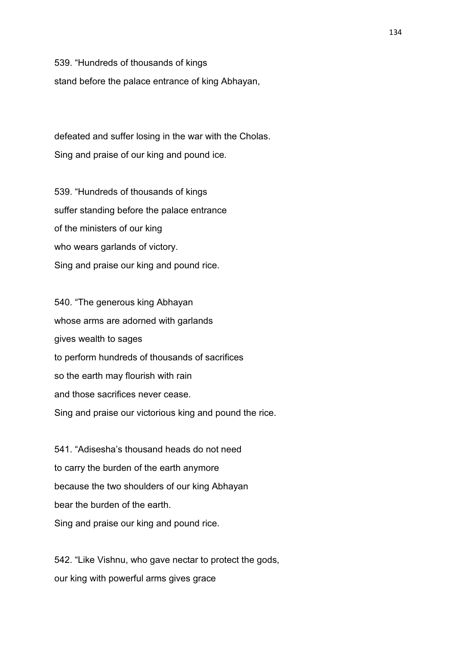539. "Hundreds of thousands of kings

stand before the palace entrance of king Abhayan,

defeated and suffer losing in the war with the Cholas. Sing and praise of our king and pound ice.

539. "Hundreds of thousands of kings suffer standing before the palace entrance of the ministers of our king who wears garlands of victory. Sing and praise our king and pound rice.

540. "The generous king Abhayan whose arms are adorned with garlands gives wealth to sages to perform hundreds of thousands of sacrifices so the earth may flourish with rain and those sacrifices never cease. Sing and praise our victorious king and pound the rice.

541. "Adisesha's thousand heads do not need to carry the burden of the earth anymore because the two shoulders of our king Abhayan bear the burden of the earth. Sing and praise our king and pound rice.

542. "Like Vishnu, who gave nectar to protect the gods, our king with powerful arms gives grace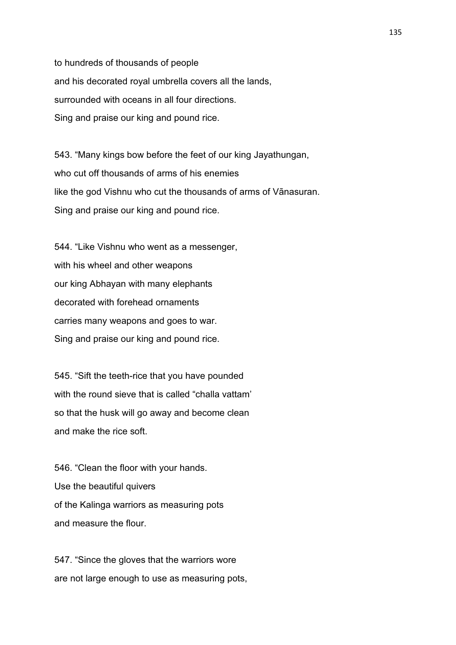to hundreds of thousands of people and his decorated royal umbrella covers all the lands, surrounded with oceans in all four directions. Sing and praise our king and pound rice.

543. "Many kings bow before the feet of our king Jayathungan, who cut off thousands of arms of his enemies like the god Vishnu who cut the thousands of arms of Vānasuran. Sing and praise our king and pound rice.

544. "Like Vishnu who went as a messenger, with his wheel and other weapons our king Abhayan with many elephants decorated with forehead ornaments carries many weapons and goes to war. Sing and praise our king and pound rice.

545. "Sift the teeth-rice that you have pounded with the round sieve that is called "challa vattam" so that the husk will go away and become clean and make the rice soft.

546. "Clean the floor with your hands. Use the beautiful quivers of the Kalinga warriors as measuring pots and measure the flour.

547. "Since the gloves that the warriors wore are not large enough to use as measuring pots,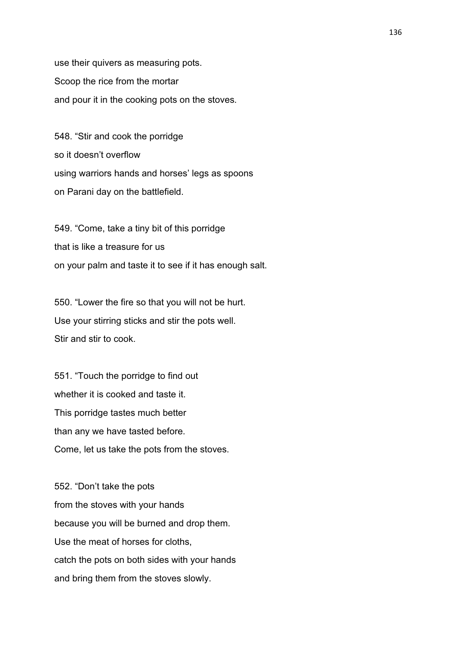use their quivers as measuring pots. Scoop the rice from the mortar and pour it in the cooking pots on the stoves.

548. "Stir and cook the porridge so it doesn't overflow using warriors hands and horses' legs as spoons on Parani day on the battlefield.

549. "Come, take a tiny bit of this porridge that is like a treasure for us on your palm and taste it to see if it has enough salt.

550. "Lower the fire so that you will not be hurt. Use your stirring sticks and stir the pots well. Stir and stir to cook.

551. "Touch the porridge to find out whether it is cooked and taste it. This porridge tastes much better than any we have tasted before. Come, let us take the pots from the stoves.

552. "Don't take the pots from the stoves with your hands because you will be burned and drop them. Use the meat of horses for cloths, catch the pots on both sides with your hands and bring them from the stoves slowly.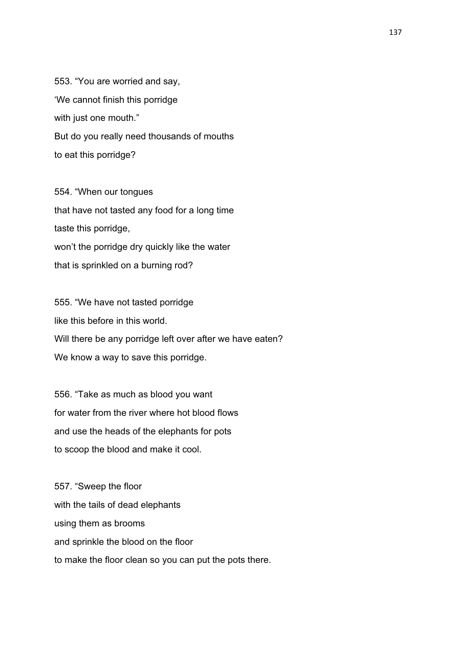553. "You are worried and say, 'We cannot finish this porridge with just one mouth." But do you really need thousands of mouths to eat this porridge?

554. "When our tongues that have not tasted any food for a long time taste this porridge, won't the porridge dry quickly like the water that is sprinkled on a burning rod?

555. "We have not tasted porridge like this before in this world. Will there be any porridge left over after we have eaten? We know a way to save this porridge.

556. "Take as much as blood you want for water from the river where hot blood flows and use the heads of the elephants for pots to scoop the blood and make it cool.

557. "Sweep the floor with the tails of dead elephants using them as brooms and sprinkle the blood on the floor to make the floor clean so you can put the pots there.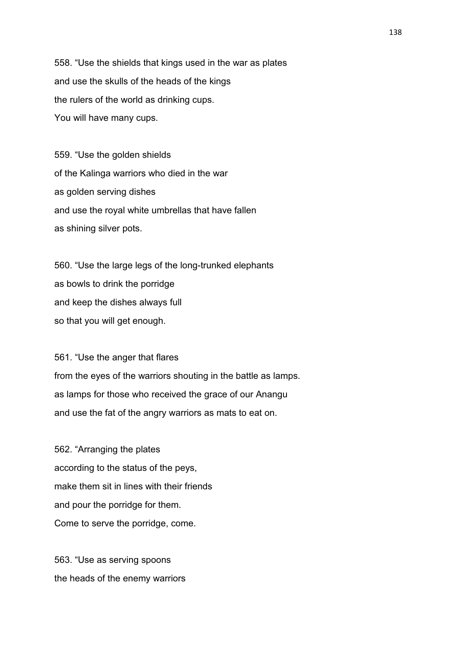558. "Use the shields that kings used in the war as plates and use the skulls of the heads of the kings the rulers of the world as drinking cups. You will have many cups.

559. "Use the golden shields of the Kalinga warriors who died in the war as golden serving dishes and use the royal white umbrellas that have fallen as shining silver pots.

560. "Use the large legs of the long-trunked elephants as bowls to drink the porridge and keep the dishes always full so that you will get enough.

561. "Use the anger that flares from the eyes of the warriors shouting in the battle as lamps. as lamps for those who received the grace of our Anangu and use the fat of the angry warriors as mats to eat on.

562. "Arranging the plates according to the status of the peys, make them sit in lines with their friends and pour the porridge for them. Come to serve the porridge, come.

563. "Use as serving spoons the heads of the enemy warriors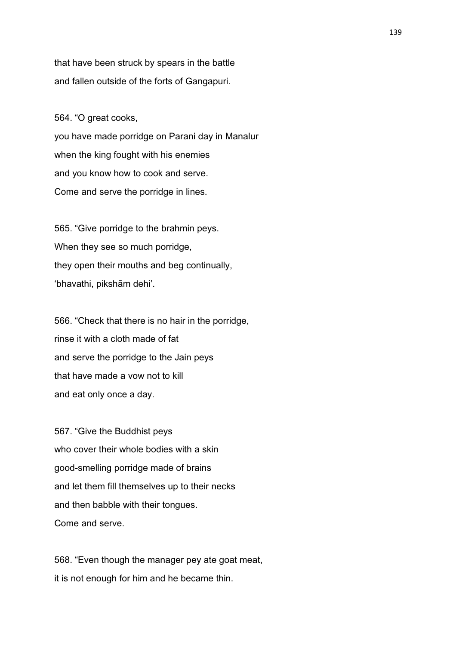that have been struck by spears in the battle and fallen outside of the forts of Gangapuri.

564. "O great cooks,

you have made porridge on Parani day in Manalur when the king fought with his enemies and you know how to cook and serve. Come and serve the porridge in lines.

565. "Give porridge to the brahmin peys. When they see so much porridge, they open their mouths and beg continually, 'bhavathi, pikshām dehi'.

566. "Check that there is no hair in the porridge, rinse it with a cloth made of fat and serve the porridge to the Jain peys that have made a vow not to kill and eat only once a day.

567. "Give the Buddhist peys who cover their whole bodies with a skin good-smelling porridge made of brains and let them fill themselves up to their necks and then babble with their tongues. Come and serve.

568. "Even though the manager pey ate goat meat, it is not enough for him and he became thin.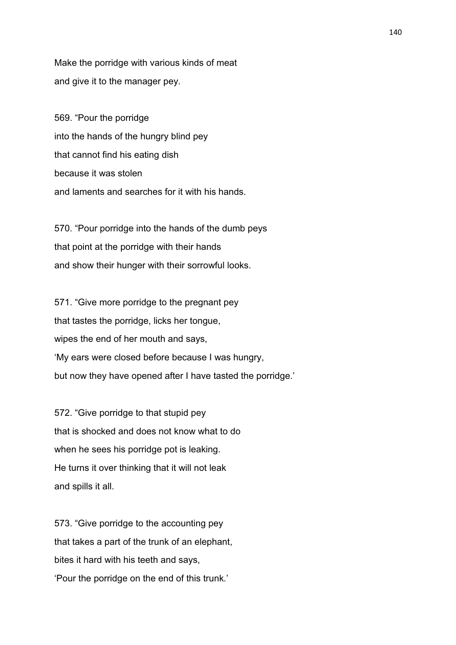Make the porridge with various kinds of meat and give it to the manager pey.

569. "Pour the porridge into the hands of the hungry blind pey that cannot find his eating dish because it was stolen and laments and searches for it with his hands.

570. "Pour porridge into the hands of the dumb peys that point at the porridge with their hands and show their hunger with their sorrowful looks.

571. "Give more porridge to the pregnant pey that tastes the porridge, licks her tongue, wipes the end of her mouth and says, 'My ears were closed before because I was hungry, but now they have opened after I have tasted the porridge.'

572. "Give porridge to that stupid pey that is shocked and does not know what to do when he sees his porridge pot is leaking. He turns it over thinking that it will not leak and spills it all.

573. "Give porridge to the accounting pey that takes a part of the trunk of an elephant, bites it hard with his teeth and says, 'Pour the porridge on the end of this trunk.'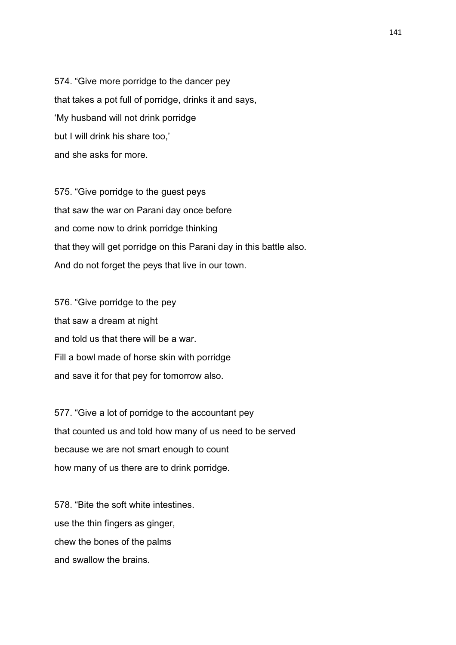574. "Give more porridge to the dancer pey that takes a pot full of porridge, drinks it and says, 'My husband will not drink porridge but I will drink his share too,' and she asks for more.

575. "Give porridge to the guest peys that saw the war on Parani day once before and come now to drink porridge thinking that they will get porridge on this Parani day in this battle also. And do not forget the peys that live in our town.

576. "Give porridge to the pey that saw a dream at night and told us that there will be a war. Fill a bowl made of horse skin with porridge and save it for that pey for tomorrow also.

577. "Give a lot of porridge to the accountant pey that counted us and told how many of us need to be served because we are not smart enough to count how many of us there are to drink porridge.

578. "Bite the soft white intestines. use the thin fingers as ginger, chew the bones of the palms and swallow the brains.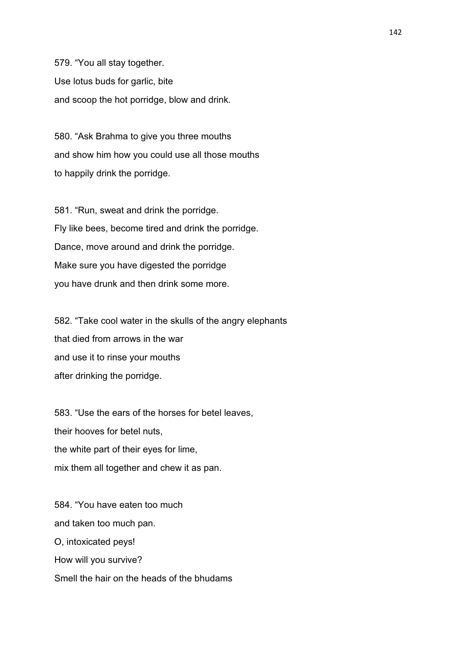579. "You all stay together. Use lotus buds for garlic, bite and scoop the hot porridge, blow and drink.

580. "Ask Brahma to give you three mouths and show him how you could use all those mouths to happily drink the porridge.

581. "Run, sweat and drink the porridge. Fly like bees, become tired and drink the porridge. Dance, move around and drink the porridge. Make sure you have digested the porridge you have drunk and then drink some more.

582. "Take cool water in the skulls of the angry elephants that died from arrows in the war and use it to rinse your mouths after drinking the porridge.

583. "Use the ears of the horses for betel leaves, their hooves for betel nuts, the white part of their eyes for lime, mix them all together and chew it as pan.

584. "You have eaten too much and taken too much pan. O, intoxicated peys! How will you survive? Smell the hair on the heads of the bhudams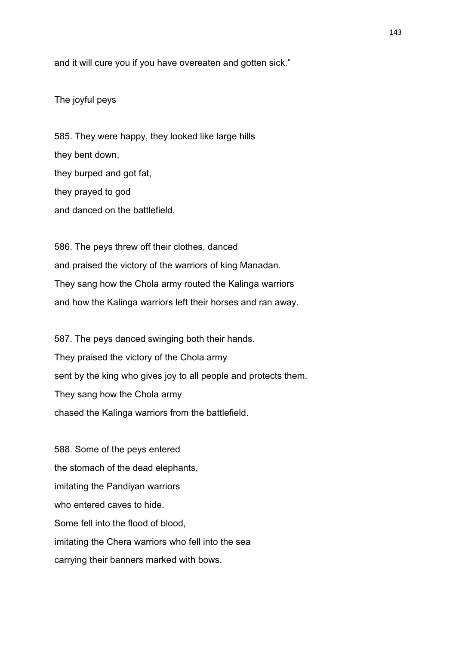and it will cure you if you have overeaten and gotten sick."

The joyful peys

585. They were happy, they looked like large hills they bent down, they burped and got fat, they prayed to god and danced on the battlefield.

586. The peys threw off their clothes, danced and praised the victory of the warriors of king Manadan. They sang how the Chola army routed the Kalinga warriors and how the Kalinga warriors left their horses and ran away.

587. The peys danced swinging both their hands. They praised the victory of the Chola army sent by the king who gives joy to all people and protects them. They sang how the Chola army chased the Kalinga warriors from the battlefield.

588. Some of the peys entered the stomach of the dead elephants, imitating the Pandiyan warriors who entered caves to hide. Some fell into the flood of blood, imitating the Chera warriors who fell into the sea carrying their banners marked with bows.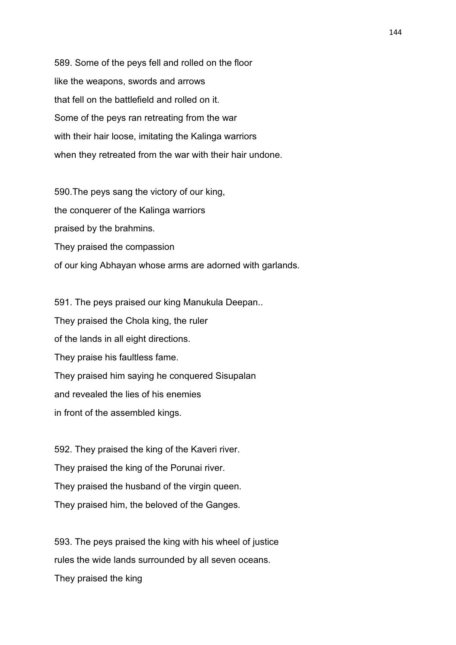589. Some of the peys fell and rolled on the floor like the weapons, swords and arrows that fell on the battlefield and rolled on it. Some of the peys ran retreating from the war with their hair loose, imitating the Kalinga warriors when they retreated from the war with their hair undone.

590.The peys sang the victory of our king, the conquerer of the Kalinga warriors praised by the brahmins. They praised the compassion of our king Abhayan whose arms are adorned with garlands.

591. The peys praised our king Manukula Deepan.. They praised the Chola king, the ruler of the lands in all eight directions. They praise his faultless fame. They praised him saying he conquered Sisupalan and revealed the lies of his enemies in front of the assembled kings.

592. They praised the king of the Kaveri river. They praised the king of the Porunai river. They praised the husband of the virgin queen. They praised him, the beloved of the Ganges.

593. The peys praised the king with his wheel of justice rules the wide lands surrounded by all seven oceans. They praised the king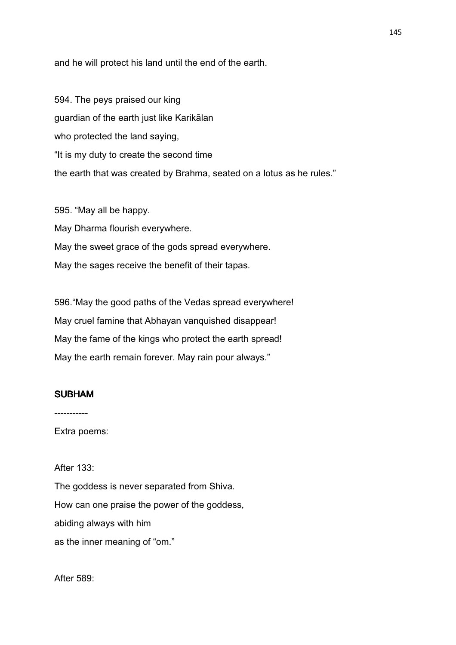and he will protect his land until the end of the earth.

594. The peys praised our king guardian of the earth just like Karikālan who protected the land saying, "It is my duty to create the second time the earth that was created by Brahma, seated on a lotus as he rules."

595. "May all be happy. May Dharma flourish everywhere. May the sweet grace of the gods spread everywhere. May the sages receive the benefit of their tapas.

596."May the good paths of the Vedas spread everywhere! May cruel famine that Abhayan vanquished disappear! May the fame of the kings who protect the earth spread! May the earth remain forever. May rain pour always."

### SUBHAM

-----------

Extra poems:

# After 133:

The goddess is never separated from Shiva. How can one praise the power of the goddess, abiding always with him as the inner meaning of "om."

After 589: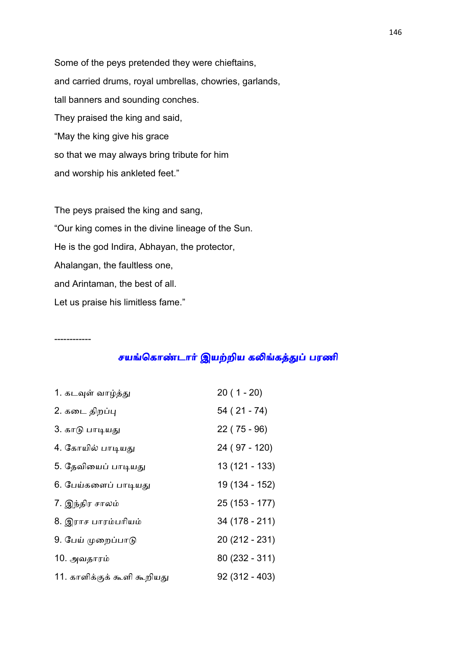Some of the peys pretended they were chieftains, and carried drums, royal umbrellas, chowries, garlands, tall banners and sounding conches. They praised the king and said, "May the king give his grace so that we may always bring tribute for him and worship his ankleted feet."

The peys praised the king and sang, "Our king comes in the divine lineage of the Sun. He is the god Indira, Abhayan, the protector, Ahalangan, the faultless one, and Arintaman, the best of all. Let us praise his limitless fame."

------------

சயங்கொண்டார் இயற்றிய கலிங்கத்துப் பரணி

| 1. கடவுள் வாழ்த்து          | $20(1 - 20)$    |
|-----------------------------|-----------------|
| 2. கடை திறப்பு              | $54(21 - 74)$   |
| 3. காடு பாடியது             | $22(75-96)$     |
| 4. கோயில் பாடியது           | 24 (97 - 120)   |
| 5. தேவியைப் பாடியது         | 13 (121 - 133)  |
| 6. பேய்களைப் பாடியது        | 19 (134 - 152)  |
| 7. இந்திர சாலம்             | 25 (153 - 177)  |
| 8. இராச பாரம்பரியம்         | 34 (178 - 211)  |
| 9. பேய் முறைப்பாடு          | 20 (212 - 231)  |
| 10. அவதாரம்                 | 80 (232 - 311)  |
| 11. காளிக்குக் கூளி கூறியது | $92(312 - 403)$ |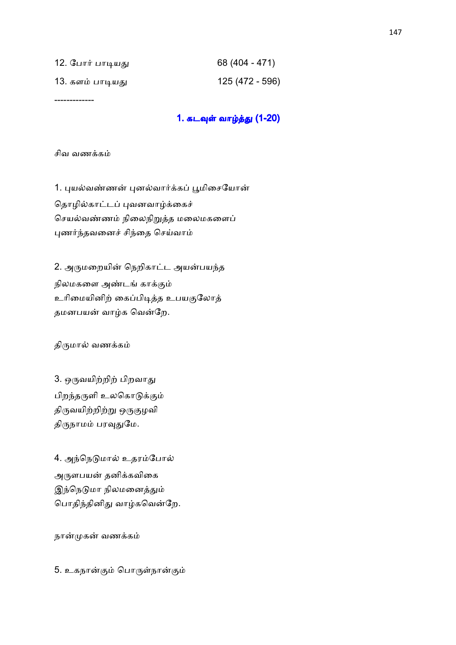| 12. போர் பாடியது | 68 (404 - 471)  |
|------------------|-----------------|
| 13. களம் பாடியது | 125 (472 - 596) |

-------------

### 1. கடவுள் வாழ்த்து (1-20)

#### சிவ வணக்கம்

1. புயல்வண்ணன் புனல்வார்க்கப் பூமிசையோன் தொழில்காட்டப் புவனவாழ்க்கைச் செயல்வண்ணம் நிலைநிறுத்த மலைமகளைப் புணர்ந்தவனைச் சிந்தை செய்வாம்

2. அருமறையின் நெறிகாட்ட அயன்பயந்த நிலமகளை அண்டங் காக்கும் உரிமையினிற் கைப்பிடித்த உபயகுலோத் தமனபயன் வாழ்க வென்றே.

திருமால் வணக்கம்

3. ஒருவயிற்றிற் பிறவாது பிறந்தருளி உலகொடுக்கும் திருவயிற்றிற்று ஒருகுழவி திருநாமம் பரவுதுமே.

4. அந்நெடுமால் உதரம்போல் அருளபயன் தனிக்கவிகை இந்நெடுமா நிலமனைத்தும் பொதிந்தினிது வாழ்கவென்றே.

நான்முகன் வணக்கம்

5. உகநான்கும் பொருள்நான்கும்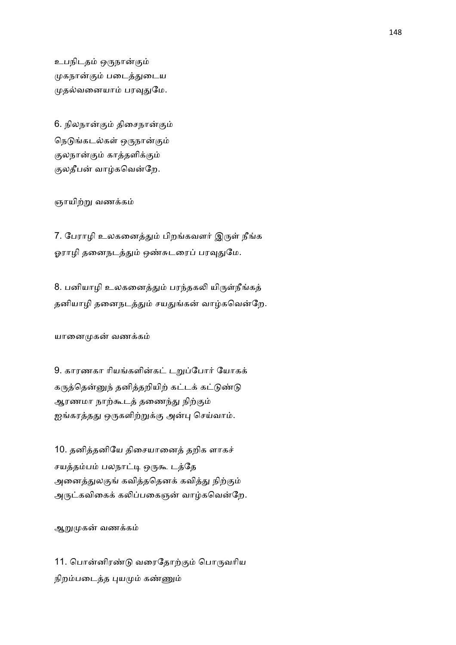உபநிடதம் ஒருநான்கும் முகநான்கும் படைத்துடைய முதல்வனையாம் பரவுதுமே.

6. நிலநான்கும் திசைநான்கும் நெடுங்கடல்கள் ஒருநான்கும் குலநான்கும் காத்தளிக்கும் குலதீபன் வாழ்கவென்றே.

ஞாயிற்று வணக்கம்

7. பேராழி உலகனைத்தும் பிறங்கவளர் இருள் நீங்க ஓராழி தனைநடத்தும் ஒண்சுடரைப் பரவுதுமே.

8. பனியாழி உலகனைத்தும் பரந்தகலி யிருள்நீங்கத் தனியாழி தனைநடத்தும் சயதுங்கன் வாழ்கவென்றே.

யானைமுகன் வணக்கம்

9. காரணகா ரியங்களின்கட் டறுப்போர் யோகக் கருத்தென்னுந் தனித்தறியிற் கட்டக் கட்டுண்டு ஆரணமா நாற்கூடத் தணைந்து நிற்கும் ஐங்கரத்தது ஒருகளிற்றுக்கு அன்பு செய்வாம்.

10. தனித்தனியே திசையானைத் தறிக ளாகச் சயத்தம்பம் பலநாட்டி ஒருகூடத்தே அனைத்துலகுங் கவித்ததெனக் கவித்து நிற்கும் அருட்கவிகைக் கலிப்பகைஞன் வாழ்கவென்றே.

ஆறுமுகன் வணக்கம்

11. பொன்னிரண்டு வரைதோற்கும் பொருவரிய நிறம்படைத்த புயமும் கண்ணும்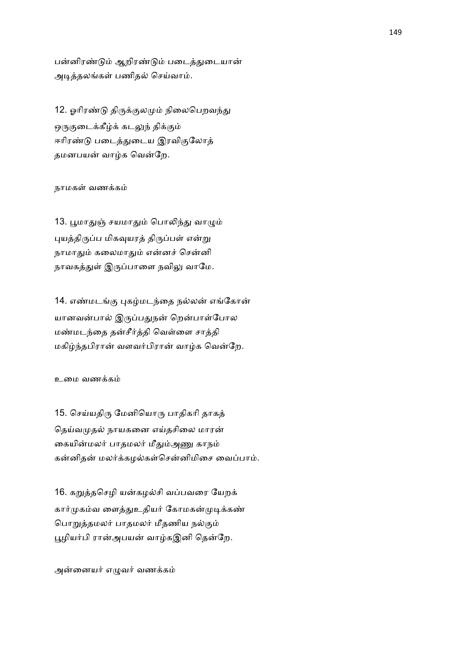பன்னிரண்டும் ஆறிரண்டும் படைத்துடையான் அடித்தலங்கள் பணிதல் செய்வாம்.

12. ஓரிரண்டு திருக்குலமும் நிலைபெறவந்து ஒருகுடைக்கீழ்க் கடலுந் திக்கும் ஈரிரண்டு படைத்துடைய இரவிகுலோத் தமனபயன் வாழ்க வென்றே.

### நாமகள் வணக்கம்

13. பூமாதுஞ் சயமாதும் பொலிந்து வாழும் புயத்திருப்ப மிகவுயரத் திருப்பள் என்று நாமாதும் கலைமாதும் என்னச் சென்னி நாவகத்துள் இருப்பாளை நவிலு வாமே.

14. எண்மடங்கு புகழ்மடந்தை நல்லன் எங்கோன் யானவன்பால் இருப்பதுநன் றென்பாள்போல மண்மடந்தை தன்சீர்த்தி வெள்ளை சாத்தி மகிழ்ந்தபிரான் வளவர்பிரான் வாழ்க வென்றே.

#### உமை வணக்கம்

15. செய்யதிரு மேனியொரு பாதிகரி தாகத் தெய்வமுதல் நாயகனை எய்தசிலை மாரன் கையின்மலர் பாதமலர் மீதும்அணு காநம் கன்னிதன் மலர்க்கமல்கள்சென்னிமிசை வைப்பாம்.

16. கறுத்தசெழி யன்கழல்சி வப்பவரை யேறக் கார்முகம்வ ளைத்துஉதியர் கோமகன்முடிக்கண் பொறுத்தமலர் பாதமலர் மீதணிய நல்கும் பூழியர்பி ரான்அபயன் வாழ்கஇனி தென்றே.

அன்னையர் எழுவர் வணக்கம்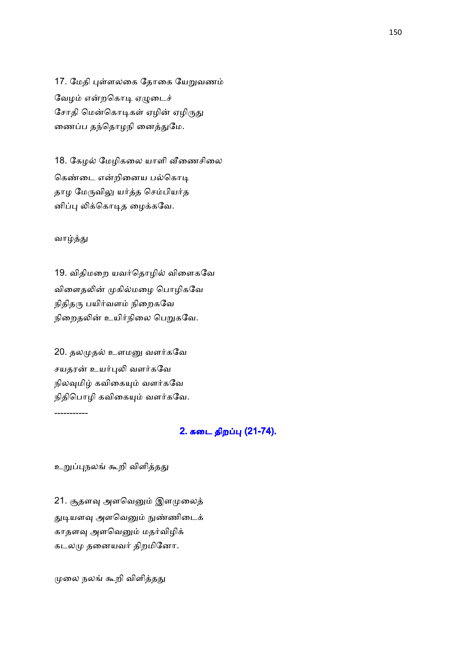17. மேதி புள்ளலகை தோகை யேறுவணம் வேழம் என்றகொடி ஏழுடைச் சோதி மென்கொடிகள் ஏழின் ஏழிருது ணைப்ப தந்தொழநி னைத்துமே.

18. கேழல் மேழிகலை யாளி வீணைசிலை கெண்டை என்றினைய பல்கொடி தாழ மேருவிலு யர்த்த செம்பியர்த னிப்பு லிக்கொடித ழைக்கவே.

#### வாழ்த்து

19. விதிமறை யவர்தொழில் விளைகவே விளைதலின் முகில்மழை பொழிகவே நிதிதரு பயிர்வளம் நிறைகவே நிறைதலின் உயிர்நிலை பெறுகவே.

20. தலமுதல் உளமனு வளர்கவே சயதரன் உயர்புலி வளர்கவே நிலவுமிழ் கவிகையும் வளர்கவே நிதிபொழி கவிகையும் வளர்கவே. -----------

# 2. கடை திறப்பு (21-74).

உறுப்புநலங் கூறி விளித்தது

21. சூதளவு அளவெனும் இளமுலைத் துடியளவு அளவெனும் நுண்ணிடைக் காதளவு அளவெனும் மதர்விழிக் கடலமு தனையவர் திறமினோ.

முலை நலங் கூறி விளித்தது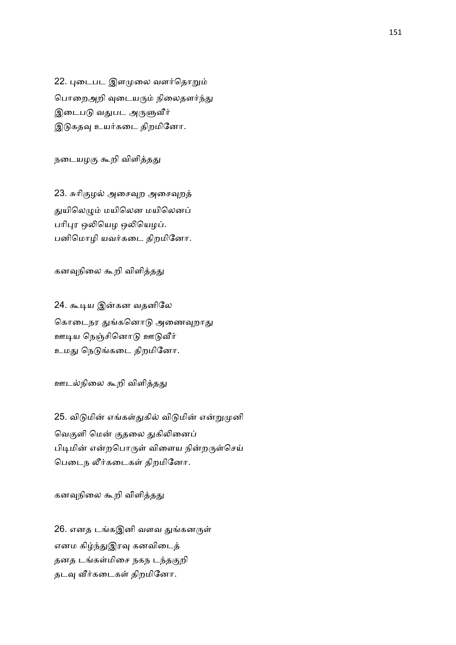22. புடைபட இளமுலை வளர்தொறும் பொறைஅறி வுடையரும் நிலைதளர்ந்து இடைபடு வதுபட அருளுவீர் இடுகதவு உயர்கடை திறமினோ.

நடையழகு கூறி விளித்தது

23. சுரிகுழல் அசைவுறத் துயிலெழும் மயிலென மயிலெனப் பரிபுர ஒலியெழ ஒலியெழப். பனிமொழி யவர்கடை திறமினோ.

கனவுநிலை கூறி விளித்தது

24. கூடிய இன்கன வதனிலே கொடைநர துங்கனொடு அணைவுறாது ஊடிய நெஞ்சினொடு ஊடுவீர் உமது நெடுங்கடை திறமினோ.

ஊடல்நிலை கூறி விளித்தது

25. விடுமின் எங்கள்துகில் விடுமின் என்றுமுனி வெகுளி மென் குதலை துகிலினைப் பிடிமின் என்றபொருள் விளைய நின்றருள்செய் பெடைந லீர்கடைகள் திறமினோ.

கனவுநிலை கூறி விளித்தது

26. எனத டங்கஇனி வளவ துங்கனருள் எனம கிழ்ந்துஇரவு கனவிடைத் தனத டங்கள்மிசை நகந டந்தகுறி தடவு வீர்கடைகள் திறமினோ.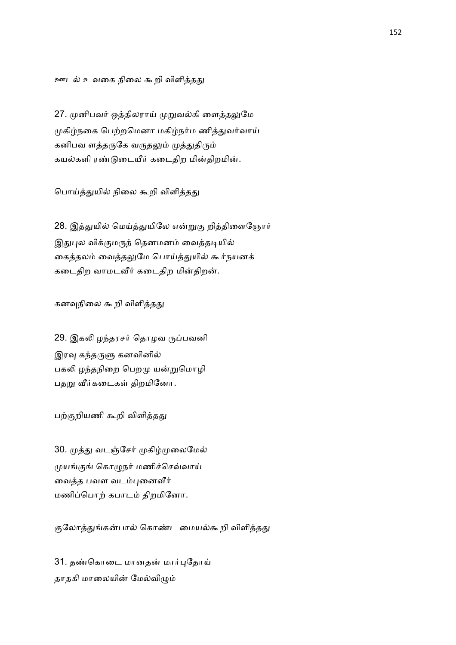ஊடல் உவகை நிலை கூறி விளித்தது

27. முனிபவர் ஒத்திலராய் முறுவல்கி ளைத்தலுமே முகிழ்நகை பெற்றமெனா மகிழ்நர்ம ணித்துவர்வாய் கனிபவ ளத்தருகே வருதலும் முத்துதிரும் கயல்களி ரண்டுடையீர் கடைதிற மின்திறமின்.

பொய்த்துயில் நிலை கூறி விளித்தது

28. இத்துயில் மெய்த்துயிலே என்றுகு றித்திளைஞோர் இதுபுல விக்குமருந் தெனமனம் வைத்தடியில் கைத்தலம் வைத்தலுமே பொய்த்துயில் கூர்நயனக் கடைதிற வாமடவீர் கடைதிற மின்திறன்.

கனவுநிலை கூறி விளித்தது

29. இகலி ழந்தரசர் தொழவ ருப்பவனி இரவு கந்தருளு கனவினில் பகலி ழந்தநிறை பெறமு யன்றுமொழி பதறு வீர்கடைகள் திறமினோ.

பற்குறியணி கூறி விளித்தது

30. முத்து வடஞ்சேர் முகிழ்முலைமேல் முயங்குங் கொழுநர் மணிச்செவ்வாய் வைத்த பவள வடம்புனைவீர் மணிப்பொற் கபாடம் திறமினோ.

குலோத்துங்கன்பால் கொண்ட மையல்கூறி விளித்தது

31. தண்கொடை மானதன் மார்புதோய் தாதகி மாலையின் மேல்விழும்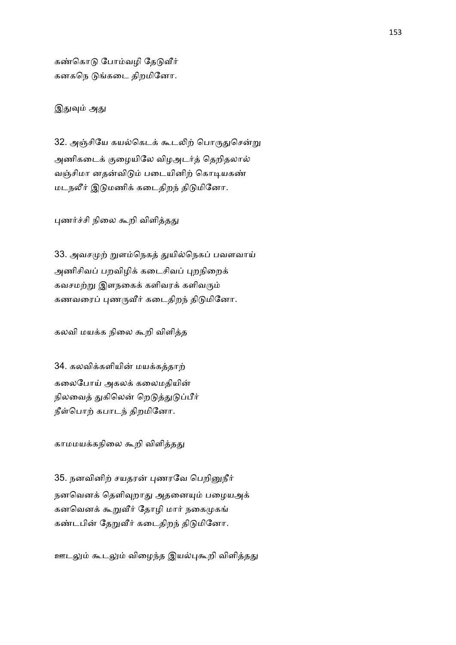கண்கொடு போம்வழி தேடுவீர் கனகநெ டுங்கடை திறமினோ.

இதுவும் அது

32. அஞ்சியே கயல்கெடக் கூடலிற் பொருதுசென்று அணிகடைக் குழையிலே விழஅடர்த் தெறிதலால் வஞ்சிமா னதன்விடும் படையினிற் கொடியகண் மடநலீர் இடுமணிக் கடைதிறந் திடுமினோ.

புணர்ச்சி நிலை கூறி விளித்தது

33. அவசமுற் றுளம்நெகத் துயில்நெகப் பவளவாய் அணிசிவப் பறவிழிக் கடைசிவப் புறநிறைக் கவசமற்று இளநகைக் களிவரக் களிவரும் கணவரைப் புணருவீர் கடைதிறந் திடுமினோ.

கலவி மயக்க நிலை கூறி விளித்த

34. கலவிக்களியின் மயக்கத்தாற் கலைபோய் அகலக் கலைமதியின் நிலவைத் துகிலென் றெடுத்துடுப்பீர் நீள்பொற் கபாடந் திறமினோ.

காமமயக்கநிலை கூறி விளித்தது

35. நனவினிற் சயதரன் புணரவே பெறினுநீர் நனவெனக் தெளிவுறாது அதனையும் பழையஅக் கனவெனக் கூறுவீர் தோழி மார் நகைமுகங் கண்டபின் தேறுவீர் கடைதிறந் திடுமினோ.

ஊடலும் கூடலும் விழைந்த இயல்புகூறி விளித்தது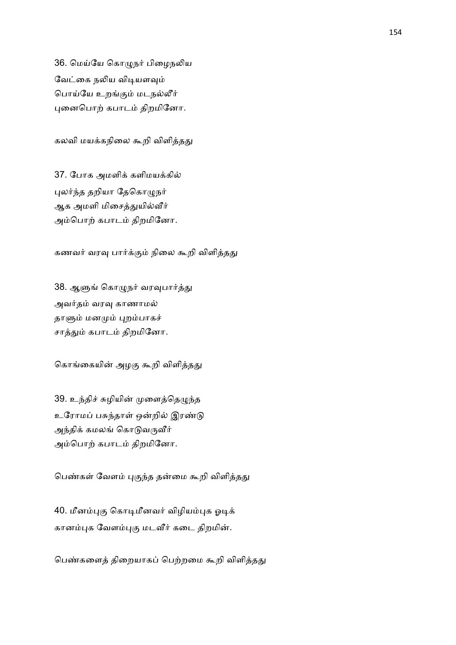36. மெய்யே கொழுநர் பிழைநலிய வேட்கை நலிய விடியளவும் பொய்யே உறங்கும் மடநல்லீர் புனைபொற் கபாடம் திறமினோ.

கலவி மயக்கநிலை கூறி விளித்தது

37. போக அமளிக் களிமயக்கில் புலர்ந்த தறியா தேகொழுநர் ஆக அமளி மிசைத்துயில்வீர் அம்பொற் கபாடம் திறமினோ.

கணவர் வரவு பார்க்கும் நிலை கூறி விளித்தது

38. ஆளுங் கொழுநர் வரவுபார்த்து அவர்தம் வரவு காணாமல் தாளும் மனமும் புறம்பாகச் சாத்தும் கபாடம் திறமினோ.

கொங்கையின் அழகு கூறி விளித்தது

39. உந்திச் சுழியின் முளைத்தெழுந்த உரோமப் பசுந்தாள் ஒன்றில் இரண்டு அந்திக் கமலங் கொடுவருவீர் அம்பொற் கபாடம் திறமினோ.

பெண்கள் வேளம் புகுந்த தன்மை கூறி விளித்தது

40. மீனம்புகு கொடிமீனவர் விழியம்புக ஓடிக் கானம்புக வேளம்புகு மடவீர் கடை திறமின்.

பெண்களைத் திறையாகப் பெற்றமை கூறி விளித்தது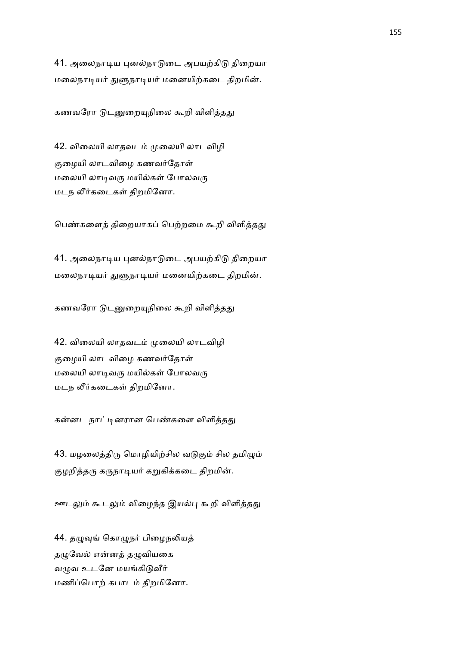41. அலைநாடிய புனல்நாடுடை அபயற்கிடு திறையா மலைநாடியர் துளுநாடியர் மனையிற்கடை திறமின்.

கணவரோ டுடனுறையுநிலை கூறி விளித்தது

42. விலையி லாதவடம் முலையி லாடவிழி குழையி லாடவிழை கணவர்தோள் மலையி லாடிவரு மயில்கள் போலவரு மடந லீர்கடைகள் திறமினோ.

பெண்களைத் திறையாகப் பெற்றமை கூறி விளித்தது

41. அலைநாடிய புனல்நாடுடை அபயற்கிடு திறையா மலைநாடியர் துளுநாடியர் மனையிற்கடை திறமின்.

கணவரோ டுடனுறையுநிலை கூறி விளித்தது

42. விலையி லாதவடம் முலையி லாடவிழி குழையி லாடவிழை கணவர்தோள் மலையி லாடிவரு மயில்கள் போலவரு மடந லீர்கடைகள் திறமினோ.

கன்னட நாட்டினரான பெண்களை விளித்தது

43. மழலைத்திரு மொழியிற்சில வடுகும் சில தமிழும் குழறித்தரு கருநாடியர் கறுகிக்கடை திறமின்.

ஊடலும் கூடலும் விழைந்த இயல்பு கூறி விளித்தது

44. தழுவுங் கொழுநர் பிழைநலியத் தழுவேல் என்னத் தழுவியகை வழுவ உடனே மயங்கிடுவீர் மணிப்பொற் கபாடம் திறமினோ.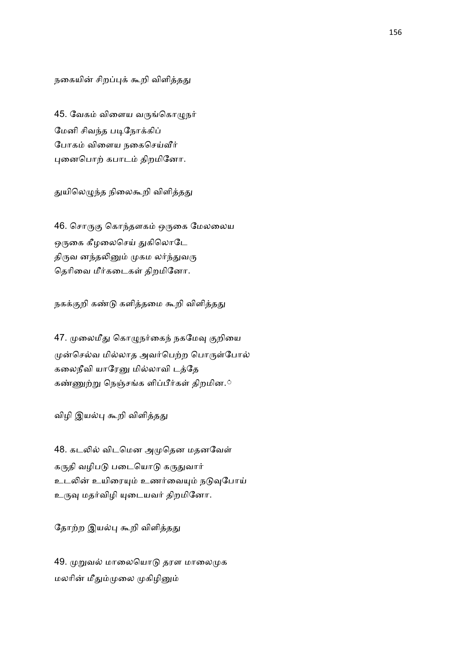நகையின் சிறப்புக் கூறி விளித்தது

45. வேகம் விளைய வருங்கொழுநர் மேனி சிவந்த படிநோக்கிப் போகம் விளைய நகைசெய்வீர் புனைபொற் கபாடம் திறமினோ.

துயிலெழுந்த நிலைகூறி விளித்தது

46. சொருகு கொந்தளகம் ஒருகை மேலலைய ஒருகை கீழலைசெய் துகிலொடே திருவ னந்தலினும் முகம லர்ந்துவரு தெரிவை மீர்கடைகள் திறமினோ.

நகக்குறி கண்டு களித்தமை கூறி விளித்தது

47. முலைமீது கொழுநர்கைந் நகமேவு குறியை முன்செல்வ மில்லாத அவர்பெற்ற பொருள்போல் கலைநீவி யாரேனு மில்லாவி டத்தே கண்ணுற்று நெஞ்சங்க ளிப்பீர்கள் திறமின.்

விழி இயல்பு கூறி விளித்தது

48. கடலில் விடமென அமுதென மதனவேள் கருதி வழிபடு படையொடு கருதுவார் உடலின் உயிரையும் உணர்வையும் நடுவுபோய் உருவு மதர்விழி யுடையவர் திறமினோ.

தோற்ற இயல்பு கூறி விளித்தது

49. முறுவல் மாலையொடு தரள மாலைமுக மலரின் மீதும்முலை முகிழினும்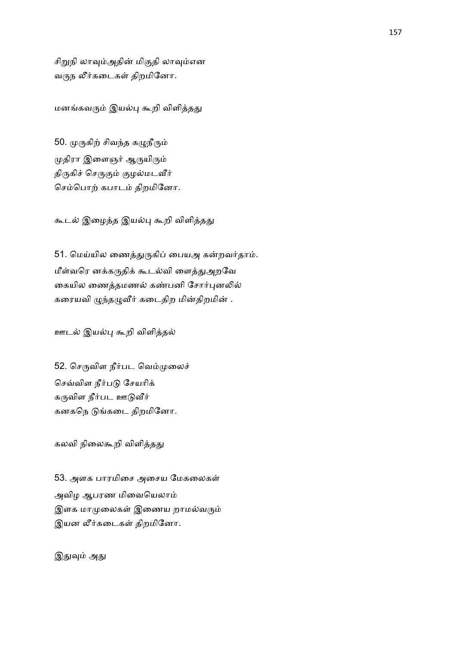சிறுநி லாவும்அதின் மிகுதி லாவும்என வருந லீர்கடைகள் திறமினோ.

மனங்கவரும் இயல்பு கூறி விளித்தது

50. முருகிற் சிவந்த கழுநீரும் முதிரா இளைஞர் ஆருயிரும் திருகிச் செருகும் குழல்மடவீர் செம்பொற் கபாடம் திறமினோ.

கூடல் இழைத்த இயல்பு கூறி விளித்தது

51. மெய்யில ணைத்துருகிப் பையஅ கன்றவர்தாம். மீள்வரெ னக்கருதிக் கூடல்வி ளைத்துஅறவே கையில ணைத்தமணல் கண்பனி சோர்புனலில் கரையவி ழுந்தழுவீர் கடைதிற மின்திறமின் .

ஊடல் இயல்பு கூறி விளித்தல்

52. செருவிள நீர்பட வெம்முலைச் செவ்விள நீர்படு சேயரிக் கருவிள நீர்பட ஊடுவீர் கனகநெ டுங்கடை திறமினோ.

கலவி நிலைகூறி விளித்தது

53. அளக பாரமிசை அசைய மேகலைகள் அவிழ ஆபரண மிவையெலாம் இளக மாமுலைகள் இணைய றாமல்வரும் இயன லீர்கடைகள் திறமினோ.

இதுவும் அது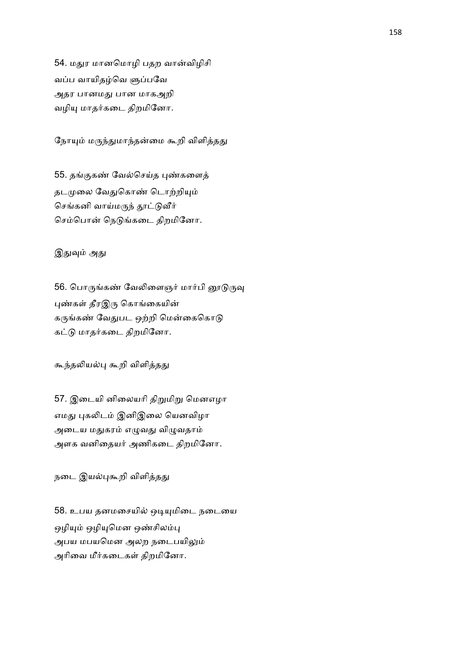54. மதுர மானமொழி பதற வான்விழிசி வப்ப வாயிதழ்வெ ளுப்பவே அதர பானம பான மாகஅறி வழியு மாதர்கடை திறமினோ.

நோயும் மருந்துமாந்தன்மை கூறி விளித்தது

55. தங்குகண் வேல்செய்த புண்களைத் தடமுலை வேதுகொண் டொற்றியும் செங்கனி வாய்மருந் தூட்டுவீர் செம்பொன் நெடுங்கடை திறமினோ.

### இதுவும் அது

56. பொருங்கண் வேலிளைஞர் மார்பி னூடுருவு புண்கள் தீரஇரு கொங்கையின் கருங்கண் வேதுபட ஒற்றி மென்கைகொடு கட்டு மாதர்கடை திறமினோ.

கூந்தலியல்பு கூறி விளித்தது

57. இடையி னிலையரி திறுமிறு மெனஎழா எமது புகலிடம் இனிஇலை யெனவிழா அடைய மதுகரம் எழுவது விழுவதாம் அளக வனிதையர் அணிகடை திறமினோ.

நடை இயல்புகூறி விளித்தது

58. உபய தனமசையில் ஒடியுமிடை நடையை ஒழியும் ஒழியுமென ஒண்சிலம்பு அபய மபயமென அலற நடைபயிலும் அரிவை மீர்கடைகள் திறமினோ.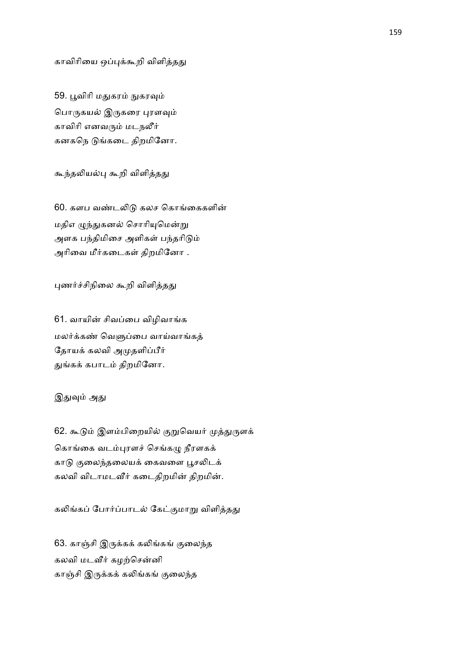காவிரியை ஒப்புக்கூறி விளித்தது

59. பூவிரி மதுகரம் நுகரவும் பொருகயல் இருகரை புரளவும் காவிரி எனவரும் மடநலீர் கனகநெ டுங்கடை திறமினோ.

கூந்தலியல்பு கூறி விளித்தது

60. களப வண்டலிடு கலச கொங்கைகளின் மதிஎ ழுந்துகனல் சொரியுமென்று அளக பந்திமிசை அளிகள் பந்தரிடும் அரிவை மீர்கடைகள் திறமினோ .

புணர்ச்சிநிலை கூறி விளித்தது

61. வாயின் சிவப்பை விழிவாங்க மலர்க்கண் வெளுப்பை வாய்வாங்கத் தோயக் கலவி அமுதளிப்பீர் துங்கக் கபாடம் திறமினோ.

### இதுவும் அது

62. கூடும் இளம்பிறையில் குறுவெயர் முத்துருளக் கொங்கை வடம்புரளச் செங்கழு நீரளகக் காடு குலைந்தலையக் கைவளை பூசலிடக் கலவி விடாமடவீர் கடைதிறமின் திறமின்.

கலிங்கப் போர்ப்பாடல் கேட்குமாறு விளித்தது

63. காஞ்சி இருக்கக் கலிங்கங் குலைந்த கலவி மடவீர் கழற்சென்னி காஞ்சி இருக்கக் கலிங்கங் குலைந்த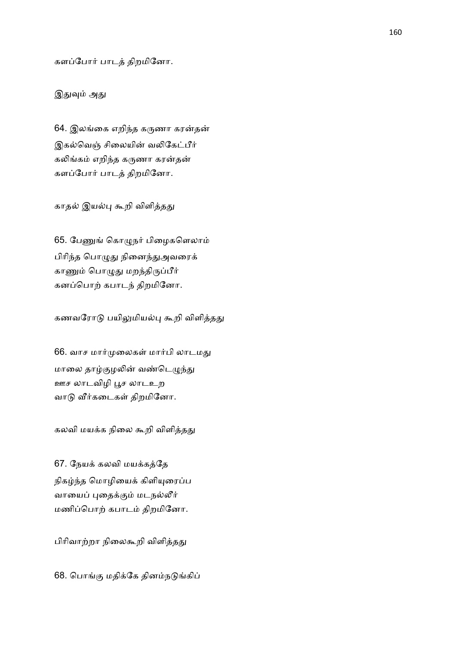களப்போர் பாடத் திறமினோ.

இதுவும் அது

64. இலங்கை எறிந்த கருணா கரன்தன் இகல்வெஞ் சிலையின் வலிகேட்பீர் கலிங்கம் எறிந்த கருணா கரன்தன் களப்போர் பாடத் திறமினோ.

காதல் இயல்பு கூறி விளித்தது

65. பேணுங் கொழுநர் பிழைகளெலாம் பிரிந்த பொழுது நினைந்துஅவரைக் காணும் பொழுது மறந்திருப்பீர் கனப்பொற் கபாடந் திறமினோ.

கணவரோடு பயிலுமியல்பு கூறி விளித்தது

66. வாச மார்முலைகள் மார்பி லாடமது மாலை தாழ்குழலின் வண்டெழுந்து ஊச லாடவிழி )ச லாடஉற வாடு வீர்கடைகள் திறமினோ.

கலவி மயக்க நிலை கூறி விளித்தது

67. நேயக் கலவி மயக்கத்தே நிகழ்ந்த மொழியைக் கிளியுரைப்ப வாயைப் புதைக்கும் மடநல்லீர் மணிப்பொற் கபாடம் திறமினோ.

பிரிவாற்றா நிலைகூறி விளித்தது

68. பொங்கு மதிக்கே தினம்நடுங்கிப்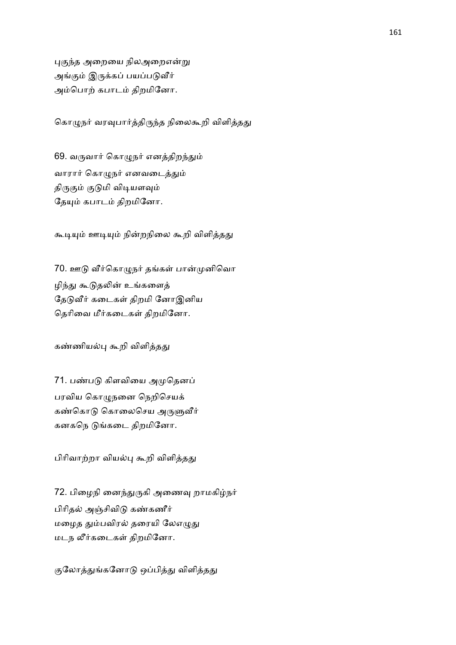புகுந்த அறையை நிலஅறைஎன்று அங்கும் இருக்கப் பயப்படுவீர் அம்பொற் கபாடம் திறமினோ.

கொழுநர் வரவுபார்த்திருந்த நிலைகூறி விளித்தது

69. வருவார் கொழுநர் எனத்திறந்தும் வாரார் கொழுநர் எனவடைத்தும் திருகும் குடுமி விடியளவும் தேயும் கபாடம் திறமினோ.

கூடியும் ஊடியும் நின்றநிலை கூறி விளித்தது

70. ஊடு வீர்கொழுநர் தங்கள் பான்முனிவொ ழிந்து கூடுதலின் உங்களைத் தேடுவீர் கடைகள் திறமி னோஇனிய தெரிவை மீர்கடைகள் திறமினோ.

கண்ணியல்பு கூறி விளித்தது

71. பண்படு கிளவியை அமுதெனப் பரவிய கொழுநனை நெறிசெயக் கண்கொடு கொலைசெய அருளுவீர் கனகநெ டுங்கடை திறமினோ.

பிரிவாற்றா வியல்பு கூறி விளித்தது

72. பிழைநி னைந்துருகி அணைவு றாமகிழ்நர் பிரிதல் அஞ்சிவிடு கண்கணீர் மழைத தும்பவிரல் தரையி லேஎழுது மடந லீர்கடைகள் திறமினோ.

குலோத்துங்கனோடு ஒப்பித்து விளித்தது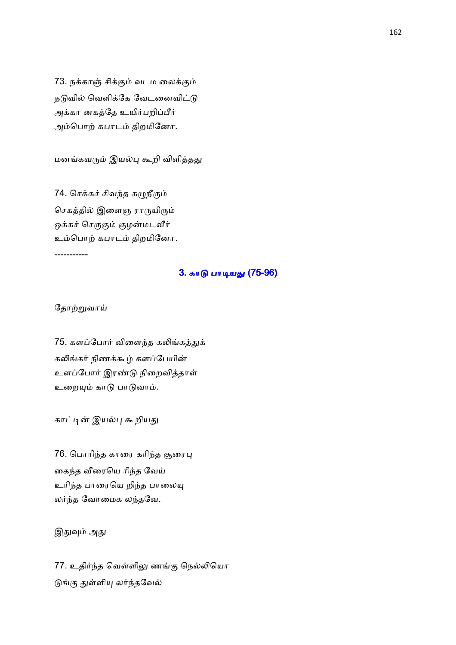73. நக்காஞ் சிக்கும் வடம லைக்கும் நடுவில் வெளிக்கே வேடனைவிட்டு அக்கா னகத்தே உயிர்பறிப்பீர் அம்பொற் கபாடம் திறமினோ.

மனங்கவரும் இயல்பு கூறி விளித்தது

74. செக்கச் சிவந்த கழுநீரும் செகத்தில் இளைஞ ராருயிரும் ஒக்கச் செருகும் குழன்மடவீர் உம்பொற் கபாடம் திறமினோ.

-----------

#### 3. காடு பாடியது (75-96)

தோற்றுவாய்

75. களப்போர் விளைந்த கலிங்கத்துக் கலிங்கர் நிணக்கூழ் களப்பேயின் உளப்போர் இரண்டு நிறைவித்தாள் உறையும் காடு பாடுவாம்.

காட்டின் இயல்பு கூறியது

76. பொரிந்த காரை கரிந்த சூரைபு கைந்த வீரையெ ரிந்த வேய் உரிந்த பாரையெ றிந்த பாலையு லர்ந்த வோமைக லந்தவே.

இதுவும் அது

77. உதிர்ந்த வெள்ளிலு ணங்கு நெல்லியொ டுங்கு துள்ளியு லர்ந்தவேல்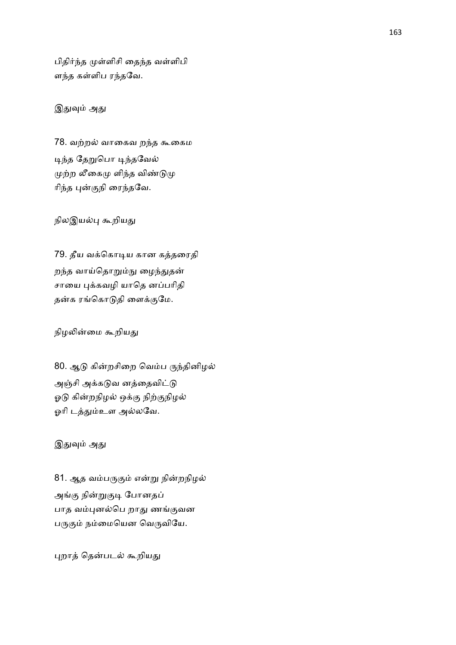பிதிர்ந்த முள்ளிசி தைந்த வள்ளிபி ளந்த கள்ளிப ரந்தவே.

### இதுவும் அது

78. வற்றல் வாகைவ றந்த கூகைம டிந்த தேறுபொ டிந்தவேல் முற்ற லீகைமு ளிந்த விண்டுமு $\mu$ ரிந்த புன்குநி ரைந்தவே.

நிலஇயல்பு கூறியது

79. தீய வக்கொடிய கான கத்தரைதி றந்த வாய்தொறும்நு ழைந்துதன் சாயை புக்கவழி யாதெ னப்பரிதி தன்க ரங்கொடுதி ளைக்குமே.

நிழலின்மை கூறியது

80. ஆடு கின்றசிறை வெம்ப ருந்தினிழல் அஞ்சி அக்கடுவ னத்தைவிட்டு ஓடு கின்றநிழல் ஒக்கு நிற்குநிழல் ஓரி டத்தும்உள அல்லவே.

இதுவும் அது

81. ஆத வம்பருகும் என்று நின்றநிழல் அங்கு நின்றுகுடி போனதப் பாத வம்புனல்பெ றாது ணங்குவன பருகும் நம்மையென வெருவியே.

புறாத் தென்படல் கூறியது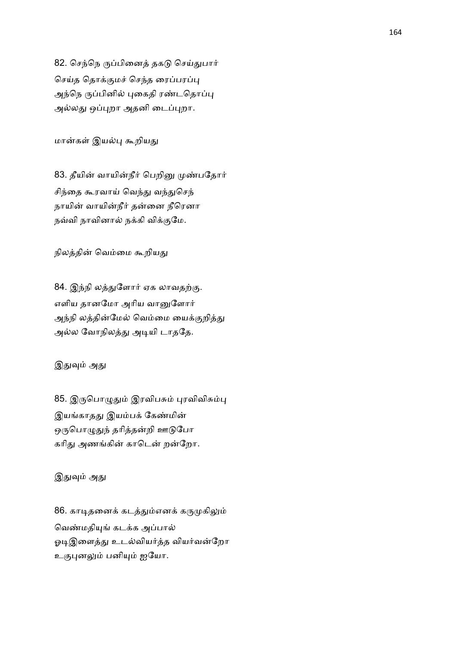82. செந்நெ ருப்பினைத் தகடு செய்துபார் செய்த தொக்குமச் செந்த ரைப்பரப்பு அந்நெ ருப்பினில் புகைதி ரண்டதொப்பு அல்லது ஒப்புறா அதனி டைப்புறா.

மான்கள் இயல்பு கூறியது

83. தீயின் வாயின்நீர் பெறினு முண்பதோர் சிந்தை கூரவாய் வெந்து வந்துசெந் நாயின் வாயின்நீர் தன்னை நீரெனா நவ்வி நாவினால் நக்கி விக்குமே.

நிலத்தின் வெம்மை கூறியது

84. இந்நி லத்துளோர் ஏக லாவதற்கு. எளிய தானமோ அரிய வானுளோர் அந்நி லத்தின்மேல் வெம்மை யைக்குறித்து அல்ல வோநிலத்து அடியி டாததே.

# இதுவும் அது

85. இருபொழுதும் இரவிபசும் புரவிவிசும்பு இயங்காதது இயம்பக் கேண்மின் ஒருபொழுதுந் தரித்தன்றி ஊடுபோ கரிது அணங்கின் காடென் றன்றோ.

இதுவும் அது

86. காடிதனைக் கடத்தும்எனக் கருமுகிலும் வெண்மதியுங் கடக்க அப்பால் ஓடிஇளைத்து உடல்வியர்த்த வியர்வன்றோ உகுபுனலும் பனியும் ஐயோ.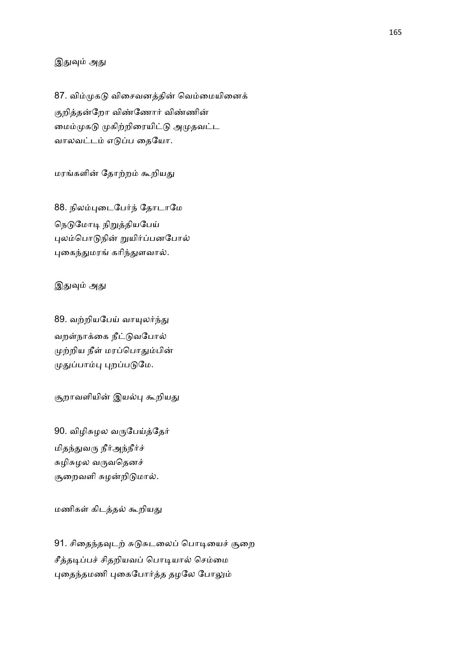### இதுவும் அது

87. விம்முகடு விசைவனத்தின் வெம்மையினைக் குறித்தன்றோ விண்ணோர் விண்ணின் மைம்முகடு முகிற்றிரையிட்டு அமுதவட்ட வாலவட்டம் எடுப்ப தையோ.

மரங்களின் தோற்றம் கூறியது

88. நிலம்புடைபேர்ந் தோடாமே நெடுமோடி நிறுத்தியபேய் புலம்பொடுநின் றுயிர்ப்பனபோல் புகைந்துமரங் கரிந்துளவால்.

இதுவும் அது

89. வற்றியபேய் வாயுலர்ந்து வறள்நாக்கை நீட்டுவபோல் முற்றிய நீள் மரப்பொதும்பின் முதுப்பாம்பு புறப்படுமே.

சூறாவளியின் இயல்பு கூறியது

90. விழிசுழல வருபேய்த்தேர் மிதந்துவரு நீர்அந்நீர்ச் சுழிசுழல வருவதெனச் சூறைவளி சுழன்றிடுமால்.

மணிகள் கிடத்தல் கூறியது

91. சிதைந்தவுடற் சுடுசுடலைப் பொடியைச் சூறை சீத்தடிப்பச் சிதறியவப் பொடியால் செம்மை புதைந்தமணி புகைபோர்த்த தழலே போலும்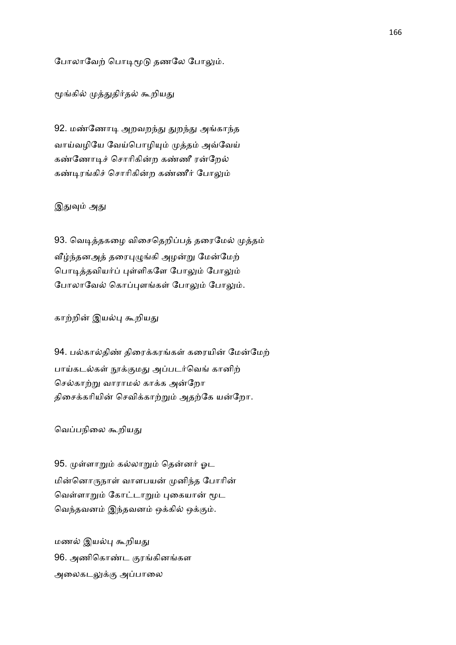போலாவேற் பொடிமூடு தணலே போலும்.

மூங்கில் முத்துதிர்தல் கூறியது

92. மண்ணோடி அறவறந்து துறந்து அங்காந்த வாய்வழியே வேய்பொழியும் முத்தம் அவ்வேய் கண்ணோடிச் சொரிகின்ற கண்ணீ ரன்றேல் கண்டிரங்கிச் சொரிகின்ற கண்ணீர் போலும்

### இதுவும் அது

93. வெடித்தகழை விசைதெறிப்பத் தரைமேல் முத்தம் வீழ்ந்தனஅத் தரைபுழுங்கி அழன்று மேன்மேற் பொடித்தவியர்ப் புள்ளிகளே போலும் போலும் போலாவேல் கொப்புளங்கள் போலும் போலும்.

காற்றின் இயல்பு கூறியது

94. பல்கால்திண் திரைக்கரங்கள் கரையின் மேன்மேற் பாய்கடல்கள் நூக்குமது அப்படர்வெங் கானிற் செல்காற்று வாராமல் காக்க அன்றோ திசைக்கரியின் செவிக்காற்றும் அதற்கே யன்றோ.

வெப்பநிலை கூறியது

95. முள்ளாறும் கல்லாறும் தென்னர் ஓட மின்னொருநாள் வாளபயன் முனிந்த போரின் வெள்ளாறும் கோட்டாறும் புகையான் மூட வெந்தவனம் இந்தவனம் ஒக்கில் ஒக்கும்.

மணல் இயல்பு கூறியது 96. அணிகொண்ட குரங்கினங்கள அலைகடலுக்கு அப்பாலை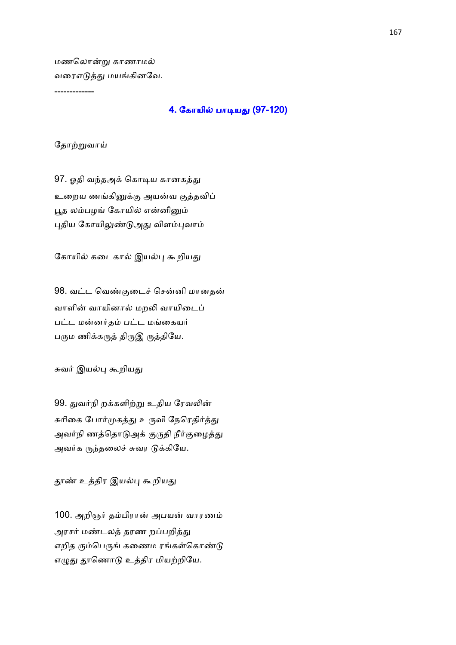மணலொன்று காணாமல் வரைஎடுத்து மயங்கினவே.

# -------------

### <u>4. கோயில் பாடியது (97-120)</u>

தோற்றுவாய்

97. ஓதி வந்தஅக் கொடிய கானகத்து உறைய ணங்கினுக்கு அயன்வ குத்தவிப் பூத லம்பழங் கோயில் என்னினும் புதிய கோயிலுண்டுஅது விளம்புவாம்

கோயில் கடைகால் இயல்பு கூறியது

98. வட்ட வெண்குடைச் சென்னி மானதன் வாளின் வாயினால் மறலி வாயிடைப் பட்ட மன்னர்தம் பட்ட மங்கையர் பரும ணிக்கருத் திருஇ ருத்தியே.

சுவர் இயல்பு கூறியது

99. துவர்நி றக்களிற்று உதிய ரேவலின் சுரிகை போர்முகத்து உருவி நேரெதிர்த்து அவர்நி ணத்தொடுஅக் குருதி நீர்குழைத்து அவர்க ருந்தலைச் சுவர டுக்கியே.

தூண் உத்திர இயல்பு கூறியது

100. அறிஞர் தம்பிரான் அபயன் வாரணம் அரசர் மண்டலத் தரண றப்பறித்து எறித ரும்பெருங் கணைம ரங்கள்கொண்டு எழுது தூணொடு உத்திர மியற்றியே.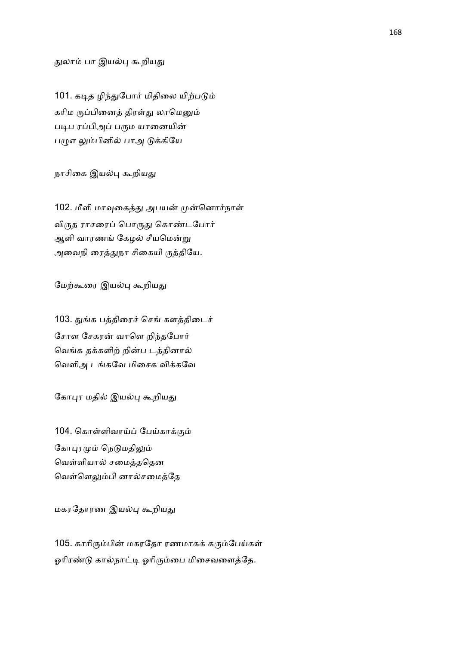#### துலாம் பா இயல்பு கூறியது

101. கடித ழிந்துபோர் மிதிலை யிற்படும் கரிம ருப்பினைத் திரள்து லாமெனும் படிப ரப்பிஅப் பரும யானையின் பழுஎ லும்பினில் பாஅ டுக்கியே

நாசிகை இயல்பு கூறியது

102. மீளி மாவுகைத்து அபயன் முன்னொர்நாள் விருத ராசரைப் பொருது கொண்டபோர் ஆளி வாரணங் கேழல் சீயமென்று அவைநி ரைத்துநா சிகையி ருத்தியே.

மேற்கூரை இயல்பு கூறியது

103. துங்க பத்திரைச் செங் களத்திடைச் சோள சேகரன் வாளெ றிந்தபோர் வெங்க தக்களிற் றின்ப டத்தினால் வெளிஅ டங்கவே மிசைக விக்கவே

கோபுர மதில் இயல்பு கூறியது

104. கொள்ளிவாய்ப் பேய்காக்கும் கோபுரமும் நெடுமதிலும் வெள்ளியால் சமைத்ததென வெள்ளெலும்பி னால்சமைத்தே

மகரதோரண இயல்பு கூறியது

105. காரிரும்பின் மகரதோ ரணமாகக் கரும்பேய்கள் ஓரிரண்டு கால்நாட்டி ஓரிரும்பை மிசைவளைத்தே.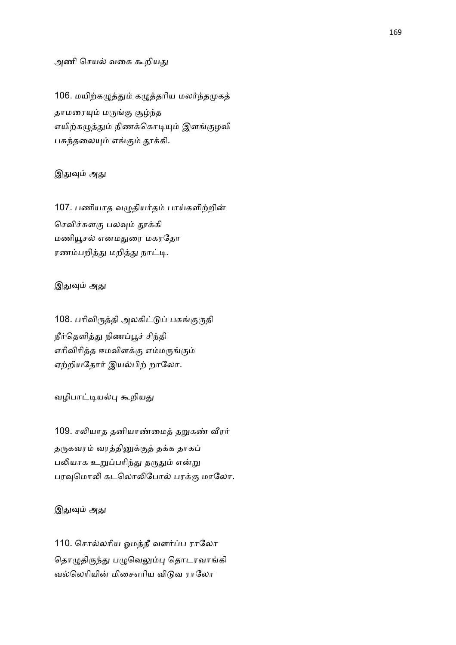#### அணி செயல் வகை கூறியது

106. மயிற்கழுத்தும் கழுத்தரிய மலர்ந்தமுகத் தாமரையும் மருங்கு சூழ்ந்த எயிற்கழுத்தும் நிணக்கொடியும் இளங்குழவி பசுந்தலையும் எங்கும் தூக்கி.

### இதுவும் அது

107. பணியாத வழுதியர்தம் பாய்களிற்றின் செவிச்சுளகு பலவும் தூக்கி மணியூசல் எனமதுரை மகரதோ ரணம்பறித்து மறித்து நாட்டி.

### இதுவும் அது

108. பரிவிருத்தி அலகிட்டுப் பசுங்குருதி நீர்தெளித்து நிணப்பூச் சிந்தி எரிவிரித்த ஈமவிளக்கு எம்மருங்கும் ஏற்றியதோர் இயல்பிற் றாலோ.

#### வழிபாட்டியல்பு கூறியது

109. சலியாத தனியாண்மைத் தறுகண் வீரர் தருகவரம் வரத்தினுக்குத் தக்க தாகப் பலியாக உறுப்பரிந்து தருதும் என்று பரவுமொலி கடலொலிபோல் பரக்கு மாலோ.

### இதுவும் அது

110. சொல்லரிய ஓமத்தீ வளர்ப்ப ராலோ தொழுதிருந்து பழுவெலும்பு தொடரவாங்கி வல்லெரியின் மிசைஎரிய விடுவ ராலோ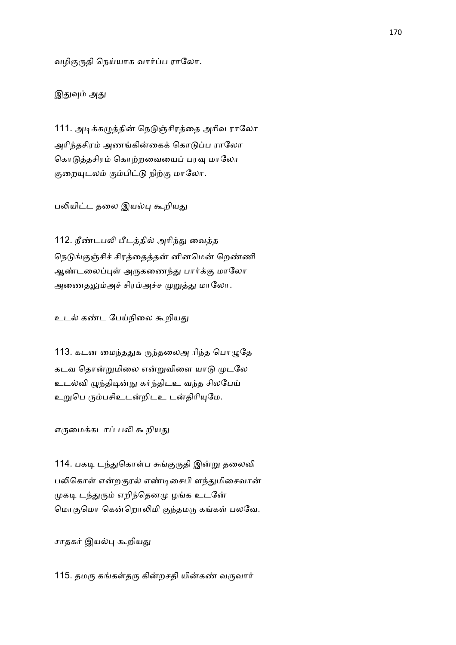வழிகுருதி நெய்யாக வார்ப்ப ராலோ.

இதுவும் அது

111. அடிக்கழுத்தின் நெடுஞ்சிரத்தை அரிவ ராலோ அரிந்தசிரம் அணங்கின்கைக் கொடுப்ப ராலோ கொடுத்தசிரம் கொற்றவையைப் பரவு மாலோ குறையுடலம் கும்பிட்டு நிற்கு மாலோ.

பலியிட்ட தலை இயல்பு கூறியது

112. நீண்டபலி பீடத்தில் அரிந்து வைத்த நெடுங்குஞ்சிச் சிரத்தைத்தன் னினமென் றெண்ணி ஆண்டலைப்புள் அருகணைந்து பார்க்கு மாலோ அணைதலும்அச் சிரம்அச்ச முறுத்து மாலோ.

உடல் கண்ட பேய்நிலை கூறியது

113. கடன மைந்ததுக ருந்தலைஅ ரிந்த பொழுதே கடவ தொன்றுமிலை என்றுவிளை யாடு முடலே உடல்வி ழுந்திடின்நு கர்ந்திடஉ வந்த சிலபேய் உறுபெ ரும்பசிஉடன்றிடஉ டன்திரியுமே.

எருமைக்கடாப் பலி கூறியது

114. பகடி டந்துகொள்ப சுங்குருதி இன்று தலைவி பலிகொள் என்றகுரல் எண்டிசைபி ளந்துமிசைவான் முகடி டந்துரும் எறிந்தெனமு ழங்க உடனே மொகுமொ கென்றொலிமி குந்தமரு கங்கள் பலவே.

சாதகர் இயல்பு கூறியது

115. தமரு கங்கள்தரு கின்றசதி யின்கண் வருவார்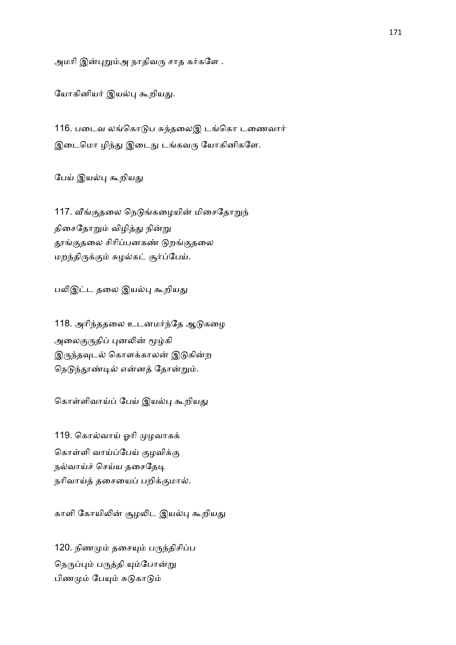அமரி இன்புறும்அ நாதிவரு சாத கர்களே .

யோகினியர் இயல்பு கூறியது.

116. படைவ லங்கொடுப சுந்தலைஇ டங்கொ டணைவார் இடைமொ ழிந்து இடைநு டங்கவரு யோகினிகளே.

பேய் இயல்பு கூறியது

117. வீங்குதலை நெடுங்கழையின் மிசைதோறுந் திசைதோறும் விழித்து நின்று தூங்குதலை சிரிப்பனகண் டுறங்குதலை மறந்திருக்கும் சுழல்கட் சூர்ப்பேய்.

பலிஇட்ட தலை இயல்பு கூறியது

118. அரிந்ததலை உடனமர்ந்தே ஆடுகழை அலைகுருதிப் புனலின் மூழ்கி இருந்தவுடல் கொளக்காலன் இடுகின்ற நெடுந்தூண்டில் என்னத் தோன்றும்.

கொள்ளிவாய்ப் பேய் இயல்பு கூறியது

119. கொல்வாய் ஓரி முழவாகக் கொள்ளி வாய்ப்பேய் குழவிக்கு நல்வாய்ச் செய்ய தசைதேடி நரிவாய்த் தசையைப் பறிக்குமால்.

காளி கோயிலின் சூழலிட இயல்பு கூறியது

120. நிணமும் தசையும் பருந்திசிப்ப நெருப்பும் பருத்தி யும்போன்று பிணமும் பேயும் சுடுகாடும்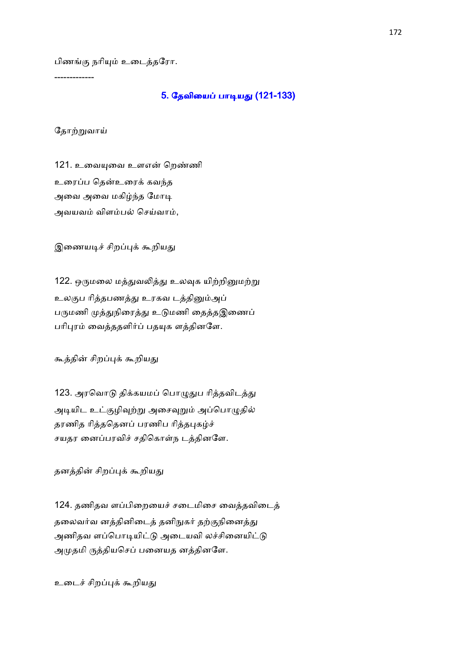பிணங்கு நரியும் உடைத்தரோ.

-------------

# 5. தேவியைப் பாடியது (121-133)

தோற்றுவாய்

121. உவையுவை உளஎன் றெண்ணி உரைப்ப கென்உரைக் கவந்த அவை அவை மகிழ்ந்த மோடி அவயவம் விளம்பல் செய்வாம்,

இணையடிச் சிறப்புக் கூறியது

122. ஒருமலை மத்துவலித்து உலவுக யிற்றினுமற்று உலகுப ரித்தபணத்து உரகவ டத்தினும்அப் பருமணி முத்துநிரைத்து உடுமணி தைத்தஇணைப் பரிபுரம் வைத்ததளிர்ப் பதயுக ளத்தினளே.

கூத்தின் சிறப்புக் கூறியது

123. அரவொடு திக்கயமப் பொழுதுப ரித்தவிடத்து அடியிட உட்குழிவுற்று அசைவுறும் அப்பொழுதில் தரணித ரித்ததெனப் பரணிப ரித்தபுகழ்ச் சயதர னைப்பரவிச் சதிகொள்ந டத்தினளே.

தனத்தின் சிறப்புக் கூறியது

124. தணிதவ ளப்பிறையைச் சடைமிசை வைத்தவிடைத் தலைவர்வ னத்தினிடைத் தனிநுகர் தற்குநினைத்து அணிதவ ளப்பொடியிட்டு அடையவி லச்சினையிட்டு அமுதமி ருத்தியசெப் பனையத னத்தினளே.

உடைச் சிறப்புக் கூறியது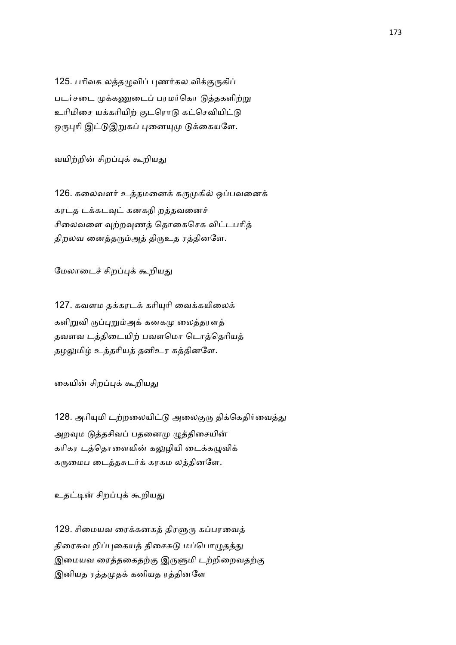125. பரிவக லத்தழுவிப் புணர்கல விக்குருகிப் படர்சடை முக்கணுடைப் பரமர்கொ டுத்தகளிற்று உரிமிசை யக்கரியிற் குடரொடு கட்செவியிட்டு ஒருபுரி இட்டுஇறுகப் புனையுமு டுக்கையளே.

வயிற்றின் சிறப்புக் கூறியது

126. கலைவளர் உத்தமனைக் கருமுகில் ஒப்பவனைக் கரடத டக்கடவுட் கனகநி றத்தவனைச் சிலைவளை வற்றவுணத் தொகைசெக விட்டபரித் திறலவ னைத்தரும்அத் திருஉத ரத்தினளே.

மேலாடைச் சிறப்புக் கூறியது

127. கவளம தக்கரடக் கரியுரி வைக்கயிலைக் களிறுவி ருப்புறும்அக் கனகமு லைத்தரளத் தவளவ டத்திடையிற் பவளமொ டொத்தெரியத் தழலுமிழ் உத்தரியத் தனிஉர கத்தினளே.

கையின் சிறப்புக் கூறியது

128. அரியுமி டற்றலையிட்டு அலைகுரு திக்கெதிர்வைத்து அறவும டுத்தசிவப் பதனைமு முத்திசையின் கரிகர டத்தொளையின் கலுழியி டைக்கமுவிக் கருமைப டைத்தசுடர்க் கரகம லத்தினளே.

உதட்டின் சிறப்புக் கூறியது

129. சிமையவ ரைக்கனகத் திரளுரு கப்பரவைத் திரைசுவ றிப்புகையத் திசைசுடு மப்பொழுதத்து இமையவ ரைத்தகைதற்கு இருளுமி டற்றிறைவதற்கு இனியத ரத்தமுதக் கனியத ரத்தினளே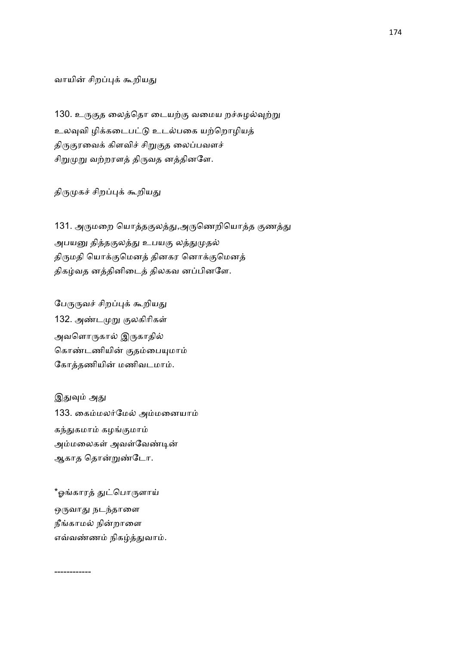வாயின் சிறப்புக் கூறியது

130. உருகுத லைத்தொ டையற்கு வமைய றச்சுழல்வுற்று உலவுவி ழிக்கடைபட்டு உடல்பகை யற்றொழியத் திருகுரவைக் கிளவிச் சிறுகுத லைப்பவளச் சிறுமுறு வற்றரளத் திருவத னத்தினளே.

திருமுகச் சிறப்புக் கூறியது

131. அருமறை யொத்தகுலத்து,அருணெறியொத்த குணத்து அபயனு தித்தகுலத்து உபயகு லத்துமுதல் திருமதி யொக்குமெனத் தினகர னொக்குமெனத் திகழ்வத னத்தினிடைத் திலகவ னப்பினளே.

பேருருவச் சிறப்புக் கூறியது 132. அண்டமுறு குலகிரிகள் அவளொருகால் இருகாதில் கொண்டணியின் குதம்பையுமாம் கோத்தணியின் மணிவடமாம்.

இதுவும் அது 133. கைம்மலர்மேல் அம்மனையாம் கந்துகமாம் கழங்குமாம் அம்மலைகள் அவள்வேண்டின் ஆகாத தொன்றுண்டோ.

\*ஓங்காரத் துட்பொருளாய் ஒருவாது நடந்தாளை நீங்காமல் நின்றாளை எவ்வண்ணம் நிகழ்த்துவாம்.

------------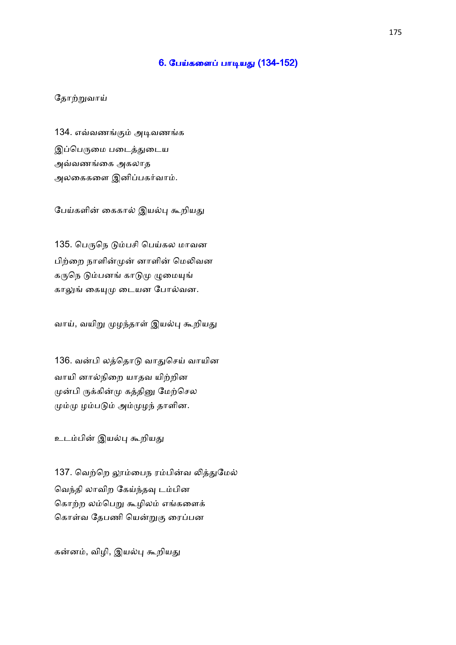### <u>6. பேய்களைப் பாடியது (134-152)</u>

# தோற்றுவாய்

134. எவ்வணங்கும் அடிவணங்க இப்பெருமை படைத்துடைய அவ்வணங்கை அகலாத அலகைகளை இனிப்பகர்வாம்.

பேய்களின் கைகால் இயல்பு கூறியது

135. பெருநெ டும்பசி பெய்கல மாவன பிற்றை நாளின்முன் னாளின் மெலிவன கருநெ டும்பனங் காடுமு ழுமையுங் காலுங் கையுமு டையன போல்வன.

வாய், வயிறு முழந்தாள் இயல்பு கூறியது

136. வன்பி லத்தொடு வாதுசெய் வாயின வாயி னால்நிறை யாதவ யிற்றின முன்பி ருக்கின்மு கத்தினு மேற்செல மும்மு ழம்படும் அம்முழந் தாளின.

உடம்பின் இயல்பு கூறியது

137. வெற்றெ லூம்பைந ரம்பின்வ லித்துமேல் வெந்தி லாவிற கேய்ந்தவு டம்பின கொற்ற லம்பெறு கூழிலம் எங்களைக் கொள்வ தேபணி யென்றுகு ரைப்பன

கன்னம், விழி, இயல்பு கூறியது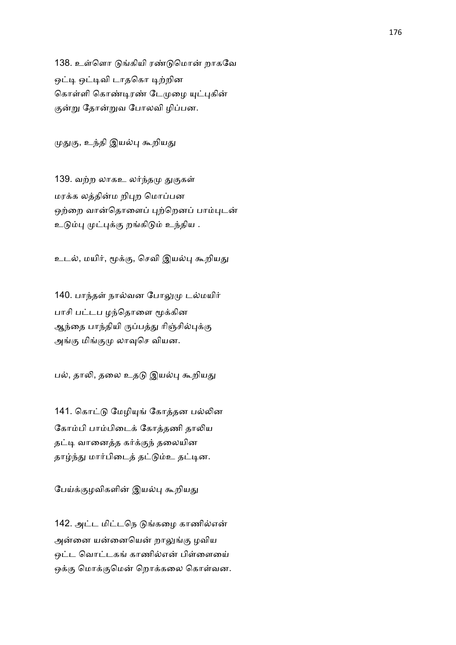138. உள்ளொ டுங்கியி ரண்டுமொன் றாகவே ஒட்டி ஒட்டிவி டாதகொ டிற்றின கொள்ளி கொண்டிரண் டேமுழை யுட்புகின் குன்று தோன்றுவ போலவி ழிப்பன.

முதுகு, உந்தி இயல்பு கூறியது

139. வற்ற லாகஉ லர்ந்தமு துகுகள் மரக்க லத்தின்ம றிபுற மொப்பன ஒற்றை வான்தொளைப் புற்றெனப் பாம்புடன் உடும்பு முட்புக்கு றங்கிடும் உந்திய .

உடல், மயிர், மூக்கு, செவி இயல்பு கூறியது

140. பாந்தள் நால்வன போலுமு டல்மயிர் பாசி பட்டப ழந்தொளை மூக்கின ஆந்தை பாந்தியி ருப்பத்து ரிஞ்சில்புக்கு அங்கு மிங்குமு லாவுசெ வியன.

பல், தாலி, தலை உதடு இயல்பு கூறியது

141. கொட்டு மேழியுங் கோத்தன பல்லின கோம்பி பாம்பிடைக் கோக்கணி காலிய தட்டி வானைத்த கர்க்குந் தலையின தாழ்ந்து மார்பிடைத் தட்டும்உ தட்டின.

பேய்க்குழவிகளின் இயல்பு கூறியது

142. அட்ட மிட்டநெ டுங்கமை காணில்என் அன்னை யன்னையென் றாலுங்கு ழவிய ஒட்ட வொட்டகங் காணில்என் பிள்ளையை ஒக்கு மொக்குமென் றொக்கலை கொள்வன.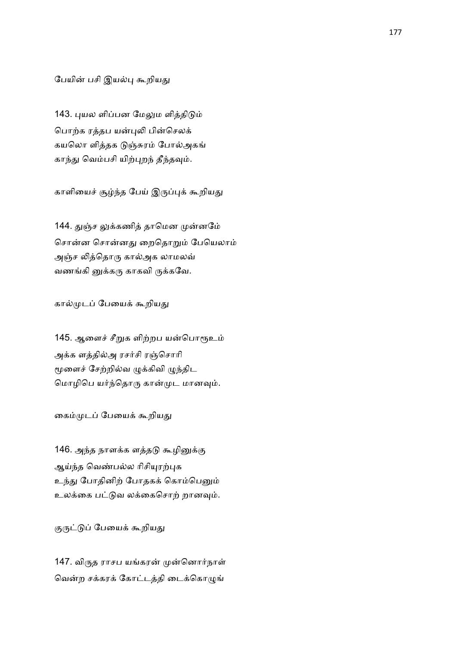பேயின் பசி இயல்பு கூறியது

143. புயல ளிப்பன மேலும ளித்திடும் பொற்க ரத்தப யன்புலி பின்செலக் கயலொ ளித்தக டுஞ்சுரம் போல்அகங் காந்து வெம்பசி யிற்புறந் தீந்தவும்.

காளியைச் சூழ்ந்த பேய் இருப்புக் கூறியது

144. துஞ்ச லுக்கணித் தாமென முன்னமே் சொன்ன சொன்னது றைதொறும் பேயெலாம் அஞ்ச லித்தொரு கால்அக லாமலவ் வணங்கி னுக்கரு காகவி ருக்கவே.

கால்முடப் பேயைக் கூறியது

145. ஆளைச் சீறுக ளிற்றப யன்பொரூஉம் அக்க ளத்தில்அ ரசர்சி ரஞ்சொரி மூளைச் சேற்றில்வ ழுக்கிவி ழுந்திட மொழிபெ யர்ந்தொரு கான்முட மானவும்.

கைம்முடப் பேயைக் கூறியது

146. அந்த நாளக்க ளத்தடு கூழினுக்கு ஆய்ந்த வெண்பல்ல ரிசியுரற்புக உந்து போதினிற் போதகக் கொம்பெனும் உலக்கை பட்டுவ லக்கைசொற் றானவும்.

குருட்டுப் பேயைக் கூறியது

147. விருத ராசப யங்கரன் முன்னொர்நாள் வென்ற சக்கரக் கோட்டத்தி டைக்கொழுங்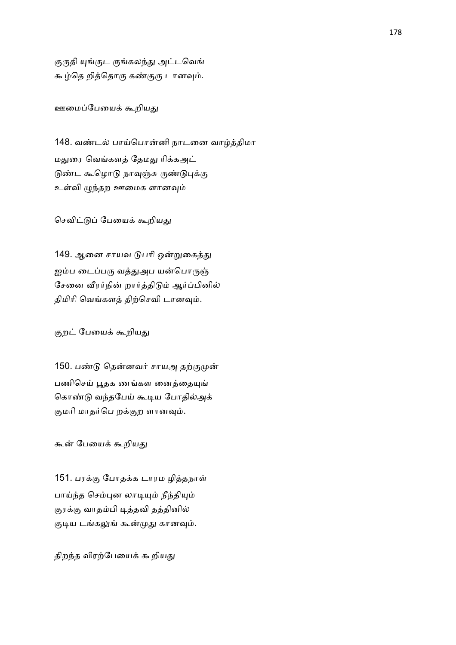குருதி யுங்குட ருங்கலந்து அட்டவெங் கூழ்தெ றித்தொரு கண்குரு டானவும்.

ஊமைப்பேயைக் கூறியது

148. வண்டல் பாய்பொன்னி நாடனை வாழ்த்திமா மதுரை வெங்களத் தேமது ரிக்கஅட் டுண்ட கூழொடு நாவுஞ்சு ருண்டுபுக்கு உள்வி ழுந்தற ஊமைக ளானவும்

செவிட்டுப் பேயைக் கூறியது

149. ஆனை சாயவ டுபரி ஒன்றுகைத்து ஐம்ப டைப்பரு வத்துஅப யன்பொருஞ் சேனை வீரர்நின் றார்த்திடும் ஆர்ப்பினில் திமிரி வெங்களத் திற்செவி டானவும்.

குறட் பேயைக் கூறியது

150. பண்டு தென்னவர் சாயஅ தற்குமுன் பணிசெய் பூதக ணங்கள னைத்தையுங் கொண்டு வந்தபேய் கூடிய போதில்அக் குமரி மாதர்பெ றக்குற ளானவும்.

கூன் பேயைக் கூறியது

151. பரக்கு போதக்க டாரம ழித்தநாள் பாய்ந்த செம்புன லாடியும் நீந்தியும் குரக்கு வாதம்பி டித்தவி தத்தினில் குடிய டங்கலுங் கூன்முது கானவும்.

திறந்த விரற்பேயைக் கூறியது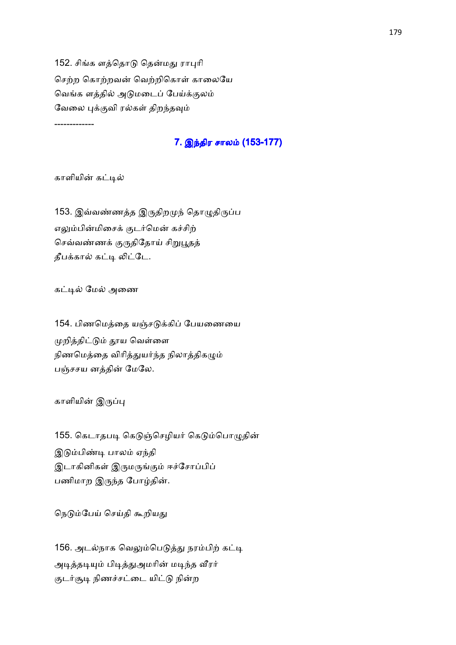152. சிங்க ளத்தொடு தென்மது ராபுரி செற்ற கொற்றவன் வெற்றிகொள் காலையே வெங்க ளத்தில் அடுமடைப் பேய்க்குலம் வேலை புக்குவி ரல்கள் திறந்தவும்

-------------

# 7. இந்திர சாலம் (153-177)

காளியின் கட்டில்

153. இவ்வண்ணத்த இருதிறமுந் தொழுதிருப்ப எலும்பின்மிசைக் குடர்மென் கச்சிற் செவ்வண்ணக் குருதிதோய் சிறுபூதத் தீபக்கால் கட்டி லிட்டே.

கட்டில் மேல் அணை

154. பிணமெத்தை யஞ்சடுக்கிப் பேயணையை முறித்திட்டும் தூய வெள்ளை நிணமெத்தை விரித்துயர்ந்த நிலாத்திகழும் பஞ்சசய னத்தின் மேலே.

காளியின் இருப்பு

155. கெடாதபடி கெடுஞ்செழியர் கெடும்பொழுதின் இடும்பிண்டி பாலம் ஏந்தி இடாகினிகள் இருமருங்கும் ஈச்சோப்பிப் பணிமாற இருந்த போழ்தின்.

நெடும்பேய் செய்தி கூறியது

156. அடல்நாக வெலும்பெடுத்து நரம்பிற் கட்டி அடித்தடியும் பிடித்துஅமரின் மடிந்த வீரர் குடர்சூடி நிணச்சட்டை யிட்டு நின்ற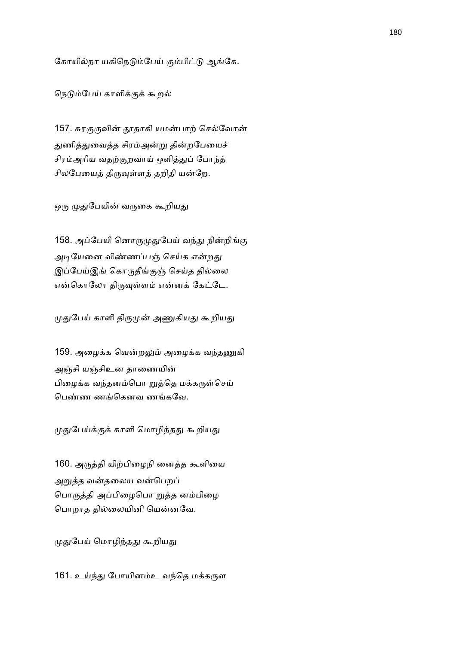கோயில்நா யகிநெடும்பேய் கும்பிட்டு ஆங்கே.

நெடும்பேய் காளிக்குக் கூறல்

157. சுரகுருவின் தூதாகி யமன்பாற் செல்வோன் துணித்துவைத்த சிரம்அன்று தின்றபேயைச் சிரம்அரிய வதற்குறவாய் ஒளித்துப் போந்த் சிலபேயைத் திருவுள்ளத் தறிதி யன்றே.

ஒரு முதுபேயின் வருகை கூறியது

158. அப்பேயி னொருமுதுபேய் வந்து நின்றிங்கு அடியேனை விண்ணப்பஞ் செய்க என்றது இப்பேய்இங் கொருதீங்குஞ் செய்த தில்லை என்கொலோ திருவுள்ளம் என்னக் கேட்டே.

முதுபேய் காளி திருமுன் அணுகியது கூறியது

159. அழைக்க வென்றலும் அழைக்க வந்தணுகி அஞ்சி யஞ்சிஉன தாணையின் பிழைக்க வந்தனம்பொ றுத்தெ மக்கருள்செய் பெண்ண ணங்கெனவ ணங்கவே.

முதுபேய்க்குக் காளி மொழிந்தது கூறியது

160. அருத்தி யிற்பிழைநி னைத்த கூளியை அறுத்த வன்தலைய வன்பெறப் பொருத்தி அப்பிழைபொ றுத்த னம்பிழை பொறாத தில்லையினி யென்னவே.

முதுபேய் மொழிந்தது கூறியது

161. உய்ந்து போயினம்உ வந்தெ மக்கருள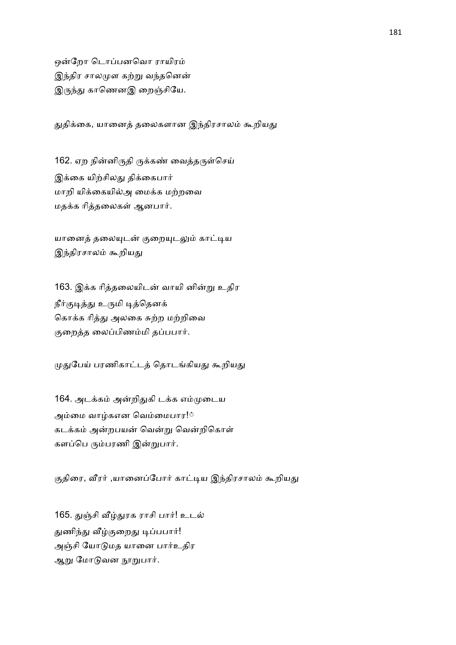ஒன்றோ டொப்பனவொ ராயிரம் இந்திர சாலமுள கற்று வந்தனென் இருந்து காணெனஇ றைஞ்சியே.

துதிக்கை, யானைத் தலைகளான இந்திரசாலம் கூறியது

162. ஏற நின்னிருதி ருக்கண் வைத்தருள்செய் இக்கை யிற்சிலது திக்கைபார் மாறி யிக்கையில்அ மைக்க மற்றவை மதக்க ரித்தலைகள் ஆனபார்.

யானைத் தலையுடன் குறையுடலும் காட்டிய இந்திரசாலம் கூறியது

163. இக்க ரித்தலையிடன் வாயி னின்று உதிர நீர்குடித்து உருமி டித்தெனக் கொக்க ரித்து அலகை சுற்ற மற்றிவை குறைத்த லைப்பிணம்மி தப்பபார்.

முதுபேய் பரணிகாட்டத் தொடங்கியது கூறியது

164. அடக்கம் அன்றிதுகி டக்க எம்முடைய அம்மை வாழ்கஎன வெம்மைபார!் கடக்கம் அன்றபயன் வென்று வென்றிகொள் களப்பெ ரும்பரணி இன்றுபார்.

குதிரை, வீரர் ,யானைப்போர் காட்டிய இந்திரசாலம் கூறியது

165. துஞ்சி வீழ்துரக ராசி பார்! உடல் துணிந்து வீழ்குறைது டிப்பபார்! அஞ்சி யோடுமத யானை பார்உதிர ஆறு மோடுவன நூறுபார்.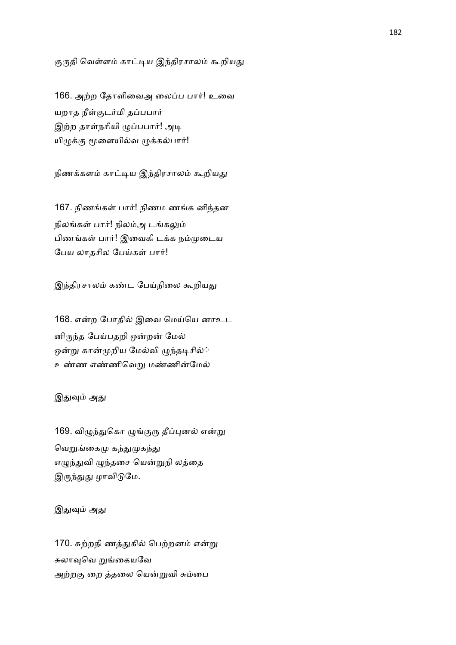குருதி வெள்ளம் காட்டிய இந்திரசாலம் கூறியது

166. அற்ற தோளிவைஅ லைப்ப பார்! உவை யறாத நீள்குடர்மி தப்பபார் இற்ற தாள்நரியி ழுப்பபார்! அடி யிழுக்கு மூளையில்வ ழுக்கல்பார்!

நிணக்களம் காட்டிய இந்திரசாலம் கூறியது

167. நிணங்கள் பார்! நிணம ணங்க னிந்தன நிலங்கள் பார்! நிலம்அ டங்கலும் பிணங்கள் பார்! இவைகி டக்க நம்முடைய பேய லாதசில பேய்கள் பார்!

இந்திரசாலம் கண்ட பேய்நிலை கூறியது

168. என்ற போதில் இவை மெய்யெ னாஉட னிருந்த பேய்பதறி ஒன்றன் மேல் ஒன்று கான்முறிய மேல்வி ழுந்தடிசில்் உண்ண எண்ணிவெறு மண்ணின்மேல்

## இதுவும் அது

169. விழுந்துகொ ழுங்குரு தீப்புனல் என்று வெறுங்கைமு கந்துமுகந்து எழுந்துவி ழுந்தசை யென்றுநி லத்தை இருந்துது ழாவிடுமே.

## இதுவும் அது

170. சுற்றநி ணத்துகில் பெற்றனம் என்று சுலாவுவெ றுங்கையவே அற்றகு றை த்தலை யென்றுவி சும்பை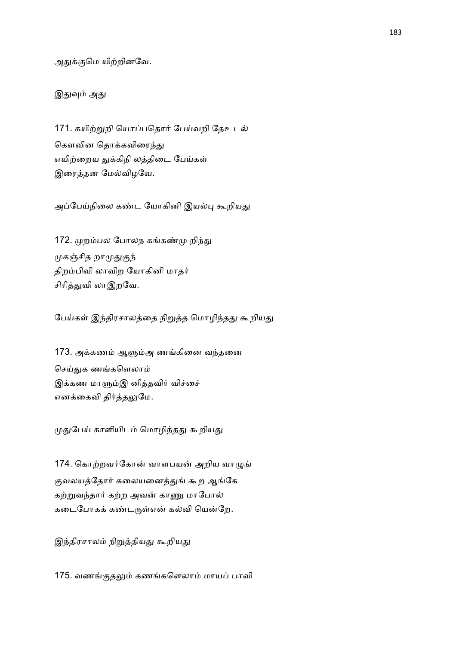அதுக்குமெ யிற்றினவே.

இதுவும் அது

171. கயிற்றுறி யொப்பதொர் பேய்வறி தேஉடல் கௌவின தொக்கவிரைந்து எயிற்றைய துக்கிநி லத்திடை பேய்கள் இரைத்தன மேல்விழவே.

அப்பேய்நிலை கண்ட யோகினி இயல்பு கூறியது

172. முறம்பல போலந கங்கண்மு றிந்து முகஞ்சித றாமுதுகுந் திறம்பிவி லாவிற யோகினி மாதர் சிரித்துவி லாஇறவே.

பேய்கள் இந்திரசாலத்தை நிறுத்த மொழிந்தது கூறியது

173. அக்கணம் ஆளும்அ ணங்கினை வந்தனை செய்துக ணங்களெலாம் இக்கண மாளும்இ னித்தவிர் விச்சை் எனக்கைவி திர்த்தலுமே.

முதுபேய் காளியிடம் மொழிந்தது கூறியது

174. கொற்றவர்கோன் வாளபயன் அறிய வாழுங் குவலயத்தோர் கலையனைத்துங் கூற ஆங்கே கற்றுவந்தார் கற்ற அவன் காணு மாபோல் கடைபோகக் கண்டருள்என் கல்வி யென்றே.

இந்திரசாலம் நிறுத்தியது கூறியது

175. வணங்குதலும் கணங்களெலாம் மாயப் பாவி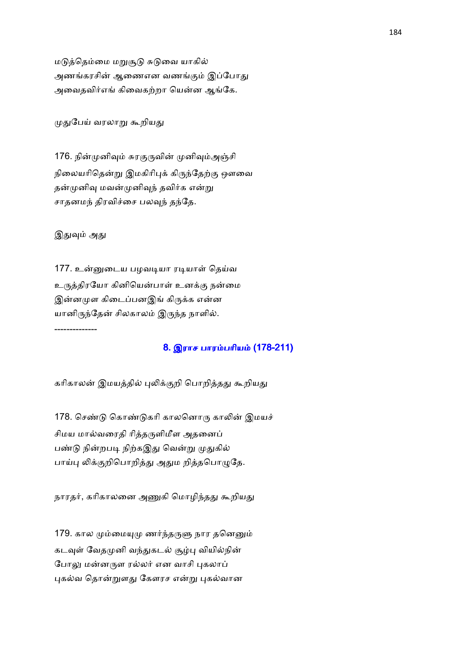மடுத்தெம்மை மறுசூடு சுடுவை யாகில் அணங்கரசின் ஆணைஎன வணங்கும் இப்போது அவைதவிர்எங் கிவைகற்றா யென்ன ஆங்கே.

முதுபேய் வரலாறு கூறியது

176. நின்முனிவும் சுரகுருவின் முனிவும்அஞ்சி நிலையரிதென்று இமகிரிபுக் கிருந்தேற்கு ஔவை தன்முனிவு மவன்முனிவுந் தவிர்க என்று சாதனமந் திரவிச்சை பலவுந் தந்தே.

இதுவும் அது

177. உன்னுடைய பழவடியா ரடியாள் தெய்வ உருத்திரயோ கினியென்பாள் உனக்கு நன்மை இன்னமுள கிடைப்பனஇங் கிருக்க என்ன யானிருந்தேன் சிலகாலம் இருந்த நாளில். --------------

# 8. இராச பாரம்பரியம் (178-211)

கரிகாலன் இமயத்தில் புலிக்குறி பொறித்தது கூறியது

178. செண்டு கொண்டுகரி காலனொரு காலின் இமயச் சிமய மால்வரைதி ரித்தருளிமீள அதனைப் பண்டு நின்றபடி நிற்கஇது வென்று முதுகில் பாய்பு லிக்குறிபொறித்து அதும றித்தபொழுதே.

நாரதர், கரிகாலனை அணுகி மொழிந்தது கூறியது

179. கால மும்மையுமு ணர்ந்தருளு நார தனெனும் கடவுள் வேதமுனி வந்துகடல் சூழ்பு வியில்நின் போலு மன்னருள ரல்லர் என வாசி புகலாப் புகல்வ தொன்றுளது கேளரச என்று புகல்வான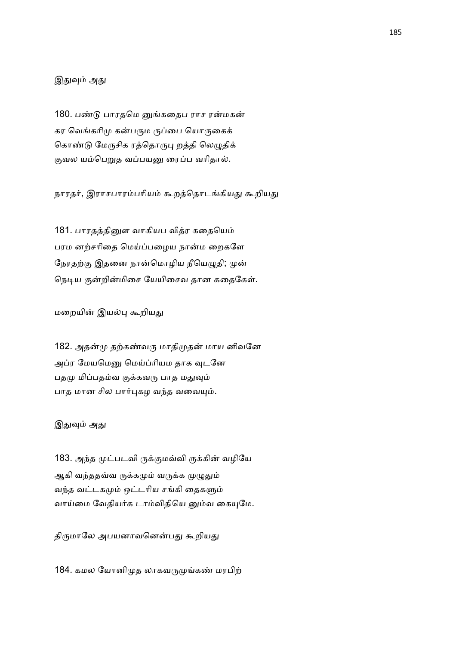## இதுவும் அது

180. பண்டு பாரதமெ னுங்கதைப ராச ரன்மகன் கர வெங்கரிமு கன்பரும ருப்பை யொருகைக் கொண்டு மேருசிக ரத்தொருபு றத்தி லெழுதிக் குவல யம்பெறுத வப்பயனு ரைப்ப வரிதால்.

நாரதர், இராசபாரம்பரியம் கூறத்தொடங்கியது கூறியது

181. பாரதத்தினுள வாகியப வித்ர கதையெம் பரம னற்சரிதை மெய்ப்பழைய நான்ம றைகளே நேரதற்கு இதனை நான்மொழிய நீயெழுதி; முன் நெடிய குன்றின்மிசை யேயிசைவ தான கதைகேள்.

மறையின் இயல்பு கூறியது

182. அதன்மு தற்கண்வரு மாதிமுதன் மாய னிவனே அப்ர மேயமெனு மெய்ப்ரியம தாக வுடனே பதமு மிப்பதம்வ குக்கவரு பாத மதுவும் பாத மான சில பார்புகழ வந்த வவையும்.

### இதுவும் அது

183. அந்த முட்படவி ருக்குமவ்வி ருக்கின் வழியே ஆகி வந்ததவ்வ ருக்கமும் வருக்க முழுதும் வந்த வட்டகமும் ஒட்டரிய சங்கி தைகளும் வாய்மை வேதியர்க டாம்விதியெ னும்வ கையுமே.

திருமாலே அபயனாவனென்பது கூறியது

184. கமல யோனிமுத லாகவருமுங்கண் மரபிற்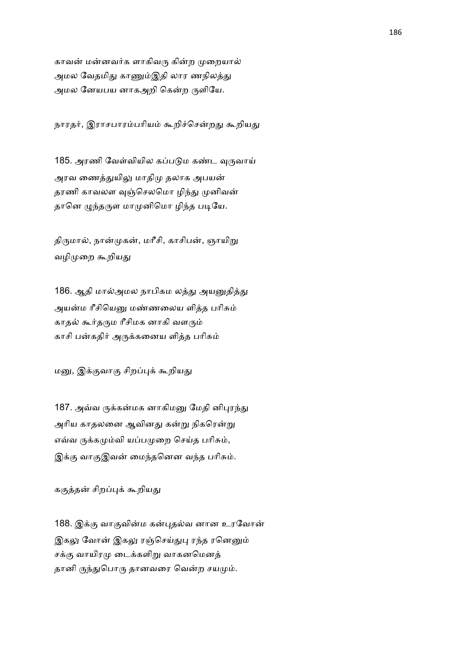காவன் மன்னவர்க ளாகிவரு கின்ற முறையால் அமல வேதமிது காணும்இதி லார ணநிலத்து அமல னேயபய னாகஅறி கென்ற ருளியே.

நாரதர், இராசபாரம்பரியம் கூறிச்சென்றது கூறியது

185. அரணி வேள்வியில கப்படும கண்ட வுருவாய் அரவ ணைத்துயிலு மாதிமு தலாக அபயன் தரணி காவலள வுஞ்செலமொ ழிந்து முனிவன் தானெ முந்தருள மாமுனிமொ ழிந்த படியே.

திருமால், நான்முகன், மரீசி, காசிபன், ஞாயிறு வழிமுறை கூறியது

186. ஆதி மால்அமல நாபிகம லத்து அயனுதித்து அயன்ம ரீசியெனு மண்ணலைய ளித்த பரிசும் காதல் கூர்தரும ரீசிமக னாகி வளரும் காசி பன்கதிர் அருக்கனைய ளித்த பரிசும்

மனு, இக்குவாகு சிறப்புக் கூறியது

187. அவ்வ ருக்கன்மக னாகிமனு மேதி னிபுரந்து அரிய காதலனை ஆவினது கன்று நிகரென்று எவ்வ ருக்கமும்வி யப்பமுறை செய்த பரிசும், இக்கு வாகுஇவன் மைந்தனென வந்த பரிசும்.

ககுத்தன் சிறப்புக் கூறியது

188. இக்கு வாகுவின்ம கன்புதல்வ னான உரவோன் இகலு வோன் இகலு ரஞ்செய்துபு ரந்த ரனெனும் சக்கு வாயிரமு டைக்களிறு வாகனமெனத் தானி ருந்துபொரு தானவரை வென்ற சயமும்.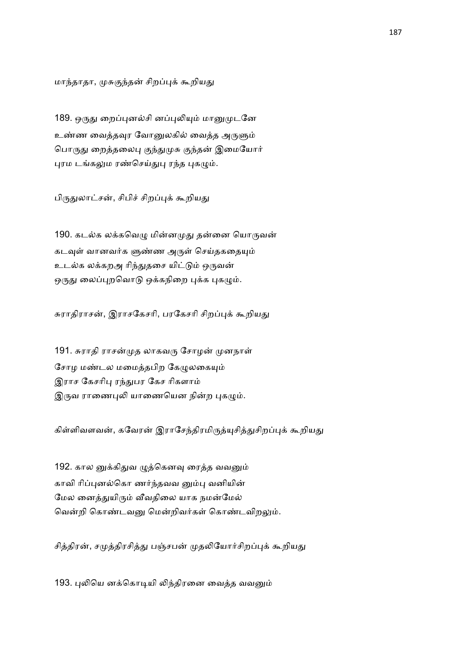மாந்தாதா, முசுகுந்தன் சிறப்புக் கூறியது

189. ஒருது றைப்புனல்சி னப்புலியும் மானுமுடனே உண்ண வைத்தவுர வோனுலகில் வைத்த அருளும் பொருது றைத்தலைபு குந்துமுசு குந்தன் இமையோர் புரம டங்கலும ரண்செய்துபு ரந்த புகழும்.

பிருதுலாட்சன், சிபிச் சிறப்புக் கூறியது

190. கடல்க லக்கவெழு மின்னமுது தன்னை யொருவன் கடவுள் வானவர்க ளுண்ண அருள் செய்தகதையும் உடல்க லக்கறஅ ரிந்துதசை யிட்டும் ஒருவன் ஒருது லைப்புறவொடு ஒக்கநிறை புக்க புகழும்.

சுராதிராசன், இராசகேசரி, பரகேசரி சிறப்புக் கூறியது

191. சுராதி ராசன்முத லாகவரு சோழன் முனநாள் சோழ மண்டல மமைத்தபிற கேழுலகையும் இராச கேசரிபு ரந்துபர கேச ரிகளாம் இருவ ராணைபுலி யாணையென நின்ற புகழும்.

கிள்ளிவளவன், கவேரன் இராசேந்திரமிருத்யுசித்துசிறப்புக் கூறியது

192. கால னுக்கிதுவ ழுத்கெனவு ரைத்த வவனும் காவி ரிப்புனல்கொ ணர்ந்தவவ னும்பு வனியின் மேல னைத்துயிரும் வீவதிலை யாக நமன்மேல் வென்றி கொண்டவனு மென்றிவர்கள் கொண்டவிறலும்.

சித்திரன், சமுத்திரசித்து பஞ்சபன் முதலியோர்சிறப்புக் கூறியது

193. புலியெ னக்கொடியி லிந்திரனை வைத்த வவனும்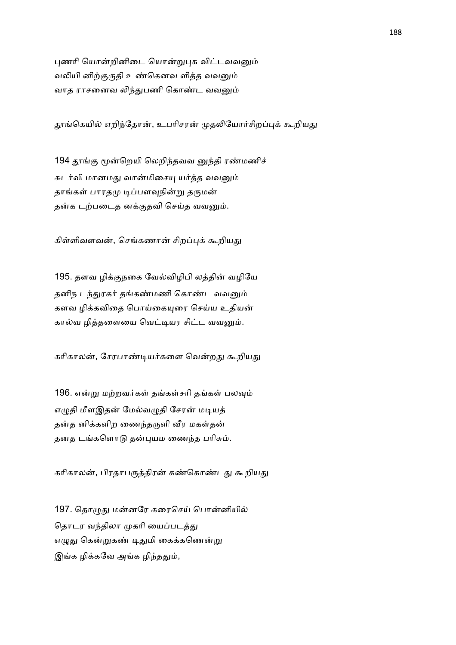புணரி யொன்றினிடை யொன்றுபுக விட்டவவனும் வலியி னிற்குருதி உண்கெனவ ளித்த வவனும் வாத ராசனைவ லிந்துபணி கொண்ட வவனும்

தூங்கெயில் எறிந்தோன், உபரிசரன் முதலியோர்சிறப்புக் கூறியது

194 தூங்கு மூன்றெயி லெறிந்தவவ னுந்தி ரண்மணிச் சுடர்வி மானமது வான்மிசையு யர்த்த வவனும் தாங்கள் பாரதமு டிப்பளவுநின்று தருமன் தன்க டற்படைத னக்குதவி செய்த வவனும்.

கிள்ளிவளவன், செங்கணான் சிறப்புக் கூறியது

195. தளவ ழிக்குநகை வேல்விழிபி லத்தின் வழியே தனிந டந்துரகர் தங்கண்மணி கொண்ட வவனும் களவ ழிக்கவிதை பொய்கையுரை செய்ய உதியன் கால்வ ழித்தளையை வெட்டியர சிட்ட வவனும்.

கரிகாலன், சேரபாண்டியர்களை வென்றது கூறியது

196. என்று மற்றவர்கள் தங்கள்சரி தங்கள் பலவும் எமுதி மீளஇதன் மேல்வமுதி சேரன் மடியத் தன்த னிக்களிற ணைந்தருளி வீர மகள்தன் தனத டங்களொடு தன்புயம ணைந்த பரிசும்.

கரிகாலன், பிரதாபருத்திரன் கண்கொண்டது கூறியது

197. தொழுது மன்னரே கரைசெய் பொன்னியில் தொடர வந்திலா முகரி யைப்படத்து எழுது கென்றுகண் டிதுமி கைக்கணென்று இங்க ழிக்கவே அங்க ழிந்ததும்,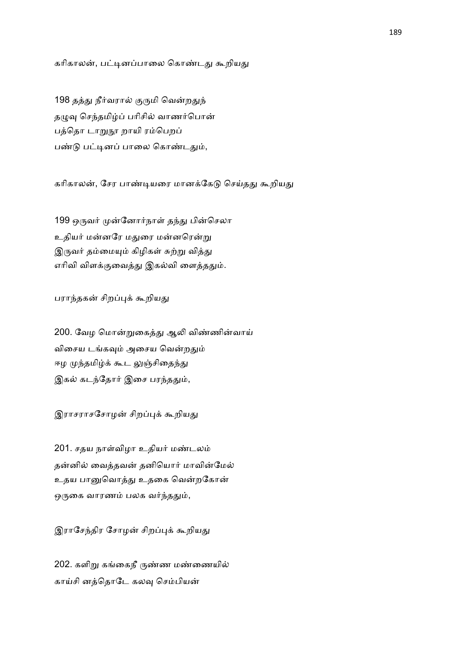கரிகாலன், பட்டினப்பாலை கொண்டது கூறியது

198 தத்து நீர்வரால் குருமி வென்றதுந் தழுவு செந்தமிழ்ப் பரிசில் வாணர்பொன் பத்தொ டாறுநூ றாயி ரம்பெறப் பண்டு பட்டினப் பாலை கொண்டதும்,

கரிகாலன், சேர பாண்டியரை மானக்கேடு செய்தது கூறியது

199 ஒருவர் முன்னோர்நாள் தந்து பின்செலா உதியர் மன்னரே மதுரை மன்னரென்று இருவர் தம்மையும் கிழிகள் சுற்று வித்து எரிவி விளக்குவைத்து இகல்வி ளைத்ததும்.

பராந்தகன் சிறப்புக் கூறியது

200. வேழ மொன்றுகைத்து ஆலி விண்ணின்வாய் விசைய டங்கவும் அசைய வென்றதும் ஈழ முந்தமிழ்க் கூட லுஞ்சிதைந்து இகல் கடந்தோர் இசை பரந்ததும்,

இராசராசசோழன் சிறப்புக் கூறியது

201. சதய நாள்விழா உதியர் மண்டலம் தன்னில் வைத்தவன் தனியொர் மாவின்மேல் உதய பானுவொத்து உதகை வென்றகோன் ஒருகை வாரணம் பலக வர்ந்ததும்,

இராசேந்திர சோழன் சிறப்புக் கூறியது

202. களிறு கங்கைநீ ருண்ண மண்ணையில் காய்சி னத்தொடே கலவு செம்பியன்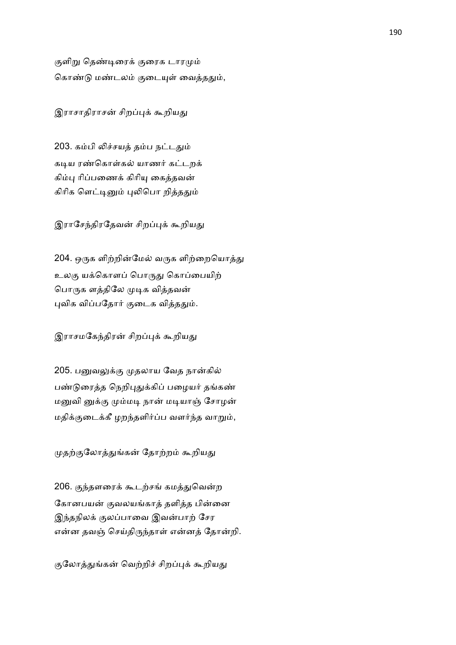குளிறு தெண்டிரைக் குரைக டாரமும் கொண்டு மண்டலம் குடையுள் வைத்ததும்,

இராசாதிராசன் சிறப்புக் கூறியது

203. கம்பி லிச்சயத் தம்ப நட்டதும் கடிய ரண்கொள்கல் யாணர் கட்டறக் கிம்பு ரிப்பணைக் கிரியு கைத்தவன் கிரிக ளெட்டினும் புலிபொ றித்ததும்

இராசேந்திரதேவன் சிறப்புக் கூறியது

204. ஒருக ளிற்றின்மேல் வருக ளிற்றையொத்து உலகு யக்கொளப் பொருது கொப்பையிற் பொருக ளத்திலே முடிக வித்தவன் புவிக விப்பதோர் குடைக வித்ததும்.

இராசமகேந்திரன் சிறப்புக் கூறியது

205. பனுவலுக்கு முதலாய வேத நான்கில் பண்டுரைத்த நெறிபுதுக்கிப் பழையர் தங்கண் மனுவி னுக்கு மும்மடி நான் மடியாஞ் சோழன் மதிக்குடைக்கீ ழறந்தளிர்ப்ப வளர்ந்த வாறும்,

முதற்குலோத்துங்கன் தோற்றம் கூறியது

206. குந்தளரைக் கூடற்சங் கமத்துவென்ற கோனபயன் குவலயங்காத் தளித்த பின்னை இந்தநிலக் குலப்பாவை இவன்பாற் சேர என்ன தவஞ் செய்திருந்தாள் என்னத் தோன்றி.

குலோத்துங்கன் வெற்றிச் சிறப்புக் கூறியது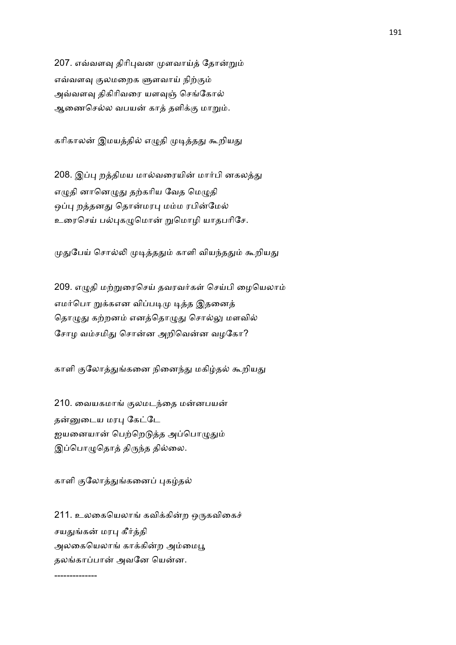207. எவ்வளவு திரிபுவன முளவாய்த் தோன்றும் எவ்வளவு குலமறைக ளுளவாய் நிற்கும் அவ்வளவு திகிரிவரை யளவுஞ் செங்கோல் ஆணைசெல்ல வபயன் காத் தளிக்கு மாறும்.

கரிகாலன் இமயத்தில் எழுதி முடித்தது கூறியது

208. இப்பு றத்திமய மால்வரையின் மார்பி னகலத்து எழுதி னானெழுது தற்கரிய வேத மெழுதி ஒப்பு றத்தனது தொன்மரபு மம்ம ரபின்மேல் உரைசெய் பல்புகழுமொன் றுமொழி யாதபரிசே.

முதுபேய் சொல்லி முடித்ததும் காளி வியந்ததும் கூறியது

209. எழுதி மற்றுரைசெய் தவரவர்கள் செய்பி ழையெலாம் எமர்பொ றுக்கஎன விப்படிமு டித்த இதனைத் தொழுது கற்றனம் எனத்தொழுது சொல்லு மளவில் சோழ வம்சமிது சொன்ன அறிவென்ன வழகோ?

காளி குலோத்துங்கனை நினைந்து மகிழ்தல் கூறியது

210. வையகமாங் குலமடந்தை மன்னபயன் தன்னுடைய மரபு கேட்டே ஐயனையான் பெற்றெடுத்த அப்பொழுதும் இப்பொழுதொத் திருந்த தில்லை.

காளி குலோத்துங்கனைப் புகழ்தல்

--------------

211. உலகையெலாங் கவிக்கின்ற ஒருகவிகைச் சயதுங்கன் மரபு கீர்த்தி அலகையெலாங் காக்கின்ற அம்மைபூ தலங்காப்பான் அவனே யென்ன.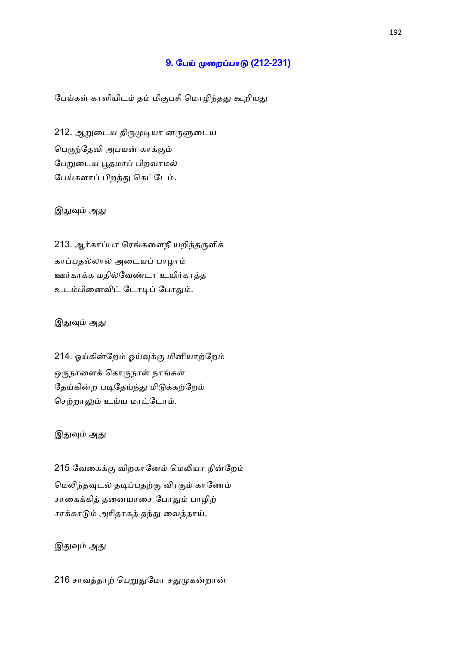## 9. பேய் முறைப்பாடு (212-231)

பேய்கள் காளியிடம் தம் மிகுபசி மொழிந்தது கூறியது

212. ஆறுடைய திருமுடியா னருளுடைய பெருந்தேவி அபயன் காக்கும் பேறுடைய பூதமாப் பிறவாமல் பேய்களாப் பிறந்து கெட்டேம்.

## இதுவும் அது

213. ஆர்காப்பா ரெங்களைநீ யறிந்தருளிக் காப்பதல்லால் அடையப் பாழாம் ஊர்காக்க மதில்வேண்டா உயிர்காத்த உடம்பினைவிட் டோடிப் போதும்.

#### இதுவும் அது

214. ஓய்கின்றேம் ஓய்வுக்கு மினியாற்றேம் ஒருநாளைக் கொருநாள் நாங்கள் தேய்கின்ற படிதேய்ந்து மிடுக்கற்றேம் செற்றாலும் உய்ய மாட்டோம்.

## இதுவும் அது

215 வேகைக்கு விறகானேம் மெலியா நின்றேம் மெலிந்தவுடல் தடிப்பதற்கு விரகும் காணேம் சாகைக்கித் தனையாசை போதும் பாழிற் சாக்காடும் அரிதாகத் தந்து வைத்தாய்.

## இதுவும் அது

216 சாவத்தாற் பெறுதுமோ சதுமுகன்றான்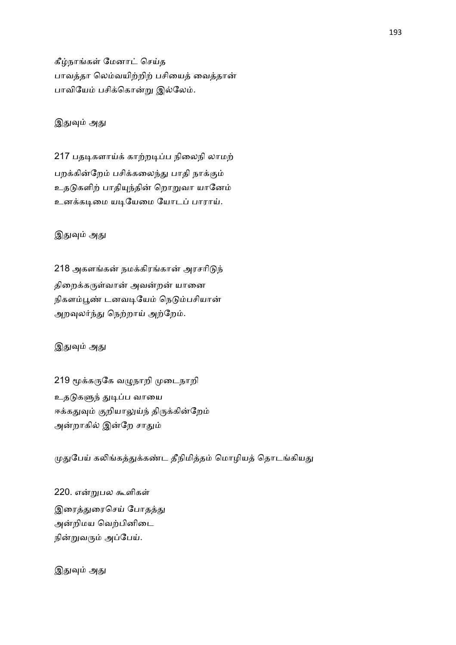கீழ்நாங்கள் மேனாட் செய்த பாவத்தா லெம்வயிற்றிற் பசியைத் வைத்தான் பாவியேம் பசிக்கொன்று இல்லேம்.

# இதுவும் அது

217 பதடிகளாய்க் காற்றடிப்ப நிலைநி லாமற் பறக்கின்றேம் பசிக்கலைந்து பாதி நாக்கும் உதடுகளிற் பாதியுந்தின் றொறுவா யானேம் உனக்கடிமை யடியேமை யோடப் பாராய்.

# இதுவும் அது

218 அகளங்கன் நமக்கிரங்கான் அரசரிடுந் திறைக்கருள்வான் அவன்றன் யானை நிகளம்பூண் டனவடியேம் நெடும்பசியான் அறவுலர்ந்து நெற்றாய் அற்றேம்.

## இதுவும் அது

219 மூக்கருகே வழுநாறி முடைநாறி உதடுகளுந் துடிப்ப வாயை ஈக்கதுவும் குறியாலுய்ந் திருக்கின்றேம் அன்றாகில் இன்றே சாதும்

முதுபேய் கலிங்கத்துக்கண்ட தீநிமித்தம் மொழியத் தொடங்கியது

220. என்றுபல கூளிகள் இரைத்துரைசெய் போதத்து அன்றிமய வெற்பினிடை நின்றுவரும் அப்பேய்.

இதுவும் அது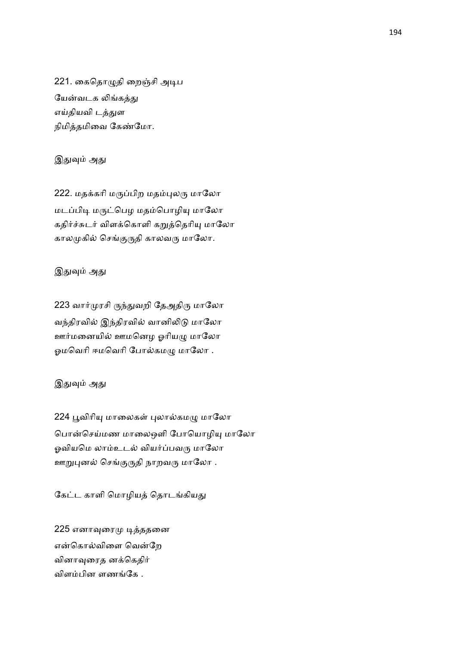221. கைதொழுதி றைஞ்சி அடிப யேன்வடக லிங்கத்து எய்தியவி டத்துள நிமித்தமிவை கேண்மோ.

## இதுவும் அது

222. மதக்கரி மருப்பிற மதம்புலரு மாலோ மடப்பிடி மருட்பெழ மதம்பொழியு மாலோ கதிர்ச்சுடர் விளக்கொளி கறுத்தெரியு மாலோ காலமுகில் செங்குருதி காலவரு மாலோ.

# இதுவும் அது

223 வார்முரசி ருந்துவறி தேஅதிரு மாலோ வந்திரவில் இந்திரவில் வானிலிடு மாலோ ஊர்மனையில் ஊமனெழ ஓரியழு மாலோ ஓமவெரி ஈமவெரி போல்கமழு மாலோ .

# இதுவும் அது

224 பூவிரியு மாலைகள் புலால்கமழு மாலோ பொன்செய்மண மாலைஒளி போயொழியு மாலோ ஓவியமெ லாம்உடல் வியர்ப்பவரு மாலோ ஊறுபுனல் செங்குருதி நாறவரு மாலோ .

கேட்ட காளி மொழியத் தொடங்கியது

225 எனாவுரைமு டித்ததனை என்கொல்விளை வென்றே வினாவுரைத னக்கெதிர் விளம்பின ளணங்கே .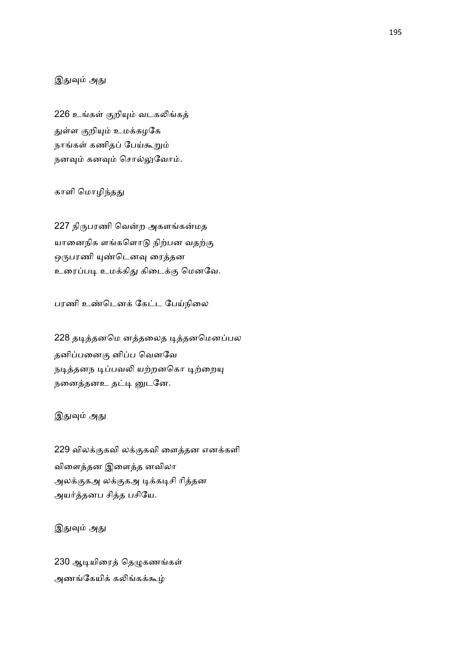## இதுவும் அது

226 உங்கள் குறியும் வடகலிங்கத் துள்ள குறியும் உமக்கழகே நாங்கள் கணிதப் பேய்கூறும் நனவும் சொல்லுவோம்.

#### காளி மொழிந்தது

227 நிருபரணி வென்ற அகளங்கன்மத யானைநிக ளங்களொடு நிற்பன வதற்கு ஒருபரணி யுண்டெனவு ரைத்தன உரைப்படி உமக்கிது கிடைக்கு மெனவே.

பரணி உண்டெனக் கேட்ட பேய்நிலை

228 தடித்தனமெ னத்தலைத டித்தனமெனப்பல தனிப்பனைகு னிப்ப வெனவே நடித்தனந டிப்பவலி யற்றனகொ டிற்றையு நனைத்தனஉ தட்டி னுடனே.

## இதுவும் அது

229 விலக்குகவி லக்குகவி ளைத்தன எனக்களி விளைத்தன இளைத்த னவிலா அலக்குகஅ லக்குகஅ டிக்கடிசி ரித்தன அயர்த்தனப சித்த பசியே.

இதுவும் அது

230 ஆடியிரைத் தெழுகணங்கள் அணங்கேயிக் கலிங்கக்கூழ்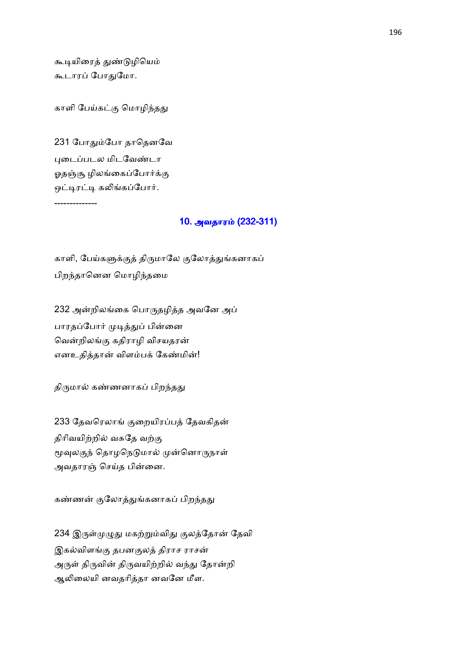கூடியிரைத் துண்டுழியெம் கூடாரப் போதுமோ.

காளி பேய்கட்கு மொழிந்தது

231 போதும்போ தாதெனவே புடைப்படல மிடவேண்டா ஓதஞ்சூ ழிலங்கைப்போர்க்கு ஒட்டிரட்டி கலிங்கப்போர். --------------

### 10. அவதாரம் (232-311)

காளி, பேய்களுக்குத் திருமாலே குலோத்துங்கனாகப் பிறதாெனன ெமாழிதைம

232 அன்றிலங்கை பொருதழித்த அவனே அப் பாரதப்போர் முடித்துப் பின்னை வென்றிலங்கு கதிராழி விசயதரன் எனஉதித்தான் விளம்பக் கேண்மின்!

திருமால் கண்ணனாகப் பிறந்தது

233 தேவரெலாங் குறையிரப்பத் தேவகிதன் திரிவயிற்றில் வசுதே வற்கு மூவுலகுந் தொழநெடுமால் முன்னொருநாள் அவதாரஞ் செய்த பின்னை.

கண்ணன் குலோத்துங்கனாகப் பிறந்தது

234 இருள்முழுது மகற்றும்விது குலத்தோன் தேவி இகல்விளங்கு தபனகுலத் திராச ராசன் அருள் திருவின் திருவயிற்றில் வந்து தோன்றி ஆலிலையி னவதரித்தா னவனே மீள.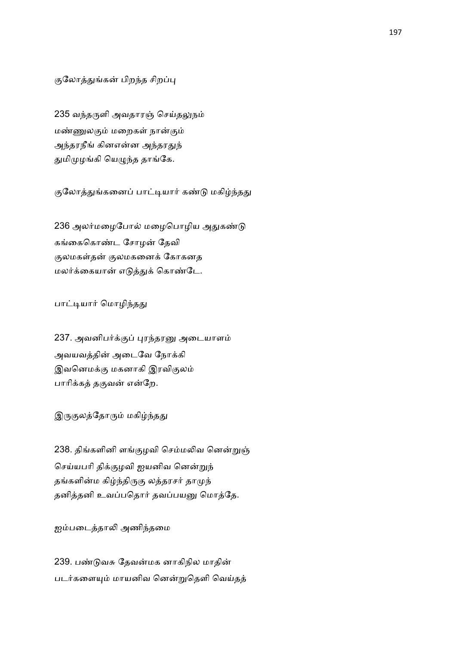குலோத்துங்கன் பிறந்த சிறப்பு

235 வந்தருளி அவதாரஞ் செய்தலுநம் மண்ணுலகும் மறைகள் நான்கும் அந்தரநீங் கினஎன்ன அந்தரதுந் துமிமுழங்கி யெழுந்த தாங்கே.

குலோத்துங்கனைப் பாட்டியார் கண்டு மகிழ்ந்தது

236 அலர்மழைபோல் மழைபொழிய அதுகண்டு கங்கைகொண்ட சோமன் கேவி குலமகள்தன் குலமகனைக் கோகனத மலர்க்கையான் எடுத்துக் கொண்டே.

#### பாட்டியார் மொழிந்தது

237. அவனிபர்க்குப் புரந்தரனு அடையாளம் அவயவத்தின் அடைவே நோக்கி இவனெமக்கு மகனாகி இரவிகுலம் பாரிக்கத் தகுவன் என்றே.

இருகுலத்தோரும் மகிழ்ந்தது

238. திங்களினி ளங்குழவி செம்மலிவ னென்றுஞ் செய்யபரி திக்குழவி ஐயனிவ னென்றுந் தங்களின்ம கிழ்ந்திருகு லத்தரசர் தாமுந் தனித்தனி உவப்பதொர் தவப்பயனு மொத்தே.

ஐம்படைத்தாலி அணிந்தமை

239. பண்டுவசு தேவன்மக னாகிநில மாதின் படர்களையும் மாயனிவ னென்றுதெளி வெய்தத்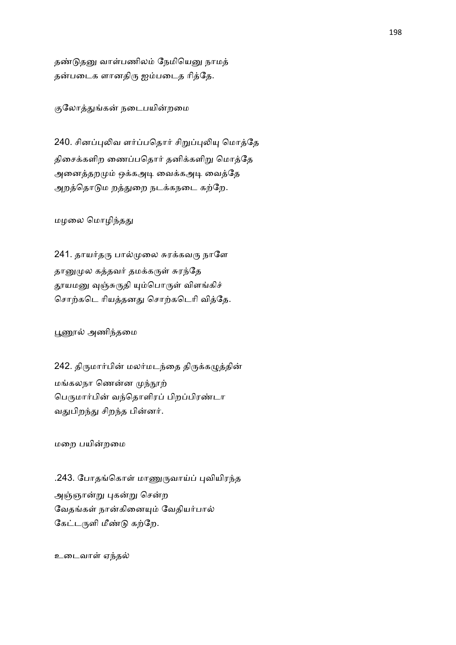தண்டுதனு வாள்பணிலம் நேமியெனு நாமத் தன்படைக ளானதிரு ஐம்படைத ரித்தே.

குலோத்துங்கன் நடைபயின்றமை

240. சினப்புலிவ ளர்ப்பதொர் சிறுப்புலியு மொத்தே திசைக்களிற ணைப்பதொர் தனிக்களிறு மொத்தே அனைத்தறமும் ஒக்கஅடி வைக்கஅடி வைத்தே அறத்தொடும றத்துறை நடக்கநடை கற்றே.

மழலை மொழிந்தது

241. தாயர்தரு பால்முலை சுரக்கவரு நாளே தானுமுல கத்தவர் தமக்கருள் சுரந்தே தூயமனு வுஞ்சுருதி யும்பொருள் விளங்கிச் சொற்கடெ ரியத்தனது சொற்கடெரி வித்தே.

பூணூல் அணிந்தமை

242. திருமார்பின் மலர்மடந்தை திருக்கழுத்தின் மங்கலநா ணென்ன முந்நூற் பெருமார்பின் வந்தொளிரப் பிறப்பிரண்டா வதுபிறந்து சிறந்த பின்னர்.

மறை பயின்றமை

.243. போதங்கொள் மாணுருவாய்ப் புவியிரந்த அஞ்ஞான்று புகன்று சென்ற வேதங்கள் நான்கினையும் வேதியர்பால் கேட்டருளி மீண்டு கற்றே.

உடைவாள் ஏந்தல்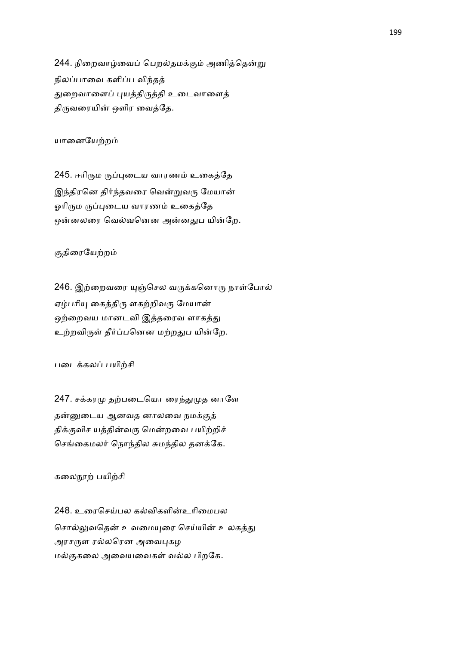244. நிறைவாழ்வைப் பெறல்தமக்கும் அணித்தென்று நிலப்பாவை களிப்ப விந்தத் துறைவாளைப் புயத்திருத்தி உடைவாளைத் திருவரையின் ஒளிர வைத்தே.

யானையேற்றம்

245. ஈரிரும ருப்புடைய வாரணம் உகைத்தே இந்திரனெ திர்ந்தவரை வென்றுவரு மேயான் ஓரிரும ருப்புடைய வாரணம் உகைத்தே ஒன்னலரை வெல்வனென அன்னதுப யின்றே.

## குதிரையேற்றம்

246. இற்றைவரை யுஞ்செல வருக்கனொரு நாள்போல் ஏழ்பரியு கைத்திரு ளகற்றிவரு மேயான் ஒற்றைவய மானடவி இத்தரைவ ளாகத்து உற்றவிருள் தீர்ப்பனென மற்றதுப யின்றே.

படைக்கலப் பயிற்சி

247. சக்கரமு தற்படையொ ரைந்துமுத னாளே தன்னுடைய ஆனவத னாலவை நமக்குத் திக்குவிச யத்தின்வரு மென்றவை பயிற்றிச் செங்கைமலர் நொந்தில சுமந்தில தனக்கே.

கலைநூற் பயிற்சி

248. உரைசெய்பல கல்விகளின்உரிமைபல சொல்லுவதென் உவமையுரை செய்யின் உலகத்து அரசருள ரல்லரென அவைபுகழ மல்குகலை அவையவைகள் வல்ல பிறகே.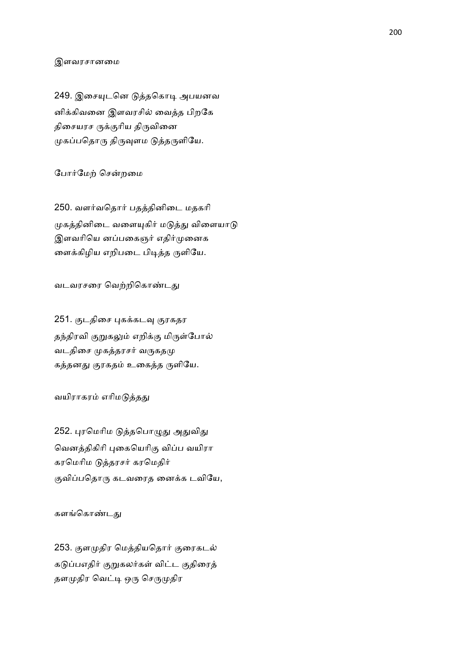#### இளவரசானைம

249. இசையுடனெ டுத்தகொடி அபயனவ னிக்கிவனை இளவரசில் வைத்த பிறகே திசையரச ருக்குரிய திருவினை முகப்பதொரு திருவுளம டுத்தருளியே.

#### போர்மேற் சென்றமை

250. வளர்வதொர் பதத்தினிடை மதகரி முகத்தினிடை வளையுகிர் மடுத்து விளையாடு இளவரியெ னப்பகைஞர் எதிர்முனைக னைக்கிழிய எறிபடை பிடித்த ருளியே.

வடவரசரை வெற்றிகொண்டது

251. குடதிசை புகக்கடவு குரகதர தந்திரவி குறுகலும் எறிக்கு மிருள்போல் வடதிசை முகத்தரசர் வருகதமு கத்தனது குரகதம் உகைத்த ருளியே.

#### வயிராகரம் எரிமடுத்தது

252. புரமெரிம டுத்தபொழுது அதுவிது வெனத்திகிரி புகையெரிகு விப்ப வயிரா கரமெரிம டுத்தரசர் கரமெதிர் குவிப்பதொரு கடவரைத னைக்க டவியே,

#### களங்கொண்டது

253. குளமுதிர மெத்தியதொர் குரைகடல் கடுப்பஎதிர் குறுகலர்கள் விட்ட குதிரைத் தளமுதிர வெட்டி ஒரு செருமுதிர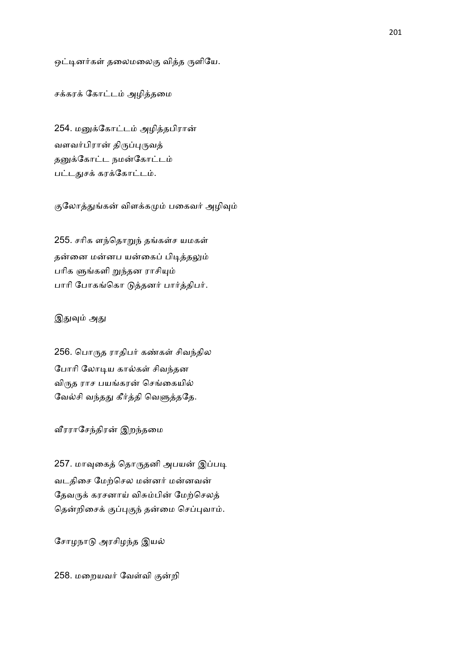ஒட்டினர்கள் தலைமலைகு வித்த ருளியே.

சக்கரக் கோட்டம் அழித்தமை

254. மனுக்கோட்டம் அழித்தபிரான் வளவர்பிரான் திருப்புருவத் தனுக்கோட்ட நமன்கோட்டம் பட்டதுசக் கரக்கோட்டம்.

குலோத்துங்கன் விளக்கமும் பகைவர் அழிவும்

255. சரிக ளந்தொறுந் தங்கள்ச யமகள் தன்னை மன்னப யன்கைப் பிடித்தலும் பரிக ளுங்களி றுந்தன ராசியும் பாரி போகங்கொ டுத்தனர் பார்த்திபர்.

#### இதுவும் அது

256. பொருத ராதிபர் கண்கள் சிவந்தில போரி லோடிய கால்கள் சிவந்தன விருத ராச பயங்கரன் செங்கையில் வேல்சி வந்தது கீர்த்தி வெளுத்ததே.

வீரராசேந்திரன் இறந்தமை

257. மாவுகைத் தொருதனி அபயன் இப்படி வடதிசை மேற்செல மன்னர் மன்னவன் தேவருக் கரசனாய் விசும்பின் மேற்செலத் தென்றிசைக் குப்புகுந் தன்மை செப்புவாம்.

சோழநாடு அரசிழந்த இயல்

258. மறையவர் வேள்வி குன்றி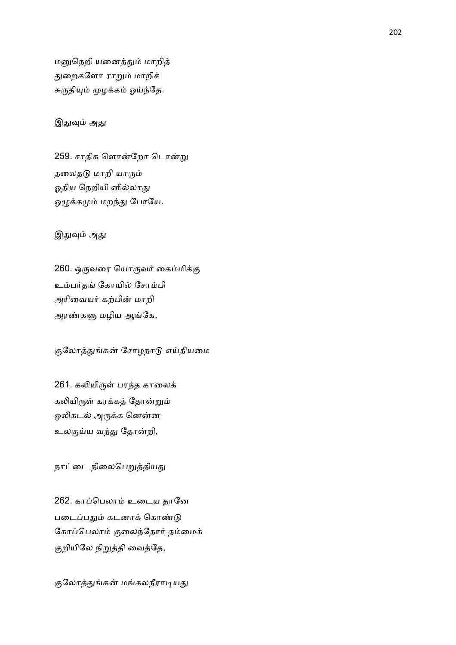மனுநெறி யனைத்தும் மாறித் துறைகளோ ராறும் மாறிச் சுருதியும் முழக்கம் ஓய்ந்தே.

## இதுவும் அது

259. சாதிக ளொன்றோ டொன்று தலைதடு மாறி யாரும் ஓதிய நெறியி னில்லாது ஒழுக்கமும் மறந்து போயே.

இதுவும் அது

260. ஒருவரை யொருவர் கைம்மிக்கு உம்பர்தங் கோயில் சோம்பி அரிவையர் கற்பின் மாறி அரண்களு மழிய ஆங்கே,

குலோத்துங்கன் சோழநாடு எய்தியமை

261. கலியிருள் பரந்த காலைக் கலியிருள் கரக்கத் தோன்றும் ஒலிகடல் அருக்க னென்ன உலகுய்ய வந்து தோன்றி,

நாட்டை நிலைபெறுத்தியது

262. காப்பெலாம் உடைய தானே படைப்பதும் கடனாக் கொண்டு கோப்பெலாம் குலைந்தோர் தம்மைக் குறியிலே நிறுத்தி வைத்தே,

குலோத்துங்கன் மங்கலநீராடியது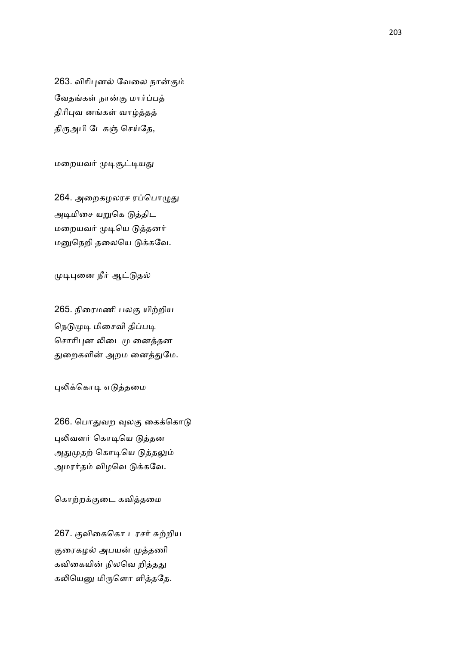263. விரிபுனல் வேலை நான்கும் வேதங்கள் நான்கு மார்ப்பத் திரிபுவ னங்கள் வாழ்த்தத் திருஅபி டேகஞ் செய்தே,

மறையவர் முடிசூட்டியது

264. அறைகழலரச ரப்பொழுது அடிமிசை யறுகெ டுத்திட மறையவர் முடியெ டுத்தனர் மனுநெறி தலையெ டுக்கவே.

முடிபுனை நீர் ஆட்டுதல்

265. நிரைமணி பலகு யிற்றிய நெடுமுடி மிசைவி திப்படி சொரிபுன லிடைமு னைத்தன துறைகளின் அறம னைத்துமே.

புலிக்கொடி எடுத்தமை

266. பொதுவற வுலகு கைக்கொடு புலிவளர் கொடியெ டுத்தன அதுமுதற் கொடியெ டுத்தலும் அமரர்தம் விழவெ டுக்கவே.

கொற்றக்குடை கவித்தமை

267. குவிகைகொ டரசர் சுற்றிய குரைகழல் அபயன் முத்தணி கவிகையின் நிலவெ றித்தது கலியெனு மிருளொ ளித்ததே.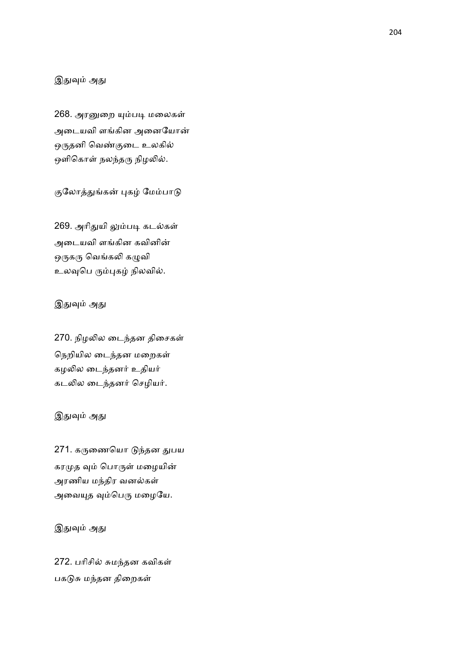## இதுவும் அது

268. அரனுறை யும்படி மலைகள் அடையவி ளங்கின அனையோன் ஒருதனி வெண்குடை உலகில் ஒளிகொள் நலந்தரு நிழலில்.

குலோத்துங்கன் புகழ் மேம்பாடு

269. அரிதுயி லும்படி கடல்கள் அடையவி ளங்கின கவினின் ஒருகரு வெங்கலி கழுவி உலவுபெ ரும்புகழ் நிலவில்.

### இதுவும் அது

270. நிழலில டைந்தன திசைகள் நெறியில டைந்தன மறைகள் கழலில டைந்தனர் உதியர் கடலில டைந்தனர் செழியர்.

### இதுவும் அது

271. கருணையொ டுந்தன துபய கரமுத வும் பொருள் மழையின் அரணிய மந்திர வனல்கள் அவையுத வும்பெரு மழையே.

## இதுவும் அது

272. பரிசில் சுமந்தன கவிகள் பகடுசு மந்தன திறைகள்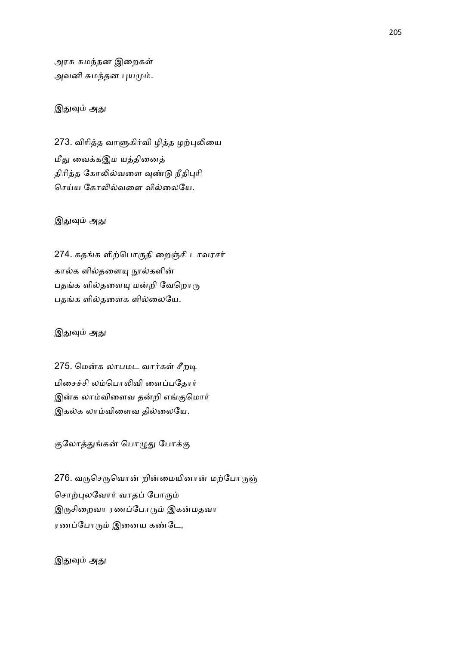அரசு சுமந்தன இறைகள் அவனி சுமந்தன புயமும்.

## இதுவும் அது

273. விரித்த வாளுகிர்வி ழித்த ழற்புலியை மீது வைக்கஇம யத்தினைத் திரித்த கோலில்வளை வுண்டு நீதிபுரி செய்ய கோலில்வளை வில்லையே.

## இதுவும் அது

274. கதங்க ளிற்பொருதி றைஞ்சி டாவரசர் கால்க ளில்தளையு நூல்களின் பதங்க ளில்தளையு மன்றி வேறொரு பதங்க ளில்தளைக ளில்லையே.

இதுவும் அது

275. மென்க லாபமட வார்கள் சீறடி மிசைச்சி லம்பொலிவி ளைப்பதோர் இன்க லாம்விளைவ தன்றி எங்குமொர் இகல்க லாம்விளைவ தில்லையே.

குலோத்துங்கன் பொழுது போக்கு

276. வருசெருவொன் றின்மையினான் மற்போருஞ் சொற்புலவோர் வாதப் போரும் இருசிறைவா ரணப்போரும் இகன்மதவா ரணப்போரும் இனைய கண்டே,

இதுவும் அது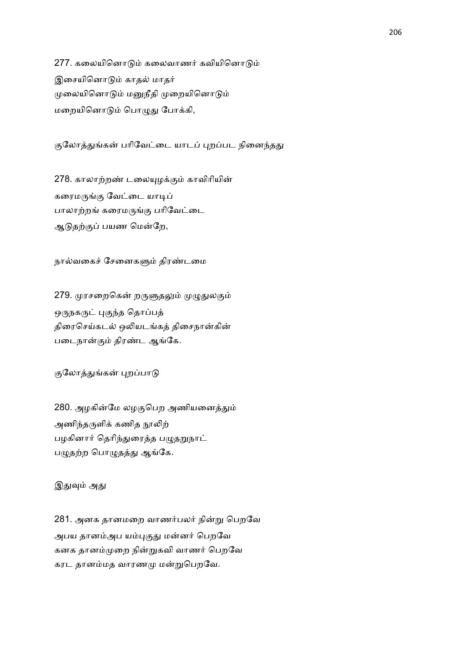277. கலையினொடும் கலைவாணர் கவியினொடும் இசையினொடும் காதல் மாதர் முலையினொடும் மனுநீதி முறையினொடும் மறையினொடும் பொழுது போக்கி,

குலோத்துங்கன் பரிவேட்டை யாடப் புறப்பட நினைந்தது

278. காலாற்றண் டலையுழக்கும் காவிரியின் கரைமருங்கு வேட்டை யாடிப் பாலாற்றங் கரைமருங்கு பரிவேட்டை ஆடுதற்குப் பயண மென்றே,

நால்வகைச் சேனைகளும் திரண்டமை

279. முரசறைகென் றருளுதலும் முழுதுலகும் ஒருநகருட் புகுந்த தொப்பத் திரைசெய்கடல் ஒலியடங்கத் திசைநான்கின் படைநான்கும் திரண்ட ஆங்கே.

குலோத்துங்கன் புறப்பாடு

280. அழகின்மே லழகுபெற அணியனைத்தும் அணிந்தருளிக் கணித நூலிற் பழகினார் தெரிந்துரைத்த பழுதறுநாட் பழுதற்ற பொழுதத்து ஆங்கே.

இதுவும் அது

281. அனக தானமறை வாணர்பலர் நின்று பெறவே அபய தானம்அப யம்புகுது மன்னர் பெறவே கனக தானம்முறை நின்றுகவி வாணர் பெறவே கரட தானம்மத வாரணமு மன்றுபெறவே.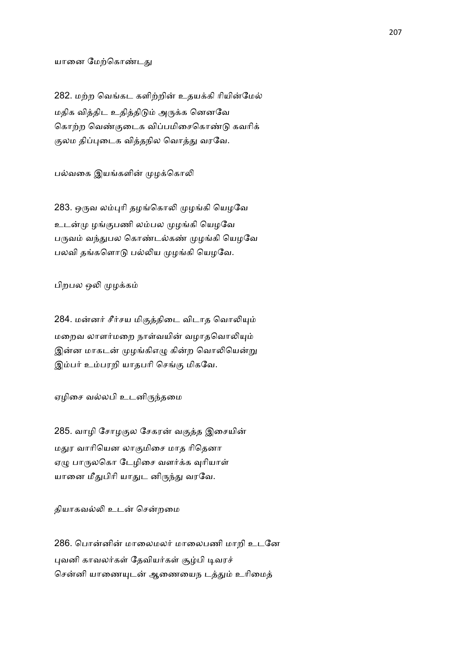#### யானை மேற்கொண்டது

282. மற்ற வெங்கட களிற்றின் உதயக்கி ரியின்மேல் மதிக வித்திட உதித்திடும் அருக்க னெனவே கொற்ற வெண்குடைக விப்பமிசைகொண்டு கவரிக் குலம திப்புடைக வித்தநில வொத்து வரவே.

பல்வகை இயங்களின் முழக்கொலி

283. ஒருவ லம்புரி தழங்கொலி முழங்கி யெழவே உடன்மு ழங்குபணி லம்பல முழங்கி யெழவே பருவம் வந்துபல கொண்டல்கண் முழங்கி யெழவே பலவி தங்களொடு பல்லிய முழங்கி யெழவே.

பிறபல ஒலி முழக்கம்

284. மன்னர் சீர்சய மிகுத்திடை விடாத வொலியும் மறைவ லாளர்மறை நாள்வயின் வழாதவொலியும் இன்ன மாகடன் முழங்கிஎழு கின்ற வொலியென்று இம்பர் உம்பரறி யாதபரி செங்கு மிகவே.

ஏழிசை வல்லபி உடனிருந்தமை

285. வாழி சோழகுல சேகரன் வகுத்த இசையின் மதுர வாரியென லாகுமிசை மாத ரிதெனா ஏழு பாருலகொ டேழிசை வளர்க்க வுரியாள் யானை மீதுபிரி யாதுட னிருந்து வரவே.

தியாகவல்லி உடன் சென்றமை

286. பொன்னின் மாலைமலர் மாலைபணி மாறி உடனே புவனி காவலர்கள் தேவியர்கள் சூழ்பி டிவரச் சென்னி யாணையுடன் ஆணையைந டத்தும் உரிமைத்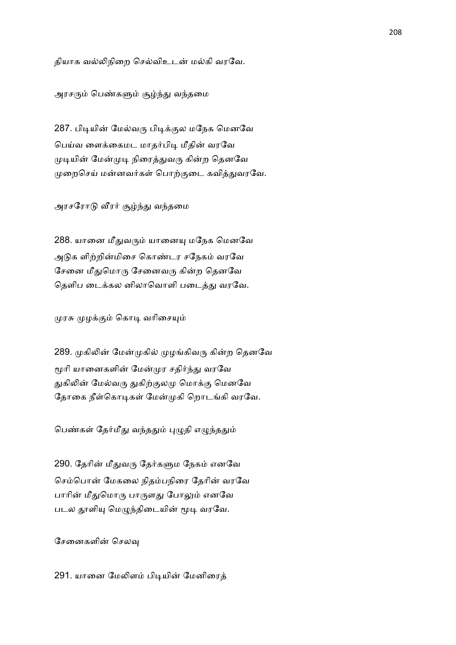தியாக வல்லிநிறை செல்விஉடன் மல்கி வரவே.

அரசரும் பெண்களும் சூழ்ந்து வந்தமை

287. பிடியின் மேல்வரு பிடிக்குல மநேக மெனவே பெய்வ ளைக்கைமட மாதர்பிடி மீதின் வரவே முடியின் மேன்முடி நிரைத்துவரு கின்ற தெனவே முறைசெய் மன்னவர்கள் பொற்குடை கவித்துவரவே.

அரசரோடு வீரர் சூழ்ந்து வந்தமை

288. யானை மீதுவரும் யானையு மநேக மெனவே அடுக ளிற்றின்மிசை கொண்டர சநேகம் வரவே சேனை மீதுமொரு சேனைவரு கின்ற தெனவே தெளிப டைக்கல னிலாவொளி படைத்து வரவே.

முரசு முழக்கும் கொடி வரிசையும்

289. முகிலின் மேன்முகில் முழங்கிவரு கின்ற தெனவே மூரி யானைகளின் மேன்முர சதிர்ந்து வரவே துகிலின் மேல்வரு துகிற்குலமு மொக்கு மெனவே தோகை நீள்கொடிகள் மேன்முகி றொடங்கி வரவே.

பெண்கள் தேர்மீது வந்ததும் புழுதி எழுந்ததும்

290. தேரின் மீதுவரு தேர்களும நேகம் எனவே செம்பொன் மேகலை நிதம்பநிரை தேரின் வரவே பாரின் மீதுமொரு பாருளது போலும் எனவே படல தூளியு மெழுந்திடையின் மூடி வரவே.

சேனைகளின் செலவ

291. யானை மேலிளம் பிடியின் மேனிரைத்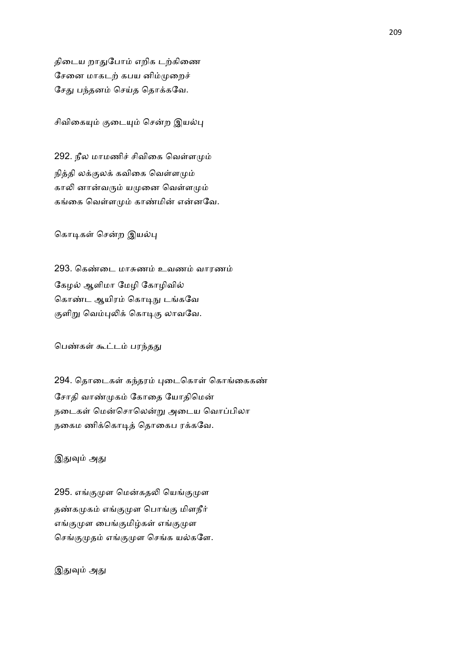திடைய றாதுபோம் எறிக டற்கிணை சேனை மாகடற் கபய னிம்முறைச் சேது பந்தனம் செய்த தொக்கவே.

சிவிகையும் குடையும் சென்ற இயல்பு

292. நீல மாமணிச் சிவிகை வெள்ளமும் நித்தி லக்குலக் கவிகை வெள்ளமும் காலி னான்வரும் யமுனை வெள்ளமும் கங்கை வெள்ளமும் காண்மின் என்னவே.

கொடிகள் சென்ற இயல்பு

293. கெண்டை மாசுணம் உவணம் வாரணம் கேழல் ஆளிமா மேழி கோழிவில் கொண்ட ஆயிரம் கொடிநு டங்கவே குளிறு வெம்புலிக் கொடிகு லாவவே.

பெண்கள் கூட்டம் பரந்தது

294. தொடைகள் கந்தரம் புடைகொள் கொங்கைகண் சோதி வாண்முகம் கோதை யோதிமென் நடைகள் மென்சொலென்று அடைய வொப்பிலா நகைம ணிக்கொடித் தொகைப ரக்கவே.

இதுவும் அது

295. எங்குமுள மென்கதலி யெங்குமுள தண்கமுகம் எங்குமுள பொங்கு மிளநீர் எங்குமுள பைங்குமிழ்கள் எங்குமுள செங்குமுதம் எங்குமுள செங்க யல்களே.

இதுவும் அது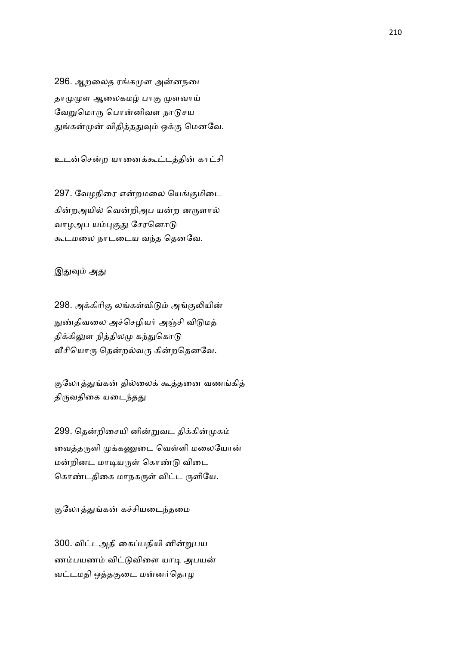296. ஆறலைத ரங்கமுள அன்னநடை தாமுமுள ஆலைகமழ் பாகு முளவாய் வேறுமொரு பொன்னிவள நாடுசய துங்கன்முன் விதித்ததுவும் ஒக்கு மெனவே.

உடன்சென்ற யானைக்கூட்டத்தின் காட்சி

297. வேழநிரை என்றமலை யெங்குமிடை கின்றஅயில் வென்றிஅப யன்ற னருளால் வாழஅப யம்புகுது சேரனொடு கூடமலை நாடடைய வந்த தெனவே.

## இதுவும் அது

298. அக்கிரிகு லங்கள்விடும் அங்குலியின் நுண்திவலை அச்செழியர் அஞ்சி விடுமத் திக்கிலுள நித்திலமு கந்துகொடு வீசியொரு தென்றல்வரு கின்றதெனவே.

குலோத்துங்கன் தில்லைக் கூத்தனை வணங்கித் திருவதிகை யடைந்தது

299. தென்றிசையி னின்றுவட திக்கின்முகம் வைத்தருளி முக்கணுடை வெள்ளி மலையோன் மன்றினட மாடியருள் கொண்டு விடை கொண்டதிகை மாநகருள் விட்ட ருளியே.

குலோத்துங்கன் கச்சியடைந்தமை

300. விட்டஅதி கைப்பதியி னின்றுபய ணம்பயணம் விட்டுவிளை யாடி அபயன் வட்டமதி ஒத்தகுடை மன்னர்தொழ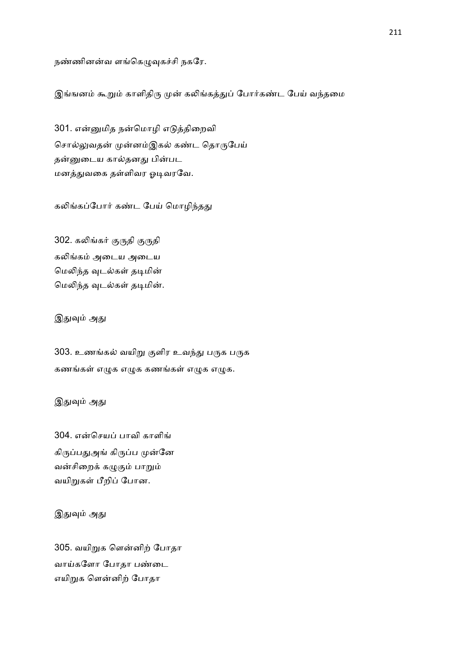நண்ணினன்வ ளங்கெழுவுகச்சி நகரே.

இங்ஙனம் கூறும் காளிதிரு முன் கலிங்கத்துப் போர்கண்ட பேய் வந்தமை

301. என்னுமித நன்மொழி எடுத்திறைவி சொல்லுவதன் முன்னம்இகல் கண்ட தொருபேய் தன்னுடைய கால்தனது பின்பட மனத்துவகை தள்ளிவர ஓடிவரவே.

கலிங்கப்போர் கண்ட பேய் மொழிந்தது

302. கலிங்கர் குருதி குருதி கலிங்கம் அடைய அடைய மெலிந்த வுடல்கள் தடிமின் மெலிந்த வுடல்கள் தடிமின்.

இதுவும் அது

303. உணங்கல் வயிறு குளிர உவந்து பருக பருக கணங்கள் எழுக எழுக கணங்கள் எழுக எழுக.

இதுவும் அது

304. என்செயப் பாவி காளிங் கிருப்பதுஅங் கிருப்ப முன்னே வன்சிறைக் கழுகும் பாறும் வயிறுகள் பீறிப் போன.

இதுவும் அது

305. வயிறுக ளென்னிற் போதா வாய்களோ போதா பண்டை எயிறுக ளென்னிற் போதா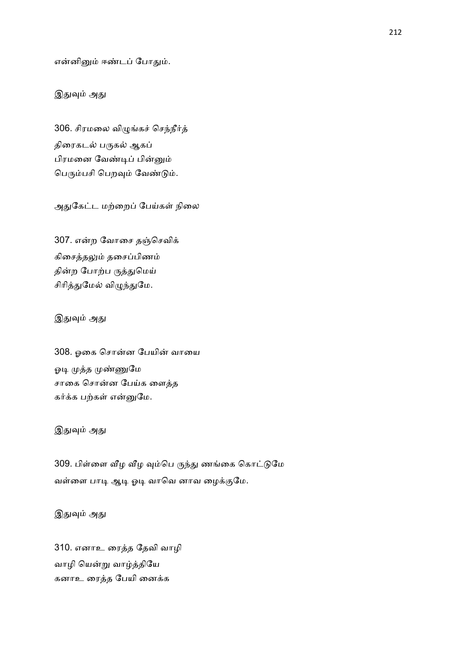என்னினும் ஈண்டப் போதும்.

## இதுவும் அது

306. சிரமலை விழுங்கச் செந்நீர்த் திரைகடல் பருகல் ஆகப் பிரமனை வேண்டிப் பின்னும் பெரும்பசி பெறவும் வேண்டும்.

அதுகேட்ட மற்றைப் பேய்கள் நிலை

307. என்ற வோசை தஞ்செவிக் கிசைத்தலும் தசைப்பிணம் தின்ற போற்ப ருத்துமெய் சிரித்துமேல் விழுந்துமே.

இதுவும் அது

308. ஓகை சொன்ன பேயின் வாயை ஓடி முத்த முண்ணுமே சாகை சொன்ன பேய்க ளைத்த கர்க்க பற்கள் என்னுமே.

இதுவும் அது

309. பிள்ளை வீழ வீழ வும்பெ ருந்து ணங்கை கொட்டுமே வள்ளை பாடி ஆடி ஓடி வாவெ னாவ ழைக்குமே.

இதுவும் அது

310. எனாஉ ரைத்த தேவி வாழி வாழி யென்று வாழ்த்தியே கனாஉ ரைத்த பேயி னைக்க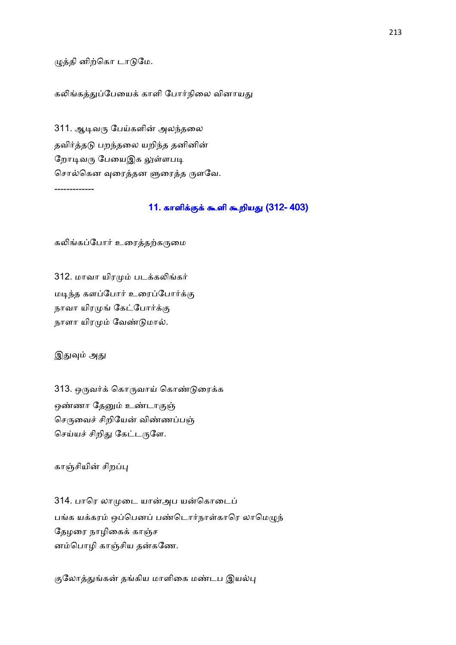## ழுத்தி னிற்கொ டாடுமே.

#### கலிங்கத்துப்பேயைக் காளி போர்நிலை வினாயது

311. ஆடிவரு பேய்களின் அலந்தலை தவிர்த்தடு பறந்தலை யறிந்த தனினின் றோடிவரு பேயைஇக லுள்ளபடி சொல்கென வுரைத்தன ளுரைத்த ருளவே.

### 11. காளிக்குக் கூளி கூறியது (312- 403)

கலிங்கப்போர் உரைத்தற்கருமை

312. மாவா யிரமும் படக்கலிங்கர் மடிந்த களப்போர் உரைப்போர்க்கு நாவா யிரமுங் கேட்போர்க்கு நாளா யிரமும் வேண்டுமால்.

இதுவும் அது

-------------

313. ஒருவர்க் கொருவாய் கொண்டுரைக்க ஒண்ணா தேனும் உண்டாகுஞ் செருவைச் சிறியேன் விண்ணப்பஞ் செய்யச் சிறிது கேட்டருளே.

காஞ்சியின் சிறப்பு

314. பாரெ லாமுடை யான்அப யன்கொடைப் பங்க யக்கரம் ஒப்பெனப் பண்டொர்நாள்காரெ லாமெழுந் தேழரை நாழிகைக் காஞ்ச னம்பொழி காஞ்சிய தன்கணே.

குலோத்துங்கன் தங்கிய மாளிகை மண்டப இயல்பு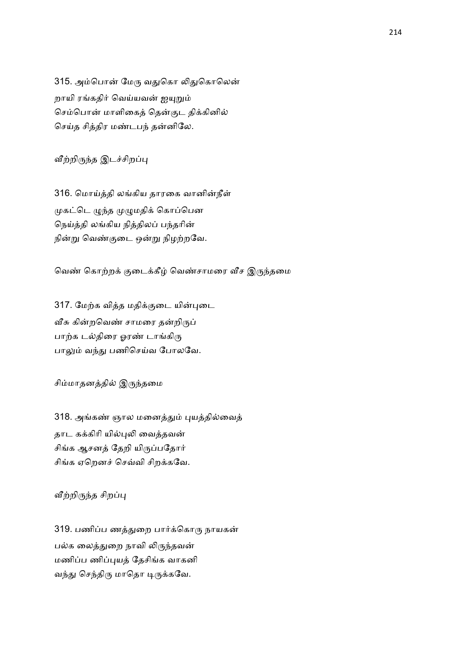315. அம்பொன் மேரு வதுகொ லிதுகொலென் றாயி ரங்கதிர் வெய்யவன் ஐயுறும் செம்பொன் மாளிகைத் தென்குட திக்கினில் செய்த சித்திர மண்டபந் தன்னிலே.

வீற்றிருந்த இடச்சிறப்பு

316. மொய்த்தி லங்கிய தாரகை வானின்நீள் முகட்டெ ழுந்த முழுமதிக் கொப்பென நெய்த்தி லங்கிய நித்திலப் பந்தரின் நின்று வெண்குடை ஒன்று நிழற்றவே.

வெண் கொற்றக் குடைக்கீழ் வெண்சாமரை வீச இருந்தமை

317. மேற்க வித்த மதிக்குடை யின்புடை வீசு கின்றவெண் சாமரை தன்றிருப் பாற்க டல்திரை ஓரண் டாங்கிரு பாலும் வந்து பணிசெய்வ போலவே.

சிம்மாதனத்தில் இருந்தமை

318. அங்கண் ஞால மனைத்தும் புயத்தில்வைத் தாட கக்கிரி யில்புலி வைக்கவன் சிங்க ஆசனத் தேறி யிருப்பதோர் சிங்க ஏறெனச் செவ்வி சிறக்கவே.

வீற்றிருந்த சிறப்பு

319. பணிப்ப ணத்துறை பார்க்கொரு நாயகன் பல்க லைத்துறை நாவி லிருந்தவன் மணிப்ப ணிப்புயத் தேசிங்க வாகனி வந்து செந்திரு மாதொ டிருக்கவே.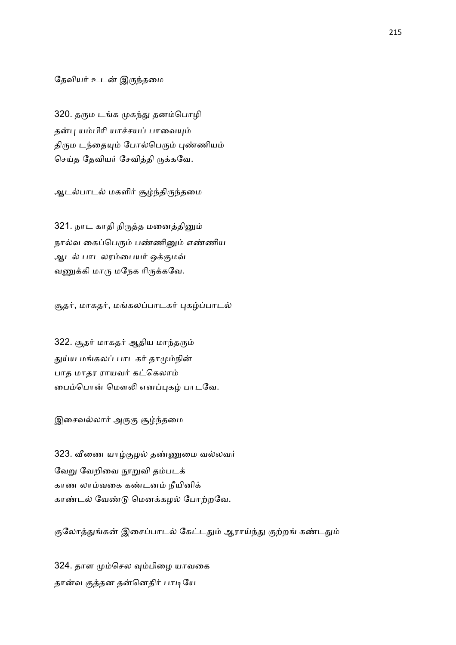## தேவியர் உடன் இருந்தமை

320. தரும டங்க முகந்து தனம்பொழி தன்பு யம்பிரி யாச்சயப் பாவையும் திரும டந்தையும் போல்பெரும் புண்ணியம் செய்த தேவியர் சேவித்தி ருக்கவே.

ஆடல்பாடல் மகளிர் சூழ்ந்திருந்தமை

321. நாட காதி நிருத்த மனைத்தினும் நால்வ கைப்பெரும் பண்ணினும் எண்ணிய ஆடல் பாடலரம்பையர் ஒக்குமவ் வணுக்கி மாரு மநேக ரிருக்கவே.

சூதர், மாகதர், மங்கலப்பாடகர் புகழ்ப்பாடல்

322. சூதர் மாகதர் ஆதிய மாந்தரும் துய்ய மங்கலப் பாடகர் தாமும்நின் பாத மாதர ராயவர் கட்கெலாம் பைம்பொன் மௌலி எனப்புகழ் பாடவே.

இசைவல்லார் அருகு சூழ்ந்தமை

323. வீணை யாழ்குழல் தண்ணுமை வல்லவர் வேறு வேறிவை நூறுவி தம்படக் காண லாம்வகை கண்டனம் நீயினிக் காண்டல் வேண்டு மெனக்கழல் போற்றவே.

குலோத்துங்கன் இசைப்பாடல் கேட்டதும் ஆராய்ந்து குற்றங் கண்டதும்

324. தாள மும்செல வும்பிழை யாவகை தான்வ குத்தன தன்னெதிர் பாடியே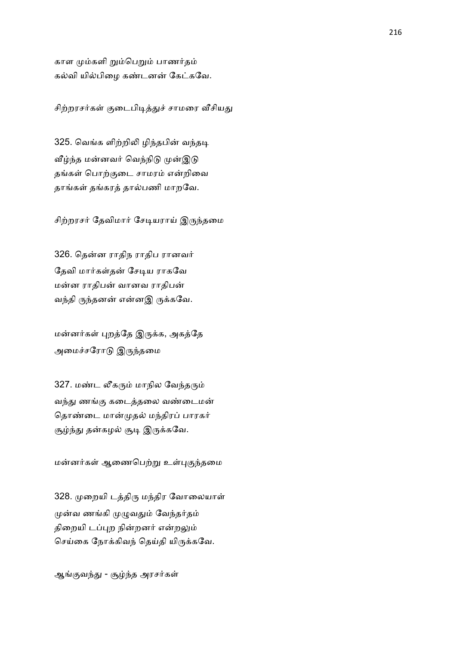காள மும்களி றும்பெறும் பாணர்தம் கல்வி யில்பிழை கண்டனன் கேட்கவே.

சிற்றரசர்கள் குடைபிடித்துச் சாமரை வீசியது

325. வெங்க ளிற்றிலி ழிந்தபின் வந்தடி வீழ்ந்த மன்னவர் வெந்நிடு முன்இடு தங்கள் பொற்குடை சாமரம் என்றிவை தாங்கள் தங்கரத் தால்பணி மாறவே.

சிற்றரசர் தேவிமார் சேடியராய் இருந்தமை

326. தென்ன ராதிந ராதிப ரானவர் தேவி மார்கள்தன் சேடிய ராகவே மன்ன ராதிபன் வானவ ராதிபன் வந்தி ருந்தனன் என்னஇ ருக்கவே.

மன்னர்கள் புறத்தே இருக்க, அகத்தே அமைச்சரோடு இருந்தமை

327. மண்ட லீகரும் மாநில வேந்தரும் வந்து ணங்கு கடைத்தலை வண்டைமன் தொண்டை மான்முதல் மந்திரப் பாரகர் சூழ்ந்து தன்கழல் சூடி இருக்கவே.

மன்னர்கள் ஆணைபெற்று உள்புகுந்தமை

328. முறையி டத்திரு மந்திர வோலையாள் முன்வ ணங்கி முழுவதும் வேந்தர்தம் திறையி டப்புற நின்றனர் என்றலும் செய்கை நோக்கிவந் தெய்தி யிருக்கவே.

ஆங்குவந்து - சூழ்ந்த அரசர்கள்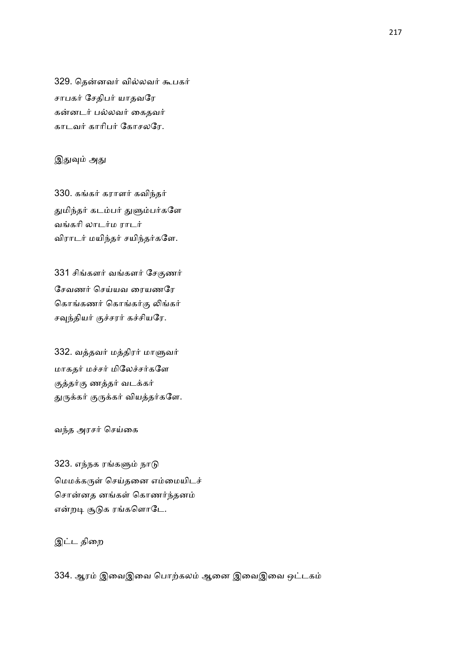329. தென்னவர் வில்லவர் கூபகர் சாபகர் சேதிபர் யாதவரே கன்னடர் பல்லவர் கைதவர் காடவர் காரிபர் கோசலரே.

## இதுவும் அது

330. கங்கர் கராளர் கவிந்தர் துமிந்தர் கடம்பர் துளும்பர்களே வங்கரி லாடர்ம ராடர் விராடர் மயிந்தர் சயிந்தர்களே.

331 சிங்களர் வங்களர் சேகுணர் சேவணர் செய்யவ ரையணரே கொங்கணர் கொங்கர்கு லிங்கர் சவுந்தியர் குச்சரர் கச்சியரே.

332. வத்தவர் மத்திரர் மாளுவர் மாகதர் மச்சர் மிலேச்சர்களே குத்தர்கு ணத்தர் வடக்கர் துருக்கர் குருக்கர் வியத்தர்களே.

வந்த அரசர் செய்கை

323. எந்நக ரங்களும் நாடு மெமக்கருள் செய்தனை எம்மையிடச் சொன்னத னங்கள் கொணர்ந்தனம் என்றடி சூடுக ரங்களொடே.

இட்ட திறை

334. ஆரம் இவைஇவை பொற்கலம் ஆனை இவைஇவை ஒட்டகம்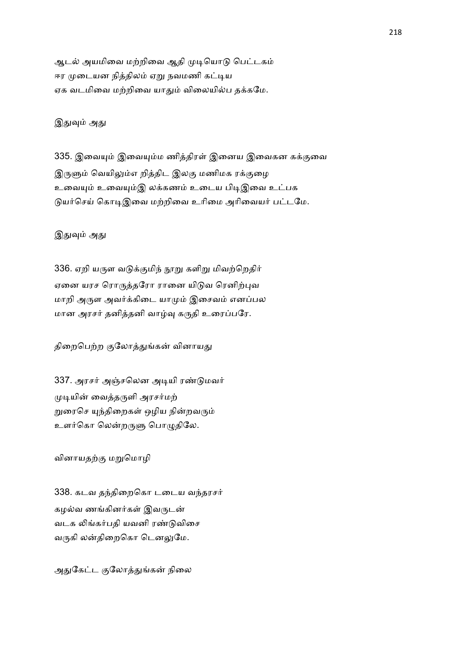ஆடல் அயமிவை மற்றிவை ஆதி முடியொடு பெட்டகம் ஈர முடையன நித்திலம் ஏறு நவமணி கட்டிய ஏக வடமிவை மற்றிவை யாதும் விலையில்ப தக்கமே.

இதுவும் அது

335. இவையும் இவையும்ம ணித்திரள் இனைய இவைகன கக்குவை இருளும் வெயிலும்எ றித்திட இலகு மணிமக ரக்குமை உவையும் உவையும்இ லக்கணம் உடைய பிடிஇவை உட்பக டுயர்செய் கொடிஇவை மற்றிவை உரிமை அரிவையர் பட்டமே.

இதுவும் அது

336. ஏறி யருள வடுக்குமிந் நூறு களிறு மிவற்றெதிர் ஏனை யரச ரொருத்தரோ ரானை யிடுவ ரெனிற்புவ மாறி அருள அவர்க்கிடை யாமும் இசைவம் எனப்பல மான அரசர் தனித்தனி வாழ்வு கருதி உரைப்பரே.

திறைபெற்ற குலோத்துங்கன் வினாயது

337. அரசர் அஞ்சலென அடியி ரண்டுமவர் முடியின் வைத்தருளி அரசர்மற் றுரைசெ யுந்திறைகள் ஒழிய நின்றவரும் உளர்கொ லென்றருளு பொழுதிலே.

வினாயதற்கு மறுமொழி

338. கடவ தந்திறைகொ டடைய வந்தரசர் கழல்வ ணங்கினர்கள் இவருடன் வடக லிங்கர்பதி யவனி ரண்டுவிசை வருகி லன்திறைகொ டௌலுமே.

அதுகேட்ட குலோத்துங்கன் நிலை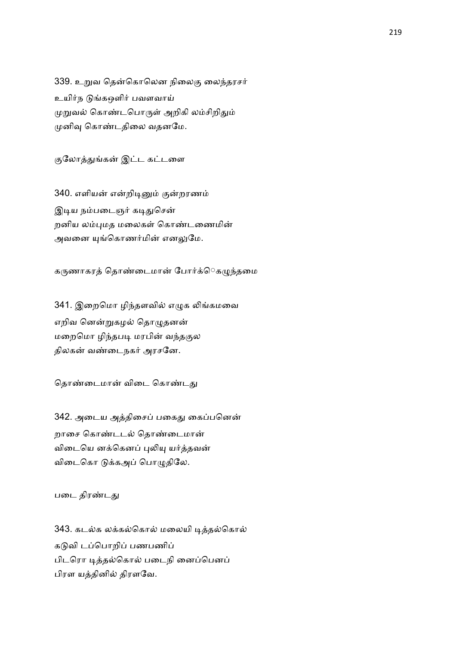339. உறுவ தென்கொலென நிலைகு லைந்தரசர் உயிர்ந டுங்கஔிர் பவளவாய் முறுவல் கொண்டபொருள் அறிகி லம்சிறிதும் முனிவு கொண்டதிலை வதனமே.

குலோத்துங்கன் இட்ட கட்டளை

340. எளியன் என்றிடினும் குன்றரணம் இடிய நம்படைஞர் கடிதுசென் றனிய லம்புமத மலைகள் கொண்டணைமின் அவனை யுங்கொணர்மின் எனலுமே.

கருணாகரத் தொண்டைமான் போர்க்ெகழுந்தமை

341. இறைமொ ழிந்தளவில் எழுக லிங்கமவை எறிவ னென்றுகழல் தொழுதனன் மறைமொ ழிந்தபடி மரபின் வந்தகுல திலகன் வண்டைநகர் அரசனே.

தொண்டைமான் விடை கொண்டது

342. அடைய அத்திசைப் பகைது கைப்பனென் றாசை கொண்டடல் கொண்டைமான் விடையெ னக்கெனப் புலியு யர்த்தவன் விடைகொ டுக்கஅப் பொழுதிலே.

படை திரண்டது

343. கடல்க லக்கல்கொல் மலையி டித்தல்கொல் கடுவி டப்பொறிப் பணபணிப் பிடரொ டித்தல்கொல் படைநி னைப்பெனப் பிரள யத்தினில் திரளவே.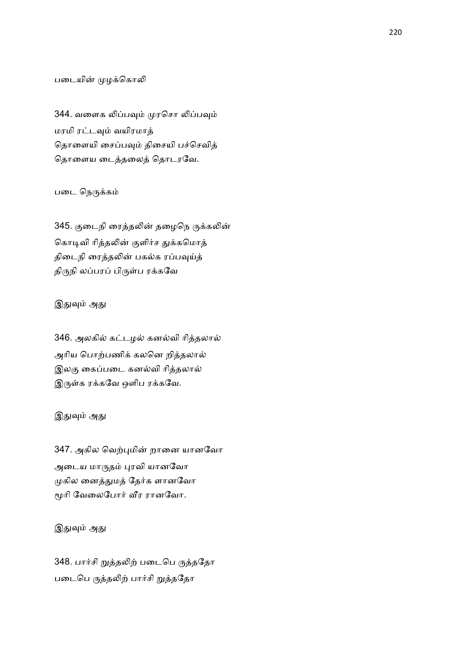### படையின் முழக்கொலி

344. வளைக லிப்பவும் முரசொ லிப்பவும் மரமி ரட்டவும் வயிரமாத் தொளையி சைப்பவும் திசையி பச்செவித் தொளைய டைத்தலைத் தொடரவே.

## படை நெருக்கம்

345. குடைநி ரைத்தலின் தழைநெ ருக்கலின் கொடிவி ரித்தலின் குளிர்ச துக்கமொத் திடைநி ரைத்தலின் பகல்க ரப்பவுய்த் திருநி லப்பரப் பிருள்ப ரக்கவே

## இதுவும் அது

346. அலகில் கட்டழல் கனல்வி ரித்தலால் அரிய பொற்பணிக் கலனெ றித்தலால் இலகு கைப்படை கனல்வி ரித்தலால் இருள்க ரக்கவே ஒளிப ரக்கவே.

#### இதுவும் அது

347. அகில வெற்புமின் றானை யானவோ அடைய மாருதம் புரவி யானவோ முகில னைத்துமத் தேர்க ளானவோ மூரி வேலைபோர் வீர ரானவோ.

# இதுவும் அது

348. பார்சி றுத்தலிற் படைபெ ருத்ததோ படைபெ ருத்தலிற் பார்சி றுத்ததோ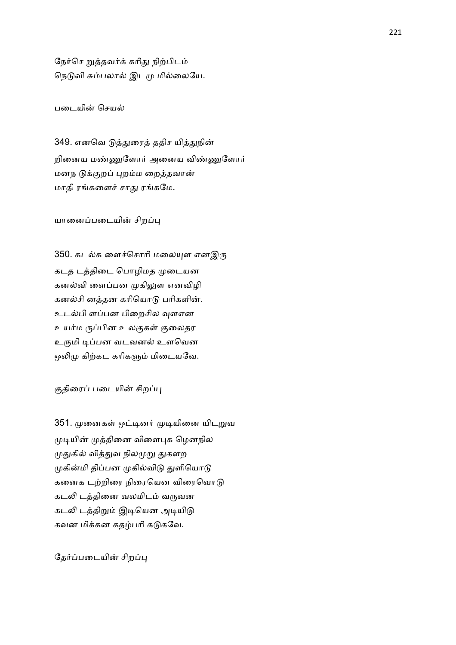நேர்செ றுத்தவர்க் கரிது நிற்பிடம் நெடுவி சும்பலால் இடமு மில்லையே.

படையின் செயல்

349. எனவெ டுத்துரைத் ததிச யித்துநின் றினைய மண்ணுளோர் அனைய விண்ணுளோர் மனந டுக்குறப் புறம்ம றைத்தவான் மாதி ரங்களைச் சாது ரங்கமே.

யானைப்படையின் சிறப்பு

350. கடல்க ளைச்சொரி மலையுள எனஇரு கடத டத்திடை பொழிமத முடையன கனல்வி ளைப்பன முகிலுள எனவிழி கனல்சி னத்தன கரியொடு பரிகளின். உடல்பி ளப்பன பிறைசில வுளஎன உயர்ம ருப்பின உலகுகள் குலைதர உருமி டிப்பன வடவனல் உளவென ஒலிமு கிற்கட கரிகளும் மிடையவே.

குதிரைப் படையின் சிறப்பு

351. முனைகள் ஒட்டினர் முடியினை யிடறுவ முடியின் முத்தினை விளைபுக ழெனநில முதுகில் வித்துவ நிலமுறு துகளற முகின்மி திப்பன முகில்விடு துளியொடு கனைக டற்றிரை நிரையென விரைவொடு கடலி டத்தினை வலமிடம் வருவன கடலி டத்திறும் இடியென அடியிடு கவன மிக்கன கதழ்பரி கடுகவே.

தேர்ப்படையின் சிறப்பு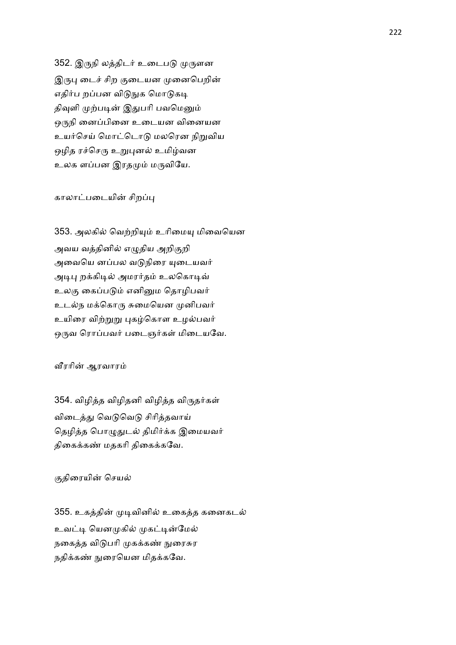352. இருநி லத்திடர் உடைபடு முருளன இருபு டைச் சிற குடையன முனைபெறின் எதிர்ப றப்பன விடுநுக மொடுகடி திவுளி முற்படின் இதுபரி பவமெனும் ஒருநி னைப்பினை உடையன வினையன உயர்செய் மொட்டொடு மலரென நிறுவிய ஒழித ரச்செரு உறுபுனல் உமிழ்வன உலக ளப்பன இரதமும் மருவியே.

### காலாட்படையின் சிறப்பு

353. அலகில் வெற்றியும் உரிமையு மிவையென அவய வத்தினில் எழுதிய அறிகுறி அவையெ னப்பல வடுநிரை யுடையவர் அடிபு றக்கிடில் அமரர்தம் உலகொடிவ் உலகு கைப்படும் எனினும தொழிபவர் உடல்ந மக்கொரு சுமையென முனிபவர் உயிரை விற்றுறு புகழ்கொள உழல்பவர் ஒருவ ரொப்பவர் படைஞர்கள் மிடையவே.

வீரரின் ஆரவாரம்

354. விழித்த விழிதனி விழித்த விருதர்கள் விடைத்து வெடுவெடு சிரித்தவாய் தெழித்த பொழுதுடல் திமிர்க்க இமையவர் திகைக்கண் மதகரி திகைக்கவே.

#### குதிரையின் செயல்

355. உகத்தின் முடிவினில் உகைத்த கனைகடல் உவட்டி யெனமுகில் முகட்டின்மேல் நகைத்த விடுபரி முகக்கண் நுரைசுர நதிக்கண் நுரையென மிதக்கவே.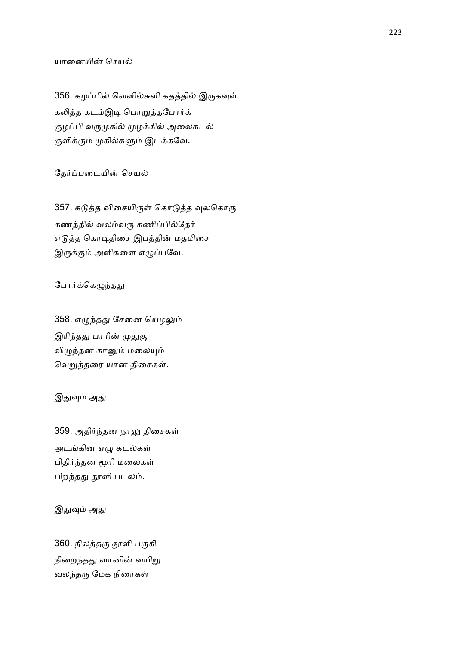# யானையின் செயல்

356. கழப்பில் வெளில்சுளி கதத்தில் இருகவுள் கலித்த கடம்இடி பொறுத்தபோர்க் குழப்பி வருமுகில் முழக்கில் அலைகடல் குளிக்கும் முகில்களும் இடக்கவே.

தேர்ப்படையின் செயல்

357. கடுத்த விசையிருள் கொடுத்த வுலகொரு கணத்தில் வலம்வரு கணிப்பில்தேர் எடுத்த கொடிதிசை இபத்தின் மதமிசை இருக்கும் அளிகளை எழுப்பவே.

#### போர்க்கெழுந்தது

358. எழுந்தது சேனை யெழலும் இரிந்தது பாரின் முதுகு விழுந்தன கானும் மலையும் வெறுந்தரை யான திசைகள்.

## இதுவும் அது

359. அதிர்ந்தன நாலு திசைகள் அடங்கின ஏழு கடல்கள் பிதிர்ந்தன மூரி மலைகள் பிறந்தது தூளி படலம்.

# இதுவும் அது

360. நிலத்தரு தூளி பருகி நிறைந்தது வானின் வயிறு வலந்தரு மேக நிரைகள்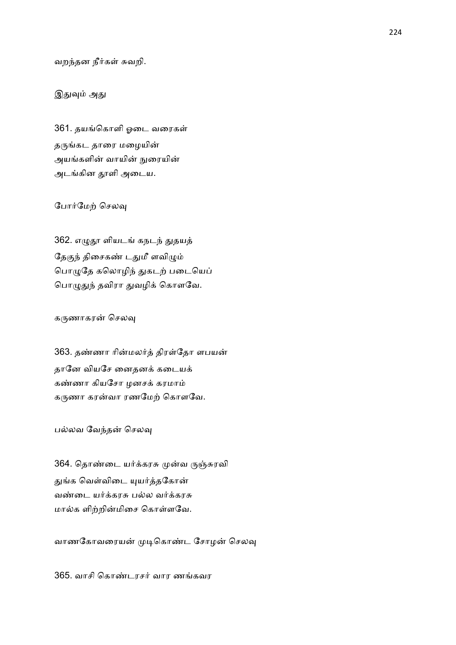வறந்தன நீர்கள் சுவறி.

## இதுவும் அது

361. தயங்கொளி ஓடை வரைகள் தருங்கட தாரை மழையின் அயங்களின் வாயின் நுரையின் அடங்கின தூளி அடைய.

## போர்மேற் செலவு

362. எழுதூ ளியடங் கநடந் துதயத் தேகுந் திசைகண் டதுமீ ளவிழும் பொழுதே கலொழிந் துகடற் படையெப் பொழுதுந் தவிரா துவழிக் கொளவே.

#### கருணாகரன் செலவு

363. தண்ணா ரின்மலர்த் திரள்தோ ளபயன் தானே வியசே னைதனக் கடையக் கண்ணா கியசோ ழனசக் கரமாம் கருணா கரன்வா ரணமேற் கொளவே.

பல்லவ வேந்தன் செலவு

364. தொண்டை யர்க்கரசு முன்வ ருஞ்சுரவி துங்க வெள்விடை யுயர்த்தகோன் வண்டை யர்க்கரசு பல்ல வர்க்கரசு மால்க ளிற்றின்மிசை கொள்ளவே.

வாணகோவரையன் முடிகொண்ட சோழன் செலவு

365. வாசி கொண்டரசர் வார ணங்கவர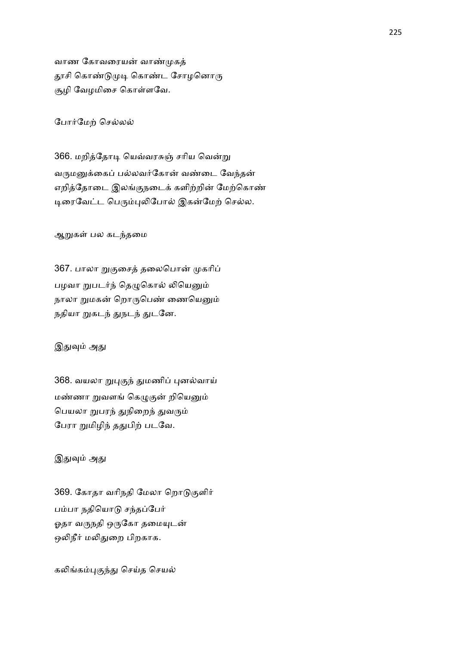வாண கோவரையன் வாண்முகத் தூசி கொண்டுமுடி கொண்ட சோழனொரு சூழி வேழமிசை கொள்ளவே.

போர்மேற் செல்லல்

366. மறித்தோடி யெவ்வரசுஞ் சரிய வென்று வருமனுக்கைப் பல்லவர்கோன் வண்டை வேந்தன் எறித்தோடை இலங்குநடைக் களிற்றின் மேற்கொண் டிரைவேட்ட பெரும்புலிபோல் இகன்மேற் செல்ல.

ஆறுகள் பல கடந்தமை

367. பாலா றுகுசைத் தலைபொன் முகரிப் பழவா றுபடர்ந் தெழுகொல் லியெனும் நாலா றுமகன் றொருபெண் ணையெனும் நதியா றுகடந் துநடந் துடனே.

#### இதுவும் அது

368. வயலா றுபுகுந் துமணிப் புனல்வாய் மண்ணா றுவளங் கெழுகுன் றியெனும் பெயலா றுபரந் துநிறைந் துவரும் பேரா றுமிழிந் ததுபிற் படவே.

## இதுவும் அது

369. கோதா வரிநதி மேலா றொடுகுளிர் பம்பா நதியொடு சந்தப்பேர் ஓதா வருநதி ஒருகோ தமையுடன் ஒலிநீர் மலிதுறை பிறகாக.

கலிங்கம்புகுந்து செய்த செயல்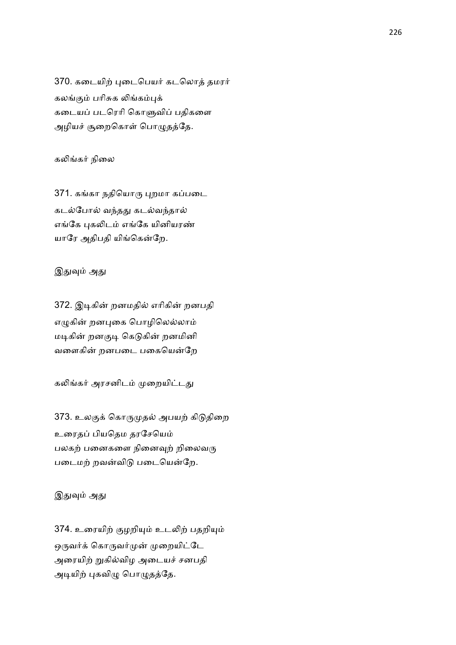370. கடையிற் புடைபெயர் கடலொத் தமரர் கலங்கும் பரிசுக லிங்கம்புக் கடையப் படரெரி கொளுவிப் பதிகளை அழியச் சூறைகொள் பொழுதத்தே.

கலிங்கர் நிலை

371. கங்கா நதியொரு புறமா கப்படை கடல்போல் வந்தது கடல்வந்தால் எங்கே புகலிடம் எங்கே யினியரண் யாரே அதிபதி யிங்கென்றே.

இதுவும் அது

372. இடிகின் றனமதில் எரிகின் றனபதி எழுகின் றனபுகை பொழிலெல்லாம் மடிகின் றனகுடி கெடுகின் றனமினி வளைகின் றனபடை பகையென்றே

கலிங்கர் அரசனிடம் முறையிட்டது

373. உலகுக் கொருமுதல் அபயற் கிடுதிறை உரைதப் பியதெம தரசேயெம் பலகற் பனைகளை நினைவுற் றிலைவரு படைமற் றவன்விடு படையென்றே.

இதுவும் அது

374. உரையிற் குழறியும் உடலிற் பதறியும் ஒருவர்க் கொருவர்முன் முறையிட்டே அரையிற் றுகில்விழ அடையச் சனபதி அடியிற் புகவிழு பொழுதத்தே.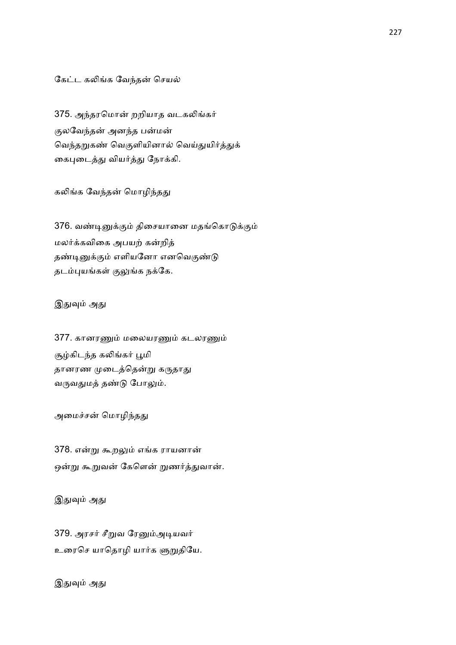### கேட்ட கலிங்க வேந்தன் செயல்

375. அந்தரமொன் றறியாத வடகலிங்கர் குலவேந்தன் அனந்த பன்மன் வெந்தறுகண் வெகுளியினால் வெய்துயிர்த்துக் கைபுடைத்து வியர்த்து நோக்கி.

### கலிங்க வேந்தன் மொழிந்தது

376. வண்டினுக்கும் திசையானை மதங்கொடுக்கும் மலர்க்கவிகை அபயற் கன்றித் தண்டினுக்கும் எளியனோ எனவெகுண்டு தடம்புயங்கள் குலுங்க நக்கே.

## இதுவும் அது

377. கானரணும் மலையரணும் கடலரணும் சூழ்கிடந்த கலிங்கர் பூமி தானரண முடைத்தென்று கருதாது வருவதுமத் தண்டு போலும்.

#### அமைச்சன் மொழிந்தது

378. என்று கூறலும் எங்க ராயனான் ஒன்று கூறுவன் கேளென் றுணர்த்துவான்.

இதுவும் அது

379. அரசர் சீறுவ ரேனும்அடியவர் உரைசெ யாதொழி யார்க ளுறுதியே.

இதுவும் அது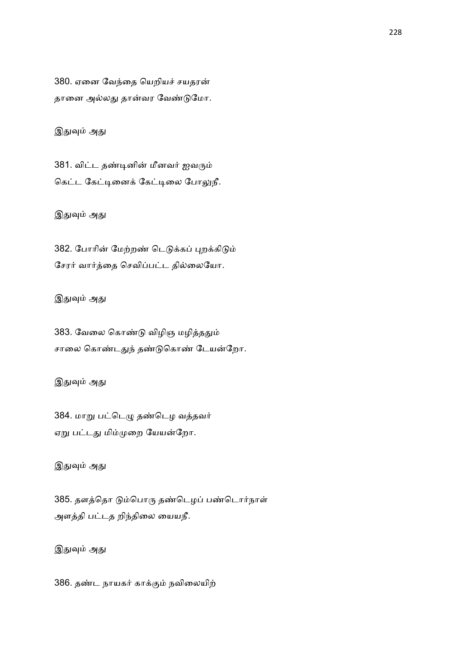380. ஏனை வேந்தை யெறியச் சயதரன் தானை அல்லது தான்வர வேண்டுமோ.

இதுவும் அது

381. விட்ட தண்டினின் மீனவர் ஐவரும் கெட்ட கேட்டினைக் கேட்டிலை போலுநீ.

இதுவும் அது

382. போரின் மேற்றண் டெடுக்கப் புறக்கிடும் சேரர் வார்த்தை செவிப்பட்ட தில்லையோ.

இதுவும் அது

383. வேலை கொண்டு விழிஞ மழித்ததும் சாலை கொண்டதுந் தண்டுகொண் டேயன்றோ.

இதுவும் அது

384. மாறு பட்டெழு தண்டெழ வத்தவர் ஏறு பட்டது மிம்முறை யேயன்றோ.

இதுவும் அது

385. தளத்தொ டும்பொரு தண்டெழப் பண்டொர்நாள் அளத்தி பட்டத றிந்திலை யையநீ.

இதுவும் அது

386. தண்ட நாயகர் காக்கும் நவிலையிற்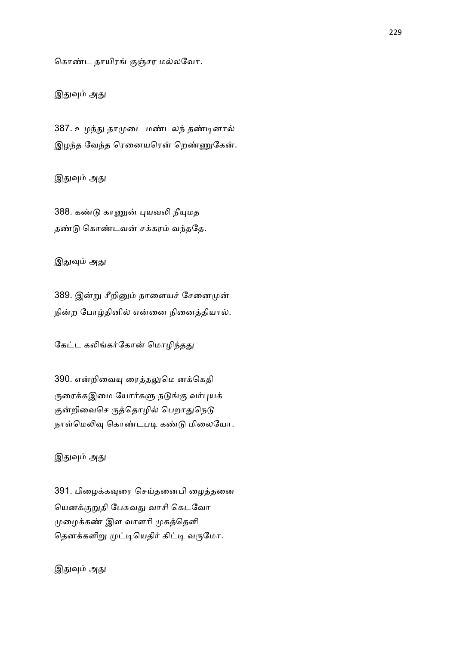கொண்ட தாயிரங் குஞ்சர மல்லவோ.

இதுவும் அது

387. உழந்து தாமுடை மண்டலந் தண்டினால் இழந்த வேந்த ரெனையரென் றெண்ணுகேன்.

இதுவும் அது

388. கண்டு காணுன் புயவலி நீயுமத தண்டு கொண்டவன் சக்கரம் வந்ததே.

இதுவும் அது

389. இன்று சீறினும் நாளையச் சேனைமுன் நின்ற போழ்தினில் என்னை நினைத்தியால்.

கேட்ட கலிங்கர்கோன் மொழிந்தது

390. என்றிவையு ரைத்தலுமெ னக்கெதி ருரைக்கஇமை யோர்களு நடுங்கு வர்புயக் குன்றிவைசெ ருத்தொழில் பெறாதுநெடு நாள்மெலிவு கொண்டபடி கண்டு மிலையோ.

இதுவும் அது

391. பிழைக்கவுரை செய்தனைபி ழைத்தனை யெனக்குறுதி பேசுவது வாசி கெடவோ முழைக்கண் இள வாளரி முகத்தெளி தெனக்களிறு முட்டியெதிர் கிட்டி வருமோ.

இதுவும் அது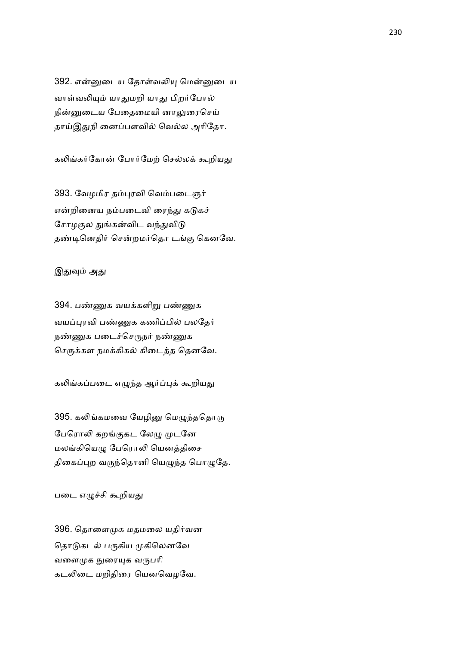392. என்னுடைய தோள்வலியு மென்னுடைய வாள்வலியும் யாதுமறி யாது பிறர்போல் நின்னுடைய பேதைமையி னாலுரைசெய் தாய்இதுநி னைப்பளவில் வெல்ல அரிதோ.

கலிங்கர்கோன் போர்மேற் செல்லக் கூறியது

393. வேழமிர தம்புரவி வெம்படைஞர் என்றினைய நம்படைவி ரைந்து கடுகச் சோழகுல துங்கன்விட வந்துவிடு தண்டினெதிர் சென்றமர்தொ டங்கு கெனவே.

## இதுவும் அது

394. பண்ணுக வயக்களிறு பண்ணுக வயப்புரவி பண்ணுக கணிப்பில் பலதேர் நண்ணுக படைச்செருநர் நண்ணுக செருக்கள நமக்கிகல் கிடைத்த தெனவே.

கலிங்கப்படை எழுந்த ஆர்ப்புக் கூறியது

395. கலிங்கமவை யேழினு மெழுந்ததொரு பேரொலி கறங்குகட லேமு முடனே மலங்கியெழு பேரொலி யெனத்திசை திகைப்புற வருந்தொனி யெழுந்த பொழுதே.

படை எழுச்சி கூறியது

396. தொளைமுக மதமலை யதிர்வன தொடுகடல் பருகிய முகிலெனவே வளைமுக நுரையுக வருபரி கடலிடை மறிதிரை யெனவெழவே.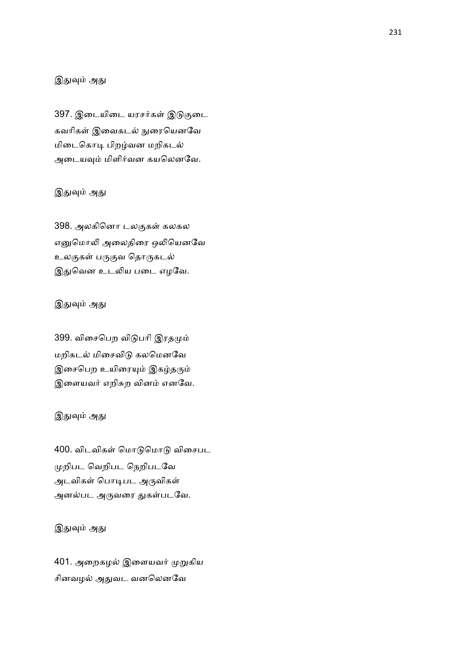# இதுவும் அது

397. இடையிடை யரசர்கள் இடுகுடை கவரிகள் இவைகடல் நுரையெனவே மிடைகொடி பிறழ்வன மறிகடல் அடையவும் மிளிர்வன கயலெனவே.

# இதுவும் அது

398. அலகினொ டலகுகள் கலகல எனுமொலி அலைதிரை ஒலியெனவே உலகுகள் பருகுவ தொருகடல் இதுவென உடலிய படை எழவே.

## இதுவும் அது

399. விசைபெற விடுபரி இரதமும் மறிகடல் மிசைவிடு கலமெனவே இசைபெற உயிரையும் இகழ்தரும் இளையவர் எறிசுற வினம் எனவே.

## இதுவும் அது

400. விடவிகள் மொடுமொடு விசைபட றிபட ெவறிபட ெநறிபடேவ அடவிகள் பொடிபட அருவிகள் அனல்பட அருவரை துகள்படவே.

# இதுவும் அது

401. அறைகழல் இளையவர் முறுகிய சினவழல் அதுவட வனலெனவே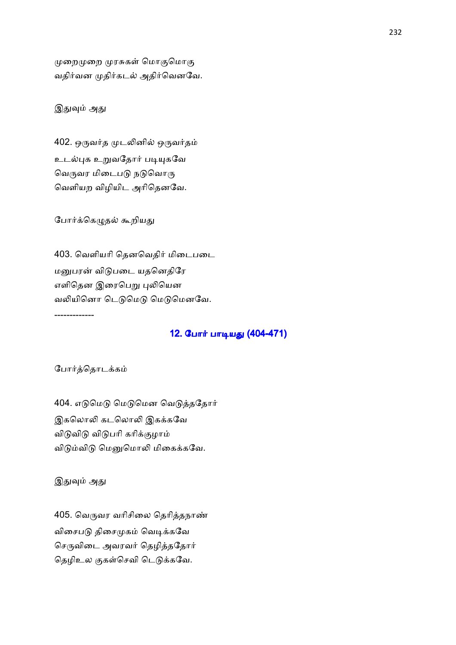முறைமுறை முரசுகள் மொகுமொகு வதிர்வன முதிர்கடல் அதிர்வெனவே.

## இதுவும் அது

402. ஒருவர்த முடலினில் ஒருவர்தம் உடல்புக உறுவதோர் படியுகவே வெருவர மிடைபடு நடுவொரு ெவளியற விழியிட அாிெதனேவ.

போர்க்கெழுதல் கூறியது

403. வெளியரி தெனவெதிர் மிடைபடை மனுபரன் விடுபடை யதனெதிரே எளிதென இரைபெறு புலியென வலியினொ டெடுமெடு மெடுமெனவே. -------------

## 12. போர் பாடியது (404-471)

போர்த்தொடக்கம்

404. எடுமெடு மெடுமென வெடுத்ததோர் இகலொலி கடலொலி இகக்கவே விடுவிடு விடுபரி கரிக்குழாம் விடும்விடு மெனுமொலி மிகைக்கவே.

இதுவும் அது

405. வெருவர வரிசிலை தெரித்தநாண் விசைபடு திசைமுகம் வெடிக்கவே செருவிடை அவரவர் தெழித்ததோர் தெழிஉல குகள்செவி டெடுக்கவே.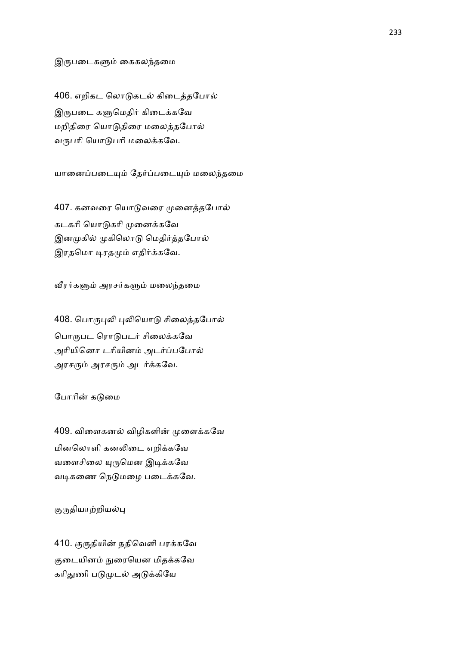#### இருபடைகளும் கைகலந்தமை

406. எறிகட லொடுகடல் கிடைத்தபோல் இருபடை களுமெதிர் கிடைக்கவே மறிதிரை யொடுதிரை மலைத்தபோல் வருபரி யொடுபரி மலைக்கவே.

யானைப்படையும் தேர்ப்படையும் மலைந்தமை

407. கனவரை யொடுவரை முனைத்தபோல் கடகரி யொடுகரி முனைக்கவே இனமுகில் முகிலொடு மெதிர்த்தபோல் இரதமொ டிரதமும் எதிர்க்கவே.

வீரர்களும் அரசர்களும் மலைந்தமை

408. பொருபுலி புலியொடு சிலைத்தபோல் பொருபட ரொடுபடர் சிலைக்கவே அரியினொ டரியினம் அடர்ப்பபோல் அரசரும் அரசரும் அடர்க்கவே.

## போரின் கடுமை

409. விளைகனல் விழிகளின் முளைக்கவே மினலொளி கனலிடை எறிக்கவே வளைசிலை யுருமென இடிக்கவே வடிகணை நெடுமழை படைக்கவே.

குருதியாற்றியல்பு

410. குருதியின் நதிவெளி பரக்கவே குடையினம் நுரையென மிதக்கவே கரிதுணி படுமுடல் அடுக்கியே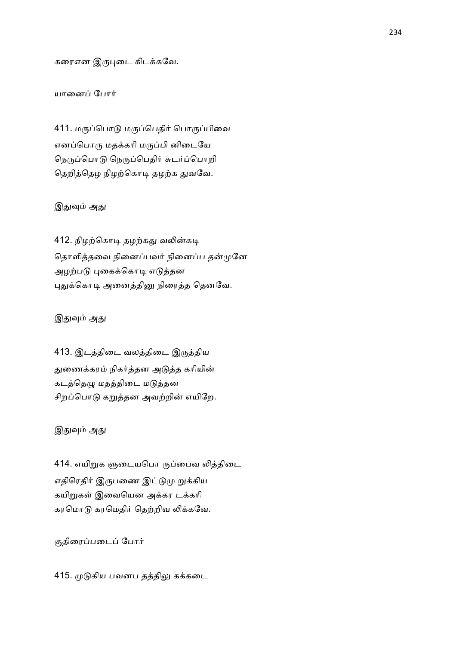கரைஎன இருபுடை கிடக்கவே.

### யானைப் போர்

411. மருப்பொடு மருப்பெதிர் பொருப்பிவை எனப்பொரு மதக்கரி மருப்பி னிடையே நெருப்பொடு நெருப்பெதிர் சுடர்ப்பொறி தெறித்தெழ நிழற்கொடி தழற்க துவவே.

## இதுவும் அது

412. நிழற்கொடி தழற்கது வலின்கடி தொளித்தவை நினைப்பவர் நினைப்ப தன்முனே அழற்படு புகைக்கொடி எடுத்தன புதுக்கொடி அனைத்தினு நிரைத்த தெனவே.

#### இதுவும் அது

413. இடத்திடை வலத்திடை இருத்திய துணைக்கரம் நிகர்த்தன அடுத்த கரியின் கடத்தெழு மதத்திடை மடுத்தன சிறப்பொடு கறுத்தன அவற்றின் எயிறே.

## இதுவும் அது

414. எயிறுக ளுடையபொ ருப்பைவ லித்திடை எதிரெதிர் இருபணை இட்டுமு றுக்கிய கயிறுகள் இவையென அக்கர டக்கரி கரமொடு கரமெதிர் தெற்றிவ லிக்கவே.

குதிரைப்படைப் போர்

415. முடுகிய பவனப தத்திலு கக்கடை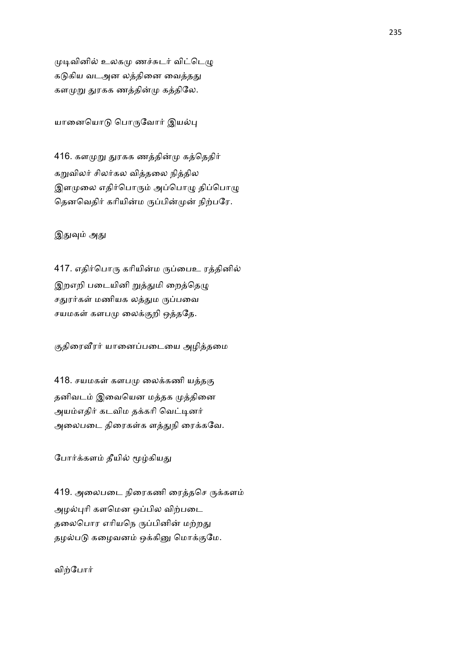முடிவினில் உலகமு ணச்சுடர் விட்டெழு கடுகிய வடஅன லத்தினை வைத்தது களமுறு துரகக ணத்தின்மு கத்திலே.

யானையொடு பொருவோர் இயல்பு

416. களமுறு துரகக ணத்தின்மு கத்தெதிர் கறுவிலர் சிலர்கல வித்தலை நித்தில இளமுலை எதிர்பொரும் அப்பொழு திப்பொழு தெனவெதிர் கரியின்ம ருப்பின்முன் நிற்பரே.

இதுவும் அது

417. எதிர்பொரு கரியின்ம ருப்பைஉ ரத்தினில் இறஎறி படையினி றுத்துமி றைத்தெழு சதுரர்கள் மணியக லத்தும ருப்பவை சயமகள் களபமு லைக்குறி ஒத்ததே.

குதிரைவீரர் யானைப்படையை அழித்தமை

418. சயமகள் களபமு லைக்கணி யத்தகு தனிவடம் இவையென மத்தக முத்தினை அயம்எதிர் கடவிம தக்கரி வெட்டினர் அலைபடை திரைகள்க ளத்துநி ரைக்கவே.

போர்க்களம் தீயில் மூழ்கியது

419. அலைபடை நிரைகணி ரைத்தசெ ருக்களம் அழல்புரி களமென ஒப்பில விற்படை தலைபொர எரியநெ ருப்பினின் மற்றது தழல்படு கழைவனம் ஒக்கினு மொக்குமே.

விற்போர்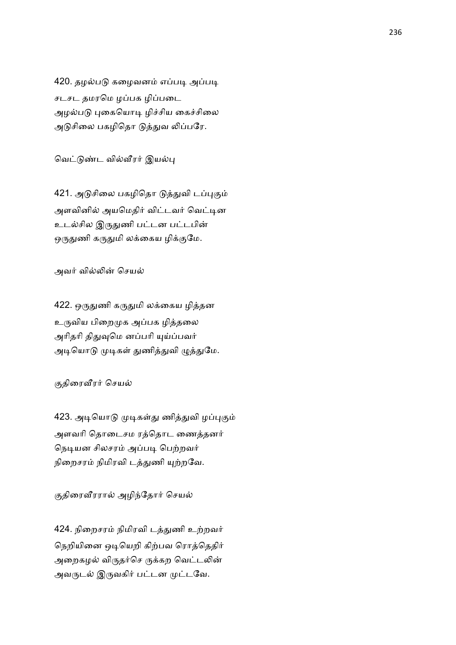420. தழல்படு கழைவனம் எப்படி அப்படி சடசட தமரமெ ழப்பக ழிப்படை அழல்படு புகையொடி ழிச்சிய கைச்சிலை அடுசிலை பகழிதொ டுத்துவ லிப்பரே.

வெட்டுண்ட வில்வீரர் இயல்பு

421. அடுசிலை பகழிதொ டுத்துவி டப்புகும் அளவினில் அயமெதிர் விட்டவர் வெட்டின உடல்சில இருதுணி பட்டன பட்டபின் ஒருதுணி கருதுமி லக்கைய ழிக்குமே.

அவர் வில்லின் செயல்

422. ஒருதுணி கருதுமி லக்கைய ழித்தன உருவிய பிறைமுக அப்பக ழித்தலை அரிதரி திதுவுமெ னப்பரி யுய்ப்பவர் அடியொடு முடிகள் துணித்துவி ழுத்துமே.

# குதிரைவீரர் செயல்

423. அடியொடு முடிகள்து ணித்துவி ழப்புகும் அளவரி தொடைசம ரத்தொட ணைத்தனர் நெடியன சிலசரம் அப்படி பெற்றவர் நிறைசரம் நிமிரவி டத்துணி யுற்றவே.

# குதிரைவீரரால் அழிந்தோர் செயல்

424. நிறைசரம் நிமிரவி டத்துணி உற்றவர் நெறியினை ஒடியெறி கிற்பவ ரொத்தெதிர் அறைகழல் விருதர்செ ருக்கற வெட்டலின் அவருடல் இருவகிர் பட்டன முட்டவே.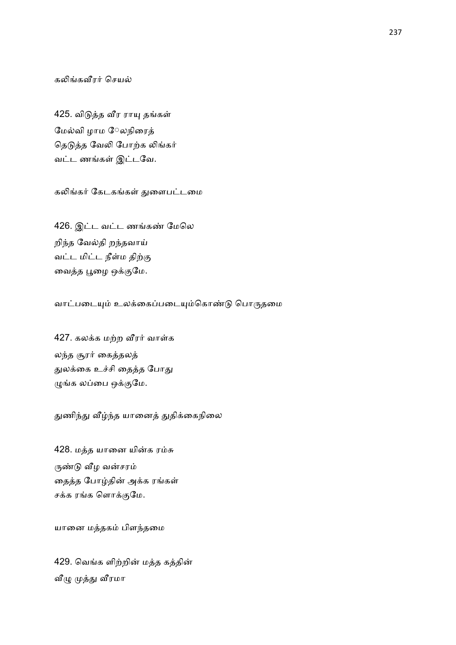கலிங்கவீரர் செயல்

425. விடுத்த வீர ராயு தங்கள் மேல்வி ழாம ேலநிரைத் தெடுத்த வேலி போற்க லிங்கர் வட்ட ணங்கள் இட்டவே.

கலிங்கர் கேடகங்கள் துளைபட்டமை

426. இட்ட வட்ட ணங்கண் மேலெ றிந்த வேல்தி றந்தவாய் வட்ட மிட்ட நீள்ம திற்கு வைத்த பூழை ஒக்குமே.

வாட்படையும் உலக்கைப்படையும்கொண்டு பொருதமை

427. கலக்க மற்ற வீரர் வாள்க லந்த சூரர் கைத்தலத் துலக்கை உச்சி தைத்த போது ழுங்க லப்பை ஒக்குமே.

துணிந்து வீழ்ந்த யானைத் துதிக்கைநிலை

428. மத்த யானை யின்க ரம்சு ருண்டு வீழ வன்சரம் தைத்த போழ்தின் அக்க ரங்கள் சக்க ரங்க ளொக்குமே.

யானை மத்தகம் பிளந்தமை

429. வெங்க ளிற்றின் மத்த கத்தின் வீழு முத்து வீரமா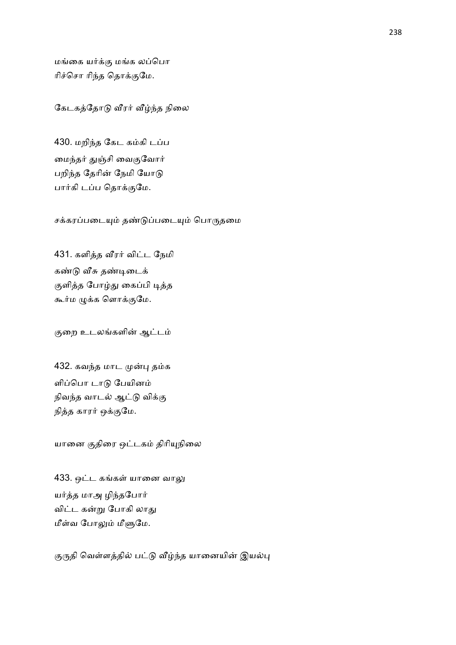மங்கை யர்க்கு மங்க லப்பொ ரிச்சொ ரிந்த தொக்குமே.

கேடகத்தோடு வீரர் வீழ்ந்த நிலை

430. மறிந்த கேட கம்கி டப்ப மைந்தர் துஞ்சி வைகுவோர் பறிந்த தேரின் நேமி யோடு பார்கி டப்ப தொக்குமே.

சக்கரப்படையும் தண்டுப்படையும் பொருதமை

431. களித்த வீரர் விட்ட நேமி கண்டு வீசு தண்டிடைக் குளித்த போழ்து கைப்பி டித்த கூர்ம ழுக்க ளொக்குமே.

குறை உடலங்களின் ஆட்டம்

432. கவந்த மாட முன்பு தம்க ளிப்பொ டாடு பேயினம் நிவந்த வாடல் ஆட்டு விக்கு நித்த காரர் ஒக்குமே.

யானை குதிரை ஒட்டகம் திரியுநிலை

433. ஒட்ட கங்கள் யானை வாலு யர்த்த மாஅ ழிந்தபோர் விட்ட கன்று போகி லாது மீள்வ போலும் மீளுமே.

குருதி வெள்ளத்தில் பட்டு வீழ்ந்த யானையின் இயல்பு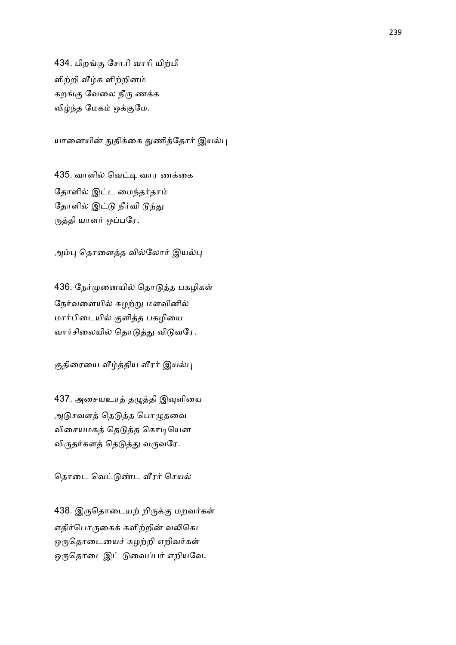434. பிறங்கு சோரி வாரி யிற்பி ளிற்றி வீழ்க ளிற்றினம் கறங்கு வேலை நீரு ணக்க விழ்ந்த மேகம் ஒக்குமே.

யானையின் துதிக்கை துணித்தோர் இயல்பு

435. வாளில் வெட்டி வார ணக்கை தோளில் இட்ட மைந்தர்தாம் தோளில் இட்டு நீர்வி டுந்து ருத்தி யாளர் ஒப்பரே.

அம்பு தொளைத்த வில்லோர் இயல்பு

436. நேர்முனையில் தொடுத்த பகழிகள் நேர்வளையில் சுழற்று மளவினில் மார்பிடையில் குளித்த பகழியை வார்சிலையில் தொடுத்து விடுவரே.

குதிரையை வீழ்த்திய வீரர் இயல்பு

437. அசையஉரத் தழுத்தி இவுளியை அடுசவளத் தெடுத்த பொழுதவை விசையமகத் தெடுத்த கொடியென விருதர்களத் தெடுத்து வருவரே.

தொடை வெட்டுண்ட வீரர் செயல்

438. இருதொடையற் றிருக்கு மறவர்கள் எதிர்பொருகைக் களிற்றின் வலிகெட ஒருதொடையைச் சுழற்றி எறிவர்கள் ஒருதொடைஇட் டுவைப்பர் எறியவே.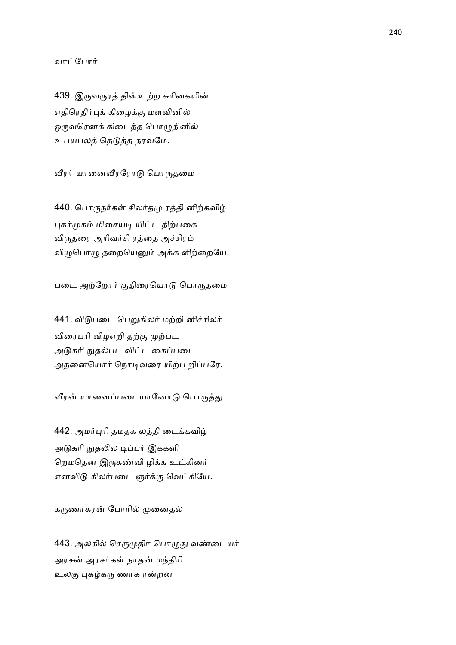#### வாட்போர்

439. இருவருரத் தின்உற்ற சுரிகையின் எதிரெதிர்புக் கிழைக்கு மளவினில் ஒருவரெனக் கிடைத்த பொழுதினில் உபயபலத் தெடுத்த தரவமே.

வீரர் யானைவீரரோடு பொருதமை

440. பொருநர்கள் சிலர்தமு ரத்தி னிற்கவிழ் புகர்முகம் மிசையடி யிட்ட திற்பகை விருதரை அரிவர்சி ரத்தை அச்சிரம் விழுபொழு தறையெனும் அக்க ளிற்றையே.

படை அற்றோர் குதிரையொடு பொருதமை

441. விடுபடை பெறுகிலர் மற்றி னிச்சிலர் விரைபரி விழஎறி தற்கு முற்பட அடுகரி நுதல்பட விட்ட கைப்படை அதனையொர் நொடிவரை யிற்ப றிப்பரே.

வீரன் யானைப்படையானோடு பொருத்து

442. அமர்புரி தமதக லத்தி டைக்கவிழ் அடுகரி நுதலில டிப்பர் இக்களி றெமதென இருகண்வி ழிக்க உட்கினர் எனவிடு கிலர்படை ஞர்க்கு வெட்கியே.

கருணாகரன் போரில் முனைதல்

443. அலகில் செருமுதிர் பொழுது வண்டையர் அரசன் அரசர்கள் நாதன் மந்திரி உலகு புகழ்கரு ணாக ரன்றன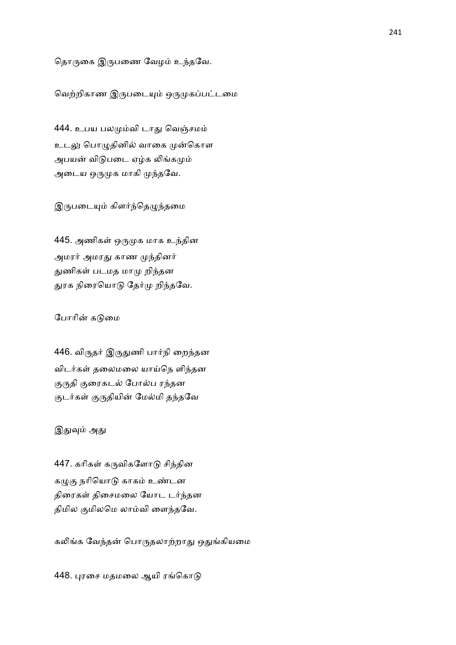# தொருகை இருபணை வேழம் உந்தவே.

வெற்றிகாண இருபடையும் ஒருமுகப்பட்டமை

444. உபய பலமும்வி டாது வெஞ்சமம் உடலு பொழுதினில் வாகை முன்கொள அபயன் விடுபடை ஏழ்க லிங்கமும் அடைய ஒருமுக மாகி முந்தவே.

இருபடையும் கிளர்ந்தெழுந்தமை

445. அணிகள் ஒருமுக மாக உந்தின அமரர் அமரது காண முந்தினர் துணிகள் படமத மாமு றிந்தன துரக நிரையொடு தேர்மு றிந்தவே.

# போரின் கடுமை

446. விருதர் இருதுணி பார்நி றைந்தன விடர்கள் தலைமலை யாய்நெ ளிந்தன குருதி குரைகடல் போல்ப ரந்தன குடர்கள் குருதியின் மேல்மி தந்தவே

# இதுவும் அது

447. கரிகள் கருவிகளோடு சிந்தின கழுகு நரியொடு காகம் உண்டன திரைகள் திசைமலை யோட டர்ந்தன திமில குமிலமெ லாம்வி ளைந்தவே.

கலிங்க வேந்தன் பொருதலாற்றாது ஒதுங்கியமை

448. புரசை மதமலை ஆயி ரங்கொடு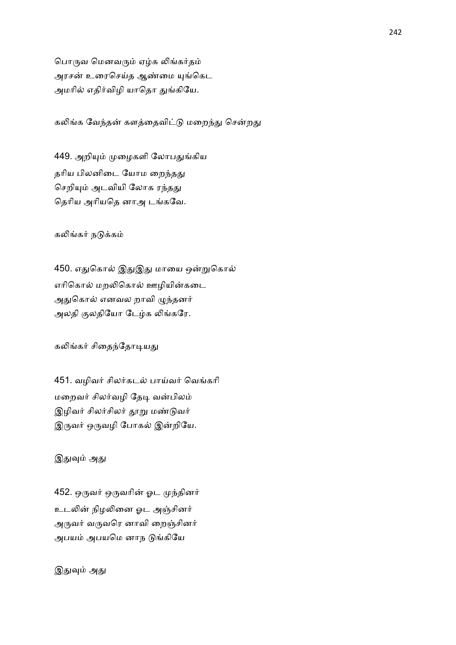பொருவ மெனவரும் ஏழ்க லிங்கர்தம் அரசன் உரைசெய்த ஆண்மை யுங்கெட அமரில் எதிர்விழி யாதொ துங்கியே.

கலிங்க வேந்தன் களத்தைவிட்டு மறைந்து சென்றது

449. அறியும் முழைகளி லோபதுங்கிய தரிய பிலனிடை யோம றைந்தது செறியும் அடவியி லோக ரந்தது தெரிய அரியதெ னாஅ டங்கவே.

கலிங்கர் நடுக்கம்

450. எதுகொல் இதுஇது மாயை ஒன்றுகொல் எரிகொல் மறலிகொல் ஊழியின்கடை அதுகொல் எனவல றாவி ழுந்தனர் அலதி குலதியோ டேழ்க லிங்கரே.

கலிங்கர் சிதைந்தோடியது

451. வழிவர் சிலர்கடல் பாய்வர் வெங்கரி மறைவர் சிலர்வழி தேடி வன்பிலம் இழிவர் சிலர்சிலர் தூறு மண்டுவர் இருவர் ஒருவழி போகல் இன்றியே.

இதுவும் அது

452. ஒருவர் ஒருவரின் ஓட முந்தினர் உடலின் நிழலினை ஓட அஞ்சினர் அருவர் வருவரெ னாவி றைஞ்சினர் அபயம் அபயமெ னாந டுங்கியே

இதுவும் அது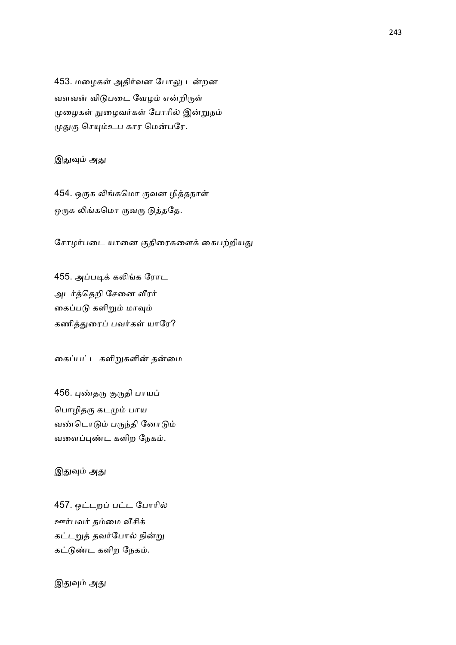453. மழைகள் அதிர்வன போலு டன்றன வளவன் விடுபடை வேழம் என்றிருள் முழைகள் நுழைவர்கள் போரில் இன்றுநம் முதுகு செயும்உப கார மென்பரே.

இதுவும் அது

454. ஒருக லிங்கமொ ருவன ழித்தநாள் ஒருக லிங்கமொ ருவரு டுத்ததே.

சோழர்படை யானை குதிரைகளைக் கைபற்றியது

455. அப்படிக் கலிங்க ரோட அடர்த்தெறி சேனை வீரர் கைப்படு களிறும் மாவும் கணித்துரைப் பவர்கள் யாரே?

கைப்பட்ட களிறுகளின் தன்மை

456. புண்தரு குருதி பாயப் பொழிதரு கடமும் பாய வண்டொடும் பருந்தி னோடும் வளைப்புண்ட களிற நேகம்.

இதுவும் அது

457. ஒட்டறப் பட்ட போரில் ஊர்பவர் தம்மை வீசிக் கட்டறுத் தவர்போல் நின்று கட்டுண்ட களிற நேகம்.

இதுவும் அது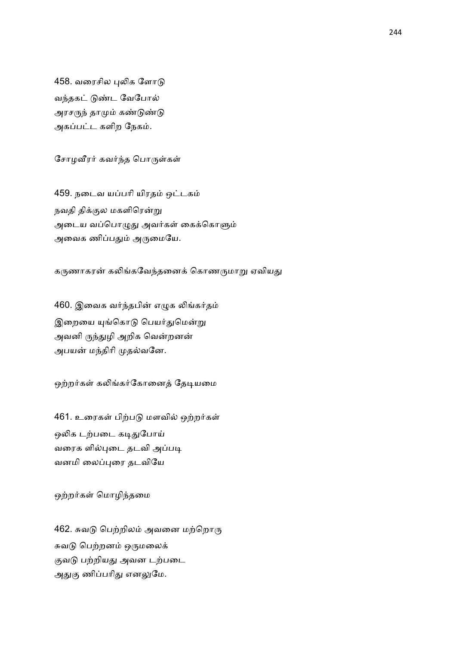458. வரைசில புலிக ளோடு வந்தகட் டுண்ட வேபோல் அரசருந் தாமும் கண்டுண்டு அகப்பட்ட களிற நேகம்.

சோழவீரர் கவர்ந்த பொருள்கள்

459. நடைவ யப்பரி யிரதம் ஒட்டகம் நவதி திக்குல மகளிரென்று அடைய வப்பொழுது அவர்கள் கைக்கொளும் அவைக ணிப்பதும் அருமையே.

கருணாகரன் கலிங்கவேந்தனைக் கொணருமாறு ஏவியது

460. இவைக வர்ந்தபின் எழுக லிங்கர்தம் இறையை யுங்கொடு பெயர்துமென்று அவனி ருந்துழி அறிக வென்றனன் அபயன் மந்திரி முதல்வனே.

ஒற்றர்கள் கலிங்கர்கோனைத் தேடியமை

461. உரைகள் பிற்படு மளவில் ஒற்றர்கள் ஒலிக டற்படை கடிதுபோய் வரைக ளில்புடை தடவி அப்படி வனமி ைலைர தடவிேய

ஒற்றர்கள் மொழிந்தமை

462. சுவடு பெற்றிலம் அவனை மற்றொரு சுவடு பெற்றனம் ஒருமலைக் குவடு பற்றியது அவன டற்படை அதுகு ணிப்பரிது எனலுமே.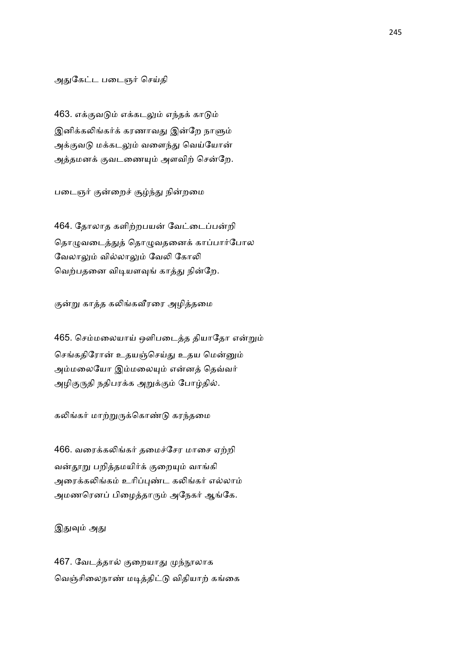#### அதுகேட்ட படைஞர் செய்தி

463. எக்குவடும் எக்கடலும் எந்தக் காடும் இனிக்கலிங்கர்க் கரணாவது இன்றே நாளும் அக்குவடு மக்கடலும் வளைந்து வெய்யோன் அத்தமனக் குவடணையும் அளவிற் சென்றே.

படைஞர் குன்றைச் சூழ்ந்து நின்றமை

464. தோலாத களிற்றபயன் வேட்டைப்பன்றி தொழுவடைத்துத் தொழுவதனைக் காப்பார்போல வேலாலும் வில்லாலும் வேலி கோலி வெற்பதனை விடியளவுங் காத்து நின்றே.

குன்று காத்த கலிங்கவீரரை அழித்தமை

465. செம்மலையாய் ஒளிபடைத்த தியாதோ என்றும் செங்கதிரோன் உதயஞ்செய்து உதய மென்னும் அம்மலையோ இம்மலையும் என்னத் தெவ்வர் அழிகுருதி நதிபரக்க அறுக்கும் போழ்தில்.

கலிங்கர் மாற்றுருக்கொண்டு கரந்தமை

466. வரைக்கலிங்கர் தமைச்சேர மாசை ஏற்றி வன்தூறு பறித்தமயிர்க் குறையும் வாங்கி அரைக்கலிங்கம் உரிப்புண்ட கலிங்கர் எல்லாம் அமணரெனப் பிழைத்தாரும் அநேகர் ஆங்கே.

இதுவும் அது

467. வேடத்தால் குறையாது முந்நூலாக வெஞ்சிலைநாண் மடித்திட்டு விதியாற் கங்கை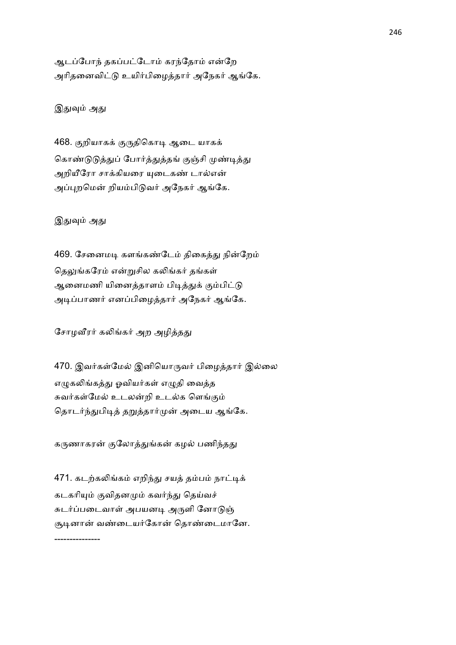ஆடப்போந் தகப்பட்டோம் கரந்தோம் என்றே அரிதனைவிட்டு உயிர்பிழைத்தார் அநேகர் ஆங்கே.

இதுவும் அது

468. குறியாகக் குருதிகொடி ஆடை யாகக் கொண்டுடுத்துப் போர்த்துத்தங் குஞ்சி முண்டித்து அறியீரோ சாக்கியரை யுடைகண் டால்என் அப்புறமென் றியம்பிடுவர் அநேகர் ஆங்கே.

இதுவும் அது

---------------

469. சேனைமடி களங்கண்டேம் திகைத்து நின்றேம் தெலுங்கரேம் என்றுசில கலிங்கர் தங்கள் ஆனைமணி யினைத்தாளம் பிடித்துக் கும்பிட்டு அடிப்பாணர் எனப்பிழைத்தார் அநேகர் ஆங்கே.

சோழவீரர் கலிங்கர் அற அழித்தது

470. இவர்கள்மேல் இனியொருவர் பிழைத்தார் இல்லை எழுகலிங்கத்து ஓவியர்கள் எழுதி வைத்த சுவர்கள்மேல் உடலன்றி உடல்க ளெங்கும் தொடர்ந்துபிடித் தறுத்தார்முன் அடைய ஆங்கே.

கருணாகரன் குலோத்துங்கன் கழல் பணிந்தது

471. கடற்கலிங்கம் எறிந்து சயத் தம்பம் நாட்டிக் கடகரியும் குவிதனமும் கவர்ந்து தெய்வச் சுடர்ப்படைவாள் அபயனடி அருளி னோடுஞ் சூடினான் வண்டையர்கோன் தொண்டைமானே. 246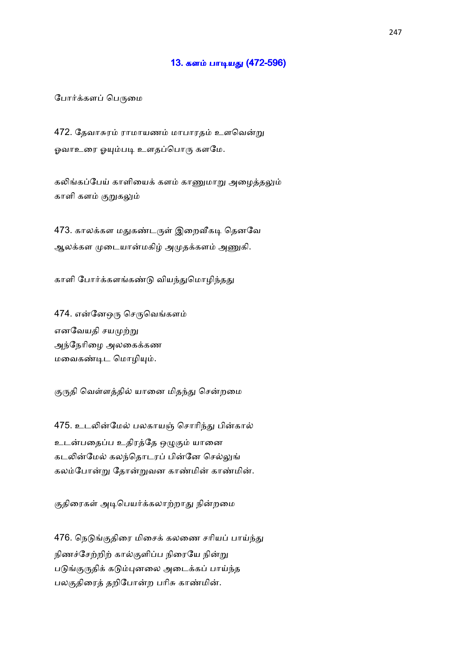# 13. களம் பாடியது (472-596)

#### போர்க்களப் பெருமை

472. தேவாசுரம் ராமாயணம் மாபாரதம் உளவென்று ஓவாஉரை ஓயும்படி உளதப்பொரு களமே.

கலிங்கப்பேய் காளியைக் களம் காணுமாறு அமைக்கலும் காளி களம் குறுகலும்

473. காலக்கள மதுகண்டருள் இறைவீகடி தெனவே ஆலக்கள முடையான்மகிழ் அமுதக்களம் அணுகி.

காளி போர்க்களங்கண்டு வியந்துமொழிந்தது

474. என்னேஒரு செருவெங்களம் எனவேயதி சயமுற்று அந்நேரிழை அலகைக்கண மவைகண்டிட மொழியும்.

குருதி வெள்ளத்தில் யானை மிதந்து சென்றமை

475. உடலின்மேல் பலகாயஞ் சொரிந்து பின்கால் உடன்பதைப்ப உதிரத்தே ஒழுகும் யானை கடலின்மேல் கலந்தொடரப் பின்னே செல்லுங் கலம்போன்று தோன்றுவன காண்மின் காண்மின்.

குதிரைகள் அடிபெயர்க்கலாற்றாது நின்றமை

476. நெடுங்குதிரை மிசைக் கலணை சரியப் பாய்ந்து நிணச்சேற்றிற் கால்குளிப்ப நிரையே நின்று படுங்குருதிக் கடும்புனலை அடைக்கப் பாய்ந்த பலகுதிரைத் தறிபோன்ற பரிசு காண்மின்.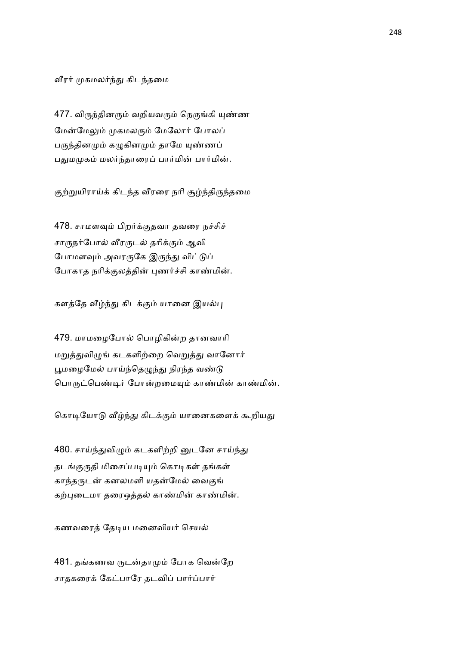வீரர் முகமலர்ந்து கிடந்தமை

477. விருந்தினரும் வறியவரும் நெருங்கி யுண்ண மேன்மேலும் முகமலரும் மேலோர் போலப் பருந்தினமும் கழுகினமும் தாமே யுண்ணப் பதுமமுகம் மலர்ந்தாரைப் பார்மின் பார்மின்.

குற்றுயிராய்க் கிடந்த வீரரை நரி சூழ்ந்திருந்தமை

478. சாமளவும் பிறர்க்குதவா தவரை நச்சிச் சாருநர்போல் வீரருடல் தரிக்கும் ஆவி போமளவும் அவரருகே இருந்து விட்டுப் போகாத நரிக்குலத்தின் புணர்ச்சி காண்மின்.

களத்தே வீழ்ந்து கிடக்கும் யானை இயல்பு

479. மாமழைபோல் பொழிகின்ற தானவாரி மறுத்துவிழுங் கடகளிற்றை வெறுத்து வானோர் பூமழைமேல் பாய்ந்தெழுந்து நிரந்த வண்டு பொருட்பெண்டிர் போன்றமையும் காண்மின் காண்மின்.

கொடியோடு வீழ்ந்து கிடக்கும் யானைகளைக் கூறியது

480. சாய்ந்துவிழும் கடகளிற்றி னுடனே சாய்ந்து தடங்குருதி மிசைப்படியும் கொடிகள் தங்கள் காந்தருடன் கனலமளி யதன்மேல் வைகுங் கற்புடைமா தரைஒத்தல் காண்மின் காண்மின்.

கணவரைத் தேடிய மனைவியர் செயல்

481. தங்கணவ ருடன்தாமும் போக வென்றே சாதகரைக் கேட்பாரே தடவிப் பார்ப்பார்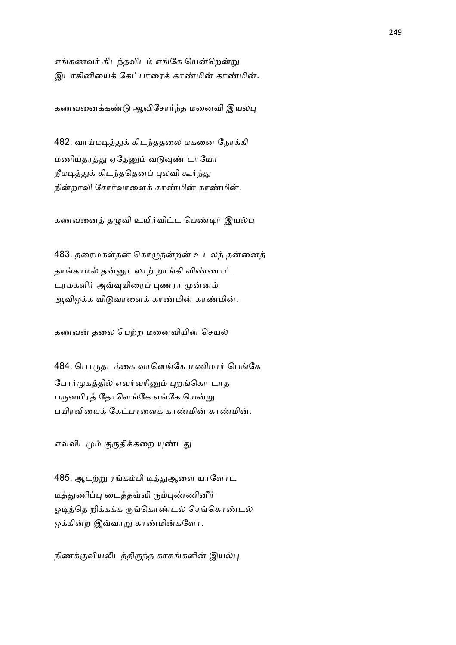எங்கணவர் கிடந்தவிடம் எங்கே யென்றென்று இடாகினியைக் கேட்பாரைக் காண்மின் காண்மின்.

கணவனைக்கண்டு ஆவிசோர்ந்த மனைவி இயல்பு

482. வாய்மடித்துக் கிடந்ததலை மகனை நோக்கி மணியதரத்து ஏதேனும் வடுவுண் டாயோ நீமடித்துக் கிடந்ததெனப் புலவி கூர்ந்து நின்றாவி சோர்வாளைக் காண்மின் காண்மின்.

கணவனைத் தழுவி உயிர்விட்ட பெண்டிர் இயல்பு

483. தரைமகள்தன் கொழுநன்றன் உடலந் தன்னைத் தாங்காமல் தன்னுடலாற் றாங்கி விண்ணாட் டரமகளிர் அவ்வுயிரைப் புணரா முன்னம் ஆவிஒக்க விடுவாளைக் காண்மின் காண்மின்.

கணவன் தலை பெற்ற மனைவியின் செயல்

484. பொருதடக்கை வாளெங்கே மணிமார் பெங்கே போர்முகத்தில் எவர்வரினும் புறங்கொ டாத பருவயிரத் தோளெங்கே எங்கே யென்று பயிரவியைக் கேட்பாளைக் காண்மின் காண்மின்.

எவ்விடமும் குருதிக்கறை யுண்டது

485. ஆடற்று ரங்கம்பி டித்துஆளை யாளோட டித்துணிப்பு டைத்தவ்வி ரும்புண்ணினீர் ஓடித்தெ றிக்கக்க ருங்கொண்டல் செங்கொண்டல் ஒக்கின்ற இவ்வாறு காண்மின்களோ.

நிணக்குவியலிடத்திருந்த காகங்களின் இயல்பு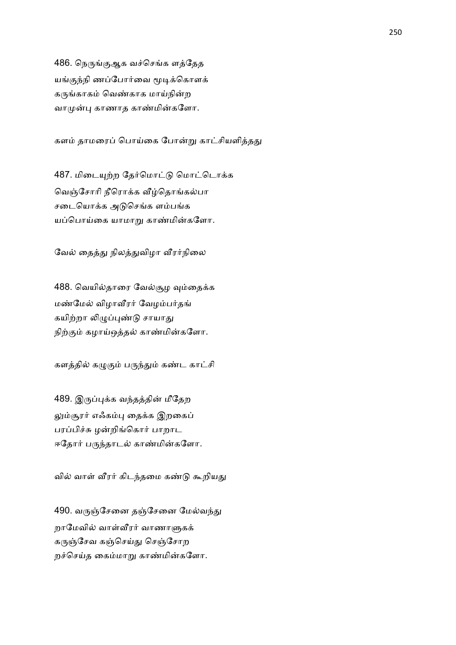486. நெருங்குஆக வச்செங்க ளத்தேத யங்குந்நி ணப்போர்வை மூடிக்கொளக் கருங்காகம் வெண்காக மாய்நின்ற வாமுன்பு காணாத காண்மின்களோ.

களம் தாமரைப் பொய்கை போன்று காட்சியளித்தது

487. மிடையுற்ற தேர்மொட்டு மொட்டொக்க வெஞ்சோரி நீரொக்க வீழ்தொங்கல்பா சடையொக்க அடுசெங்க ளம்பங்க யப்பொய்கை யாமாறு காண்மின்களோ.

வேல் தைத்து நிலத்துவிழா வீரர்நிலை

488. வெயில்தாரை வேல்சூழ வும்தைக்க மண்மேல் விழாவீரர் வேழம்பர்தங் கயிற்றா லிழுப்புண்டு சாயாது நிற்கும் கழாய்ஒத்தல் காண்மின்களோ.

களத்தில் கழுகும் பருந்தும் கண்ட காட்சி

489. இருப்புக்க வந்தத்தின் மீதேற லும்சூரர் எஃகம்பு தைக்க இறகைப் பரப்பிச்சு ழன்றிங்கொர் பாறாட ஈதோர் பருந்தாடல் காண்மின்களோ.

வில் வாள் வீரர் கிடந்தமை கண்டு கூறியது

490. வருஞ்சேனை தஞ்சேனை மேல்வந்து றாமேவில் வாள்வீரர் வாணாளுகக் கருஞ்சேவ கஞ்செய்து செஞ்சோற றச்செய்த கைம்மாறு காண்மின்களோ.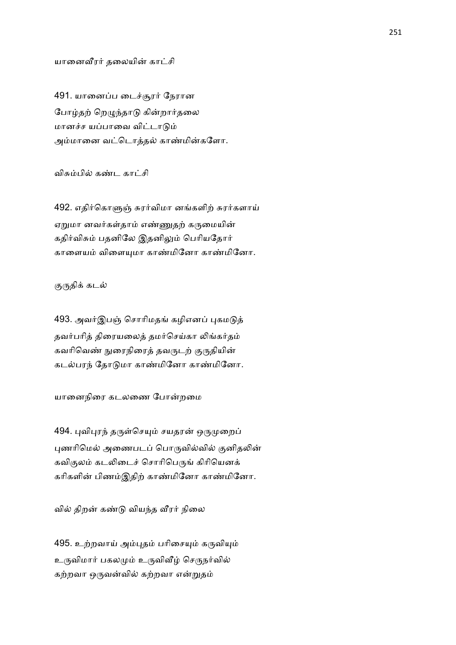யானைவீரர் தலையின் காட்சி

491. யானைப்ப டைச்சூரர் நேரான போழ்தற் றெழுந்தாடு கின்றார்தலை மானச்ச யப்பாவை விட்டாடும் அம்மானை வட்டொத்தல் காண்மின்களோ.

விசும்பில் கண்ட காட்சி

492. எதிர்கொளுஞ் சுரர்விமா னங்களிற் சுரர்களாய் ஏறுமா னவர்கள்தாம் எண்ணுதற் கருமையின் கதிர்விசும் பதனிலே இதனிலும் பெரியதோர் காளையம் விளையுமா காண்மினோ காண்மினோ.

குருதிக் கடல்

493. அவர்இபஞ் சொரிமதங் கழிஎனப் புகமடுத் தவர்பரித் திரையலைத் தமர்செய்கா லிங்கர்தம் கவரிவெண் நுரைநிரைத் தவருடற் குருதியின் கடல்பரந் தோடுமா காண்மினோ காண்மினோ.

யானைநிரை கடலணை போன்றமை

494. புவிபுரந் தருள்செயும் சயதரன் ஒருமுறைப் புணரிமெல் அணைபடப் பொருவில்வில் குனிதலின் கவிகுலம் கடலிடைச் சொரிபெருங் கிரியெனக் கரிகளின் பிணம்இதிற் காண்மினோ காண்மினோ.

வில் திறன் கண்டு வியந்த வீரர் நிலை

495. உற்றவாய் அம்புதம் பரிசையும் கருவியும் உருவிமார் பகலமும் உருவிவீழ் செருநர்வில் கற்றவா ஒருவன்வில் கற்றவா என்றுதம்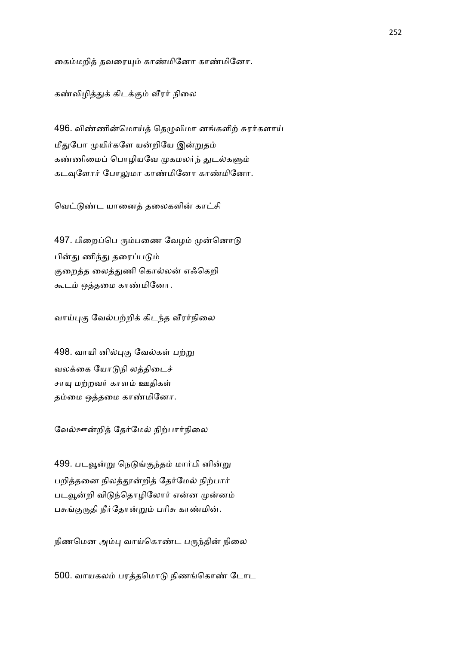கைம்மறித் தவரையும் காண்மினோ காண்மினோ.

கண்விழித்துக் கிடக்கும் வீரர் நிலை

496. விண்ணின்மொய்த் தெழுவிமா னங்களிற் சுரர்களாய் மீதுபோ முயிர்களே யன்றியே இன்றுதம் கண்ணிமைப் பொழியவே முகமலர்ந் துடல்களும் கடவுளோர் போலுமா காண்மினோ காண்மினோ.

வெட்டுண்ட யானைத் தலைகளின் காட்சி

497. பிறைப்பெ ரும்பணை வேழம் முன்னொடு பின்து ணிந்து தரைப்படும் குறைத்த லைத்துணி கொல்லன் எஃகெறி கூடம் ஒத்தமை காண்மினோ.

வாய்புகு வேல்பற்றிக் கிடந்த வீரர்நிலை

498. வாயி னில்புகு வேல்கள் பற்று வலக்கை யோடுநி லத்திடைச் சாயு மற்றவர் காளம் ஊதிகள் தம்மை ஒத்தமை காண்மினோ.

வேல்ஊன்றித் தேர்மேல் நிற்பார்நிலை

499. படவூன்று நெடுங்குந்தம் மார்பி னின்று பறித்தனை நிலத்தூன்றித் தேர்மேல் நிற்பார் படவூன்றி விடுந்தொழிலோர் என்ன முன்னம் பசுங்குருதி நீர்தோன்றும் பரிசு காண்மின்.

நிணமென அம்பு வாய்கொண்ட பருந்தின் நிலை

500. வாயகலம் பரத்தமொடு நிணங்கொண் டோட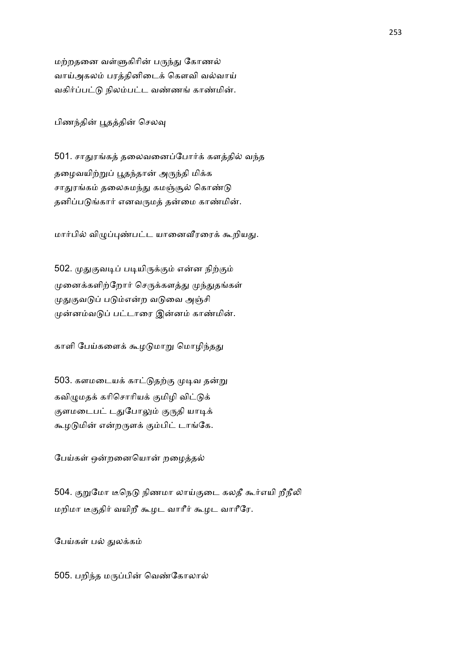மற்றதனை வள்ளுகிரின் பருந்து கோணல் வாய்அகலம் பரத்தினிடைக் கௌவி வல்வாய் வகிர்ப்பட்டு நிலம்பட்ட வண்ணங் காண்மின்.

பிணந்தின் பூதத்தின் செலவு

501. சாதுரங்கத் தலைவனைப்போர்க் களத்தில் வந்த தழைவயிற்றுப் பூதந்தான் அருந்தி மிக்க சாதுரங்கம் தலைசுமந்து கமஞ்சூல் கொண்டு தனிப்படுங்கார் எனவருமத் தன்மை காண்மின்.

மார்பில் விழுப்புண்பட்ட யானைவீரரைக் கூறியது.

502. முதுகுவடிப் படியிருக்கும் என்ன நிற்கும் முனைக்களிற்றோர் செருக்களத்து முந்துதங்கள் முதுகுவடுப் படும்என்ற வடுவை அஞ்சி முன்னம்வடுப் பட்டாரை இன்னம் காண்மின்.

காளி பேய்களைக் கூழடுமாறு மொழிந்தது

503. களமடையக் காட்டுதற்கு முடிவ தன்று கவிழுமதக் கரிசொரியக் குமிழி விட்டுக் குளமடைபட் டதுபோலும் குருதி யாடிக் கூழடுமின் என்றருளக் கும்பிட் டாங்கே.

பேய்கள் ஒன்றனையொன் றழைத்தல்

504. குறுமோ டீநெடு நிணமா லாய்குடை கலதீ கூர்எயி றீநீலி மறிமா டீகுதிர் வயிறீ கூழட வாரீர் கூழட வாரீரே.

பேய்கள் பல் துலக்கம்

505. பறிந்த மருப்பின் வெண்கோலால்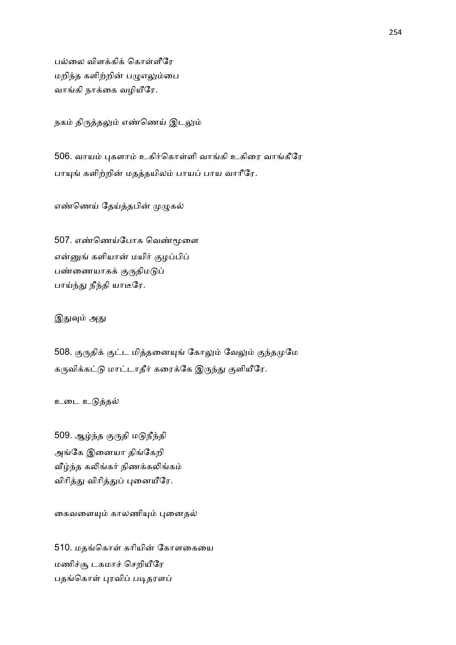பல்லை விளக்கிக் கொள்ளீரே மறிந்த களிற்றின் பழுஎலும்பை வாங்கி நாக்கை வழியீரே.

நகம் திருத்தலும் எண்ணெய் இடலும்

506. வாயம் புகளாம் உகிர்கொள்ளி வாங்கி உகிரை வாங்கீரே பாயுங் களிற்றின் மதத்தயிலம் பாயப் பாய வாரீரே.

எண்ணெய் தேய்த்தபின் முழுகல்

507. எண்ணெய்போக வெண்மூளை என்னுங் களியான் மயிர் குழப்பிப் பண்ணையாகக் குருதிமடுப் பாய்ந்து நீந்தி யாடீரே.

இதுவும் அது

508. குருதிக் குட்ட மித்தனையுங் கோலும் வேலும் குந்தமுமே கருவிக்கட்டு மாட்டாதீர் கரைக்கே இருந்து குளியீரே.

உடை உடுத்தல்

509. ஆழ்ந்த குருதி மடுநீந்தி அங்கே இனையா திங்கேறி வீழ்ந்த கலிங்கர் நிணக்கலிங்கம் விரித்து விரித்துப் புனையீரே.

கைவளையும் காலணியும் புனைதல்

510. மதங்கொள் கரியின் கோளகையை மணிச்சூ டகமாச் செறியீரே பதங்கொள் புரவிப் படிதரளப்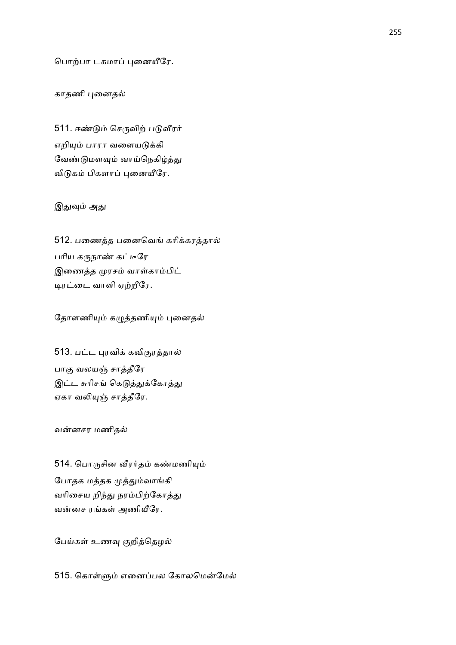பொற்பா டகமாப் புனையீரே.

## காதணி புனைதல்

511. ஈண்டும் செருவிற் படுவீரர் எறியும் பாரா வளையடுக்கி வேண்டுமளவும் வாய்நெகிழ்த்து விடுகம் பிகளாப் புனையீரே.

### இதுவும் அது

512. பணைத்த பனைவெங் கரிக்கரத்தால் பரிய கருநாண் கட்டீரே இணைத்த முரசம் வாள்காம்பிட் டிரட்டை வாளி ஏற்றீரே.

தோளணியும் கழுத்தணியும் புனைதல்

513. பட்ட புரவிக் கவிகுரத்தால் பாகு வலயஞ் சாத்தீரே இட்ட சுரிசங் கெடுத்துக்கோத்து ஏகா வலியுஞ் சாத்தீரே.

வன்னசர மணிதல்

514. பொருசின வீரர்தம் கண்மணியும் போதக மத்தக முத்தும்வாங்கி வரிசைய றிந்து நரம்பிற்கோத்து வன்னச ரங்கள் அணியீரே.

பேய்கள் உணவு குறித்தெழல்

515. கொள்ளும் எனைப்பல கோலமென்மேல்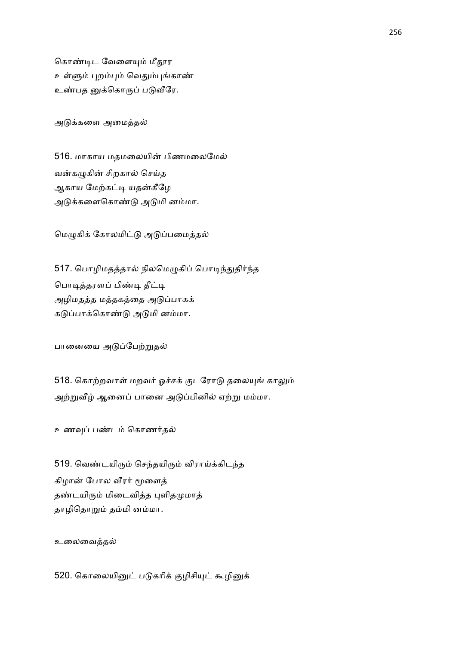கொண்டிட வேளையும் மீதூர உள்ளும் புறம்பும் வெதும்புங்காண் உண்பத னுக்கொருப் படுவீரே.

அடுக்களை அமைத்தல்

516. மாகாய மதமலையின் பிணமலைமேல் வன்கமுகின் சிறகால் செய்த ஆகாய மேற்கட்டி யதன்கீழே அடுக்களைகொண்டு அடுமி னம்மா.

மெழுகிக் கோலமிட்டு அடுப்பமைத்தல்

517. பொழிமதத்தால் நிலமெழுகிப் பொடிந்துதிர்ந்த பொடித்தரளப் பிண்டி தீட்டி அழிமதத்த மத்தகத்தை அடுப்பாகக் கடுப்பாக்கொண்டு அடுமி னம்மா.

பானையை அடுப்பேற்றுதல்

518. கொற்றவாள் மறவர் ஓச்சக் குடரோடு தலையுங் காலும் அற்றுவீழ் ஆனைப் பானை அடுப்பினில் ஏற்று மம்மா.

உணவுப் பண்டம் கொணர்தல்

519. வெண்டயிரும் செந்தயிரும் விராய்க்கிடந்த கிழான் போல வீரர் மூளைத் தண்டயிரும் மிடைவித்த புளிதமுமாத் தாழிதொறும் தம்மி னம்மா.

உலைவைத்தல்

520. கொலையினுட் படுகரிக் குழிசியுட் கூழினுக்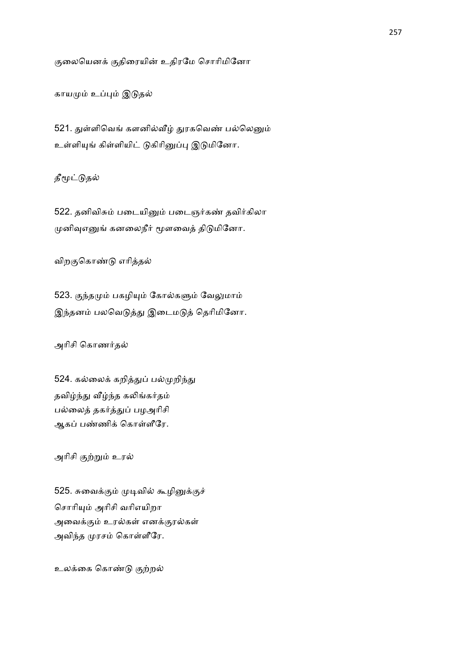குலையெனக் குதிரையின் உதிரமே சொரிமினோ

காயமும் உப்பும் இடுதல்

521. துள்ளிவெங் களனில்வீழ் துரகவெண் பல்லெனும் உள்ளியுங் கிள்ளியிட் டுகிரினுப்பு இடுமினோ.

தீமூட்டுதல்

522. தனிவிசும் படையினும் படைஞர்கண் தவிர்கிலா முனிவுஎனுங் கனலைநீர் மூளவைத் திடுமினோ.

விறகுகொண்டு எரித்தல்

523. குந்தமும் பகழியும் கோல்களும் வேலுமாம் இந்தனம் பலவெடுத்து இடைமடுத் தெரிமினோ.

அரிசி கொணர்தல்

524. கல்லைக் கறித்துப் பல்முறிந்து தவிழ்ந்து வீழ்ந்த கலிங்கர்தம் பல்லைத் தகர்த்துப் பழஅரிசி ஆகப் பண்ணிக் கொள்ளீரே.

அரிசி குற்றும் உரல்

525. சுவைக்கும் முடிவில் கூழினுக்குச் சொரியும் அரிசி வரிஎயிறா அவைக்கும் உரல்கள் எனக்குரல்கள் அவிந்த முரசம் கொள்ளீரே.

உலக்கை கொண்டு குற்றல்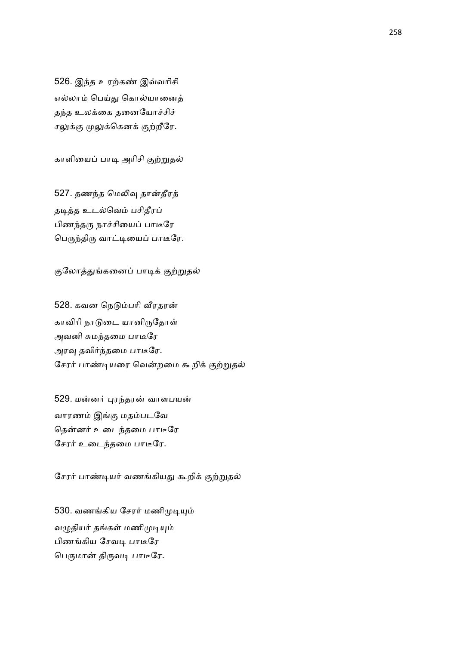526. இந்த உரற்கண் இவ்வரிசி எல்லாம் பெய்து கொல்யானைத் தந்த உலக்கை தனையோச்சிச் சலுக்கு முலுக்கெனக் குற்றீரே.

காளியைப் பாடி அரிசி குற்றுதல்

527. தணந்த மெலிவு தான்தீரத் தடித்த உடல்வெம் பசிதீரப் பிணந்தரு நாச்சியைப் பாடீரே பெருந்திரு வாட்டியைப் பாடீரே.

குலோத்துங்கனைப் பாடிக் குற்றுதல்

528. கவன நெடும்பரி வீரதரன் காவிரி நாடுடை யானிருதோள் அவனி சுமந்தமை பாடீரே அரவு தவிர்ந்தமை பாடீரே. சேரர் பாண்டியரை வென்றமை கூறிக் குற்றுதல்

529. மன்னர் புரந்தரன் வாளபயன் வாரணம் இங்கு மதம்படவே தென்னர் உடைந்தமை பாடீரே சேரர் உடைந்தமை பாடீரே.

சேரர் பாண்டியர் வணங்கியது கூறிக் குற்றுதல்

530. வணங்கிய சேரர் மணிமுடியும் வழுதியர் தங்கள் மணிமுடியும் பிணங்கிய சேவடி பாடீரே பெருமான் திருவடி பாடீரே.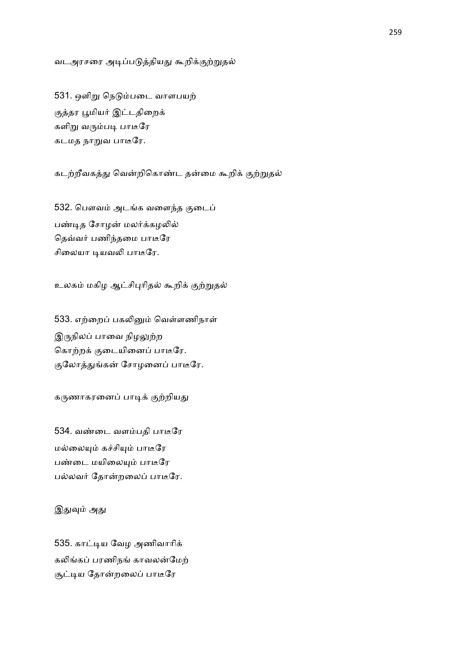#### வடஅரசரை அடிப்படுத்தியது கூறிக்குற்றுதல்

531. ஒளிறு நெடும்படை வாளபயற் குத்தர பூமியர் இட்டதிறைக் களிறு வரும்படி பாடீரே கடமத நாறுவ பாடீரே.

கடற்றீவகத்து வென்றிகொண்ட தன்மை கூறிக் குற்றுதல்

532. பௌவம் அடங்க வளைந்த குடைப் பண்டித சோமன் மலர்க்கமலில் தெவ்வர் பணிந்தமை பாடீரே சிலையா டியவலி பாடீரே.

உலகம் மகிழ ஆட்சிபுரிதல் கூறிக் குற்றுதல்

533. எற்றைப் பகலினும் வெள்ளணிநாள் இருநிலப் பாவை நிழலுற்ற கொற்றக் குடையினைப் பாடீரே. குலோத்துங்கன் சோழனைப் பாடீரே.

கருணாகரனைப் பாடிக் குற்றியது

534. வண்டை வளம்பதி பாடீரே மல்லையும் கச்சியும் பாடீரே பண்டை மயிலையும் பாடீரே பல்லவர் தோன்றலைப் பாடீரே.

இதுவும் அது

535. காட்டிய வேழ அணிவாரிக் கலிங்கப் பரணிநங் காவலன்மேற் சூட்டிய தோன்றலைப் பாடீரே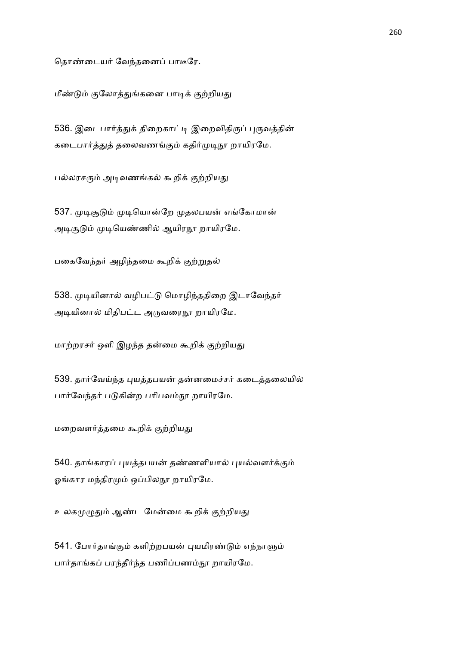தொண்டையர் வேந்தனைப் பாடீரே.

மீண்டும் குலோத்துங்கனை பாடிக் குற்றியது

536. இடைபார்த்துக் திறைகாட்டி இறைவிதிருப் புருவத்தின் கடைபார்த்துத் தலைவணங்கும் கதிர்முடிநூ றாயிரமே.

பல்லரசரும் அடிவணங்கல் கூறிக் குற்றியது

537. முடிசூடும் முடியொன்றே முதலபயன் எங்கோமான் அடிசூடும் முடியெண்ணில் ஆயிரநூ றாயிரமே.

பகைவேந்தர் அழிந்தமை கூறிக் குற்றுதல்

538. முடியினால் வழிபட்டு மொழிந்ததிறை இடாவேந்தர் அடியினால் மிதிபட்ட அருவரைநூ றாயிரமே.

மாற்றரசர் ஒளி இழந்த தன்மை கூறிக் குற்றியது

539. தார்வேய்ந்த புயத்தபயன் தன்னமைச்சர் கடைத்தலையில் பார்வேந்தர் படுகின்ற பரிபவம்நூ றாயிரமே.

மறைவளர்த்தமை கூறிக் குற்றியது

540. தாங்காரப் புயத்தபயன் தண்ணளியால் புயல்வளர்க்கும் ஓங்கார மந்திரமும் ஒப்பிலநூ றாயிரமே.

உலகமுழுதும் ஆண்ட மேன்மை கூறிக் குற்றியது

541. போர்தாங்கும் களிற்றபயன் புயமிரண்டும் எந்நாளும் பார்தாங்கப் பரந்தீர்ந்த பணிப்பணம்நூ றாயிரமே.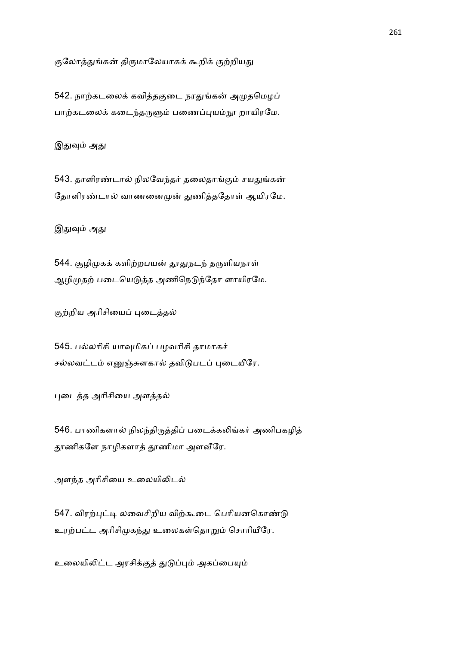குலோத்துங்கன் திருமாலேயாகக் கூறிக் குற்றியது

542. நாற்கடலைக் கவித்தகுடை நரதுங்கன் அமுதமெழப் பாற்கடலைக் கடைந்தருளும் பணைப்புயம்நூ றாயிரமே.

இதுவும் அது

543. தாளிரண்டால் நிலவேந்தர் தலைதாங்கும் சயதுங்கன் தோளிரண்டால் வாணனைமுன் துணித்ததோள் ஆயிரமே.

இதுவும் அது

544. சூழிமுகக் களிற்றபயன் தூதுநடந் தருளியநாள் ஆழிமுதற் படையெடுத்த அணிநெடுந்தோ ளாயிரமே.

குற்றிய அரிசியைப் புடைத்தல்

545. பல்லரிசி யாவுமிகப் பழவரிசி தாமாகச் சல்லவட்டம் எனுஞ்சுளகால் தவிடுபடப் புடையீரே.

புடைத்த அரிசியை அளத்தல்

546. பாணிகளால் நிலந்திருத்திப் படைக்கலிங்கர் அணிபகழித் தூணிகளே நாழிகளாத் தூணிமா அளவீரே.

அளந்த அரிசியை உலையிலிடல்

547. விரற்புட்டி லவைசிறிய விற்கூடை பெரியனகொண்டு உரற்பட்ட அரிசிமுகந்து உலைகள்தொறும் சொரியீரே.

உலையிலிட்ட அரசிக்குத் துடுப்பும் அகப்பையும்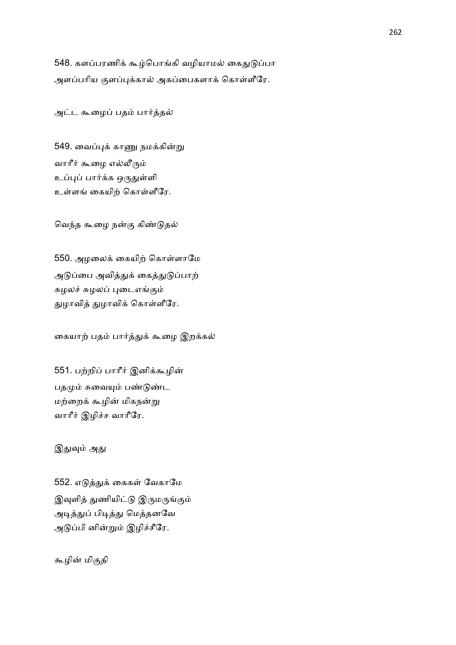548. களப்பரணிக் கூழ்பொங்கி வழியாமல் கைதுடுப்பா அளப்பரிய குளப்புக்கால் அகப்பைகளாக் கொள்ளீரே.

அட்ட கூழைப் பதம் பார்த்தல்

549. வைப்புக் காணு நமக்கின்று வாரீர் கூழை எல்லீரும் உப்புப் பார்க்க ஒருதுள்ளி உள்ளங் கையிற் கொள்ளீரே.

வெந்த கூழை நன்கு கிண்டுதல்

550. அழலைக் கையிற் கொள்ளாமே அடுப்பை அவித்துக் கைத்துடுப்பாற் சுழலச் சுழலப் புடைஎங்கும் துழாவித் துழாவிக் கொள்ளீரே.

கையாற் பதம் பார்த்துக் கூழை இறக்கல்

551. பற்றிப் பாரீர் இனிக்கூழின் பதமும் சுவையும் பண்டுண்ட மற்றைக் கூழின் மிகநன்று வாரீர் இழிச்ச வாரீரே.

இதுவும் அது

552. எடுத்துக் கைகள் வேகாமே இவுளித் துணியிட்டு இருமருங்கும் அடித்துப் பிடித்து மெத்தனவே அடுப்பி னின்றும் இழிச்சீரே.

கூழின் மிகுதி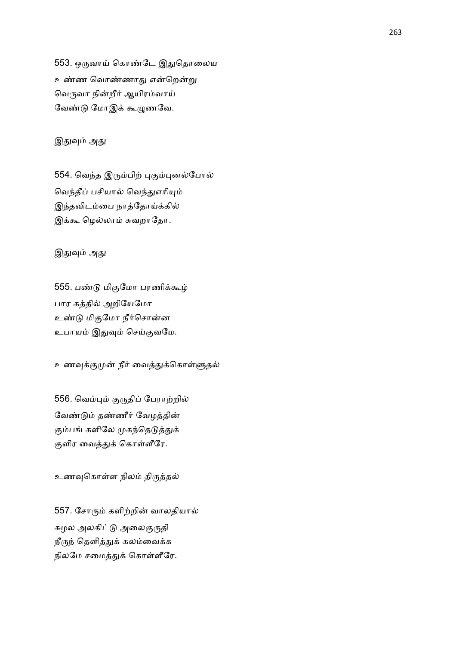553. ஒருவாய் கொண்டே இதுதொலைய உண்ண வொண்ணாது என்றென்று வெருவா நின்றீர் ஆயிரம்வாய் வேண்டு மோஇக் கூழுணவே.

இதுவும் அது

554. வெந்த இரும்பிற் புகும்புனல்போல் வெந்தீப் பசியால் வெந்துஎரியும் இந்தவிடம்பை நாத்தோய்க்கில் இக்கூ மெல்லாம் சுவறாதோ.

இதுவும் அது

555. பண்டு மிகுமோ பரணிக்கூழ் பார கத்தில் அறியேமோ உண்டு மிகுமோ நீர்சொன்ன உபாயம் இதுவும் செய்குவமே.

உணவுக்குமுன் நீர் வைத்துக்கொள்ளுதல்

556. வெம்பும் குருதிப் பேராற்றில் வேண்டும் தண்ணீர் வேழத்தின் கும்பங் களிலே முகந்தெடுத்துக் குளிர வைத்துக் கொள்ளீரே.

உணவுகொள்ள நிலம் திருத்தல்

557. சோரும் களிற்றின் வாலதியால் சுழல அலகிட்டு அலைகுருதி நீருந் தெளித்துக் கலம்வைக்க நிலமே சமைத்துக் கொள்ளீரே.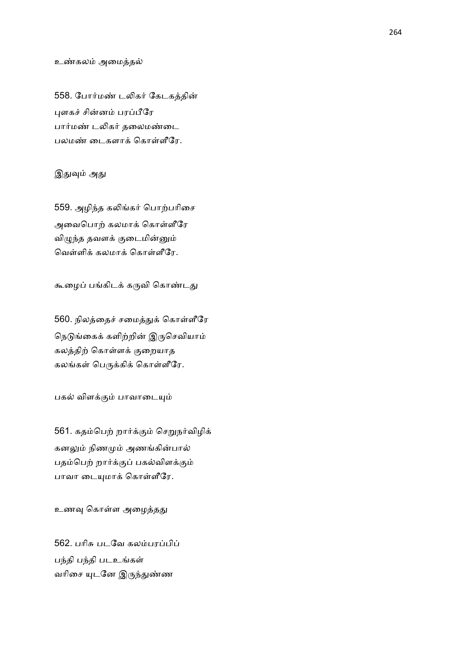#### உண்கலம் அமைத்தல்

558. போர்மண் டலிகர் கேடகத்தின் புளகச் சின்னம் பரப்பீரே பார்மண் டலிகர் தலைமண்டை பலமண் டைகளாக் கொள்ளீரே.

#### இதுவும் அது

559. அழிந்த கலிங்கர் பொற்பரிசை அவைபொற் கலமாக் கொள்ளீரே விழுந்த தவளக் குடைமின்னும் வெள்ளிக் கலமாக் கொள்ளீரே.

கூழைப் பங்கிடக் கருவி கொண்டது

560. நிலத்தைச் சமைத்துக் கொள்ளீரே நெடுங்கைக் களிற்றின் இருசெவியாம் கலத்திற் கொள்ளக் குறையாத கலங்கள் பெருக்கிக் கொள்ளீரே.

பகல் விளக்கும் பாவாடையும்

561. கதம்பெற் றார்க்கும் செறுநர்விழிக் கனலும் நிணமும் அணங்கின்பால் பதம்பெற் றார்க்குப் பகல்விளக்கும் பாவா டையுமாக் கொள்ளீரே.

உணவு கொள்ள அழைத்தது

562. பரிசு படவே கலம்பரப்பிப் பந்தி படஉங்கள் வரிசை யுடனே இருந்துண்ண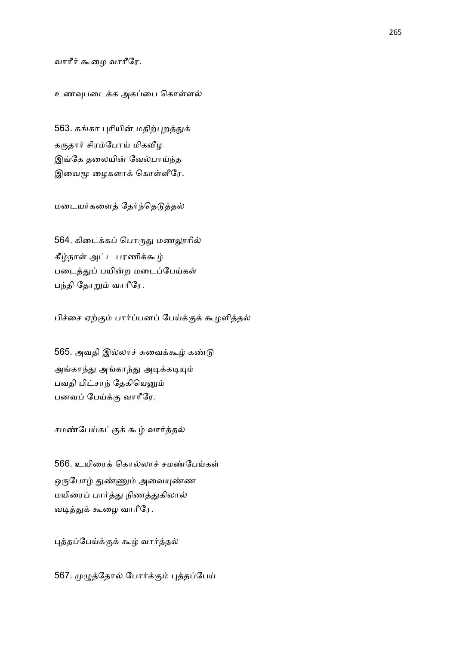#### வாரீர் கூழை வாரீரே.

#### உணவுபடைக்க அகப்பை கொள்ளல்

563. கங்கா புரியின் மதிற்புறத்துக் கருதார் சிரம்போய் மிகவீழ இங்கே தலையின் வேல்பாய்ந்த இவைமூ ழைகளாக் கொள்ளீரே.

மடையர்களைத் தேர்ந்தெடுத்தல்

564. கிடைக்கப் பொருது மணலூரில் கீழ்நாள் அட்ட பரணிக்கூழ் படைத்துப் பயின்ற மடைப்பேய்கள் பந்தி தோறும் வாரீரே.

பிச்சை ஏற்கும் பார்ப்பனப் பேய்க்குக் கூழளித்தல்

565. அவதி இல்லாச் சுவைக்கூழ் கண்டு அங்காந்து அங்காந்து அடிக்கடியும் பவதி பிட்சாந் தேகியெனும் பனவப் பேய்க்கு வாரீரே.

சமண்பேய்கட்குக் கூழ் வார்த்தல்

566. உயிரைக் கொல்லாச் சமண்பேய்கள் ஒருபோழ் துண்ணும் அவையுண்ண மயிரைப் பார்த்து நிணத்துகிலால் வடித்துக் கூழை வாரீரே.

புத்தப்பேய்க்குக் கூழ் வார்த்தல்

567. முழுத்தோல் போர்க்கும் புத்தப்பேய்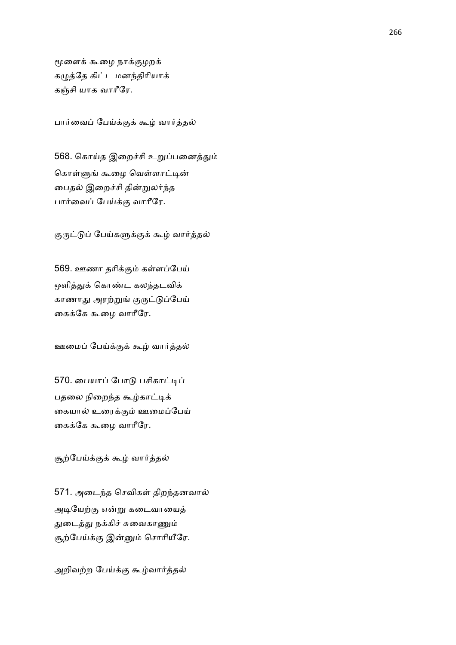மூளைக் கூழை நாக்குழறக் கழுத்தே கிட்ட மனந்திரியாக் கஞ்சி யாக வாரீரே.

பார்வைப் பேய்க்குக் கூழ் வார்த்தல்

568. கொய்த இறைச்சி உறுப்பனைத்தும் கொள்ளுங் கூழை வெள்ளாட்டின் பைதல் இறைச்சி தின்றுலர்ந்த பார்வைப் பேய்க்கு வாரீரே.

குருட்டுப் பேய்களுக்குக் கூழ் வார்த்தல்

569. ஊணா தரிக்கும் கள்ளப்பேய் ஒளித்துக் கொண்ட கலந்தடவிக் காணாது அரற்றுங் குருட்டுப்பேய் கைக்கே கூழை வாரீரே.

ஊமைப் பேய்க்குக் கூழ் வார்த்தல்

570. பையாப் போடு பசிகாட்டிப் பதலை நிறைந்த கூழ்காட்டிக் கையால் உரைக்கும் ஊமைப்பேய் கைக்கே கூழை வாரீரே.

சூற்பேய்க்குக் கூழ் வார்த்தல்

571. அடைந்த செவிகள் திறந்தனவால் அடியேற்கு என்று கடைவாயைத் துடைத்து நக்கிச் சுவைகாணும் சூற்பேய்க்கு இன்னும் சொரியீரே.

அறிவற்ற பேய்க்கு கூழ்வார்த்தல்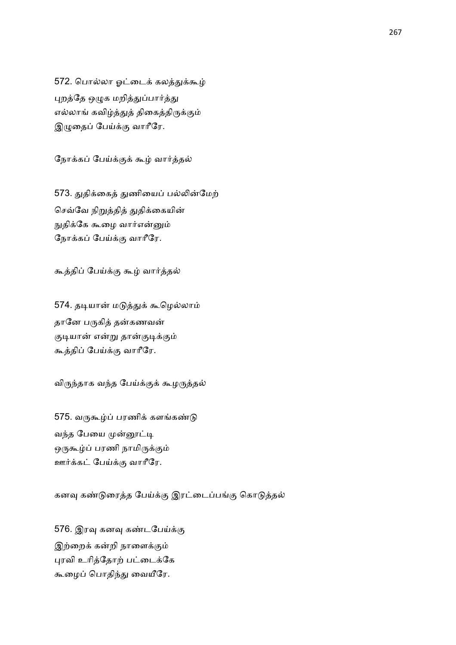572. பொல்லா ஓட்டைக் கலத்துக்கூழ் புறத்தே ஒழுக மறித்துப்பார்த்து எல்லாங் கவிழ்த்துத் திகைத்திருக்கும் இழுதைப் பேய்க்கு வாரீரே.

நோக்கப் பேய்க்குக் கூழ் வார்த்தல்

573. துதிக்கைத் துணியைப் பல்லின்மேற் செவ்வே நிறுத்தித் துதிக்கையின் நுதிக்கே கூழை வார்என்னும் நோக்கப் பேய்க்கு வாரீரே.

கூத்திப் பேய்க்கு கூழ் வார்த்தல்

574. தடியான் மடுத்துக் கூழெல்லாம் தானே பருகித் தன்கணவன் குடியான் என்று தான்குடிக்கும் கூத்திப் பேய்க்கு வாரீரே.

விருந்தாக வந்த பேய்க்குக் கூழருத்தல்

575. வருகூழ்ப் பரணிக் களங்கண்டு வந்த பேயை முன்னூட்டி ஒருகூழ்ப் பரணி நாமிருக்கும் ஊர்க்கட் பேய்க்கு வாரீரே.

கனவு கண்டுரைத்த பேய்க்கு இரட்டைப்பங்கு கொடுத்தல்

576. இரவு கனவு கண்டபேய்க்கு இற்றைக் கன்றி நாளைக்கும் புரவி உரித்தோற் பட்டைக்கே கூழைப் பொதிந்து வையீரே.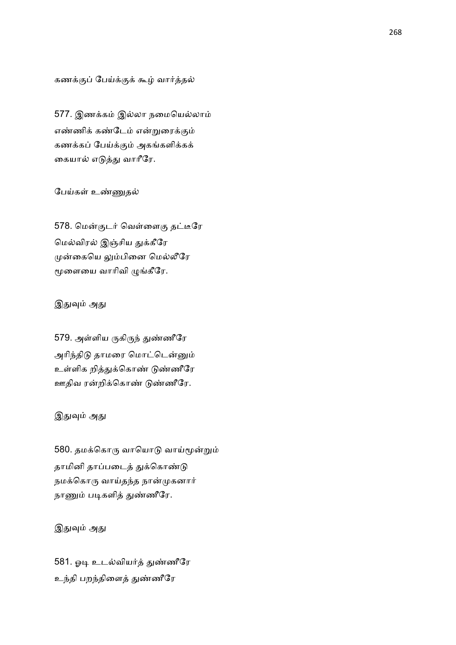கணக்குப் பேய்க்குக் கூழ் வார்த்தல்

577. இணக்கம் இல்லா நமையெல்லாம் எண்ணிக் கண்டேம் என்றுரைக்கும் கணக்கப் பேய்க்கும் அகங்களிக்கக் கையால் எடுத்து வாரீரே.

### பேய்கள் உண்ணுதல்

578. மென்குடர் வெள்ளைகு தட்டீரே மெல்விரல் இஞ்சிய துக்கீரே முன்கையெ லும்பினை மெல்லீரே மூளையை வாரிவி ழுங்கீரே.

#### இதுவும் அது

579. அள்ளிய ருகிருந் துண்ணீரே அரிந்திடு தாமரை மொட்டென்னும் உள்ளிக றித்துக்கொண் டுண்ணீரே ஊதிவ ரன்றிக்கொண் டுண்ணீரே.

### இதுவும் அது

580. தமக்கொரு வாயொடு வாய்மூன்றும் தாமினி தாப்படைத் துக்கொண்டு நமக்கொரு வாய்தந்த நான்முகனார் நாணும் படிகளித் துண்ணீரே.

# இதுவும் அது

581. ஓடி உடல்வியர்த் துண்ணீரே உந்தி பறந்திளைத் துண்ணீரே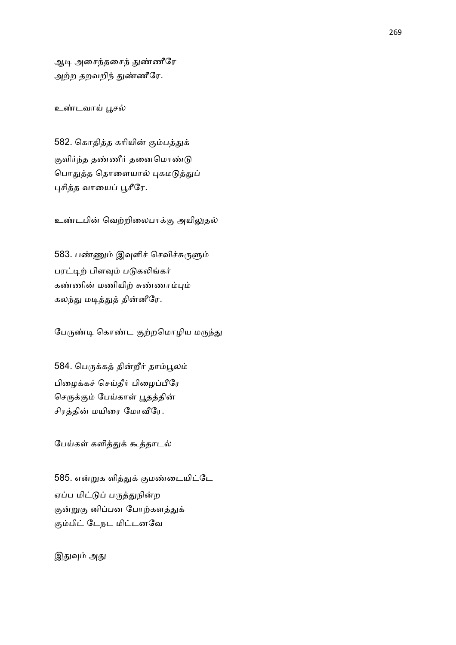ஆடி அசைந்தசைந் துண்ணீரே அற்ற தறவறிந் துண்ணீரே.

உண்டவாய் பூசல்

582. கொதித்த கரியின் கும்பத்துக் குளிர்ந்த தண்ணீர் தனைமொண்டு பொதுத்த தொளையால் புகமடுத்துப் புசித்த வாயைப் பூசீரே.

உண்டபின் வெற்றிலைபாக்கு அயிலுதல்

583. பண்ணும் இவுளிச் செவிச்சுருளும் பரட்டிற் பிளவும் படுகலிங்கர் கண்ணின் மணியிற் சுண்ணாம்பும் கலந்து மடித்துத் தின்னீரே.

பேருண்டி கொண்ட குற்றமொழிய மருந்து

584. பெருக்கத் தின்றீர் தாம்பூலம் பிழைக்கச் செய்தீர் பிழைப்பீரே செருக்கும் பேய்காள் பூதத்தின் சிரத்தின் மயிரை மோவீரே.

பேய்கள் களித்துக் கூத்தாடல்

585. என்றுக ளித்துக் குமண்டையிட்டே ஏப்ப மிட்டுப் பருத்துநின்ற குன்றுகு னிப்பன போற்களத்துக் கும்பிட் டேநட மிட்டனவே

இதுவும் அது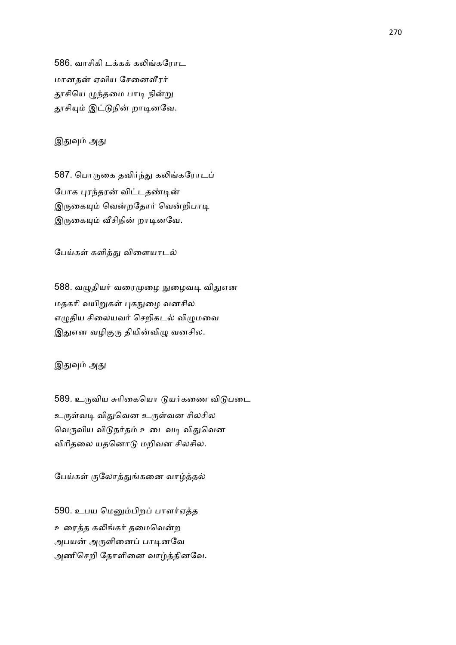586. வாசிகி டக்கக் கலிங்கரோட மானதன் ஏவிய சேனைவீரர் தூசியெ ழுந்தமை பாடி நின்று தூசியும் இட்டுநின் றாடினவே.

இதுவும் அது

587. பொருகை தவிர்ந்து கலிங்கரோடப் போக புரந்தரன் விட்டதண்டின் இருகையும் வென்றதோர் வென்றிபாடி இருகையும் வீசிநின் றாடினவே.

பேய்கள் களித்து விளையாடல்

588. வழுதியர் வரைமுழை நுழைவடி விதுஎன மதகரி வயிறுகள் புகநுழை வனசில எழுதிய சிலையவர் செறிகடல் விழுமவை இதுஎன வழிகுரு தியின்விழு வனசில.

இதுவும் அது

589. உருவிய சுரிகையொ டுயர்கணை விடுபடை உருள்வடி விதுவென உருள்வன சிலசில வெருவிய விடுநர்தம் உடைவடி விதுவென விரிதலை யதனொடு மறிவன சிலசில.

பேய்கள் குலோத்துங்கனை வாழ்த்தல்

590. உபய மெனும்பிறப் பாளர்ஏத்த உரைத்த கலிங்கர் தமைவென்ற அபயன் அருளினைப் பாடினவே அணிசெறி தோளினை வாழ்த்தினவே.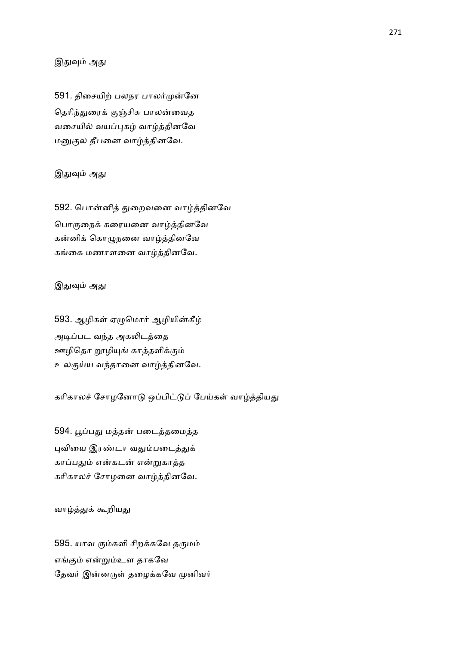## இதுவும் அது

591. திசையிற் பலநர பாலர்முன்னே தெரிந்துரைக் குஞ்சிசு பாலன்வைத வசையில் வயப்புகழ் வாழ்த்தினவே மனுகுல தீபனை வாழ்த்தினவே.

### இதுவும் அது

592. பொன்னித் துறைவனை வாழ்த்தினவே பொருநைக் கரையனை வாழ்த்தினவே கன்னிக் கொழுநனை வாழ்த்தினவே கங்கை மணாளனை வாழ்த்தினவே.

### இதுவும் அது

593. ஆழிகள் ஏழுமொர் ஆழியின்கீழ் அடிப்பட வந்த அகலிடத்தை ஊழிதொ றூழியுங் காத்தளிக்கும் உலகுய்ய வந்தானை வாழ்த்தினவே.

கரிகாலச் சோழனோடு ஒப்பிட்டுப் பேய்கள் வாழ்த்தியது

594. பூப்பது மத்தன் படைத்தமைத்த புவியை இரண்டா வதும்படைத்துக் காப்பதும் என்கடன் என்றுகாத்த கரிகாலச் சோழனை வாழ்த்தினவே.

வாழ்த்துக் கூறியது

595. யாவ ரும்களி சிறக்கவே தருமம் எங்கும் என்றும்உள தாகவே தேவர் இன்னருள் தழைக்கவே முனிவர்